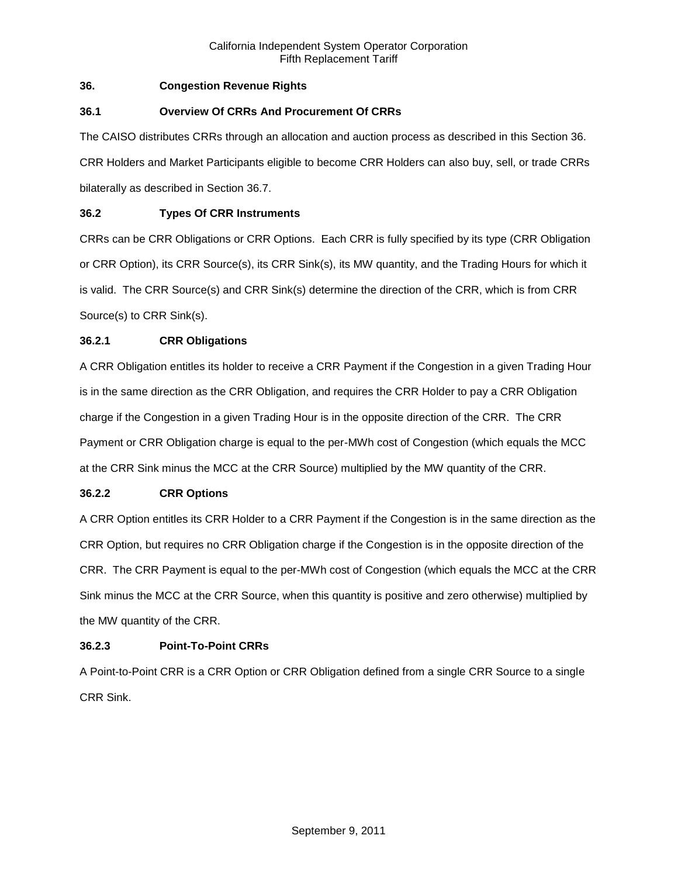# **36. Congestion Revenue Rights**

## **36.1 Overview Of CRRs And Procurement Of CRRs**

The CAISO distributes CRRs through an allocation and auction process as described in this Section 36. CRR Holders and Market Participants eligible to become CRR Holders can also buy, sell, or trade CRRs bilaterally as described in Section 36.7.

# **36.2 Types Of CRR Instruments**

CRRs can be CRR Obligations or CRR Options. Each CRR is fully specified by its type (CRR Obligation or CRR Option), its CRR Source(s), its CRR Sink(s), its MW quantity, and the Trading Hours for which it is valid. The CRR Source(s) and CRR Sink(s) determine the direction of the CRR, which is from CRR Source(s) to CRR Sink(s).

## **36.2.1 CRR Obligations**

A CRR Obligation entitles its holder to receive a CRR Payment if the Congestion in a given Trading Hour is in the same direction as the CRR Obligation, and requires the CRR Holder to pay a CRR Obligation charge if the Congestion in a given Trading Hour is in the opposite direction of the CRR. The CRR Payment or CRR Obligation charge is equal to the per-MWh cost of Congestion (which equals the MCC at the CRR Sink minus the MCC at the CRR Source) multiplied by the MW quantity of the CRR.

## **36.2.2 CRR Options**

A CRR Option entitles its CRR Holder to a CRR Payment if the Congestion is in the same direction as the CRR Option, but requires no CRR Obligation charge if the Congestion is in the opposite direction of the CRR. The CRR Payment is equal to the per-MWh cost of Congestion (which equals the MCC at the CRR Sink minus the MCC at the CRR Source, when this quantity is positive and zero otherwise) multiplied by the MW quantity of the CRR.

# **36.2.3 Point-To-Point CRRs**

A Point-to-Point CRR is a CRR Option or CRR Obligation defined from a single CRR Source to a single CRR Sink.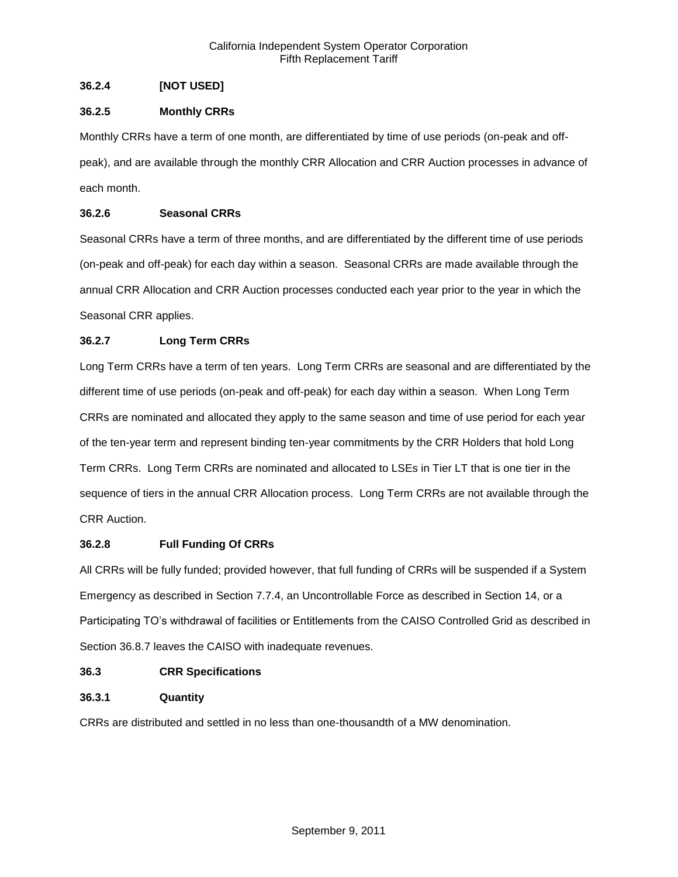# **36.2.4 [NOT USED]**

# **36.2.5 Monthly CRRs**

Monthly CRRs have a term of one month, are differentiated by time of use periods (on-peak and offpeak), and are available through the monthly CRR Allocation and CRR Auction processes in advance of each month.

# **36.2.6 Seasonal CRRs**

Seasonal CRRs have a term of three months, and are differentiated by the different time of use periods (on-peak and off-peak) for each day within a season. Seasonal CRRs are made available through the annual CRR Allocation and CRR Auction processes conducted each year prior to the year in which the Seasonal CRR applies.

# **36.2.7 Long Term CRRs**

Long Term CRRs have a term of ten years. Long Term CRRs are seasonal and are differentiated by the different time of use periods (on-peak and off-peak) for each day within a season. When Long Term CRRs are nominated and allocated they apply to the same season and time of use period for each year of the ten-year term and represent binding ten-year commitments by the CRR Holders that hold Long Term CRRs. Long Term CRRs are nominated and allocated to LSEs in Tier LT that is one tier in the sequence of tiers in the annual CRR Allocation process. Long Term CRRs are not available through the CRR Auction.

## **36.2.8 Full Funding Of CRRs**

All CRRs will be fully funded; provided however, that full funding of CRRs will be suspended if a System Emergency as described in Section 7.7.4, an Uncontrollable Force as described in Section 14, or a Participating TO's withdrawal of facilities or Entitlements from the CAISO Controlled Grid as described in Section 36.8.7 leaves the CAISO with inadequate revenues.

## **36.3 CRR Specifications**

# **36.3.1 Quantity**

CRRs are distributed and settled in no less than one-thousandth of a MW denomination.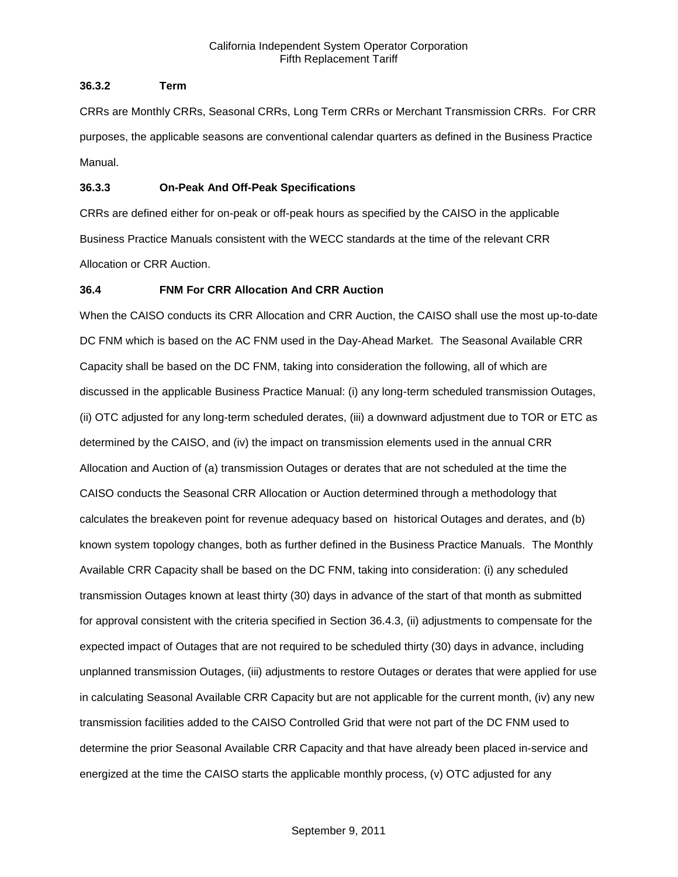## **36.3.2 Term**

CRRs are Monthly CRRs, Seasonal CRRs, Long Term CRRs or Merchant Transmission CRRs. For CRR purposes, the applicable seasons are conventional calendar quarters as defined in the Business Practice Manual.

## **36.3.3 On-Peak And Off-Peak Specifications**

CRRs are defined either for on-peak or off-peak hours as specified by the CAISO in the applicable Business Practice Manuals consistent with the WECC standards at the time of the relevant CRR Allocation or CRR Auction.

# **36.4 FNM For CRR Allocation And CRR Auction**

When the CAISO conducts its CRR Allocation and CRR Auction, the CAISO shall use the most up-to-date DC FNM which is based on the AC FNM used in the Day-Ahead Market. The Seasonal Available CRR Capacity shall be based on the DC FNM, taking into consideration the following, all of which are discussed in the applicable Business Practice Manual: (i) any long-term scheduled transmission Outages, (ii) OTC adjusted for any long-term scheduled derates, (iii) a downward adjustment due to TOR or ETC as determined by the CAISO, and (iv) the impact on transmission elements used in the annual CRR Allocation and Auction of (a) transmission Outages or derates that are not scheduled at the time the CAISO conducts the Seasonal CRR Allocation or Auction determined through a methodology that calculates the breakeven point for revenue adequacy based on historical Outages and derates, and (b) known system topology changes, both as further defined in the Business Practice Manuals. The Monthly Available CRR Capacity shall be based on the DC FNM, taking into consideration: (i) any scheduled transmission Outages known at least thirty (30) days in advance of the start of that month as submitted for approval consistent with the criteria specified in Section 36.4.3, (ii) adjustments to compensate for the expected impact of Outages that are not required to be scheduled thirty (30) days in advance, including unplanned transmission Outages, (iii) adjustments to restore Outages or derates that were applied for use in calculating Seasonal Available CRR Capacity but are not applicable for the current month, (iv) any new transmission facilities added to the CAISO Controlled Grid that were not part of the DC FNM used to determine the prior Seasonal Available CRR Capacity and that have already been placed in-service and energized at the time the CAISO starts the applicable monthly process, (v) OTC adjusted for any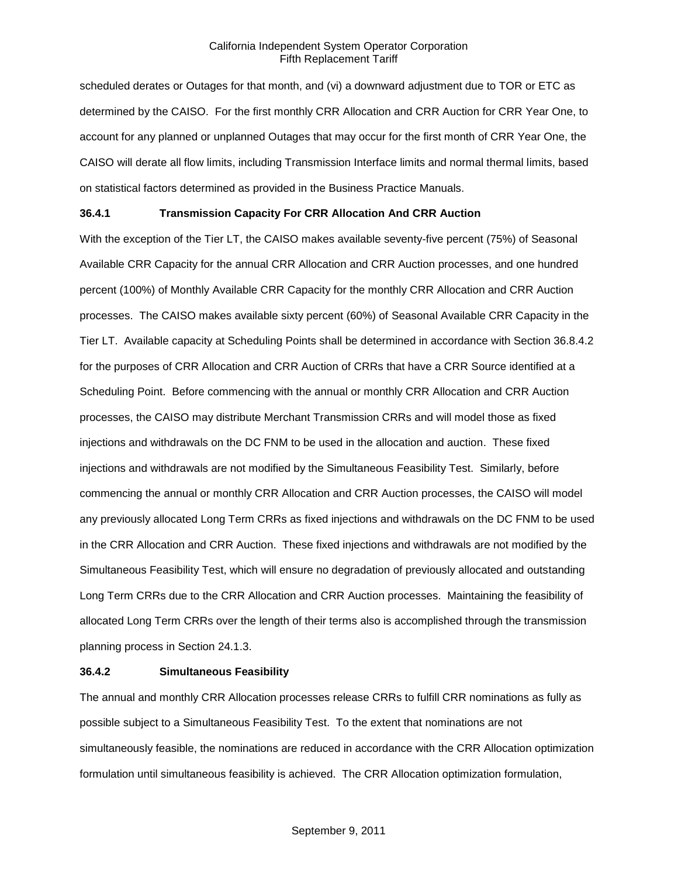scheduled derates or Outages for that month, and (vi) a downward adjustment due to TOR or ETC as determined by the CAISO. For the first monthly CRR Allocation and CRR Auction for CRR Year One, to account for any planned or unplanned Outages that may occur for the first month of CRR Year One, the CAISO will derate all flow limits, including Transmission Interface limits and normal thermal limits, based on statistical factors determined as provided in the Business Practice Manuals.

## **36.4.1 Transmission Capacity For CRR Allocation And CRR Auction**

With the exception of the Tier LT, the CAISO makes available seventy-five percent (75%) of Seasonal Available CRR Capacity for the annual CRR Allocation and CRR Auction processes, and one hundred percent (100%) of Monthly Available CRR Capacity for the monthly CRR Allocation and CRR Auction processes. The CAISO makes available sixty percent (60%) of Seasonal Available CRR Capacity in the Tier LT. Available capacity at Scheduling Points shall be determined in accordance with Section 36.8.4.2 for the purposes of CRR Allocation and CRR Auction of CRRs that have a CRR Source identified at a Scheduling Point. Before commencing with the annual or monthly CRR Allocation and CRR Auction processes, the CAISO may distribute Merchant Transmission CRRs and will model those as fixed injections and withdrawals on the DC FNM to be used in the allocation and auction. These fixed injections and withdrawals are not modified by the Simultaneous Feasibility Test. Similarly, before commencing the annual or monthly CRR Allocation and CRR Auction processes, the CAISO will model any previously allocated Long Term CRRs as fixed injections and withdrawals on the DC FNM to be used in the CRR Allocation and CRR Auction. These fixed injections and withdrawals are not modified by the Simultaneous Feasibility Test, which will ensure no degradation of previously allocated and outstanding Long Term CRRs due to the CRR Allocation and CRR Auction processes. Maintaining the feasibility of allocated Long Term CRRs over the length of their terms also is accomplished through the transmission planning process in Section 24.1.3.

#### **36.4.2 Simultaneous Feasibility**

The annual and monthly CRR Allocation processes release CRRs to fulfill CRR nominations as fully as possible subject to a Simultaneous Feasibility Test. To the extent that nominations are not simultaneously feasible, the nominations are reduced in accordance with the CRR Allocation optimization formulation until simultaneous feasibility is achieved. The CRR Allocation optimization formulation,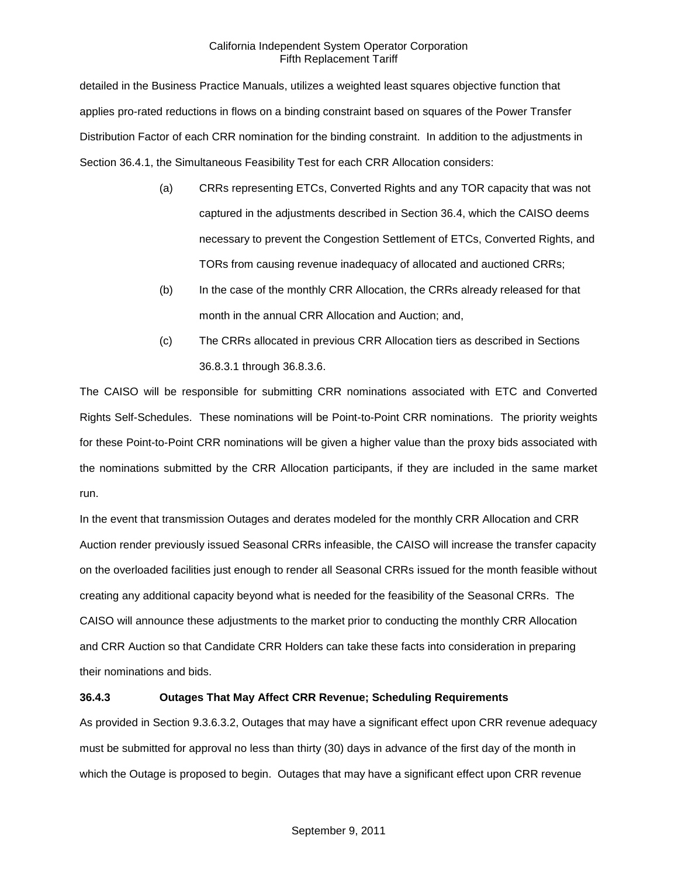detailed in the Business Practice Manuals, utilizes a weighted least squares objective function that applies pro-rated reductions in flows on a binding constraint based on squares of the Power Transfer Distribution Factor of each CRR nomination for the binding constraint. In addition to the adjustments in Section 36.4.1, the Simultaneous Feasibility Test for each CRR Allocation considers:

- (a) CRRs representing ETCs, Converted Rights and any TOR capacity that was not captured in the adjustments described in Section 36.4, which the CAISO deems necessary to prevent the Congestion Settlement of ETCs, Converted Rights, and TORs from causing revenue inadequacy of allocated and auctioned CRRs;
- (b) In the case of the monthly CRR Allocation, the CRRs already released for that month in the annual CRR Allocation and Auction; and,
- (c) The CRRs allocated in previous CRR Allocation tiers as described in Sections 36.8.3.1 through 36.8.3.6.

The CAISO will be responsible for submitting CRR nominations associated with ETC and Converted Rights Self-Schedules. These nominations will be Point-to-Point CRR nominations. The priority weights for these Point-to-Point CRR nominations will be given a higher value than the proxy bids associated with the nominations submitted by the CRR Allocation participants, if they are included in the same market run.

In the event that transmission Outages and derates modeled for the monthly CRR Allocation and CRR Auction render previously issued Seasonal CRRs infeasible, the CAISO will increase the transfer capacity on the overloaded facilities just enough to render all Seasonal CRRs issued for the month feasible without creating any additional capacity beyond what is needed for the feasibility of the Seasonal CRRs. The CAISO will announce these adjustments to the market prior to conducting the monthly CRR Allocation and CRR Auction so that Candidate CRR Holders can take these facts into consideration in preparing their nominations and bids.

## **36.4.3 Outages That May Affect CRR Revenue; Scheduling Requirements**

As provided in Section 9.3.6.3.2, Outages that may have a significant effect upon CRR revenue adequacy must be submitted for approval no less than thirty (30) days in advance of the first day of the month in which the Outage is proposed to begin. Outages that may have a significant effect upon CRR revenue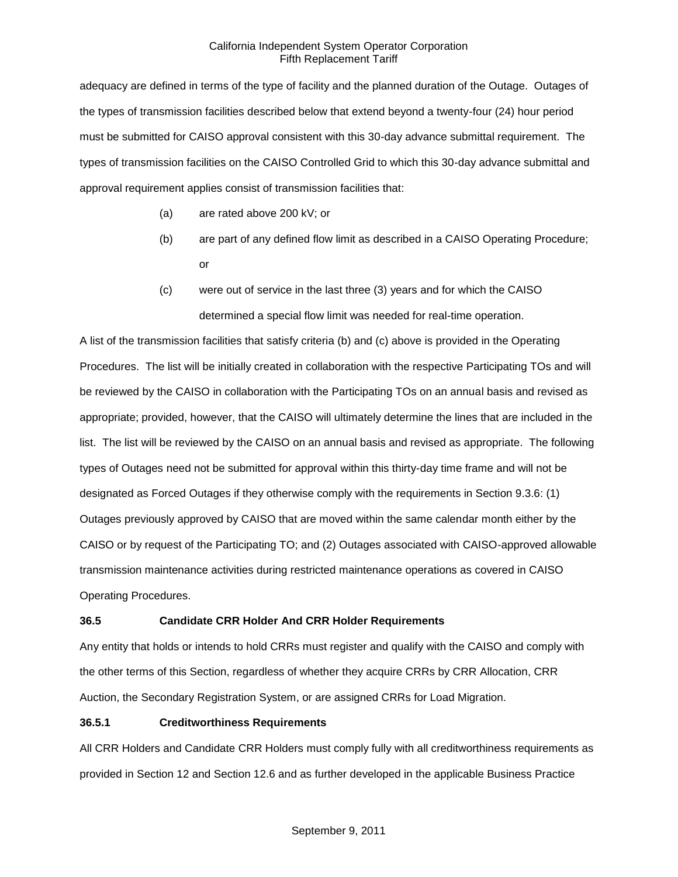adequacy are defined in terms of the type of facility and the planned duration of the Outage. Outages of the types of transmission facilities described below that extend beyond a twenty-four (24) hour period must be submitted for CAISO approval consistent with this 30-day advance submittal requirement. The types of transmission facilities on the CAISO Controlled Grid to which this 30-day advance submittal and approval requirement applies consist of transmission facilities that:

- (a) are rated above 200 kV; or
- (b) are part of any defined flow limit as described in a CAISO Operating Procedure; or
- (c) were out of service in the last three (3) years and for which the CAISO determined a special flow limit was needed for real-time operation.

A list of the transmission facilities that satisfy criteria (b) and (c) above is provided in the Operating Procedures. The list will be initially created in collaboration with the respective Participating TOs and will be reviewed by the CAISO in collaboration with the Participating TOs on an annual basis and revised as appropriate; provided, however, that the CAISO will ultimately determine the lines that are included in the list. The list will be reviewed by the CAISO on an annual basis and revised as appropriate. The following types of Outages need not be submitted for approval within this thirty-day time frame and will not be designated as Forced Outages if they otherwise comply with the requirements in Section 9.3.6: (1) Outages previously approved by CAISO that are moved within the same calendar month either by the CAISO or by request of the Participating TO; and (2) Outages associated with CAISO-approved allowable transmission maintenance activities during restricted maintenance operations as covered in CAISO Operating Procedures.

# **36.5 Candidate CRR Holder And CRR Holder Requirements**

Any entity that holds or intends to hold CRRs must register and qualify with the CAISO and comply with the other terms of this Section, regardless of whether they acquire CRRs by CRR Allocation, CRR Auction, the Secondary Registration System, or are assigned CRRs for Load Migration.

## **36.5.1 Creditworthiness Requirements**

All CRR Holders and Candidate CRR Holders must comply fully with all creditworthiness requirements as provided in Section 12 and Section 12.6 and as further developed in the applicable Business Practice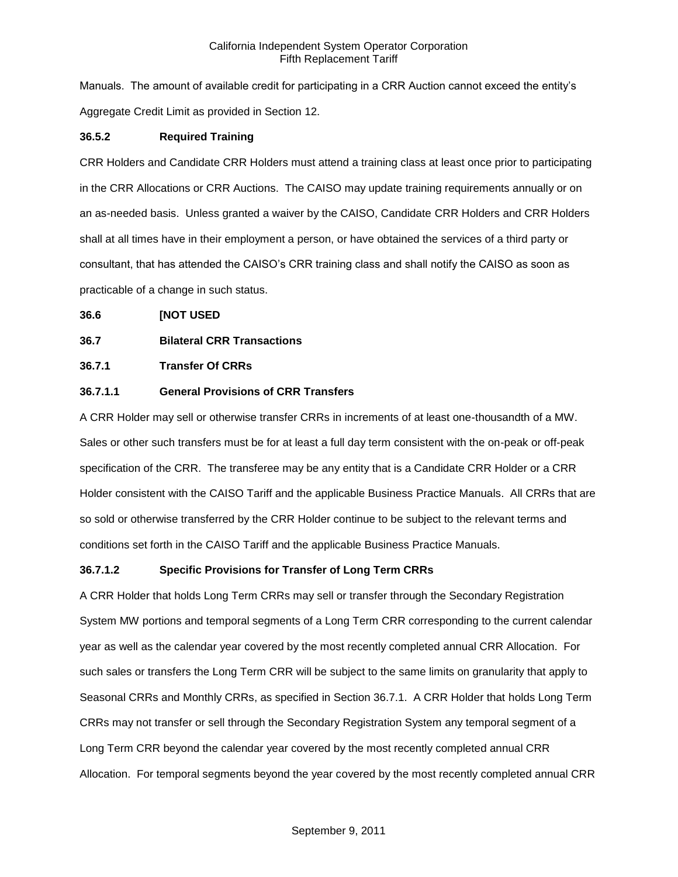Manuals. The amount of available credit for participating in a CRR Auction cannot exceed the entity's Aggregate Credit Limit as provided in Section 12.

## **36.5.2 Required Training**

CRR Holders and Candidate CRR Holders must attend a training class at least once prior to participating in the CRR Allocations or CRR Auctions. The CAISO may update training requirements annually or on an as-needed basis. Unless granted a waiver by the CAISO, Candidate CRR Holders and CRR Holders shall at all times have in their employment a person, or have obtained the services of a third party or consultant, that has attended the CAISO's CRR training class and shall notify the CAISO as soon as practicable of a change in such status.

## **36.6 [NOT USED**

# **36.7 Bilateral CRR Transactions**

# **36.7.1 Transfer Of CRRs**

## **36.7.1.1 General Provisions of CRR Transfers**

A CRR Holder may sell or otherwise transfer CRRs in increments of at least one-thousandth of a MW. Sales or other such transfers must be for at least a full day term consistent with the on-peak or off-peak specification of the CRR. The transferee may be any entity that is a Candidate CRR Holder or a CRR Holder consistent with the CAISO Tariff and the applicable Business Practice Manuals. All CRRs that are so sold or otherwise transferred by the CRR Holder continue to be subject to the relevant terms and conditions set forth in the CAISO Tariff and the applicable Business Practice Manuals.

## **36.7.1.2 Specific Provisions for Transfer of Long Term CRRs**

A CRR Holder that holds Long Term CRRs may sell or transfer through the Secondary Registration System MW portions and temporal segments of a Long Term CRR corresponding to the current calendar year as well as the calendar year covered by the most recently completed annual CRR Allocation. For such sales or transfers the Long Term CRR will be subject to the same limits on granularity that apply to Seasonal CRRs and Monthly CRRs, as specified in Section 36.7.1. A CRR Holder that holds Long Term CRRs may not transfer or sell through the Secondary Registration System any temporal segment of a Long Term CRR beyond the calendar year covered by the most recently completed annual CRR Allocation. For temporal segments beyond the year covered by the most recently completed annual CRR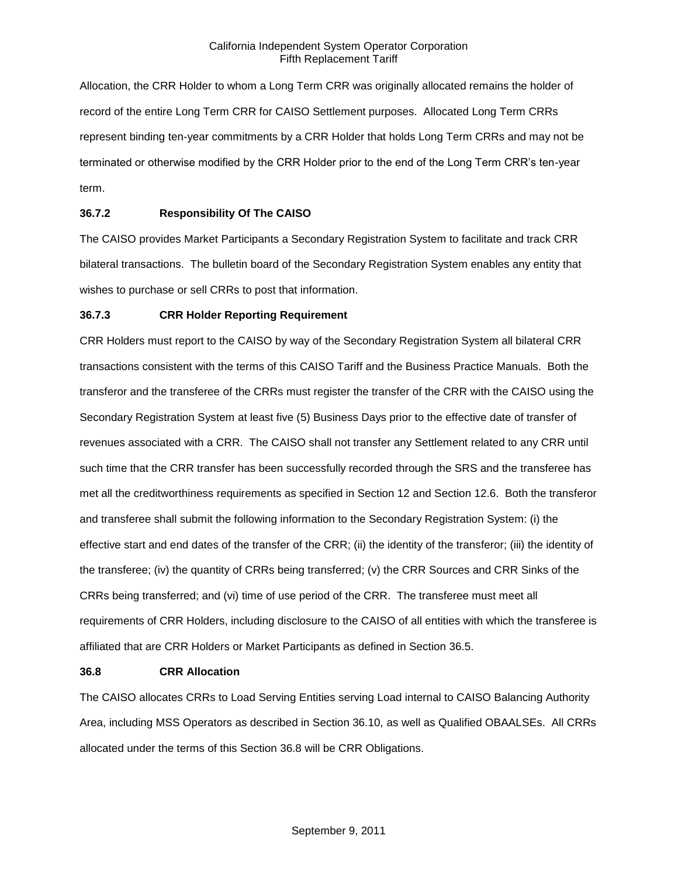Allocation, the CRR Holder to whom a Long Term CRR was originally allocated remains the holder of record of the entire Long Term CRR for CAISO Settlement purposes. Allocated Long Term CRRs represent binding ten-year commitments by a CRR Holder that holds Long Term CRRs and may not be terminated or otherwise modified by the CRR Holder prior to the end of the Long Term CRR's ten-year term.

# **36.7.2 Responsibility Of The CAISO**

The CAISO provides Market Participants a Secondary Registration System to facilitate and track CRR bilateral transactions. The bulletin board of the Secondary Registration System enables any entity that wishes to purchase or sell CRRs to post that information.

## **36.7.3 CRR Holder Reporting Requirement**

CRR Holders must report to the CAISO by way of the Secondary Registration System all bilateral CRR transactions consistent with the terms of this CAISO Tariff and the Business Practice Manuals. Both the transferor and the transferee of the CRRs must register the transfer of the CRR with the CAISO using the Secondary Registration System at least five (5) Business Days prior to the effective date of transfer of revenues associated with a CRR. The CAISO shall not transfer any Settlement related to any CRR until such time that the CRR transfer has been successfully recorded through the SRS and the transferee has met all the creditworthiness requirements as specified in Section 12 and Section 12.6. Both the transferor and transferee shall submit the following information to the Secondary Registration System: (i) the effective start and end dates of the transfer of the CRR; (ii) the identity of the transferor; (iii) the identity of the transferee; (iv) the quantity of CRRs being transferred; (v) the CRR Sources and CRR Sinks of the CRRs being transferred; and (vi) time of use period of the CRR. The transferee must meet all requirements of CRR Holders, including disclosure to the CAISO of all entities with which the transferee is affiliated that are CRR Holders or Market Participants as defined in Section 36.5.

### **36.8 CRR Allocation**

The CAISO allocates CRRs to Load Serving Entities serving Load internal to CAISO Balancing Authority Area, including MSS Operators as described in Section 36.10, as well as Qualified OBAALSEs. All CRRs allocated under the terms of this Section 36.8 will be CRR Obligations.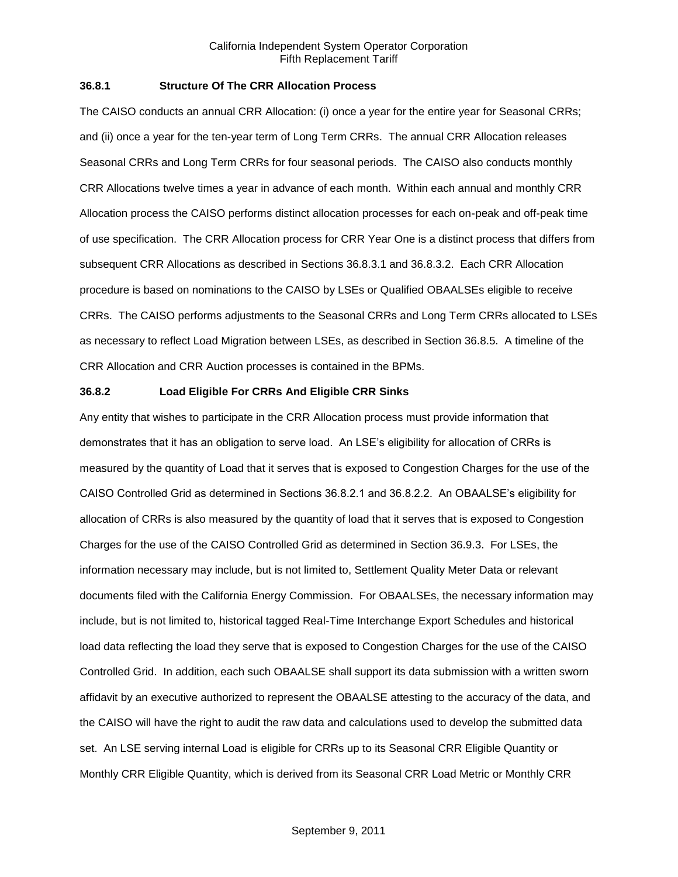## **36.8.1 Structure Of The CRR Allocation Process**

The CAISO conducts an annual CRR Allocation: (i) once a year for the entire year for Seasonal CRRs; and (ii) once a year for the ten-year term of Long Term CRRs. The annual CRR Allocation releases Seasonal CRRs and Long Term CRRs for four seasonal periods. The CAISO also conducts monthly CRR Allocations twelve times a year in advance of each month. Within each annual and monthly CRR Allocation process the CAISO performs distinct allocation processes for each on-peak and off-peak time of use specification. The CRR Allocation process for CRR Year One is a distinct process that differs from subsequent CRR Allocations as described in Sections 36.8.3.1 and 36.8.3.2. Each CRR Allocation procedure is based on nominations to the CAISO by LSEs or Qualified OBAALSEs eligible to receive CRRs. The CAISO performs adjustments to the Seasonal CRRs and Long Term CRRs allocated to LSEs as necessary to reflect Load Migration between LSEs, as described in Section 36.8.5. A timeline of the CRR Allocation and CRR Auction processes is contained in the BPMs.

## **36.8.2 Load Eligible For CRRs And Eligible CRR Sinks**

Any entity that wishes to participate in the CRR Allocation process must provide information that demonstrates that it has an obligation to serve load. An LSE's eligibility for allocation of CRRs is measured by the quantity of Load that it serves that is exposed to Congestion Charges for the use of the CAISO Controlled Grid as determined in Sections 36.8.2.1 and 36.8.2.2. An OBAALSE's eligibility for allocation of CRRs is also measured by the quantity of load that it serves that is exposed to Congestion Charges for the use of the CAISO Controlled Grid as determined in Section 36.9.3. For LSEs, the information necessary may include, but is not limited to, Settlement Quality Meter Data or relevant documents filed with the California Energy Commission. For OBAALSEs, the necessary information may include, but is not limited to, historical tagged Real-Time Interchange Export Schedules and historical load data reflecting the load they serve that is exposed to Congestion Charges for the use of the CAISO Controlled Grid. In addition, each such OBAALSE shall support its data submission with a written sworn affidavit by an executive authorized to represent the OBAALSE attesting to the accuracy of the data, and the CAISO will have the right to audit the raw data and calculations used to develop the submitted data set. An LSE serving internal Load is eligible for CRRs up to its Seasonal CRR Eligible Quantity or Monthly CRR Eligible Quantity, which is derived from its Seasonal CRR Load Metric or Monthly CRR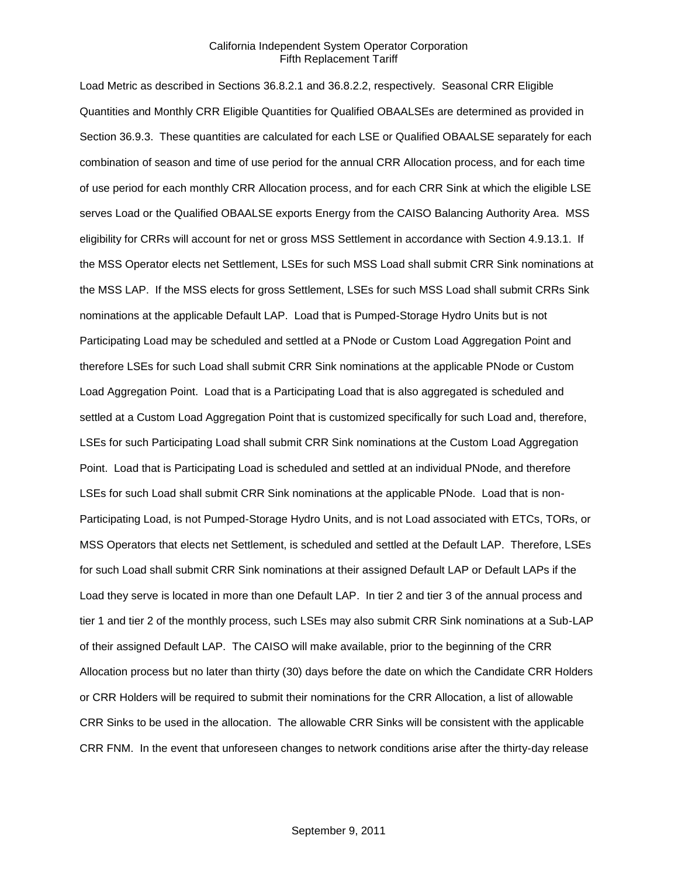Load Metric as described in Sections 36.8.2.1 and 36.8.2.2, respectively. Seasonal CRR Eligible Quantities and Monthly CRR Eligible Quantities for Qualified OBAALSEs are determined as provided in Section 36.9.3. These quantities are calculated for each LSE or Qualified OBAALSE separately for each combination of season and time of use period for the annual CRR Allocation process, and for each time of use period for each monthly CRR Allocation process, and for each CRR Sink at which the eligible LSE serves Load or the Qualified OBAALSE exports Energy from the CAISO Balancing Authority Area. MSS eligibility for CRRs will account for net or gross MSS Settlement in accordance with Section 4.9.13.1. If the MSS Operator elects net Settlement, LSEs for such MSS Load shall submit CRR Sink nominations at the MSS LAP. If the MSS elects for gross Settlement, LSEs for such MSS Load shall submit CRRs Sink nominations at the applicable Default LAP. Load that is Pumped-Storage Hydro Units but is not Participating Load may be scheduled and settled at a PNode or Custom Load Aggregation Point and therefore LSEs for such Load shall submit CRR Sink nominations at the applicable PNode or Custom Load Aggregation Point. Load that is a Participating Load that is also aggregated is scheduled and settled at a Custom Load Aggregation Point that is customized specifically for such Load and, therefore, LSEs for such Participating Load shall submit CRR Sink nominations at the Custom Load Aggregation Point. Load that is Participating Load is scheduled and settled at an individual PNode, and therefore LSEs for such Load shall submit CRR Sink nominations at the applicable PNode. Load that is non-Participating Load, is not Pumped-Storage Hydro Units, and is not Load associated with ETCs, TORs, or MSS Operators that elects net Settlement, is scheduled and settled at the Default LAP. Therefore, LSEs for such Load shall submit CRR Sink nominations at their assigned Default LAP or Default LAPs if the Load they serve is located in more than one Default LAP. In tier 2 and tier 3 of the annual process and tier 1 and tier 2 of the monthly process, such LSEs may also submit CRR Sink nominations at a Sub-LAP of their assigned Default LAP. The CAISO will make available, prior to the beginning of the CRR Allocation process but no later than thirty (30) days before the date on which the Candidate CRR Holders or CRR Holders will be required to submit their nominations for the CRR Allocation, a list of allowable CRR Sinks to be used in the allocation. The allowable CRR Sinks will be consistent with the applicable CRR FNM. In the event that unforeseen changes to network conditions arise after the thirty-day release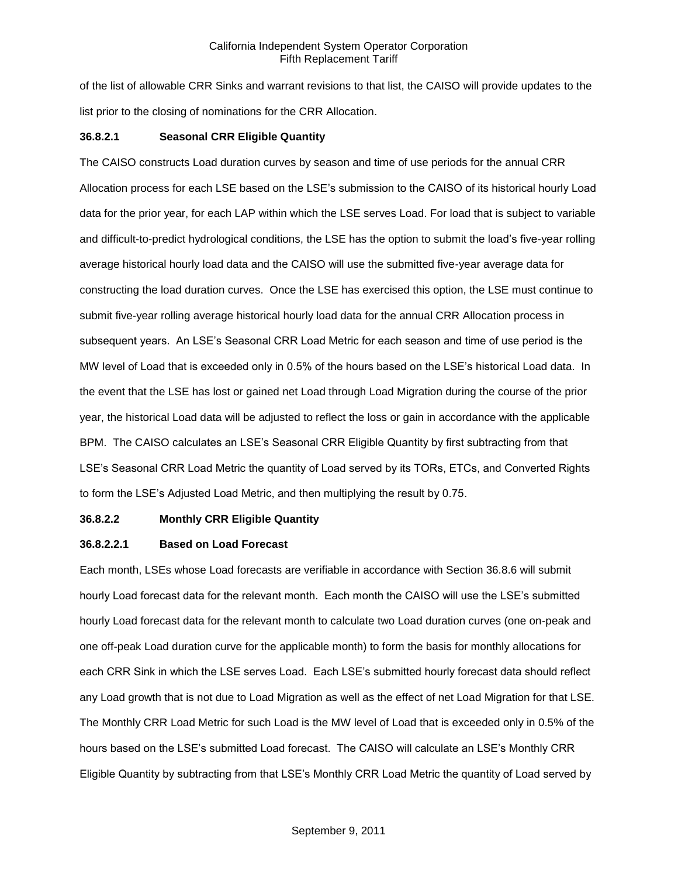of the list of allowable CRR Sinks and warrant revisions to that list, the CAISO will provide updates to the list prior to the closing of nominations for the CRR Allocation.

## **36.8.2.1 Seasonal CRR Eligible Quantity**

The CAISO constructs Load duration curves by season and time of use periods for the annual CRR Allocation process for each LSE based on the LSE's submission to the CAISO of its historical hourly Load data for the prior year, for each LAP within which the LSE serves Load. For load that is subject to variable and difficult-to-predict hydrological conditions, the LSE has the option to submit the load's five-year rolling average historical hourly load data and the CAISO will use the submitted five-year average data for constructing the load duration curves. Once the LSE has exercised this option, the LSE must continue to submit five-year rolling average historical hourly load data for the annual CRR Allocation process in subsequent years. An LSE's Seasonal CRR Load Metric for each season and time of use period is the MW level of Load that is exceeded only in 0.5% of the hours based on the LSE's historical Load data. In the event that the LSE has lost or gained net Load through Load Migration during the course of the prior year, the historical Load data will be adjusted to reflect the loss or gain in accordance with the applicable BPM. The CAISO calculates an LSE's Seasonal CRR Eligible Quantity by first subtracting from that LSE's Seasonal CRR Load Metric the quantity of Load served by its TORs, ETCs, and Converted Rights to form the LSE's Adjusted Load Metric, and then multiplying the result by 0.75.

## **36.8.2.2 Monthly CRR Eligible Quantity**

## **36.8.2.2.1 Based on Load Forecast**

Each month, LSEs whose Load forecasts are verifiable in accordance with Section 36.8.6 will submit hourly Load forecast data for the relevant month. Each month the CAISO will use the LSE's submitted hourly Load forecast data for the relevant month to calculate two Load duration curves (one on-peak and one off-peak Load duration curve for the applicable month) to form the basis for monthly allocations for each CRR Sink in which the LSE serves Load. Each LSE's submitted hourly forecast data should reflect any Load growth that is not due to Load Migration as well as the effect of net Load Migration for that LSE. The Monthly CRR Load Metric for such Load is the MW level of Load that is exceeded only in 0.5% of the hours based on the LSE's submitted Load forecast. The CAISO will calculate an LSE's Monthly CRR Eligible Quantity by subtracting from that LSE's Monthly CRR Load Metric the quantity of Load served by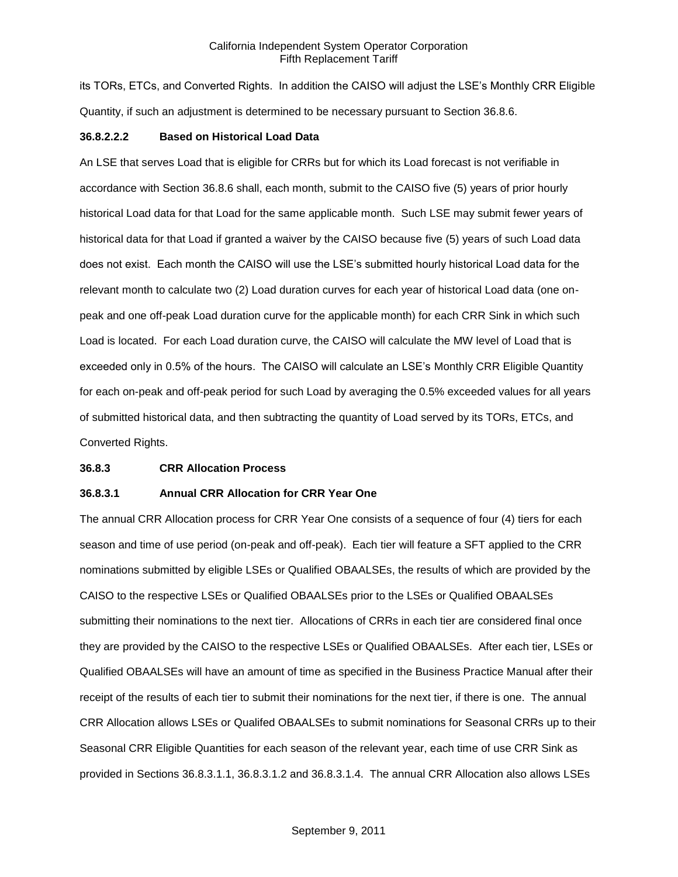its TORs, ETCs, and Converted Rights. In addition the CAISO will adjust the LSE's Monthly CRR Eligible Quantity, if such an adjustment is determined to be necessary pursuant to Section 36.8.6.

### **36.8.2.2.2 Based on Historical Load Data**

An LSE that serves Load that is eligible for CRRs but for which its Load forecast is not verifiable in accordance with Section 36.8.6 shall, each month, submit to the CAISO five (5) years of prior hourly historical Load data for that Load for the same applicable month. Such LSE may submit fewer years of historical data for that Load if granted a waiver by the CAISO because five (5) years of such Load data does not exist. Each month the CAISO will use the LSE's submitted hourly historical Load data for the relevant month to calculate two (2) Load duration curves for each year of historical Load data (one onpeak and one off-peak Load duration curve for the applicable month) for each CRR Sink in which such Load is located. For each Load duration curve, the CAISO will calculate the MW level of Load that is exceeded only in 0.5% of the hours. The CAISO will calculate an LSE's Monthly CRR Eligible Quantity for each on-peak and off-peak period for such Load by averaging the 0.5% exceeded values for all years of submitted historical data, and then subtracting the quantity of Load served by its TORs, ETCs, and Converted Rights.

### **36.8.3 CRR Allocation Process**

## **36.8.3.1 Annual CRR Allocation for CRR Year One**

The annual CRR Allocation process for CRR Year One consists of a sequence of four (4) tiers for each season and time of use period (on-peak and off-peak). Each tier will feature a SFT applied to the CRR nominations submitted by eligible LSEs or Qualified OBAALSEs, the results of which are provided by the CAISO to the respective LSEs or Qualified OBAALSEs prior to the LSEs or Qualified OBAALSEs submitting their nominations to the next tier. Allocations of CRRs in each tier are considered final once they are provided by the CAISO to the respective LSEs or Qualified OBAALSEs. After each tier, LSEs or Qualified OBAALSEs will have an amount of time as specified in the Business Practice Manual after their receipt of the results of each tier to submit their nominations for the next tier, if there is one. The annual CRR Allocation allows LSEs or Qualifed OBAALSEs to submit nominations for Seasonal CRRs up to their Seasonal CRR Eligible Quantities for each season of the relevant year, each time of use CRR Sink as provided in Sections 36.8.3.1.1, 36.8.3.1.2 and 36.8.3.1.4. The annual CRR Allocation also allows LSEs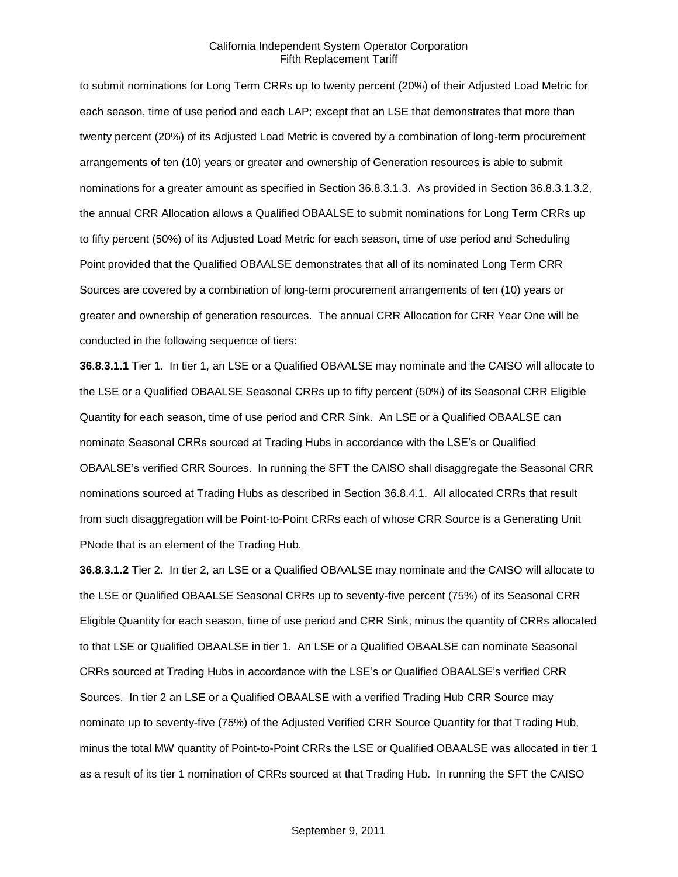to submit nominations for Long Term CRRs up to twenty percent (20%) of their Adjusted Load Metric for each season, time of use period and each LAP; except that an LSE that demonstrates that more than twenty percent (20%) of its Adjusted Load Metric is covered by a combination of long-term procurement arrangements of ten (10) years or greater and ownership of Generation resources is able to submit nominations for a greater amount as specified in Section 36.8.3.1.3. As provided in Section 36.8.3.1.3.2, the annual CRR Allocation allows a Qualified OBAALSE to submit nominations for Long Term CRRs up to fifty percent (50%) of its Adjusted Load Metric for each season, time of use period and Scheduling Point provided that the Qualified OBAALSE demonstrates that all of its nominated Long Term CRR Sources are covered by a combination of long-term procurement arrangements of ten (10) years or greater and ownership of generation resources. The annual CRR Allocation for CRR Year One will be conducted in the following sequence of tiers:

**36.8.3.1.1** Tier 1. In tier 1, an LSE or a Qualified OBAALSE may nominate and the CAISO will allocate to the LSE or a Qualified OBAALSE Seasonal CRRs up to fifty percent (50%) of its Seasonal CRR Eligible Quantity for each season, time of use period and CRR Sink. An LSE or a Qualified OBAALSE can nominate Seasonal CRRs sourced at Trading Hubs in accordance with the LSE's or Qualified OBAALSE's verified CRR Sources. In running the SFT the CAISO shall disaggregate the Seasonal CRR nominations sourced at Trading Hubs as described in Section 36.8.4.1. All allocated CRRs that result from such disaggregation will be Point-to-Point CRRs each of whose CRR Source is a Generating Unit PNode that is an element of the Trading Hub.

**36.8.3.1.2** Tier 2. In tier 2, an LSE or a Qualified OBAALSE may nominate and the CAISO will allocate to the LSE or Qualified OBAALSE Seasonal CRRs up to seventy-five percent (75%) of its Seasonal CRR Eligible Quantity for each season, time of use period and CRR Sink, minus the quantity of CRRs allocated to that LSE or Qualified OBAALSE in tier 1. An LSE or a Qualified OBAALSE can nominate Seasonal CRRs sourced at Trading Hubs in accordance with the LSE's or Qualified OBAALSE's verified CRR Sources. In tier 2 an LSE or a Qualified OBAALSE with a verified Trading Hub CRR Source may nominate up to seventy-five (75%) of the Adjusted Verified CRR Source Quantity for that Trading Hub, minus the total MW quantity of Point-to-Point CRRs the LSE or Qualified OBAALSE was allocated in tier 1 as a result of its tier 1 nomination of CRRs sourced at that Trading Hub. In running the SFT the CAISO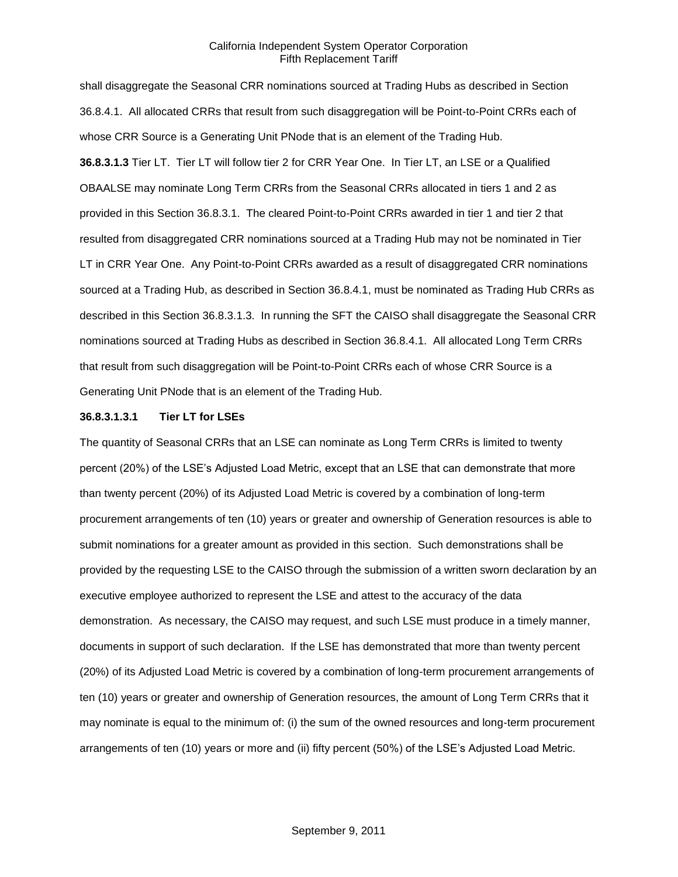shall disaggregate the Seasonal CRR nominations sourced at Trading Hubs as described in Section 36.8.4.1. All allocated CRRs that result from such disaggregation will be Point-to-Point CRRs each of whose CRR Source is a Generating Unit PNode that is an element of the Trading Hub. **36.8.3.1.3** Tier LT. Tier LT will follow tier 2 for CRR Year One. In Tier LT, an LSE or a Qualified OBAALSE may nominate Long Term CRRs from the Seasonal CRRs allocated in tiers 1 and 2 as provided in this Section 36.8.3.1. The cleared Point-to-Point CRRs awarded in tier 1 and tier 2 that resulted from disaggregated CRR nominations sourced at a Trading Hub may not be nominated in Tier LT in CRR Year One. Any Point-to-Point CRRs awarded as a result of disaggregated CRR nominations sourced at a Trading Hub, as described in Section 36.8.4.1, must be nominated as Trading Hub CRRs as described in this Section 36.8.3.1.3. In running the SFT the CAISO shall disaggregate the Seasonal CRR nominations sourced at Trading Hubs as described in Section 36.8.4.1. All allocated Long Term CRRs that result from such disaggregation will be Point-to-Point CRRs each of whose CRR Source is a Generating Unit PNode that is an element of the Trading Hub.

## **36.8.3.1.3.1 Tier LT for LSEs**

The quantity of Seasonal CRRs that an LSE can nominate as Long Term CRRs is limited to twenty percent (20%) of the LSE's Adjusted Load Metric, except that an LSE that can demonstrate that more than twenty percent (20%) of its Adjusted Load Metric is covered by a combination of long-term procurement arrangements of ten (10) years or greater and ownership of Generation resources is able to submit nominations for a greater amount as provided in this section. Such demonstrations shall be provided by the requesting LSE to the CAISO through the submission of a written sworn declaration by an executive employee authorized to represent the LSE and attest to the accuracy of the data demonstration. As necessary, the CAISO may request, and such LSE must produce in a timely manner, documents in support of such declaration. If the LSE has demonstrated that more than twenty percent (20%) of its Adjusted Load Metric is covered by a combination of long-term procurement arrangements of ten (10) years or greater and ownership of Generation resources, the amount of Long Term CRRs that it may nominate is equal to the minimum of: (i) the sum of the owned resources and long-term procurement arrangements of ten (10) years or more and (ii) fifty percent (50%) of the LSE's Adjusted Load Metric.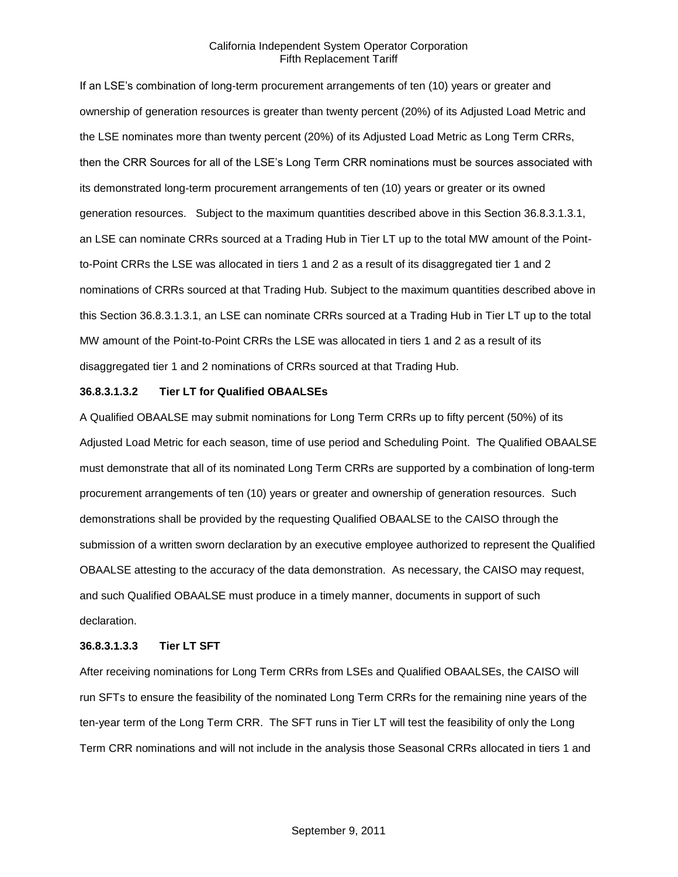If an LSE's combination of long-term procurement arrangements of ten (10) years or greater and ownership of generation resources is greater than twenty percent (20%) of its Adjusted Load Metric and the LSE nominates more than twenty percent (20%) of its Adjusted Load Metric as Long Term CRRs, then the CRR Sources for all of the LSE's Long Term CRR nominations must be sources associated with its demonstrated long-term procurement arrangements of ten (10) years or greater or its owned generation resources. Subject to the maximum quantities described above in this Section 36.8.3.1.3.1, an LSE can nominate CRRs sourced at a Trading Hub in Tier LT up to the total MW amount of the Pointto-Point CRRs the LSE was allocated in tiers 1 and 2 as a result of its disaggregated tier 1 and 2 nominations of CRRs sourced at that Trading Hub. Subject to the maximum quantities described above in this Section 36.8.3.1.3.1, an LSE can nominate CRRs sourced at a Trading Hub in Tier LT up to the total MW amount of the Point-to-Point CRRs the LSE was allocated in tiers 1 and 2 as a result of its disaggregated tier 1 and 2 nominations of CRRs sourced at that Trading Hub.

### **36.8.3.1.3.2 Tier LT for Qualified OBAALSEs**

A Qualified OBAALSE may submit nominations for Long Term CRRs up to fifty percent (50%) of its Adjusted Load Metric for each season, time of use period and Scheduling Point. The Qualified OBAALSE must demonstrate that all of its nominated Long Term CRRs are supported by a combination of long-term procurement arrangements of ten (10) years or greater and ownership of generation resources. Such demonstrations shall be provided by the requesting Qualified OBAALSE to the CAISO through the submission of a written sworn declaration by an executive employee authorized to represent the Qualified OBAALSE attesting to the accuracy of the data demonstration. As necessary, the CAISO may request, and such Qualified OBAALSE must produce in a timely manner, documents in support of such declaration.

### **36.8.3.1.3.3 Tier LT SFT**

After receiving nominations for Long Term CRRs from LSEs and Qualified OBAALSEs, the CAISO will run SFTs to ensure the feasibility of the nominated Long Term CRRs for the remaining nine years of the ten-year term of the Long Term CRR. The SFT runs in Tier LT will test the feasibility of only the Long Term CRR nominations and will not include in the analysis those Seasonal CRRs allocated in tiers 1 and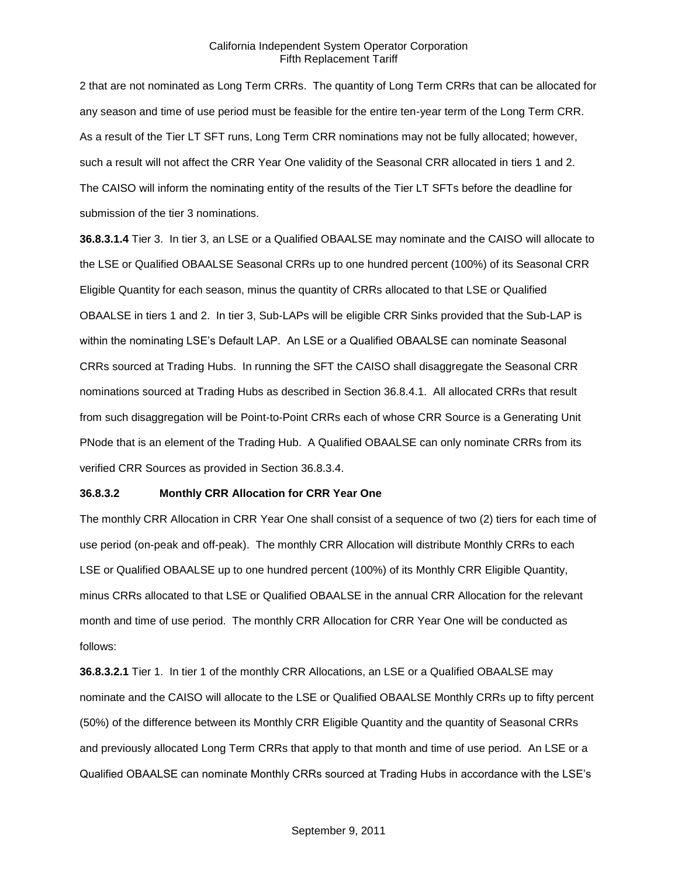2 that are not nominated as Long Term CRRs. The quantity of Long Term CRRs that can be allocated for any season and time of use period must be feasible for the entire ten-year term of the Long Term CRR. As a result of the Tier LT SFT runs, Long Term CRR nominations may not be fully allocated; however, such a result will not affect the CRR Year One validity of the Seasonal CRR allocated in tiers 1 and 2. The CAISO will inform the nominating entity of the results of the Tier LT SFTs before the deadline for submission of the tier 3 nominations.

**36.8.3.1.4** Tier 3. In tier 3, an LSE or a Qualified OBAALSE may nominate and the CAISO will allocate to the LSE or Qualified OBAALSE Seasonal CRRs up to one hundred percent (100%) of its Seasonal CRR Eligible Quantity for each season, minus the quantity of CRRs allocated to that LSE or Qualified OBAALSE in tiers 1 and 2. In tier 3, Sub-LAPs will be eligible CRR Sinks provided that the Sub-LAP is within the nominating LSE's Default LAP. An LSE or a Qualified OBAALSE can nominate Seasonal CRRs sourced at Trading Hubs. In running the SFT the CAISO shall disaggregate the Seasonal CRR nominations sourced at Trading Hubs as described in Section 36.8.4.1. All allocated CRRs that result from such disaggregation will be Point-to-Point CRRs each of whose CRR Source is a Generating Unit PNode that is an element of the Trading Hub. A Qualified OBAALSE can only nominate CRRs from its verified CRR Sources as provided in Section 36.8.3.4.

## **36.8.3.2 Monthly CRR Allocation for CRR Year One**

The monthly CRR Allocation in CRR Year One shall consist of a sequence of two (2) tiers for each time of use period (on-peak and off-peak). The monthly CRR Allocation will distribute Monthly CRRs to each LSE or Qualified OBAALSE up to one hundred percent (100%) of its Monthly CRR Eligible Quantity, minus CRRs allocated to that LSE or Qualified OBAALSE in the annual CRR Allocation for the relevant month and time of use period. The monthly CRR Allocation for CRR Year One will be conducted as follows:

**36.8.3.2.1** Tier 1. In tier 1 of the monthly CRR Allocations, an LSE or a Qualified OBAALSE may nominate and the CAISO will allocate to the LSE or Qualified OBAALSE Monthly CRRs up to fifty percent (50%) of the difference between its Monthly CRR Eligible Quantity and the quantity of Seasonal CRRs and previously allocated Long Term CRRs that apply to that month and time of use period. An LSE or a Qualified OBAALSE can nominate Monthly CRRs sourced at Trading Hubs in accordance with the LSE's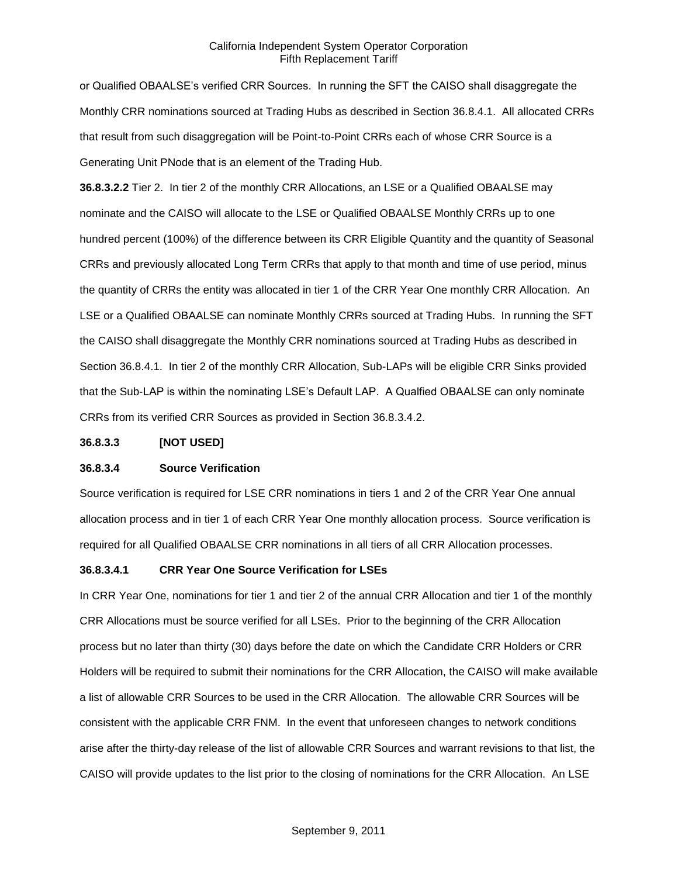or Qualified OBAALSE's verified CRR Sources. In running the SFT the CAISO shall disaggregate the Monthly CRR nominations sourced at Trading Hubs as described in Section 36.8.4.1. All allocated CRRs that result from such disaggregation will be Point-to-Point CRRs each of whose CRR Source is a Generating Unit PNode that is an element of the Trading Hub.

**36.8.3.2.2** Tier 2. In tier 2 of the monthly CRR Allocations, an LSE or a Qualified OBAALSE may nominate and the CAISO will allocate to the LSE or Qualified OBAALSE Monthly CRRs up to one hundred percent (100%) of the difference between its CRR Eligible Quantity and the quantity of Seasonal CRRs and previously allocated Long Term CRRs that apply to that month and time of use period, minus the quantity of CRRs the entity was allocated in tier 1 of the CRR Year One monthly CRR Allocation. An LSE or a Qualified OBAALSE can nominate Monthly CRRs sourced at Trading Hubs. In running the SFT the CAISO shall disaggregate the Monthly CRR nominations sourced at Trading Hubs as described in Section 36.8.4.1. In tier 2 of the monthly CRR Allocation, Sub-LAPs will be eligible CRR Sinks provided that the Sub-LAP is within the nominating LSE's Default LAP. A Qualfied OBAALSE can only nominate CRRs from its verified CRR Sources as provided in Section 36.8.3.4.2.

### **36.8.3.3 [NOT USED]**

### **36.8.3.4 Source Verification**

Source verification is required for LSE CRR nominations in tiers 1 and 2 of the CRR Year One annual allocation process and in tier 1 of each CRR Year One monthly allocation process. Source verification is required for all Qualified OBAALSE CRR nominations in all tiers of all CRR Allocation processes.

### **36.8.3.4.1 CRR Year One Source Verification for LSEs**

In CRR Year One, nominations for tier 1 and tier 2 of the annual CRR Allocation and tier 1 of the monthly CRR Allocations must be source verified for all LSEs. Prior to the beginning of the CRR Allocation process but no later than thirty (30) days before the date on which the Candidate CRR Holders or CRR Holders will be required to submit their nominations for the CRR Allocation, the CAISO will make available a list of allowable CRR Sources to be used in the CRR Allocation. The allowable CRR Sources will be consistent with the applicable CRR FNM. In the event that unforeseen changes to network conditions arise after the thirty-day release of the list of allowable CRR Sources and warrant revisions to that list, the CAISO will provide updates to the list prior to the closing of nominations for the CRR Allocation. An LSE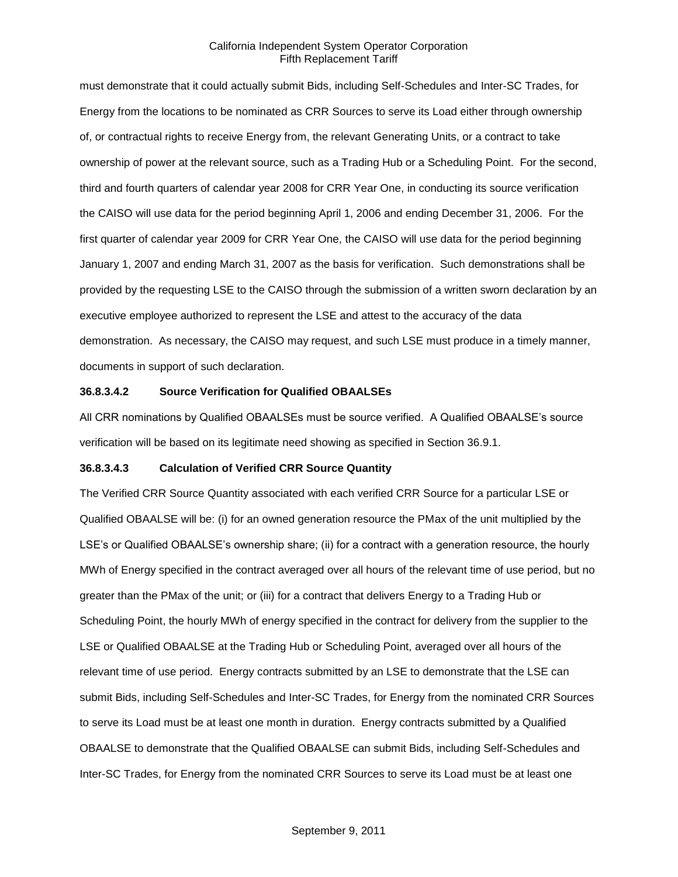must demonstrate that it could actually submit Bids, including Self-Schedules and Inter-SC Trades, for Energy from the locations to be nominated as CRR Sources to serve its Load either through ownership of, or contractual rights to receive Energy from, the relevant Generating Units, or a contract to take ownership of power at the relevant source, such as a Trading Hub or a Scheduling Point. For the second, third and fourth quarters of calendar year 2008 for CRR Year One, in conducting its source verification the CAISO will use data for the period beginning April 1, 2006 and ending December 31, 2006. For the first quarter of calendar year 2009 for CRR Year One, the CAISO will use data for the period beginning January 1, 2007 and ending March 31, 2007 as the basis for verification. Such demonstrations shall be provided by the requesting LSE to the CAISO through the submission of a written sworn declaration by an executive employee authorized to represent the LSE and attest to the accuracy of the data demonstration. As necessary, the CAISO may request, and such LSE must produce in a timely manner, documents in support of such declaration.

## **36.8.3.4.2 Source Verification for Qualified OBAALSEs**

All CRR nominations by Qualified OBAALSEs must be source verified. A Qualified OBAALSE's source verification will be based on its legitimate need showing as specified in Section 36.9.1.

#### **36.8.3.4.3 Calculation of Verified CRR Source Quantity**

The Verified CRR Source Quantity associated with each verified CRR Source for a particular LSE or Qualified OBAALSE will be: (i) for an owned generation resource the PMax of the unit multiplied by the LSE's or Qualified OBAALSE's ownership share; (ii) for a contract with a generation resource, the hourly MWh of Energy specified in the contract averaged over all hours of the relevant time of use period, but no greater than the PMax of the unit; or (iii) for a contract that delivers Energy to a Trading Hub or Scheduling Point, the hourly MWh of energy specified in the contract for delivery from the supplier to the LSE or Qualified OBAALSE at the Trading Hub or Scheduling Point, averaged over all hours of the relevant time of use period. Energy contracts submitted by an LSE to demonstrate that the LSE can submit Bids, including Self-Schedules and Inter-SC Trades, for Energy from the nominated CRR Sources to serve its Load must be at least one month in duration. Energy contracts submitted by a Qualified OBAALSE to demonstrate that the Qualified OBAALSE can submit Bids, including Self-Schedules and Inter-SC Trades, for Energy from the nominated CRR Sources to serve its Load must be at least one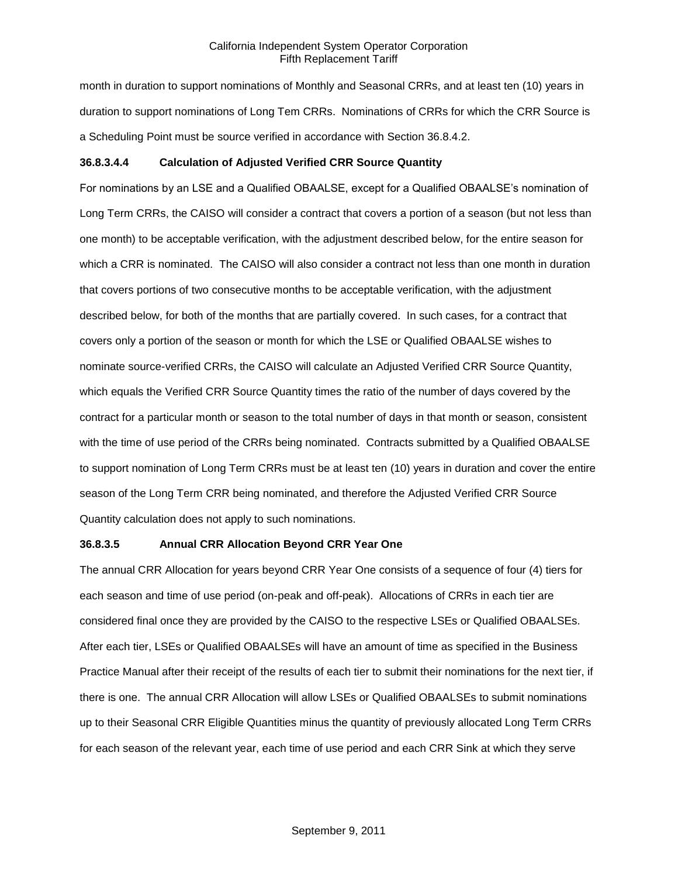month in duration to support nominations of Monthly and Seasonal CRRs, and at least ten (10) years in duration to support nominations of Long Tem CRRs. Nominations of CRRs for which the CRR Source is a Scheduling Point must be source verified in accordance with Section 36.8.4.2.

## **36.8.3.4.4 Calculation of Adjusted Verified CRR Source Quantity**

For nominations by an LSE and a Qualified OBAALSE, except for a Qualified OBAALSE's nomination of Long Term CRRs, the CAISO will consider a contract that covers a portion of a season (but not less than one month) to be acceptable verification, with the adjustment described below, for the entire season for which a CRR is nominated. The CAISO will also consider a contract not less than one month in duration that covers portions of two consecutive months to be acceptable verification, with the adjustment described below, for both of the months that are partially covered. In such cases, for a contract that covers only a portion of the season or month for which the LSE or Qualified OBAALSE wishes to nominate source-verified CRRs, the CAISO will calculate an Adjusted Verified CRR Source Quantity, which equals the Verified CRR Source Quantity times the ratio of the number of days covered by the contract for a particular month or season to the total number of days in that month or season, consistent with the time of use period of the CRRs being nominated. Contracts submitted by a Qualified OBAALSE to support nomination of Long Term CRRs must be at least ten (10) years in duration and cover the entire season of the Long Term CRR being nominated, and therefore the Adjusted Verified CRR Source Quantity calculation does not apply to such nominations.

## **36.8.3.5 Annual CRR Allocation Beyond CRR Year One**

The annual CRR Allocation for years beyond CRR Year One consists of a sequence of four (4) tiers for each season and time of use period (on-peak and off-peak). Allocations of CRRs in each tier are considered final once they are provided by the CAISO to the respective LSEs or Qualified OBAALSEs. After each tier, LSEs or Qualified OBAALSEs will have an amount of time as specified in the Business Practice Manual after their receipt of the results of each tier to submit their nominations for the next tier, if there is one. The annual CRR Allocation will allow LSEs or Qualified OBAALSEs to submit nominations up to their Seasonal CRR Eligible Quantities minus the quantity of previously allocated Long Term CRRs for each season of the relevant year, each time of use period and each CRR Sink at which they serve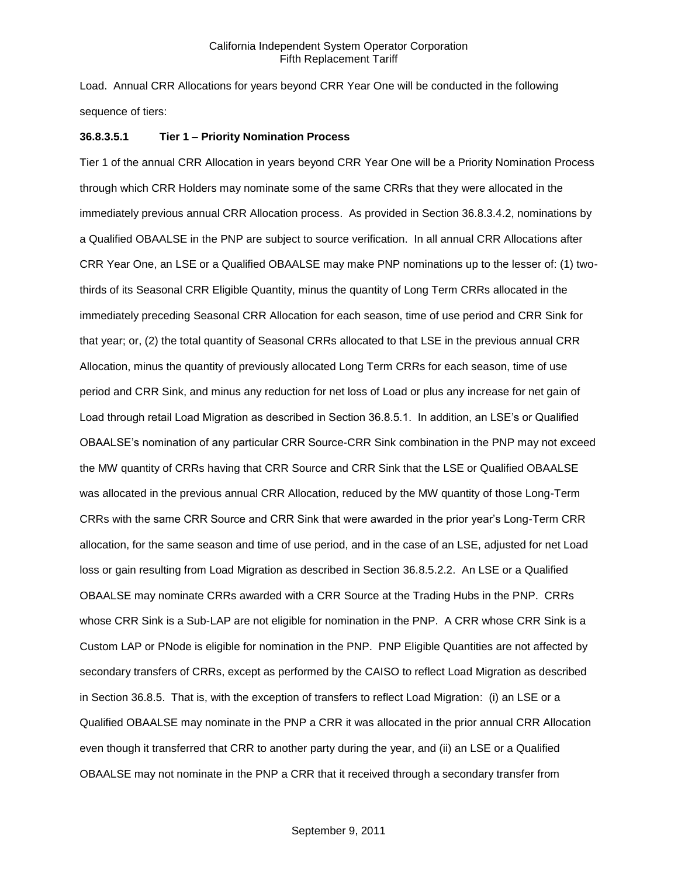Load. Annual CRR Allocations for years beyond CRR Year One will be conducted in the following sequence of tiers:

### **36.8.3.5.1 Tier 1 – Priority Nomination Process**

Tier 1 of the annual CRR Allocation in years beyond CRR Year One will be a Priority Nomination Process through which CRR Holders may nominate some of the same CRRs that they were allocated in the immediately previous annual CRR Allocation process. As provided in Section 36.8.3.4.2, nominations by a Qualified OBAALSE in the PNP are subject to source verification. In all annual CRR Allocations after CRR Year One, an LSE or a Qualified OBAALSE may make PNP nominations up to the lesser of: (1) twothirds of its Seasonal CRR Eligible Quantity, minus the quantity of Long Term CRRs allocated in the immediately preceding Seasonal CRR Allocation for each season, time of use period and CRR Sink for that year; or, (2) the total quantity of Seasonal CRRs allocated to that LSE in the previous annual CRR Allocation, minus the quantity of previously allocated Long Term CRRs for each season, time of use period and CRR Sink, and minus any reduction for net loss of Load or plus any increase for net gain of Load through retail Load Migration as described in Section 36.8.5.1. In addition, an LSE's or Qualified OBAALSE's nomination of any particular CRR Source-CRR Sink combination in the PNP may not exceed the MW quantity of CRRs having that CRR Source and CRR Sink that the LSE or Qualified OBAALSE was allocated in the previous annual CRR Allocation, reduced by the MW quantity of those Long-Term CRRs with the same CRR Source and CRR Sink that were awarded in the prior year's Long-Term CRR allocation, for the same season and time of use period, and in the case of an LSE, adjusted for net Load loss or gain resulting from Load Migration as described in Section 36.8.5.2.2. An LSE or a Qualified OBAALSE may nominate CRRs awarded with a CRR Source at the Trading Hubs in the PNP. CRRs whose CRR Sink is a Sub-LAP are not eligible for nomination in the PNP. A CRR whose CRR Sink is a Custom LAP or PNode is eligible for nomination in the PNP. PNP Eligible Quantities are not affected by secondary transfers of CRRs, except as performed by the CAISO to reflect Load Migration as described in Section 36.8.5. That is, with the exception of transfers to reflect Load Migration: (i) an LSE or a Qualified OBAALSE may nominate in the PNP a CRR it was allocated in the prior annual CRR Allocation even though it transferred that CRR to another party during the year, and (ii) an LSE or a Qualified OBAALSE may not nominate in the PNP a CRR that it received through a secondary transfer from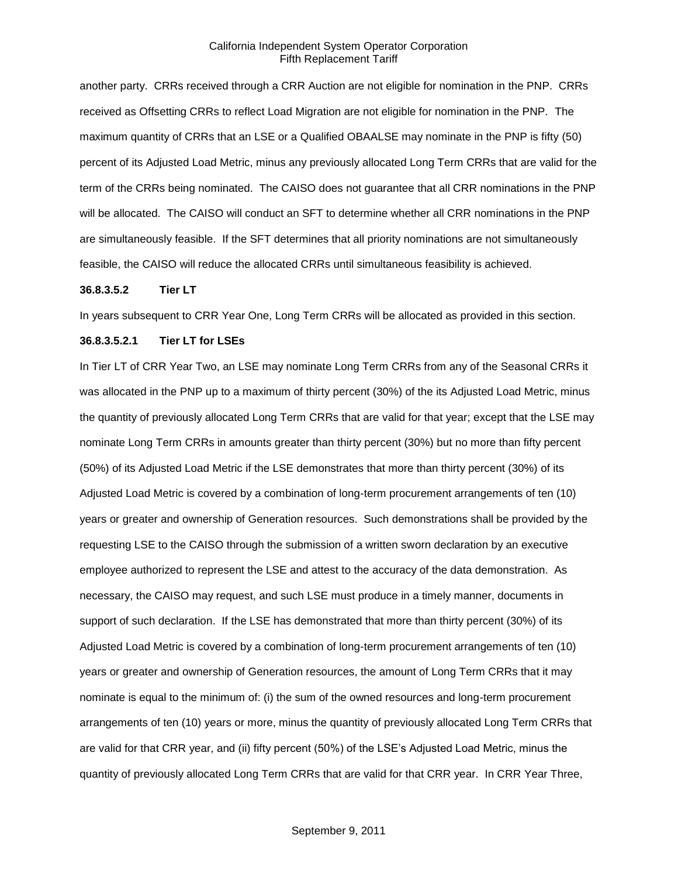another party. CRRs received through a CRR Auction are not eligible for nomination in the PNP. CRRs received as Offsetting CRRs to reflect Load Migration are not eligible for nomination in the PNP. The maximum quantity of CRRs that an LSE or a Qualified OBAALSE may nominate in the PNP is fifty (50) percent of its Adjusted Load Metric, minus any previously allocated Long Term CRRs that are valid for the term of the CRRs being nominated. The CAISO does not guarantee that all CRR nominations in the PNP will be allocated. The CAISO will conduct an SFT to determine whether all CRR nominations in the PNP are simultaneously feasible. If the SFT determines that all priority nominations are not simultaneously feasible, the CAISO will reduce the allocated CRRs until simultaneous feasibility is achieved.

#### **36.8.3.5.2 Tier LT**

In years subsequent to CRR Year One, Long Term CRRs will be allocated as provided in this section.

## **36.8.3.5.2.1 Tier LT for LSEs**

In Tier LT of CRR Year Two, an LSE may nominate Long Term CRRs from any of the Seasonal CRRs it was allocated in the PNP up to a maximum of thirty percent (30%) of the its Adjusted Load Metric, minus the quantity of previously allocated Long Term CRRs that are valid for that year; except that the LSE may nominate Long Term CRRs in amounts greater than thirty percent (30%) but no more than fifty percent (50%) of its Adjusted Load Metric if the LSE demonstrates that more than thirty percent (30%) of its Adjusted Load Metric is covered by a combination of long-term procurement arrangements of ten (10) years or greater and ownership of Generation resources. Such demonstrations shall be provided by the requesting LSE to the CAISO through the submission of a written sworn declaration by an executive employee authorized to represent the LSE and attest to the accuracy of the data demonstration. As necessary, the CAISO may request, and such LSE must produce in a timely manner, documents in support of such declaration. If the LSE has demonstrated that more than thirty percent (30%) of its Adjusted Load Metric is covered by a combination of long-term procurement arrangements of ten (10) years or greater and ownership of Generation resources, the amount of Long Term CRRs that it may nominate is equal to the minimum of: (i) the sum of the owned resources and long-term procurement arrangements of ten (10) years or more, minus the quantity of previously allocated Long Term CRRs that are valid for that CRR year, and (ii) fifty percent (50%) of the LSE's Adjusted Load Metric, minus the quantity of previously allocated Long Term CRRs that are valid for that CRR year. In CRR Year Three,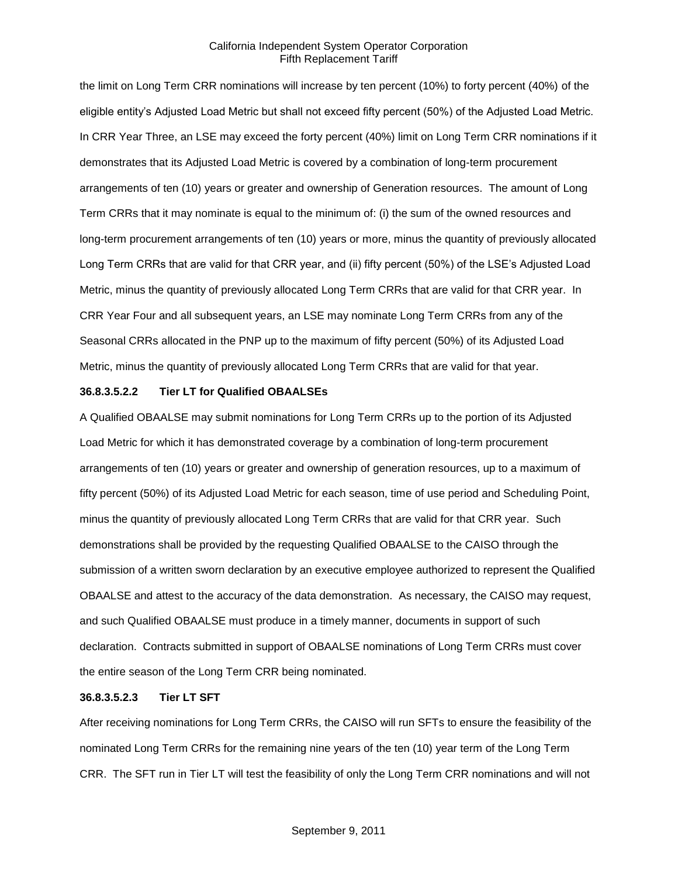the limit on Long Term CRR nominations will increase by ten percent (10%) to forty percent (40%) of the eligible entity's Adjusted Load Metric but shall not exceed fifty percent (50%) of the Adjusted Load Metric. In CRR Year Three, an LSE may exceed the forty percent (40%) limit on Long Term CRR nominations if it demonstrates that its Adjusted Load Metric is covered by a combination of long-term procurement arrangements of ten (10) years or greater and ownership of Generation resources. The amount of Long Term CRRs that it may nominate is equal to the minimum of: (i) the sum of the owned resources and long-term procurement arrangements of ten (10) years or more, minus the quantity of previously allocated Long Term CRRs that are valid for that CRR year, and (ii) fifty percent (50%) of the LSE's Adjusted Load Metric, minus the quantity of previously allocated Long Term CRRs that are valid for that CRR year. In CRR Year Four and all subsequent years, an LSE may nominate Long Term CRRs from any of the Seasonal CRRs allocated in the PNP up to the maximum of fifty percent (50%) of its Adjusted Load Metric, minus the quantity of previously allocated Long Term CRRs that are valid for that year.

### **36.8.3.5.2.2 Tier LT for Qualified OBAALSEs**

A Qualified OBAALSE may submit nominations for Long Term CRRs up to the portion of its Adjusted Load Metric for which it has demonstrated coverage by a combination of long-term procurement arrangements of ten (10) years or greater and ownership of generation resources, up to a maximum of fifty percent (50%) of its Adjusted Load Metric for each season, time of use period and Scheduling Point, minus the quantity of previously allocated Long Term CRRs that are valid for that CRR year. Such demonstrations shall be provided by the requesting Qualified OBAALSE to the CAISO through the submission of a written sworn declaration by an executive employee authorized to represent the Qualified OBAALSE and attest to the accuracy of the data demonstration. As necessary, the CAISO may request, and such Qualified OBAALSE must produce in a timely manner, documents in support of such declaration. Contracts submitted in support of OBAALSE nominations of Long Term CRRs must cover the entire season of the Long Term CRR being nominated.

### **36.8.3.5.2.3 Tier LT SFT**

After receiving nominations for Long Term CRRs, the CAISO will run SFTs to ensure the feasibility of the nominated Long Term CRRs for the remaining nine years of the ten (10) year term of the Long Term CRR. The SFT run in Tier LT will test the feasibility of only the Long Term CRR nominations and will not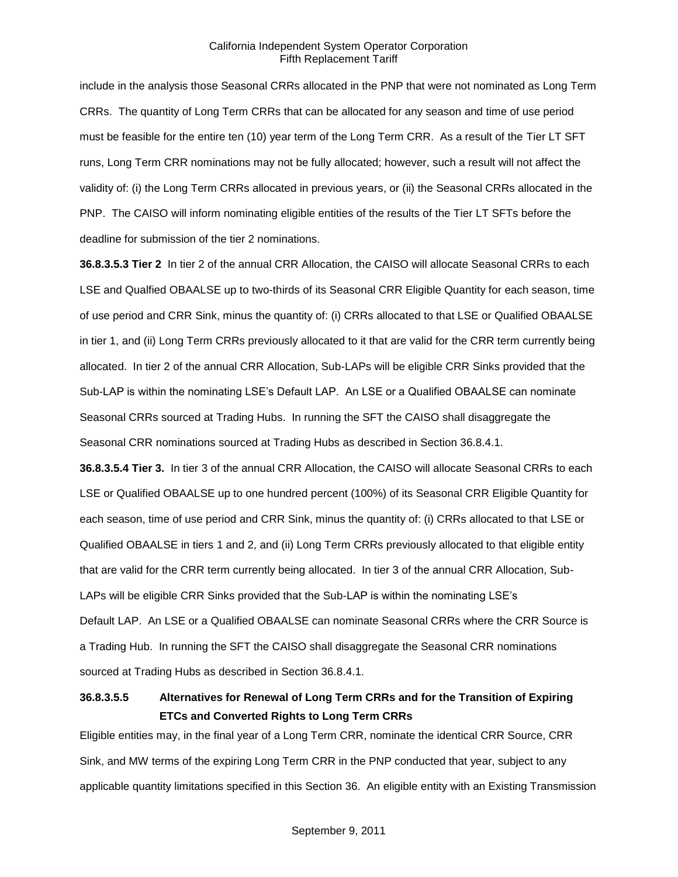include in the analysis those Seasonal CRRs allocated in the PNP that were not nominated as Long Term CRRs. The quantity of Long Term CRRs that can be allocated for any season and time of use period must be feasible for the entire ten (10) year term of the Long Term CRR. As a result of the Tier LT SFT runs, Long Term CRR nominations may not be fully allocated; however, such a result will not affect the validity of: (i) the Long Term CRRs allocated in previous years, or (ii) the Seasonal CRRs allocated in the PNP. The CAISO will inform nominating eligible entities of the results of the Tier LT SFTs before the deadline for submission of the tier 2 nominations.

**36.8.3.5.3 Tier 2** In tier 2 of the annual CRR Allocation, the CAISO will allocate Seasonal CRRs to each LSE and Qualfied OBAALSE up to two-thirds of its Seasonal CRR Eligible Quantity for each season, time of use period and CRR Sink, minus the quantity of: (i) CRRs allocated to that LSE or Qualified OBAALSE in tier 1, and (ii) Long Term CRRs previously allocated to it that are valid for the CRR term currently being allocated. In tier 2 of the annual CRR Allocation, Sub-LAPs will be eligible CRR Sinks provided that the Sub-LAP is within the nominating LSE's Default LAP. An LSE or a Qualified OBAALSE can nominate Seasonal CRRs sourced at Trading Hubs. In running the SFT the CAISO shall disaggregate the Seasonal CRR nominations sourced at Trading Hubs as described in Section 36.8.4.1.

**36.8.3.5.4 Tier 3.** In tier 3 of the annual CRR Allocation, the CAISO will allocate Seasonal CRRs to each LSE or Qualified OBAALSE up to one hundred percent (100%) of its Seasonal CRR Eligible Quantity for each season, time of use period and CRR Sink, minus the quantity of: (i) CRRs allocated to that LSE or Qualified OBAALSE in tiers 1 and 2, and (ii) Long Term CRRs previously allocated to that eligible entity that are valid for the CRR term currently being allocated. In tier 3 of the annual CRR Allocation, Sub-LAPs will be eligible CRR Sinks provided that the Sub-LAP is within the nominating LSE's Default LAP. An LSE or a Qualified OBAALSE can nominate Seasonal CRRs where the CRR Source is a Trading Hub. In running the SFT the CAISO shall disaggregate the Seasonal CRR nominations sourced at Trading Hubs as described in Section 36.8.4.1.

# **36.8.3.5.5 Alternatives for Renewal of Long Term CRRs and for the Transition of Expiring ETCs and Converted Rights to Long Term CRRs**

Eligible entities may, in the final year of a Long Term CRR, nominate the identical CRR Source, CRR Sink, and MW terms of the expiring Long Term CRR in the PNP conducted that year, subject to any applicable quantity limitations specified in this Section 36. An eligible entity with an Existing Transmission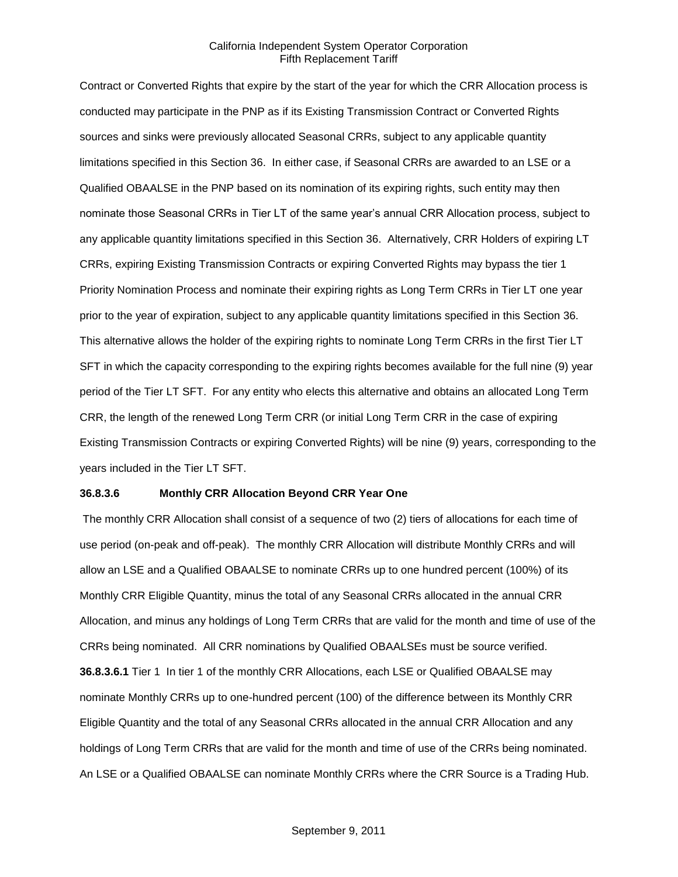Contract or Converted Rights that expire by the start of the year for which the CRR Allocation process is conducted may participate in the PNP as if its Existing Transmission Contract or Converted Rights sources and sinks were previously allocated Seasonal CRRs, subject to any applicable quantity limitations specified in this Section 36. In either case, if Seasonal CRRs are awarded to an LSE or a Qualified OBAALSE in the PNP based on its nomination of its expiring rights, such entity may then nominate those Seasonal CRRs in Tier LT of the same year's annual CRR Allocation process, subject to any applicable quantity limitations specified in this Section 36. Alternatively, CRR Holders of expiring LT CRRs, expiring Existing Transmission Contracts or expiring Converted Rights may bypass the tier 1 Priority Nomination Process and nominate their expiring rights as Long Term CRRs in Tier LT one year prior to the year of expiration, subject to any applicable quantity limitations specified in this Section 36. This alternative allows the holder of the expiring rights to nominate Long Term CRRs in the first Tier LT SFT in which the capacity corresponding to the expiring rights becomes available for the full nine (9) year period of the Tier LT SFT. For any entity who elects this alternative and obtains an allocated Long Term CRR, the length of the renewed Long Term CRR (or initial Long Term CRR in the case of expiring Existing Transmission Contracts or expiring Converted Rights) will be nine (9) years, corresponding to the years included in the Tier LT SFT.

## **36.8.3.6 Monthly CRR Allocation Beyond CRR Year One**

The monthly CRR Allocation shall consist of a sequence of two (2) tiers of allocations for each time of use period (on-peak and off-peak). The monthly CRR Allocation will distribute Monthly CRRs and will allow an LSE and a Qualified OBAALSE to nominate CRRs up to one hundred percent (100%) of its Monthly CRR Eligible Quantity, minus the total of any Seasonal CRRs allocated in the annual CRR Allocation, and minus any holdings of Long Term CRRs that are valid for the month and time of use of the CRRs being nominated. All CRR nominations by Qualified OBAALSEs must be source verified. **36.8.3.6.1** Tier 1 In tier 1 of the monthly CRR Allocations, each LSE or Qualified OBAALSE may nominate Monthly CRRs up to one-hundred percent (100) of the difference between its Monthly CRR Eligible Quantity and the total of any Seasonal CRRs allocated in the annual CRR Allocation and any holdings of Long Term CRRs that are valid for the month and time of use of the CRRs being nominated. An LSE or a Qualified OBAALSE can nominate Monthly CRRs where the CRR Source is a Trading Hub.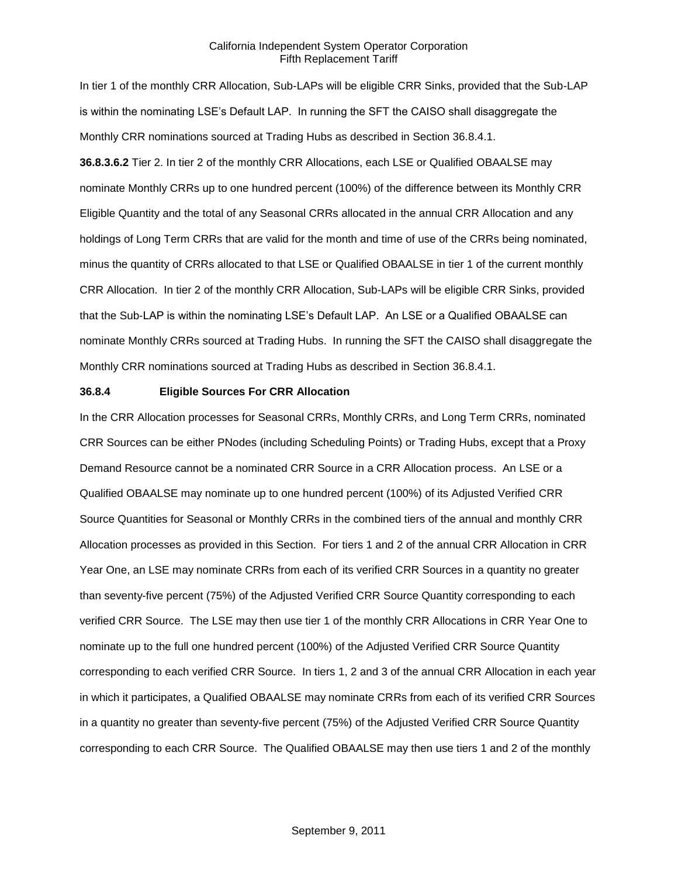In tier 1 of the monthly CRR Allocation, Sub-LAPs will be eligible CRR Sinks, provided that the Sub-LAP is within the nominating LSE's Default LAP. In running the SFT the CAISO shall disaggregate the Monthly CRR nominations sourced at Trading Hubs as described in Section 36.8.4.1. **36.8.3.6.2** Tier 2. In tier 2 of the monthly CRR Allocations, each LSE or Qualified OBAALSE may nominate Monthly CRRs up to one hundred percent (100%) of the difference between its Monthly CRR Eligible Quantity and the total of any Seasonal CRRs allocated in the annual CRR Allocation and any holdings of Long Term CRRs that are valid for the month and time of use of the CRRs being nominated, minus the quantity of CRRs allocated to that LSE or Qualified OBAALSE in tier 1 of the current monthly CRR Allocation. In tier 2 of the monthly CRR Allocation, Sub-LAPs will be eligible CRR Sinks, provided that the Sub-LAP is within the nominating LSE's Default LAP. An LSE or a Qualified OBAALSE can nominate Monthly CRRs sourced at Trading Hubs. In running the SFT the CAISO shall disaggregate the Monthly CRR nominations sourced at Trading Hubs as described in Section 36.8.4.1.

#### **36.8.4 Eligible Sources For CRR Allocation**

In the CRR Allocation processes for Seasonal CRRs, Monthly CRRs, and Long Term CRRs, nominated CRR Sources can be either PNodes (including Scheduling Points) or Trading Hubs, except that a Proxy Demand Resource cannot be a nominated CRR Source in a CRR Allocation process. An LSE or a Qualified OBAALSE may nominate up to one hundred percent (100%) of its Adjusted Verified CRR Source Quantities for Seasonal or Monthly CRRs in the combined tiers of the annual and monthly CRR Allocation processes as provided in this Section. For tiers 1 and 2 of the annual CRR Allocation in CRR Year One, an LSE may nominate CRRs from each of its verified CRR Sources in a quantity no greater than seventy-five percent (75%) of the Adjusted Verified CRR Source Quantity corresponding to each verified CRR Source. The LSE may then use tier 1 of the monthly CRR Allocations in CRR Year One to nominate up to the full one hundred percent (100%) of the Adjusted Verified CRR Source Quantity corresponding to each verified CRR Source. In tiers 1, 2 and 3 of the annual CRR Allocation in each year in which it participates, a Qualified OBAALSE may nominate CRRs from each of its verified CRR Sources in a quantity no greater than seventy-five percent (75%) of the Adjusted Verified CRR Source Quantity corresponding to each CRR Source. The Qualified OBAALSE may then use tiers 1 and 2 of the monthly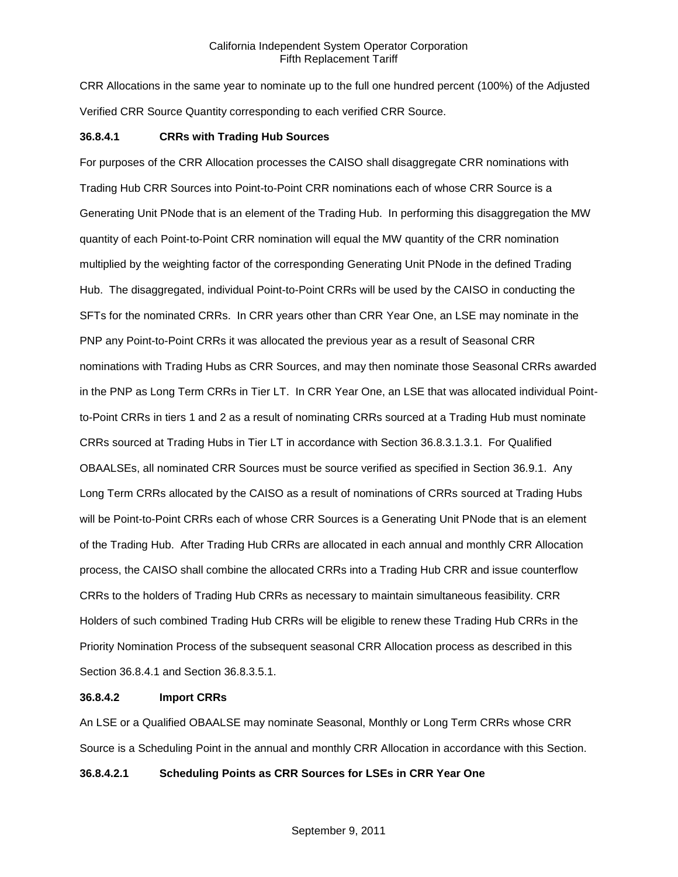CRR Allocations in the same year to nominate up to the full one hundred percent (100%) of the Adjusted Verified CRR Source Quantity corresponding to each verified CRR Source.

### **36.8.4.1 CRRs with Trading Hub Sources**

For purposes of the CRR Allocation processes the CAISO shall disaggregate CRR nominations with Trading Hub CRR Sources into Point-to-Point CRR nominations each of whose CRR Source is a Generating Unit PNode that is an element of the Trading Hub. In performing this disaggregation the MW quantity of each Point-to-Point CRR nomination will equal the MW quantity of the CRR nomination multiplied by the weighting factor of the corresponding Generating Unit PNode in the defined Trading Hub. The disaggregated, individual Point-to-Point CRRs will be used by the CAISO in conducting the SFTs for the nominated CRRs. In CRR years other than CRR Year One, an LSE may nominate in the PNP any Point-to-Point CRRs it was allocated the previous year as a result of Seasonal CRR nominations with Trading Hubs as CRR Sources, and may then nominate those Seasonal CRRs awarded in the PNP as Long Term CRRs in Tier LT. In CRR Year One, an LSE that was allocated individual Pointto-Point CRRs in tiers 1 and 2 as a result of nominating CRRs sourced at a Trading Hub must nominate CRRs sourced at Trading Hubs in Tier LT in accordance with Section 36.8.3.1.3.1. For Qualified OBAALSEs, all nominated CRR Sources must be source verified as specified in Section 36.9.1. Any Long Term CRRs allocated by the CAISO as a result of nominations of CRRs sourced at Trading Hubs will be Point-to-Point CRRs each of whose CRR Sources is a Generating Unit PNode that is an element of the Trading Hub. After Trading Hub CRRs are allocated in each annual and monthly CRR Allocation process, the CAISO shall combine the allocated CRRs into a Trading Hub CRR and issue counterflow CRRs to the holders of Trading Hub CRRs as necessary to maintain simultaneous feasibility. CRR Holders of such combined Trading Hub CRRs will be eligible to renew these Trading Hub CRRs in the Priority Nomination Process of the subsequent seasonal CRR Allocation process as described in this Section 36.8.4.1 and Section 36.8.3.5.1.

### **36.8.4.2 Import CRRs**

An LSE or a Qualified OBAALSE may nominate Seasonal, Monthly or Long Term CRRs whose CRR Source is a Scheduling Point in the annual and monthly CRR Allocation in accordance with this Section.

## **36.8.4.2.1 Scheduling Points as CRR Sources for LSEs in CRR Year One**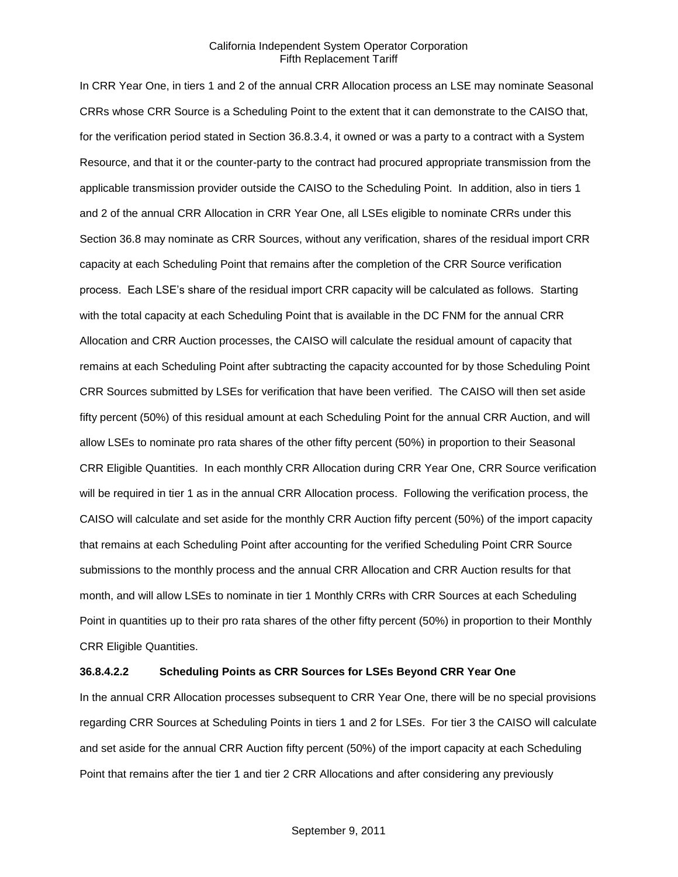In CRR Year One, in tiers 1 and 2 of the annual CRR Allocation process an LSE may nominate Seasonal CRRs whose CRR Source is a Scheduling Point to the extent that it can demonstrate to the CAISO that, for the verification period stated in Section 36.8.3.4, it owned or was a party to a contract with a System Resource, and that it or the counter-party to the contract had procured appropriate transmission from the applicable transmission provider outside the CAISO to the Scheduling Point. In addition, also in tiers 1 and 2 of the annual CRR Allocation in CRR Year One, all LSEs eligible to nominate CRRs under this Section 36.8 may nominate as CRR Sources, without any verification, shares of the residual import CRR capacity at each Scheduling Point that remains after the completion of the CRR Source verification process. Each LSE's share of the residual import CRR capacity will be calculated as follows. Starting with the total capacity at each Scheduling Point that is available in the DC FNM for the annual CRR Allocation and CRR Auction processes, the CAISO will calculate the residual amount of capacity that remains at each Scheduling Point after subtracting the capacity accounted for by those Scheduling Point CRR Sources submitted by LSEs for verification that have been verified. The CAISO will then set aside fifty percent (50%) of this residual amount at each Scheduling Point for the annual CRR Auction, and will allow LSEs to nominate pro rata shares of the other fifty percent (50%) in proportion to their Seasonal CRR Eligible Quantities. In each monthly CRR Allocation during CRR Year One, CRR Source verification will be required in tier 1 as in the annual CRR Allocation process. Following the verification process, the CAISO will calculate and set aside for the monthly CRR Auction fifty percent (50%) of the import capacity that remains at each Scheduling Point after accounting for the verified Scheduling Point CRR Source submissions to the monthly process and the annual CRR Allocation and CRR Auction results for that month, and will allow LSEs to nominate in tier 1 Monthly CRRs with CRR Sources at each Scheduling Point in quantities up to their pro rata shares of the other fifty percent (50%) in proportion to their Monthly CRR Eligible Quantities.

## **36.8.4.2.2 Scheduling Points as CRR Sources for LSEs Beyond CRR Year One**

In the annual CRR Allocation processes subsequent to CRR Year One, there will be no special provisions regarding CRR Sources at Scheduling Points in tiers 1 and 2 for LSEs. For tier 3 the CAISO will calculate and set aside for the annual CRR Auction fifty percent (50%) of the import capacity at each Scheduling Point that remains after the tier 1 and tier 2 CRR Allocations and after considering any previously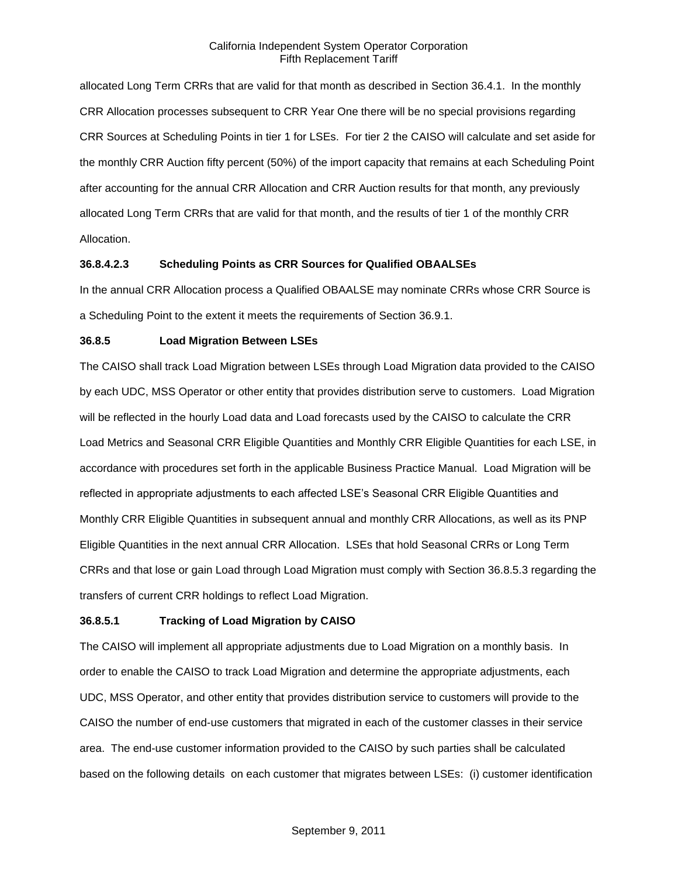allocated Long Term CRRs that are valid for that month as described in Section 36.4.1. In the monthly CRR Allocation processes subsequent to CRR Year One there will be no special provisions regarding CRR Sources at Scheduling Points in tier 1 for LSEs. For tier 2 the CAISO will calculate and set aside for the monthly CRR Auction fifty percent (50%) of the import capacity that remains at each Scheduling Point after accounting for the annual CRR Allocation and CRR Auction results for that month, any previously allocated Long Term CRRs that are valid for that month, and the results of tier 1 of the monthly CRR Allocation.

## **36.8.4.2.3 Scheduling Points as CRR Sources for Qualified OBAALSEs**

In the annual CRR Allocation process a Qualified OBAALSE may nominate CRRs whose CRR Source is a Scheduling Point to the extent it meets the requirements of Section 36.9.1.

### **36.8.5 Load Migration Between LSEs**

The CAISO shall track Load Migration between LSEs through Load Migration data provided to the CAISO by each UDC, MSS Operator or other entity that provides distribution serve to customers. Load Migration will be reflected in the hourly Load data and Load forecasts used by the CAISO to calculate the CRR Load Metrics and Seasonal CRR Eligible Quantities and Monthly CRR Eligible Quantities for each LSE, in accordance with procedures set forth in the applicable Business Practice Manual. Load Migration will be reflected in appropriate adjustments to each affected LSE's Seasonal CRR Eligible Quantities and Monthly CRR Eligible Quantities in subsequent annual and monthly CRR Allocations, as well as its PNP Eligible Quantities in the next annual CRR Allocation. LSEs that hold Seasonal CRRs or Long Term CRRs and that lose or gain Load through Load Migration must comply with Section 36.8.5.3 regarding the transfers of current CRR holdings to reflect Load Migration.

### **36.8.5.1 Tracking of Load Migration by CAISO**

The CAISO will implement all appropriate adjustments due to Load Migration on a monthly basis. In order to enable the CAISO to track Load Migration and determine the appropriate adjustments, each UDC, MSS Operator, and other entity that provides distribution service to customers will provide to the CAISO the number of end-use customers that migrated in each of the customer classes in their service area. The end-use customer information provided to the CAISO by such parties shall be calculated based on the following details on each customer that migrates between LSEs: (i) customer identification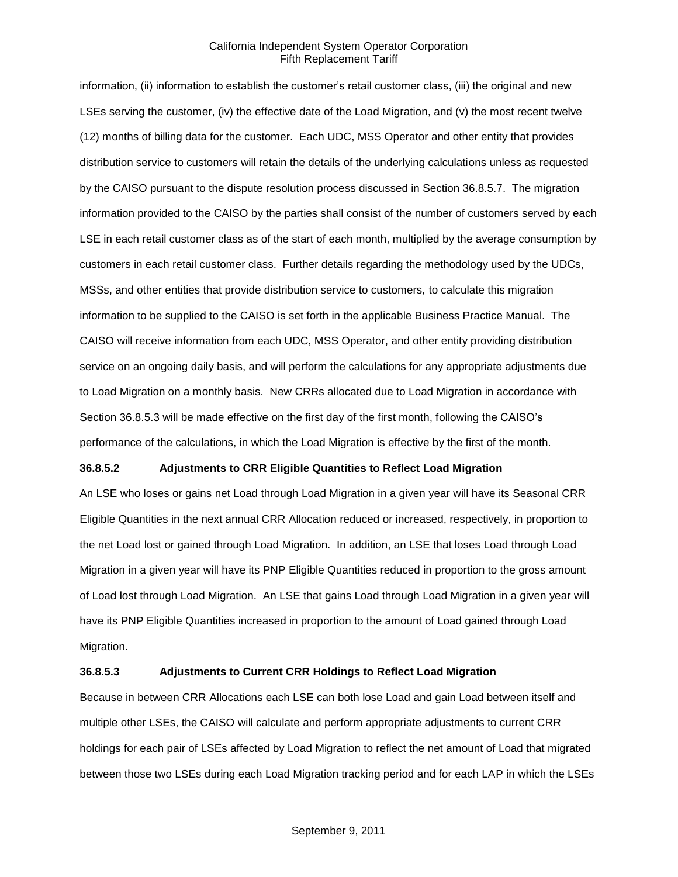information, (ii) information to establish the customer's retail customer class, (iii) the original and new LSEs serving the customer, (iv) the effective date of the Load Migration, and (v) the most recent twelve (12) months of billing data for the customer. Each UDC, MSS Operator and other entity that provides distribution service to customers will retain the details of the underlying calculations unless as requested by the CAISO pursuant to the dispute resolution process discussed in Section 36.8.5.7. The migration information provided to the CAISO by the parties shall consist of the number of customers served by each LSE in each retail customer class as of the start of each month, multiplied by the average consumption by customers in each retail customer class. Further details regarding the methodology used by the UDCs, MSSs, and other entities that provide distribution service to customers, to calculate this migration information to be supplied to the CAISO is set forth in the applicable Business Practice Manual. The CAISO will receive information from each UDC, MSS Operator, and other entity providing distribution service on an ongoing daily basis, and will perform the calculations for any appropriate adjustments due to Load Migration on a monthly basis. New CRRs allocated due to Load Migration in accordance with Section 36.8.5.3 will be made effective on the first day of the first month, following the CAISO's performance of the calculations, in which the Load Migration is effective by the first of the month.

### **36.8.5.2 Adjustments to CRR Eligible Quantities to Reflect Load Migration**

An LSE who loses or gains net Load through Load Migration in a given year will have its Seasonal CRR Eligible Quantities in the next annual CRR Allocation reduced or increased, respectively, in proportion to the net Load lost or gained through Load Migration. In addition, an LSE that loses Load through Load Migration in a given year will have its PNP Eligible Quantities reduced in proportion to the gross amount of Load lost through Load Migration. An LSE that gains Load through Load Migration in a given year will have its PNP Eligible Quantities increased in proportion to the amount of Load gained through Load Migration.

# **36.8.5.3 Adjustments to Current CRR Holdings to Reflect Load Migration**

Because in between CRR Allocations each LSE can both lose Load and gain Load between itself and multiple other LSEs, the CAISO will calculate and perform appropriate adjustments to current CRR holdings for each pair of LSEs affected by Load Migration to reflect the net amount of Load that migrated between those two LSEs during each Load Migration tracking period and for each LAP in which the LSEs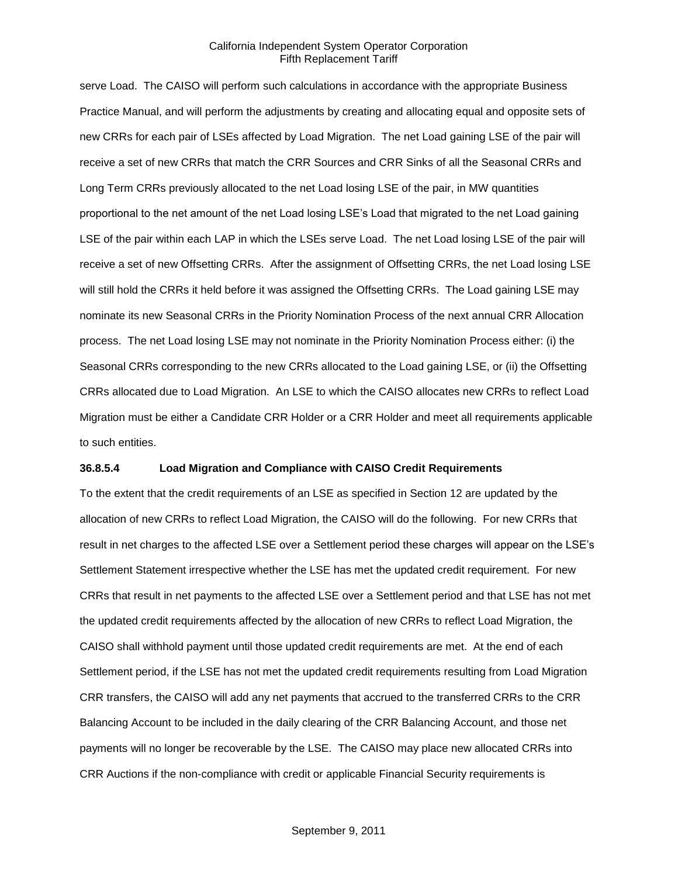serve Load. The CAISO will perform such calculations in accordance with the appropriate Business Practice Manual, and will perform the adjustments by creating and allocating equal and opposite sets of new CRRs for each pair of LSEs affected by Load Migration. The net Load gaining LSE of the pair will receive a set of new CRRs that match the CRR Sources and CRR Sinks of all the Seasonal CRRs and Long Term CRRs previously allocated to the net Load losing LSE of the pair, in MW quantities proportional to the net amount of the net Load losing LSE's Load that migrated to the net Load gaining LSE of the pair within each LAP in which the LSEs serve Load. The net Load losing LSE of the pair will receive a set of new Offsetting CRRs. After the assignment of Offsetting CRRs, the net Load losing LSE will still hold the CRRs it held before it was assigned the Offsetting CRRs. The Load gaining LSE may nominate its new Seasonal CRRs in the Priority Nomination Process of the next annual CRR Allocation process. The net Load losing LSE may not nominate in the Priority Nomination Process either: (i) the Seasonal CRRs corresponding to the new CRRs allocated to the Load gaining LSE, or (ii) the Offsetting CRRs allocated due to Load Migration. An LSE to which the CAISO allocates new CRRs to reflect Load Migration must be either a Candidate CRR Holder or a CRR Holder and meet all requirements applicable to such entities.

### **36.8.5.4 Load Migration and Compliance with CAISO Credit Requirements**

To the extent that the credit requirements of an LSE as specified in Section 12 are updated by the allocation of new CRRs to reflect Load Migration, the CAISO will do the following. For new CRRs that result in net charges to the affected LSE over a Settlement period these charges will appear on the LSE's Settlement Statement irrespective whether the LSE has met the updated credit requirement. For new CRRs that result in net payments to the affected LSE over a Settlement period and that LSE has not met the updated credit requirements affected by the allocation of new CRRs to reflect Load Migration, the CAISO shall withhold payment until those updated credit requirements are met. At the end of each Settlement period, if the LSE has not met the updated credit requirements resulting from Load Migration CRR transfers, the CAISO will add any net payments that accrued to the transferred CRRs to the CRR Balancing Account to be included in the daily clearing of the CRR Balancing Account, and those net payments will no longer be recoverable by the LSE. The CAISO may place new allocated CRRs into CRR Auctions if the non-compliance with credit or applicable Financial Security requirements is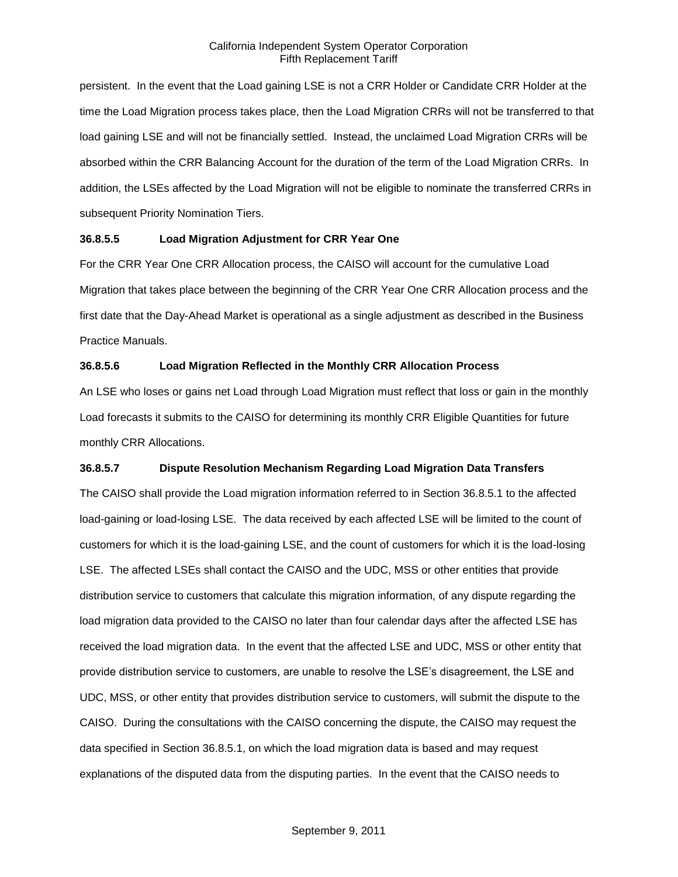persistent. In the event that the Load gaining LSE is not a CRR Holder or Candidate CRR Holder at the time the Load Migration process takes place, then the Load Migration CRRs will not be transferred to that load gaining LSE and will not be financially settled. Instead, the unclaimed Load Migration CRRs will be absorbed within the CRR Balancing Account for the duration of the term of the Load Migration CRRs. In addition, the LSEs affected by the Load Migration will not be eligible to nominate the transferred CRRs in subsequent Priority Nomination Tiers.

# **36.8.5.5 Load Migration Adjustment for CRR Year One**

For the CRR Year One CRR Allocation process, the CAISO will account for the cumulative Load Migration that takes place between the beginning of the CRR Year One CRR Allocation process and the first date that the Day-Ahead Market is operational as a single adjustment as described in the Business Practice Manuals.

# **36.8.5.6 Load Migration Reflected in the Monthly CRR Allocation Process**

An LSE who loses or gains net Load through Load Migration must reflect that loss or gain in the monthly Load forecasts it submits to the CAISO for determining its monthly CRR Eligible Quantities for future monthly CRR Allocations.

## **36.8.5.7 Dispute Resolution Mechanism Regarding Load Migration Data Transfers**

The CAISO shall provide the Load migration information referred to in Section 36.8.5.1 to the affected load-gaining or load-losing LSE. The data received by each affected LSE will be limited to the count of customers for which it is the load-gaining LSE, and the count of customers for which it is the load-losing LSE. The affected LSEs shall contact the CAISO and the UDC, MSS or other entities that provide distribution service to customers that calculate this migration information, of any dispute regarding the load migration data provided to the CAISO no later than four calendar days after the affected LSE has received the load migration data. In the event that the affected LSE and UDC, MSS or other entity that provide distribution service to customers, are unable to resolve the LSE's disagreement, the LSE and UDC, MSS, or other entity that provides distribution service to customers, will submit the dispute to the CAISO. During the consultations with the CAISO concerning the dispute, the CAISO may request the data specified in Section 36.8.5.1, on which the load migration data is based and may request explanations of the disputed data from the disputing parties. In the event that the CAISO needs to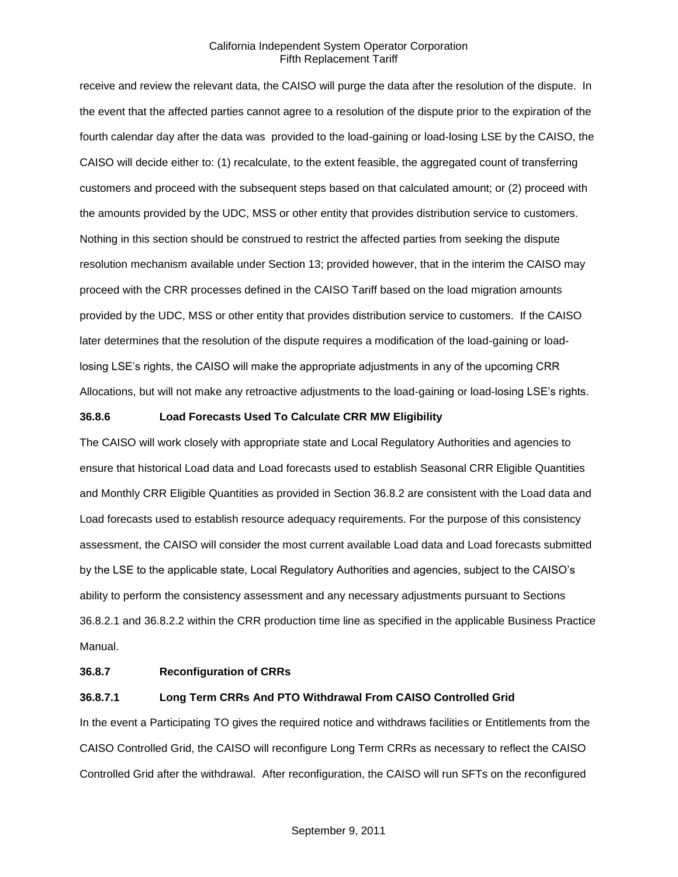receive and review the relevant data, the CAISO will purge the data after the resolution of the dispute. In the event that the affected parties cannot agree to a resolution of the dispute prior to the expiration of the fourth calendar day after the data was provided to the load-gaining or load-losing LSE by the CAISO, the CAISO will decide either to: (1) recalculate, to the extent feasible, the aggregated count of transferring customers and proceed with the subsequent steps based on that calculated amount; or (2) proceed with the amounts provided by the UDC, MSS or other entity that provides distribution service to customers. Nothing in this section should be construed to restrict the affected parties from seeking the dispute resolution mechanism available under Section 13; provided however, that in the interim the CAISO may proceed with the CRR processes defined in the CAISO Tariff based on the load migration amounts provided by the UDC, MSS or other entity that provides distribution service to customers. If the CAISO later determines that the resolution of the dispute requires a modification of the load-gaining or loadlosing LSE's rights, the CAISO will make the appropriate adjustments in any of the upcoming CRR Allocations, but will not make any retroactive adjustments to the load-gaining or load-losing LSE's rights.

## **36.8.6 Load Forecasts Used To Calculate CRR MW Eligibility**

The CAISO will work closely with appropriate state and Local Regulatory Authorities and agencies to ensure that historical Load data and Load forecasts used to establish Seasonal CRR Eligible Quantities and Monthly CRR Eligible Quantities as provided in Section 36.8.2 are consistent with the Load data and Load forecasts used to establish resource adequacy requirements. For the purpose of this consistency assessment, the CAISO will consider the most current available Load data and Load forecasts submitted by the LSE to the applicable state, Local Regulatory Authorities and agencies, subject to the CAISO's ability to perform the consistency assessment and any necessary adjustments pursuant to Sections 36.8.2.1 and 36.8.2.2 within the CRR production time line as specified in the applicable Business Practice Manual.

### **36.8.7 Reconfiguration of CRRs**

## **36.8.7.1 Long Term CRRs And PTO Withdrawal From CAISO Controlled Grid**

In the event a Participating TO gives the required notice and withdraws facilities or Entitlements from the CAISO Controlled Grid, the CAISO will reconfigure Long Term CRRs as necessary to reflect the CAISO Controlled Grid after the withdrawal. After reconfiguration, the CAISO will run SFTs on the reconfigured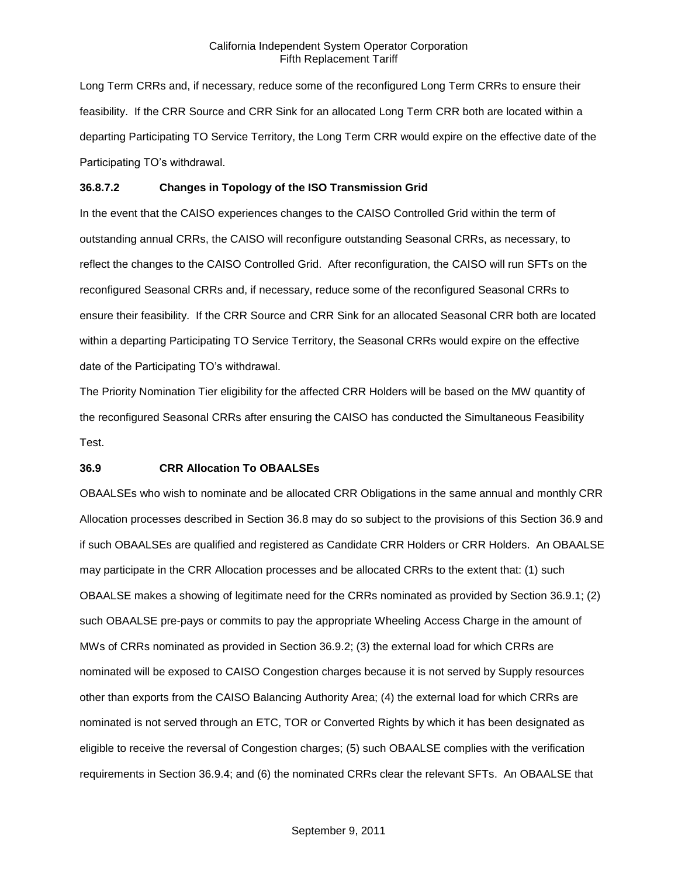Long Term CRRs and, if necessary, reduce some of the reconfigured Long Term CRRs to ensure their feasibility. If the CRR Source and CRR Sink for an allocated Long Term CRR both are located within a departing Participating TO Service Territory, the Long Term CRR would expire on the effective date of the Participating TO's withdrawal.

### **36.8.7.2 Changes in Topology of the ISO Transmission Grid**

In the event that the CAISO experiences changes to the CAISO Controlled Grid within the term of outstanding annual CRRs, the CAISO will reconfigure outstanding Seasonal CRRs, as necessary, to reflect the changes to the CAISO Controlled Grid. After reconfiguration, the CAISO will run SFTs on the reconfigured Seasonal CRRs and, if necessary, reduce some of the reconfigured Seasonal CRRs to ensure their feasibility. If the CRR Source and CRR Sink for an allocated Seasonal CRR both are located within a departing Participating TO Service Territory, the Seasonal CRRs would expire on the effective date of the Participating TO's withdrawal.

The Priority Nomination Tier eligibility for the affected CRR Holders will be based on the MW quantity of the reconfigured Seasonal CRRs after ensuring the CAISO has conducted the Simultaneous Feasibility Test.

### **36.9 CRR Allocation To OBAALSEs**

OBAALSEs who wish to nominate and be allocated CRR Obligations in the same annual and monthly CRR Allocation processes described in Section 36.8 may do so subject to the provisions of this Section 36.9 and if such OBAALSEs are qualified and registered as Candidate CRR Holders or CRR Holders. An OBAALSE may participate in the CRR Allocation processes and be allocated CRRs to the extent that: (1) such OBAALSE makes a showing of legitimate need for the CRRs nominated as provided by Section 36.9.1; (2) such OBAALSE pre-pays or commits to pay the appropriate Wheeling Access Charge in the amount of MWs of CRRs nominated as provided in Section 36.9.2; (3) the external load for which CRRs are nominated will be exposed to CAISO Congestion charges because it is not served by Supply resources other than exports from the CAISO Balancing Authority Area; (4) the external load for which CRRs are nominated is not served through an ETC, TOR or Converted Rights by which it has been designated as eligible to receive the reversal of Congestion charges; (5) such OBAALSE complies with the verification requirements in Section 36.9.4; and (6) the nominated CRRs clear the relevant SFTs. An OBAALSE that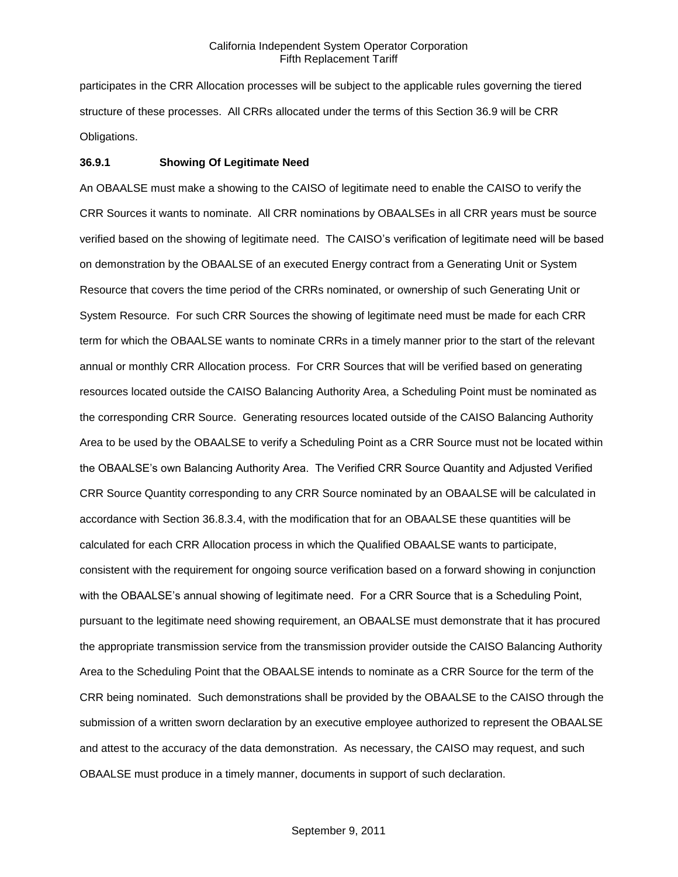participates in the CRR Allocation processes will be subject to the applicable rules governing the tiered structure of these processes. All CRRs allocated under the terms of this Section 36.9 will be CRR Obligations.

### **36.9.1 Showing Of Legitimate Need**

An OBAALSE must make a showing to the CAISO of legitimate need to enable the CAISO to verify the CRR Sources it wants to nominate. All CRR nominations by OBAALSEs in all CRR years must be source verified based on the showing of legitimate need. The CAISO's verification of legitimate need will be based on demonstration by the OBAALSE of an executed Energy contract from a Generating Unit or System Resource that covers the time period of the CRRs nominated, or ownership of such Generating Unit or System Resource. For such CRR Sources the showing of legitimate need must be made for each CRR term for which the OBAALSE wants to nominate CRRs in a timely manner prior to the start of the relevant annual or monthly CRR Allocation process. For CRR Sources that will be verified based on generating resources located outside the CAISO Balancing Authority Area, a Scheduling Point must be nominated as the corresponding CRR Source. Generating resources located outside of the CAISO Balancing Authority Area to be used by the OBAALSE to verify a Scheduling Point as a CRR Source must not be located within the OBAALSE's own Balancing Authority Area. The Verified CRR Source Quantity and Adjusted Verified CRR Source Quantity corresponding to any CRR Source nominated by an OBAALSE will be calculated in accordance with Section 36.8.3.4, with the modification that for an OBAALSE these quantities will be calculated for each CRR Allocation process in which the Qualified OBAALSE wants to participate, consistent with the requirement for ongoing source verification based on a forward showing in conjunction with the OBAALSE's annual showing of legitimate need. For a CRR Source that is a Scheduling Point, pursuant to the legitimate need showing requirement, an OBAALSE must demonstrate that it has procured the appropriate transmission service from the transmission provider outside the CAISO Balancing Authority Area to the Scheduling Point that the OBAALSE intends to nominate as a CRR Source for the term of the CRR being nominated. Such demonstrations shall be provided by the OBAALSE to the CAISO through the submission of a written sworn declaration by an executive employee authorized to represent the OBAALSE and attest to the accuracy of the data demonstration. As necessary, the CAISO may request, and such OBAALSE must produce in a timely manner, documents in support of such declaration.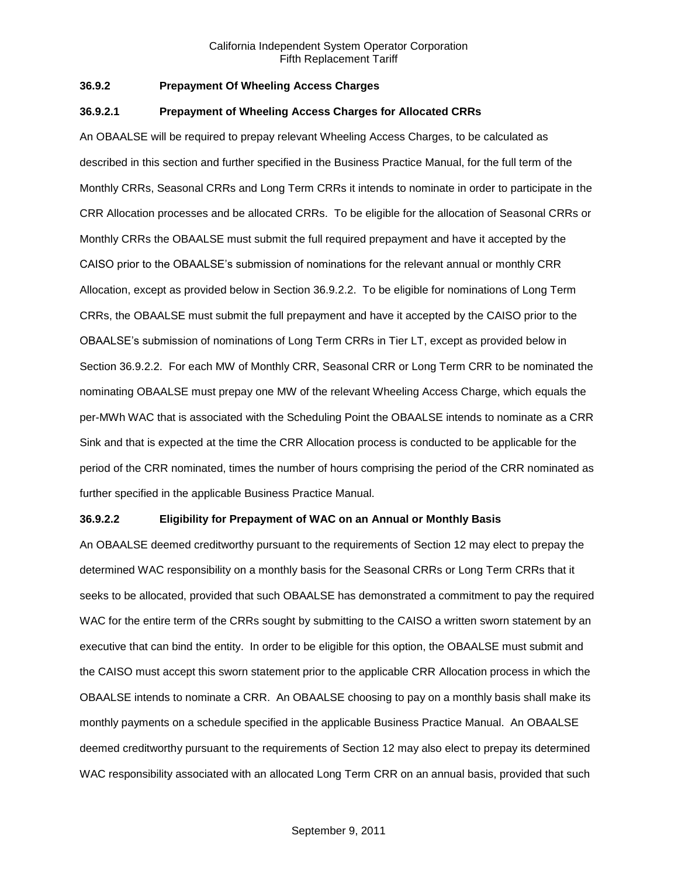## **36.9.2 Prepayment Of Wheeling Access Charges**

#### **36.9.2.1 Prepayment of Wheeling Access Charges for Allocated CRRs**

An OBAALSE will be required to prepay relevant Wheeling Access Charges, to be calculated as described in this section and further specified in the Business Practice Manual, for the full term of the Monthly CRRs, Seasonal CRRs and Long Term CRRs it intends to nominate in order to participate in the CRR Allocation processes and be allocated CRRs. To be eligible for the allocation of Seasonal CRRs or Monthly CRRs the OBAALSE must submit the full required prepayment and have it accepted by the CAISO prior to the OBAALSE's submission of nominations for the relevant annual or monthly CRR Allocation, except as provided below in Section 36.9.2.2. To be eligible for nominations of Long Term CRRs, the OBAALSE must submit the full prepayment and have it accepted by the CAISO prior to the OBAALSE's submission of nominations of Long Term CRRs in Tier LT, except as provided below in Section 36.9.2.2. For each MW of Monthly CRR, Seasonal CRR or Long Term CRR to be nominated the nominating OBAALSE must prepay one MW of the relevant Wheeling Access Charge, which equals the per-MWh WAC that is associated with the Scheduling Point the OBAALSE intends to nominate as a CRR Sink and that is expected at the time the CRR Allocation process is conducted to be applicable for the period of the CRR nominated, times the number of hours comprising the period of the CRR nominated as further specified in the applicable Business Practice Manual.

## **36.9.2.2 Eligibility for Prepayment of WAC on an Annual or Monthly Basis**

An OBAALSE deemed creditworthy pursuant to the requirements of Section 12 may elect to prepay the determined WAC responsibility on a monthly basis for the Seasonal CRRs or Long Term CRRs that it seeks to be allocated, provided that such OBAALSE has demonstrated a commitment to pay the required WAC for the entire term of the CRRs sought by submitting to the CAISO a written sworn statement by an executive that can bind the entity. In order to be eligible for this option, the OBAALSE must submit and the CAISO must accept this sworn statement prior to the applicable CRR Allocation process in which the OBAALSE intends to nominate a CRR. An OBAALSE choosing to pay on a monthly basis shall make its monthly payments on a schedule specified in the applicable Business Practice Manual. An OBAALSE deemed creditworthy pursuant to the requirements of Section 12 may also elect to prepay its determined WAC responsibility associated with an allocated Long Term CRR on an annual basis, provided that such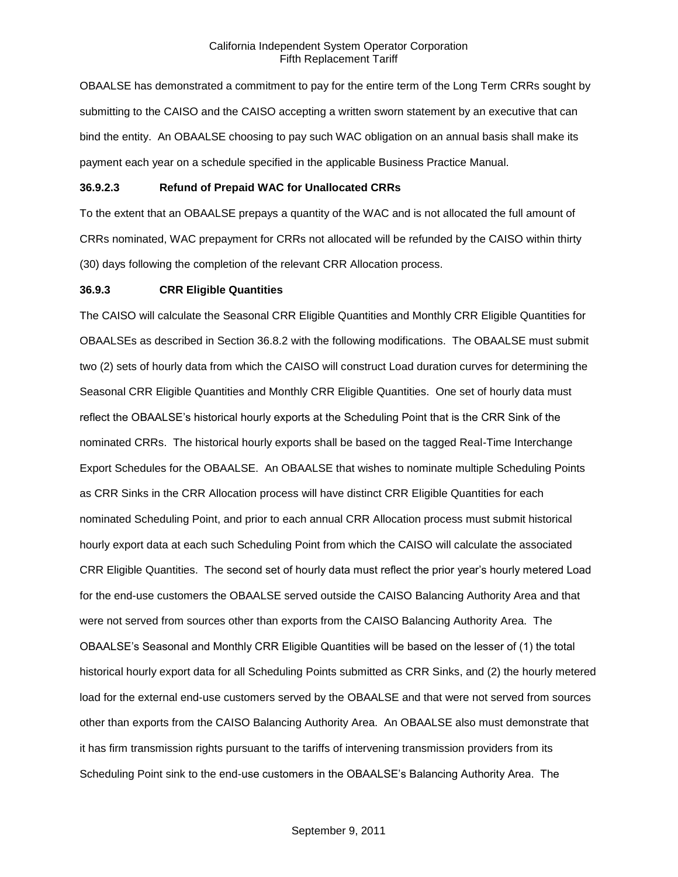OBAALSE has demonstrated a commitment to pay for the entire term of the Long Term CRRs sought by submitting to the CAISO and the CAISO accepting a written sworn statement by an executive that can bind the entity. An OBAALSE choosing to pay such WAC obligation on an annual basis shall make its payment each year on a schedule specified in the applicable Business Practice Manual.

## **36.9.2.3 Refund of Prepaid WAC for Unallocated CRRs**

To the extent that an OBAALSE prepays a quantity of the WAC and is not allocated the full amount of CRRs nominated, WAC prepayment for CRRs not allocated will be refunded by the CAISO within thirty (30) days following the completion of the relevant CRR Allocation process.

## **36.9.3 CRR Eligible Quantities**

The CAISO will calculate the Seasonal CRR Eligible Quantities and Monthly CRR Eligible Quantities for OBAALSEs as described in Section 36.8.2 with the following modifications. The OBAALSE must submit two (2) sets of hourly data from which the CAISO will construct Load duration curves for determining the Seasonal CRR Eligible Quantities and Monthly CRR Eligible Quantities. One set of hourly data must reflect the OBAALSE's historical hourly exports at the Scheduling Point that is the CRR Sink of the nominated CRRs. The historical hourly exports shall be based on the tagged Real-Time Interchange Export Schedules for the OBAALSE. An OBAALSE that wishes to nominate multiple Scheduling Points as CRR Sinks in the CRR Allocation process will have distinct CRR Eligible Quantities for each nominated Scheduling Point, and prior to each annual CRR Allocation process must submit historical hourly export data at each such Scheduling Point from which the CAISO will calculate the associated CRR Eligible Quantities. The second set of hourly data must reflect the prior year's hourly metered Load for the end-use customers the OBAALSE served outside the CAISO Balancing Authority Area and that were not served from sources other than exports from the CAISO Balancing Authority Area. The OBAALSE's Seasonal and Monthly CRR Eligible Quantities will be based on the lesser of (1) the total historical hourly export data for all Scheduling Points submitted as CRR Sinks, and (2) the hourly metered load for the external end-use customers served by the OBAALSE and that were not served from sources other than exports from the CAISO Balancing Authority Area. An OBAALSE also must demonstrate that it has firm transmission rights pursuant to the tariffs of intervening transmission providers from its Scheduling Point sink to the end-use customers in the OBAALSE's Balancing Authority Area. The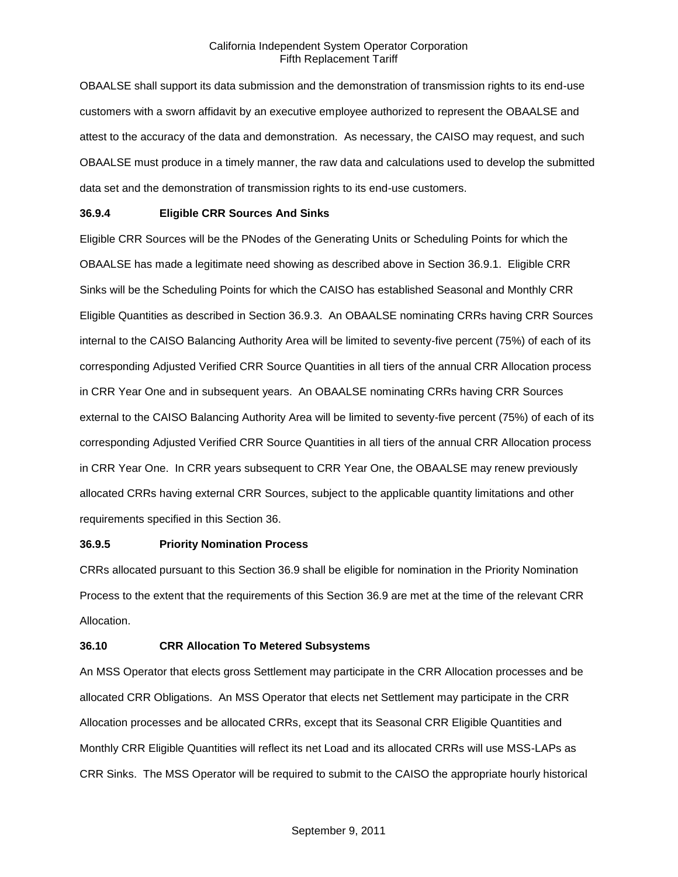OBAALSE shall support its data submission and the demonstration of transmission rights to its end-use customers with a sworn affidavit by an executive employee authorized to represent the OBAALSE and attest to the accuracy of the data and demonstration. As necessary, the CAISO may request, and such OBAALSE must produce in a timely manner, the raw data and calculations used to develop the submitted data set and the demonstration of transmission rights to its end-use customers.

### **36.9.4 Eligible CRR Sources And Sinks**

Eligible CRR Sources will be the PNodes of the Generating Units or Scheduling Points for which the OBAALSE has made a legitimate need showing as described above in Section 36.9.1. Eligible CRR Sinks will be the Scheduling Points for which the CAISO has established Seasonal and Monthly CRR Eligible Quantities as described in Section 36.9.3. An OBAALSE nominating CRRs having CRR Sources internal to the CAISO Balancing Authority Area will be limited to seventy-five percent (75%) of each of its corresponding Adjusted Verified CRR Source Quantities in all tiers of the annual CRR Allocation process in CRR Year One and in subsequent years. An OBAALSE nominating CRRs having CRR Sources external to the CAISO Balancing Authority Area will be limited to seventy-five percent (75%) of each of its corresponding Adjusted Verified CRR Source Quantities in all tiers of the annual CRR Allocation process in CRR Year One. In CRR years subsequent to CRR Year One, the OBAALSE may renew previously allocated CRRs having external CRR Sources, subject to the applicable quantity limitations and other requirements specified in this Section 36.

### **36.9.5 Priority Nomination Process**

CRRs allocated pursuant to this Section 36.9 shall be eligible for nomination in the Priority Nomination Process to the extent that the requirements of this Section 36.9 are met at the time of the relevant CRR Allocation.

### **36.10 CRR Allocation To Metered Subsystems**

An MSS Operator that elects gross Settlement may participate in the CRR Allocation processes and be allocated CRR Obligations. An MSS Operator that elects net Settlement may participate in the CRR Allocation processes and be allocated CRRs, except that its Seasonal CRR Eligible Quantities and Monthly CRR Eligible Quantities will reflect its net Load and its allocated CRRs will use MSS-LAPs as CRR Sinks. The MSS Operator will be required to submit to the CAISO the appropriate hourly historical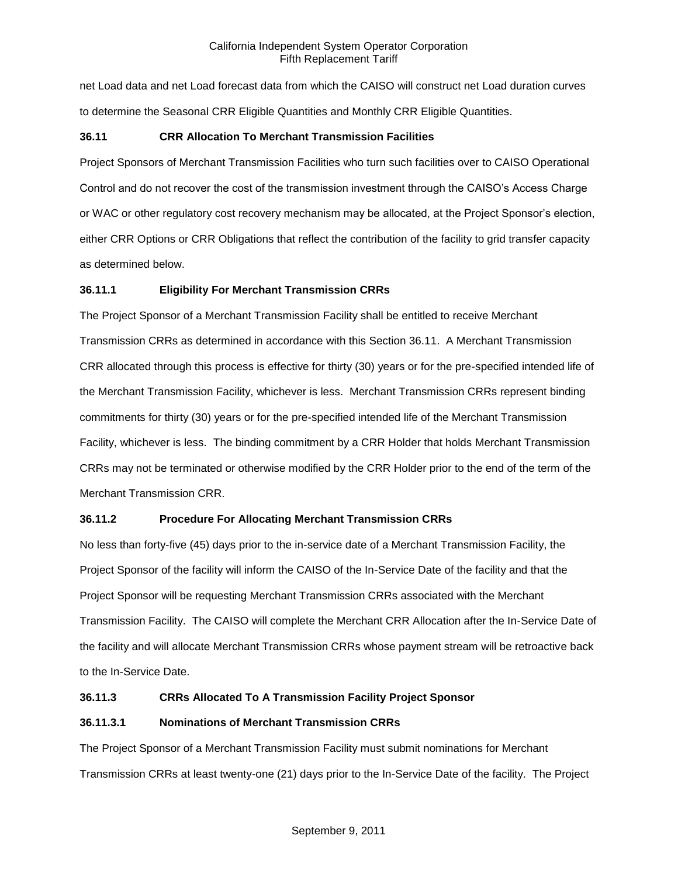net Load data and net Load forecast data from which the CAISO will construct net Load duration curves to determine the Seasonal CRR Eligible Quantities and Monthly CRR Eligible Quantities.

## **36.11 CRR Allocation To Merchant Transmission Facilities**

Project Sponsors of Merchant Transmission Facilities who turn such facilities over to CAISO Operational Control and do not recover the cost of the transmission investment through the CAISO's Access Charge or WAC or other regulatory cost recovery mechanism may be allocated, at the Project Sponsor's election, either CRR Options or CRR Obligations that reflect the contribution of the facility to grid transfer capacity as determined below.

## **36.11.1 Eligibility For Merchant Transmission CRRs**

The Project Sponsor of a Merchant Transmission Facility shall be entitled to receive Merchant Transmission CRRs as determined in accordance with this Section 36.11. A Merchant Transmission CRR allocated through this process is effective for thirty (30) years or for the pre-specified intended life of the Merchant Transmission Facility, whichever is less. Merchant Transmission CRRs represent binding commitments for thirty (30) years or for the pre-specified intended life of the Merchant Transmission Facility, whichever is less. The binding commitment by a CRR Holder that holds Merchant Transmission CRRs may not be terminated or otherwise modified by the CRR Holder prior to the end of the term of the Merchant Transmission CRR.

# **36.11.2 Procedure For Allocating Merchant Transmission CRRs**

No less than forty-five (45) days prior to the in-service date of a Merchant Transmission Facility, the Project Sponsor of the facility will inform the CAISO of the In-Service Date of the facility and that the Project Sponsor will be requesting Merchant Transmission CRRs associated with the Merchant Transmission Facility. The CAISO will complete the Merchant CRR Allocation after the In-Service Date of the facility and will allocate Merchant Transmission CRRs whose payment stream will be retroactive back to the In-Service Date.

### **36.11.3 CRRs Allocated To A Transmission Facility Project Sponsor**

### **36.11.3.1 Nominations of Merchant Transmission CRRs**

The Project Sponsor of a Merchant Transmission Facility must submit nominations for Merchant Transmission CRRs at least twenty-one (21) days prior to the In-Service Date of the facility. The Project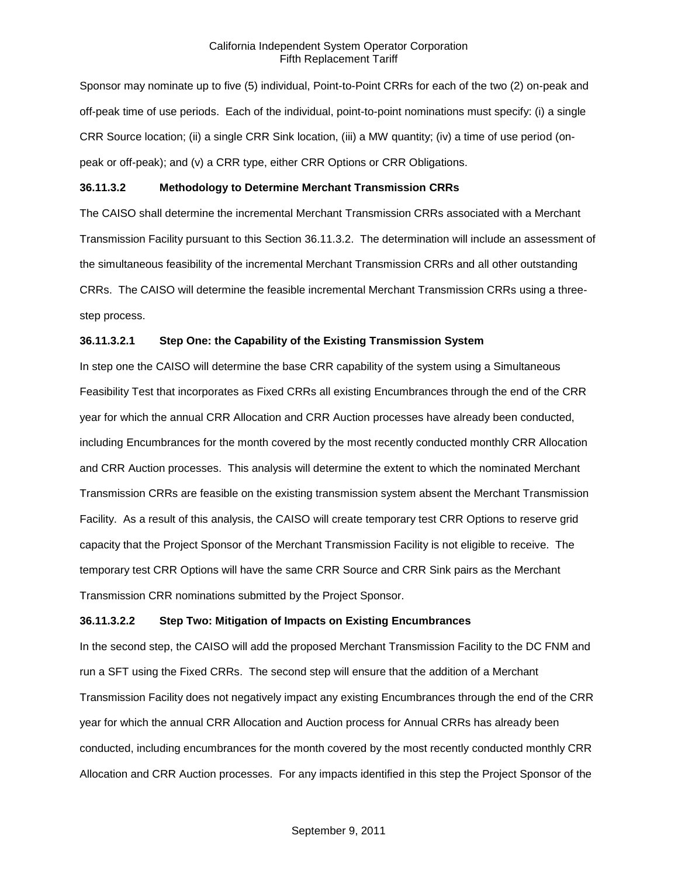Sponsor may nominate up to five (5) individual, Point-to-Point CRRs for each of the two (2) on-peak and off-peak time of use periods. Each of the individual, point-to-point nominations must specify: (i) a single CRR Source location; (ii) a single CRR Sink location, (iii) a MW quantity; (iv) a time of use period (onpeak or off-peak); and (v) a CRR type, either CRR Options or CRR Obligations.

### **36.11.3.2 Methodology to Determine Merchant Transmission CRRs**

The CAISO shall determine the incremental Merchant Transmission CRRs associated with a Merchant Transmission Facility pursuant to this Section 36.11.3.2. The determination will include an assessment of the simultaneous feasibility of the incremental Merchant Transmission CRRs and all other outstanding CRRs. The CAISO will determine the feasible incremental Merchant Transmission CRRs using a threestep process.

### **36.11.3.2.1 Step One: the Capability of the Existing Transmission System**

In step one the CAISO will determine the base CRR capability of the system using a Simultaneous Feasibility Test that incorporates as Fixed CRRs all existing Encumbrances through the end of the CRR year for which the annual CRR Allocation and CRR Auction processes have already been conducted, including Encumbrances for the month covered by the most recently conducted monthly CRR Allocation and CRR Auction processes. This analysis will determine the extent to which the nominated Merchant Transmission CRRs are feasible on the existing transmission system absent the Merchant Transmission Facility. As a result of this analysis, the CAISO will create temporary test CRR Options to reserve grid capacity that the Project Sponsor of the Merchant Transmission Facility is not eligible to receive. The temporary test CRR Options will have the same CRR Source and CRR Sink pairs as the Merchant Transmission CRR nominations submitted by the Project Sponsor.

#### **36.11.3.2.2 Step Two: Mitigation of Impacts on Existing Encumbrances**

In the second step, the CAISO will add the proposed Merchant Transmission Facility to the DC FNM and run a SFT using the Fixed CRRs. The second step will ensure that the addition of a Merchant Transmission Facility does not negatively impact any existing Encumbrances through the end of the CRR year for which the annual CRR Allocation and Auction process for Annual CRRs has already been conducted, including encumbrances for the month covered by the most recently conducted monthly CRR Allocation and CRR Auction processes. For any impacts identified in this step the Project Sponsor of the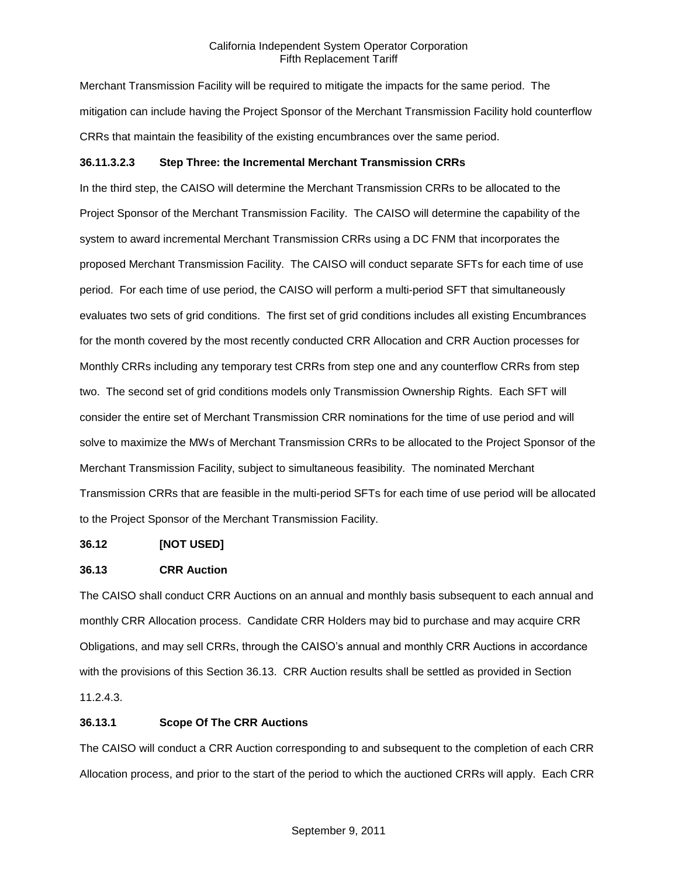Merchant Transmission Facility will be required to mitigate the impacts for the same period. The mitigation can include having the Project Sponsor of the Merchant Transmission Facility hold counterflow CRRs that maintain the feasibility of the existing encumbrances over the same period.

## **36.11.3.2.3 Step Three: the Incremental Merchant Transmission CRRs**

In the third step, the CAISO will determine the Merchant Transmission CRRs to be allocated to the Project Sponsor of the Merchant Transmission Facility. The CAISO will determine the capability of the system to award incremental Merchant Transmission CRRs using a DC FNM that incorporates the proposed Merchant Transmission Facility. The CAISO will conduct separate SFTs for each time of use period. For each time of use period, the CAISO will perform a multi-period SFT that simultaneously evaluates two sets of grid conditions. The first set of grid conditions includes all existing Encumbrances for the month covered by the most recently conducted CRR Allocation and CRR Auction processes for Monthly CRRs including any temporary test CRRs from step one and any counterflow CRRs from step two. The second set of grid conditions models only Transmission Ownership Rights. Each SFT will consider the entire set of Merchant Transmission CRR nominations for the time of use period and will solve to maximize the MWs of Merchant Transmission CRRs to be allocated to the Project Sponsor of the Merchant Transmission Facility, subject to simultaneous feasibility. The nominated Merchant Transmission CRRs that are feasible in the multi-period SFTs for each time of use period will be allocated to the Project Sponsor of the Merchant Transmission Facility.

### **36.12 [NOT USED]**

### **36.13 CRR Auction**

The CAISO shall conduct CRR Auctions on an annual and monthly basis subsequent to each annual and monthly CRR Allocation process. Candidate CRR Holders may bid to purchase and may acquire CRR Obligations, and may sell CRRs, through the CAISO's annual and monthly CRR Auctions in accordance with the provisions of this Section 36.13. CRR Auction results shall be settled as provided in Section 11.2.4.3.

### **36.13.1 Scope Of The CRR Auctions**

The CAISO will conduct a CRR Auction corresponding to and subsequent to the completion of each CRR Allocation process, and prior to the start of the period to which the auctioned CRRs will apply. Each CRR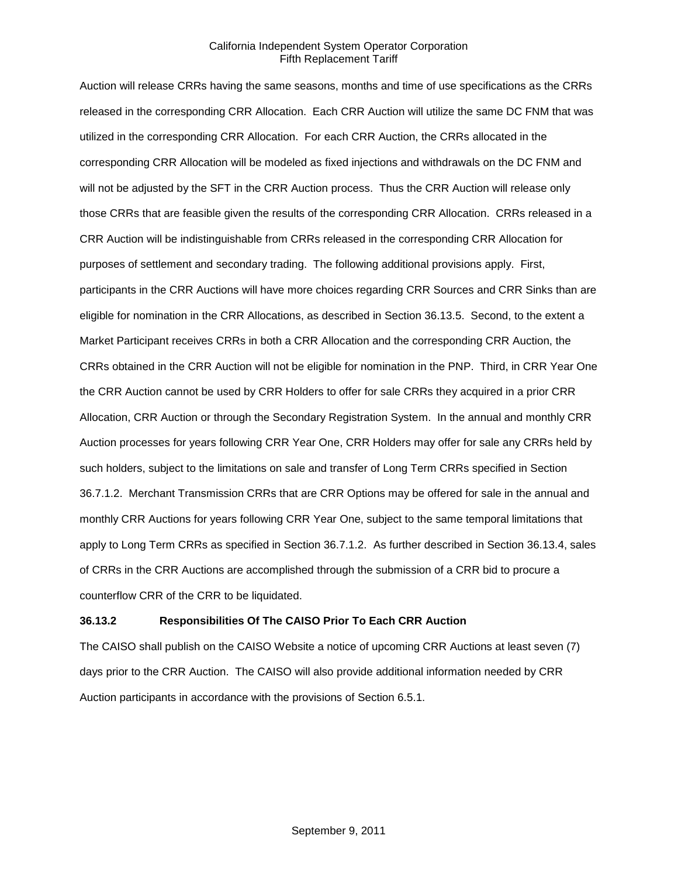Auction will release CRRs having the same seasons, months and time of use specifications as the CRRs released in the corresponding CRR Allocation. Each CRR Auction will utilize the same DC FNM that was utilized in the corresponding CRR Allocation. For each CRR Auction, the CRRs allocated in the corresponding CRR Allocation will be modeled as fixed injections and withdrawals on the DC FNM and will not be adjusted by the SFT in the CRR Auction process. Thus the CRR Auction will release only those CRRs that are feasible given the results of the corresponding CRR Allocation. CRRs released in a CRR Auction will be indistinguishable from CRRs released in the corresponding CRR Allocation for purposes of settlement and secondary trading. The following additional provisions apply. First, participants in the CRR Auctions will have more choices regarding CRR Sources and CRR Sinks than are eligible for nomination in the CRR Allocations, as described in Section 36.13.5. Second, to the extent a Market Participant receives CRRs in both a CRR Allocation and the corresponding CRR Auction, the CRRs obtained in the CRR Auction will not be eligible for nomination in the PNP. Third, in CRR Year One the CRR Auction cannot be used by CRR Holders to offer for sale CRRs they acquired in a prior CRR Allocation, CRR Auction or through the Secondary Registration System. In the annual and monthly CRR Auction processes for years following CRR Year One, CRR Holders may offer for sale any CRRs held by such holders, subject to the limitations on sale and transfer of Long Term CRRs specified in Section 36.7.1.2. Merchant Transmission CRRs that are CRR Options may be offered for sale in the annual and monthly CRR Auctions for years following CRR Year One, subject to the same temporal limitations that apply to Long Term CRRs as specified in Section 36.7.1.2. As further described in Section 36.13.4, sales of CRRs in the CRR Auctions are accomplished through the submission of a CRR bid to procure a counterflow CRR of the CRR to be liquidated.

### **36.13.2 Responsibilities Of The CAISO Prior To Each CRR Auction**

The CAISO shall publish on the CAISO Website a notice of upcoming CRR Auctions at least seven (7) days prior to the CRR Auction. The CAISO will also provide additional information needed by CRR Auction participants in accordance with the provisions of Section 6.5.1.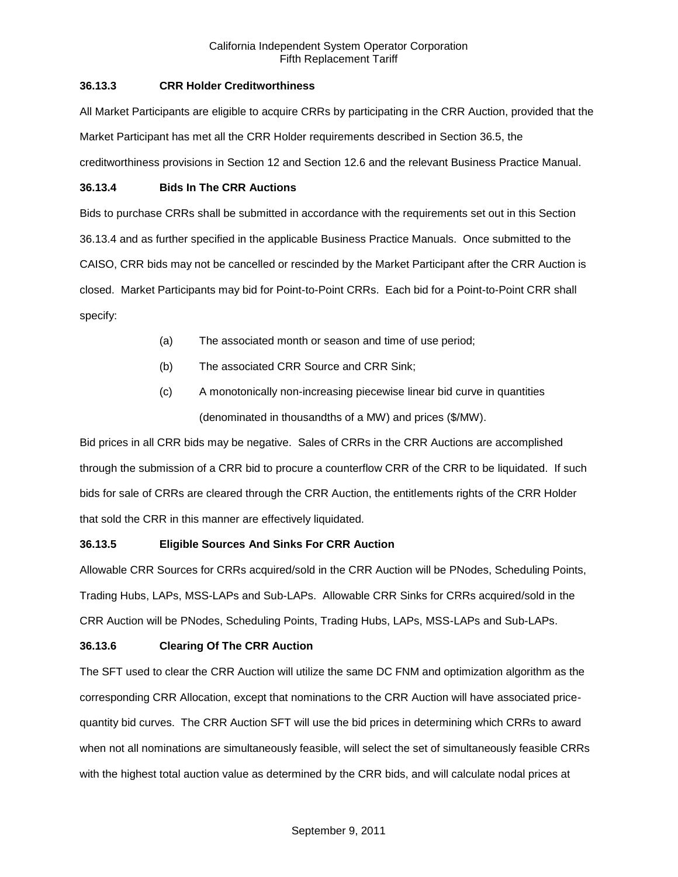## **36.13.3 CRR Holder Creditworthiness**

All Market Participants are eligible to acquire CRRs by participating in the CRR Auction, provided that the Market Participant has met all the CRR Holder requirements described in Section 36.5, the creditworthiness provisions in Section 12 and Section 12.6 and the relevant Business Practice Manual.

## **36.13.4 Bids In The CRR Auctions**

Bids to purchase CRRs shall be submitted in accordance with the requirements set out in this Section 36.13.4 and as further specified in the applicable Business Practice Manuals. Once submitted to the CAISO, CRR bids may not be cancelled or rescinded by the Market Participant after the CRR Auction is closed. Market Participants may bid for Point-to-Point CRRs. Each bid for a Point-to-Point CRR shall specify:

- (a) The associated month or season and time of use period;
- (b) The associated CRR Source and CRR Sink;
- (c) A monotonically non-increasing piecewise linear bid curve in quantities (denominated in thousandths of a MW) and prices (\$/MW).

Bid prices in all CRR bids may be negative. Sales of CRRs in the CRR Auctions are accomplished through the submission of a CRR bid to procure a counterflow CRR of the CRR to be liquidated. If such bids for sale of CRRs are cleared through the CRR Auction, the entitlements rights of the CRR Holder that sold the CRR in this manner are effectively liquidated.

# **36.13.5 Eligible Sources And Sinks For CRR Auction**

Allowable CRR Sources for CRRs acquired/sold in the CRR Auction will be PNodes, Scheduling Points, Trading Hubs, LAPs, MSS-LAPs and Sub-LAPs. Allowable CRR Sinks for CRRs acquired/sold in the CRR Auction will be PNodes, Scheduling Points, Trading Hubs, LAPs, MSS-LAPs and Sub-LAPs.

# **36.13.6 Clearing Of The CRR Auction**

The SFT used to clear the CRR Auction will utilize the same DC FNM and optimization algorithm as the corresponding CRR Allocation, except that nominations to the CRR Auction will have associated pricequantity bid curves. The CRR Auction SFT will use the bid prices in determining which CRRs to award when not all nominations are simultaneously feasible, will select the set of simultaneously feasible CRRs with the highest total auction value as determined by the CRR bids, and will calculate nodal prices at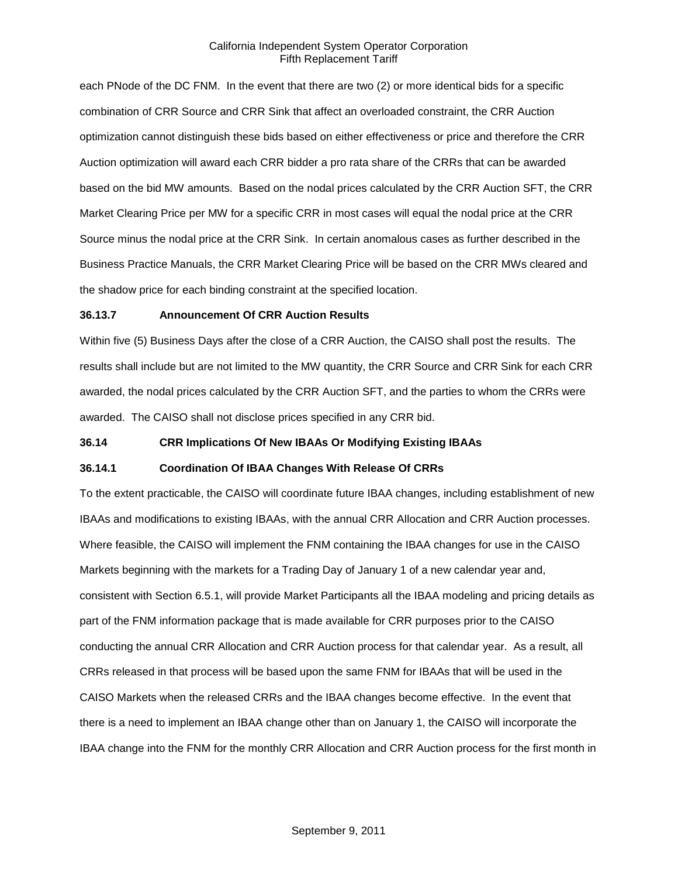each PNode of the DC FNM. In the event that there are two (2) or more identical bids for a specific combination of CRR Source and CRR Sink that affect an overloaded constraint, the CRR Auction optimization cannot distinguish these bids based on either effectiveness or price and therefore the CRR Auction optimization will award each CRR bidder a pro rata share of the CRRs that can be awarded based on the bid MW amounts. Based on the nodal prices calculated by the CRR Auction SFT, the CRR Market Clearing Price per MW for a specific CRR in most cases will equal the nodal price at the CRR Source minus the nodal price at the CRR Sink. In certain anomalous cases as further described in the Business Practice Manuals, the CRR Market Clearing Price will be based on the CRR MWs cleared and the shadow price for each binding constraint at the specified location.

#### **36.13.7 Announcement Of CRR Auction Results**

Within five (5) Business Days after the close of a CRR Auction, the CAISO shall post the results. The results shall include but are not limited to the MW quantity, the CRR Source and CRR Sink for each CRR awarded, the nodal prices calculated by the CRR Auction SFT, and the parties to whom the CRRs were awarded. The CAISO shall not disclose prices specified in any CRR bid.

### **36.14 CRR Implications Of New IBAAs Or Modifying Existing IBAAs**

#### **36.14.1 Coordination Of IBAA Changes With Release Of CRRs**

To the extent practicable, the CAISO will coordinate future IBAA changes, including establishment of new IBAAs and modifications to existing IBAAs, with the annual CRR Allocation and CRR Auction processes. Where feasible, the CAISO will implement the FNM containing the IBAA changes for use in the CAISO Markets beginning with the markets for a Trading Day of January 1 of a new calendar year and, consistent with Section 6.5.1, will provide Market Participants all the IBAA modeling and pricing details as part of the FNM information package that is made available for CRR purposes prior to the CAISO conducting the annual CRR Allocation and CRR Auction process for that calendar year. As a result, all CRRs released in that process will be based upon the same FNM for IBAAs that will be used in the CAISO Markets when the released CRRs and the IBAA changes become effective. In the event that there is a need to implement an IBAA change other than on January 1, the CAISO will incorporate the IBAA change into the FNM for the monthly CRR Allocation and CRR Auction process for the first month in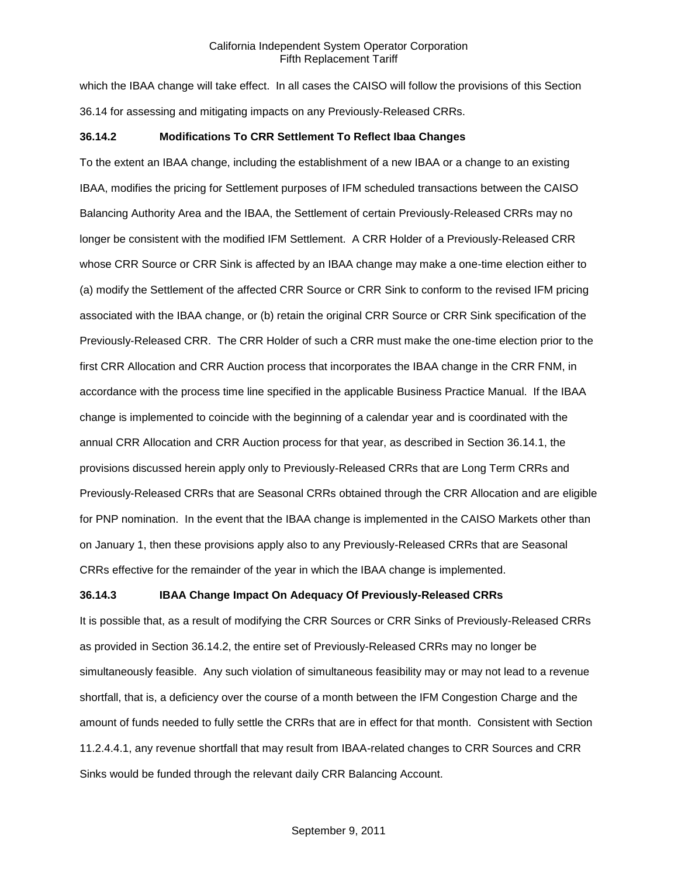which the IBAA change will take effect. In all cases the CAISO will follow the provisions of this Section 36.14 for assessing and mitigating impacts on any Previously-Released CRRs.

### **36.14.2 Modifications To CRR Settlement To Reflect Ibaa Changes**

To the extent an IBAA change, including the establishment of a new IBAA or a change to an existing IBAA, modifies the pricing for Settlement purposes of IFM scheduled transactions between the CAISO Balancing Authority Area and the IBAA, the Settlement of certain Previously-Released CRRs may no longer be consistent with the modified IFM Settlement. A CRR Holder of a Previously-Released CRR whose CRR Source or CRR Sink is affected by an IBAA change may make a one-time election either to (a) modify the Settlement of the affected CRR Source or CRR Sink to conform to the revised IFM pricing associated with the IBAA change, or (b) retain the original CRR Source or CRR Sink specification of the Previously-Released CRR. The CRR Holder of such a CRR must make the one-time election prior to the first CRR Allocation and CRR Auction process that incorporates the IBAA change in the CRR FNM, in accordance with the process time line specified in the applicable Business Practice Manual. If the IBAA change is implemented to coincide with the beginning of a calendar year and is coordinated with the annual CRR Allocation and CRR Auction process for that year, as described in Section 36.14.1, the provisions discussed herein apply only to Previously-Released CRRs that are Long Term CRRs and Previously-Released CRRs that are Seasonal CRRs obtained through the CRR Allocation and are eligible for PNP nomination. In the event that the IBAA change is implemented in the CAISO Markets other than on January 1, then these provisions apply also to any Previously-Released CRRs that are Seasonal CRRs effective for the remainder of the year in which the IBAA change is implemented.

### **36.14.3 IBAA Change Impact On Adequacy Of Previously-Released CRRs**

It is possible that, as a result of modifying the CRR Sources or CRR Sinks of Previously-Released CRRs as provided in Section 36.14.2, the entire set of Previously-Released CRRs may no longer be simultaneously feasible. Any such violation of simultaneous feasibility may or may not lead to a revenue shortfall, that is, a deficiency over the course of a month between the IFM Congestion Charge and the amount of funds needed to fully settle the CRRs that are in effect for that month. Consistent with Section 11.2.4.4.1, any revenue shortfall that may result from IBAA-related changes to CRR Sources and CRR Sinks would be funded through the relevant daily CRR Balancing Account.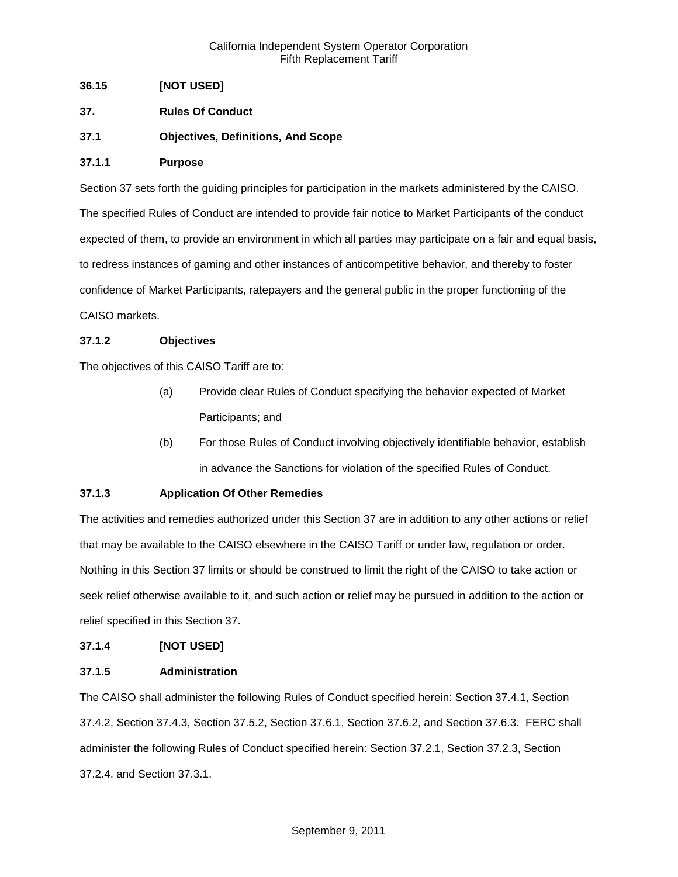## **36.15 [NOT USED]**

- **37. Rules Of Conduct**
- **37.1 Objectives, Definitions, And Scope**

## **37.1.1 Purpose**

Section 37 sets forth the guiding principles for participation in the markets administered by the CAISO. The specified Rules of Conduct are intended to provide fair notice to Market Participants of the conduct expected of them, to provide an environment in which all parties may participate on a fair and equal basis, to redress instances of gaming and other instances of anticompetitive behavior, and thereby to foster confidence of Market Participants, ratepayers and the general public in the proper functioning of the CAISO markets.

## **37.1.2 Objectives**

The objectives of this CAISO Tariff are to:

- (a) Provide clear Rules of Conduct specifying the behavior expected of Market Participants; and
- (b) For those Rules of Conduct involving objectively identifiable behavior, establish in advance the Sanctions for violation of the specified Rules of Conduct.

# **37.1.3 Application Of Other Remedies**

The activities and remedies authorized under this Section 37 are in addition to any other actions or relief that may be available to the CAISO elsewhere in the CAISO Tariff or under law, regulation or order. Nothing in this Section 37 limits or should be construed to limit the right of the CAISO to take action or seek relief otherwise available to it, and such action or relief may be pursued in addition to the action or relief specified in this Section 37.

### **37.1.4 [NOT USED]**

### **37.1.5 Administration**

The CAISO shall administer the following Rules of Conduct specified herein: Section 37.4.1, Section 37.4.2, Section 37.4.3, Section 37.5.2, Section 37.6.1, Section 37.6.2, and Section 37.6.3. FERC shall administer the following Rules of Conduct specified herein: Section 37.2.1, Section 37.2.3, Section 37.2.4, and Section 37.3.1.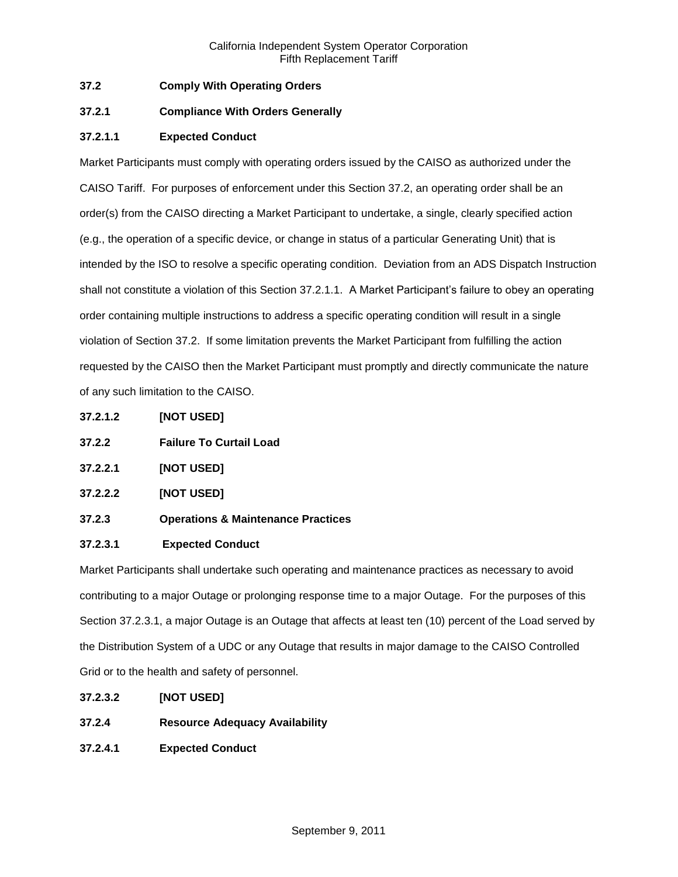## **37.2 Comply With Operating Orders**

## **37.2.1 Compliance With Orders Generally**

## **37.2.1.1 Expected Conduct**

Market Participants must comply with operating orders issued by the CAISO as authorized under the CAISO Tariff. For purposes of enforcement under this Section 37.2, an operating order shall be an order(s) from the CAISO directing a Market Participant to undertake, a single, clearly specified action (e.g., the operation of a specific device, or change in status of a particular Generating Unit) that is intended by the ISO to resolve a specific operating condition. Deviation from an ADS Dispatch Instruction shall not constitute a violation of this Section 37.2.1.1. A Market Participant's failure to obey an operating order containing multiple instructions to address a specific operating condition will result in a single violation of Section 37.2. If some limitation prevents the Market Participant from fulfilling the action requested by the CAISO then the Market Participant must promptly and directly communicate the nature of any such limitation to the CAISO.

- **37.2.1.2 [NOT USED]**
- **37.2.2 Failure To Curtail Load**
- **37.2.2.1 [NOT USED]**
- **37.2.2.2 [NOT USED]**
- **37.2.3 Operations & Maintenance Practices**

### **37.2.3.1 Expected Conduct**

Market Participants shall undertake such operating and maintenance practices as necessary to avoid contributing to a major Outage or prolonging response time to a major Outage. For the purposes of this Section 37.2.3.1, a major Outage is an Outage that affects at least ten (10) percent of the Load served by the Distribution System of a UDC or any Outage that results in major damage to the CAISO Controlled Grid or to the health and safety of personnel.

- **37.2.3.2 [NOT USED]**
- **37.2.4 Resource Adequacy Availability**
- **37.2.4.1 Expected Conduct**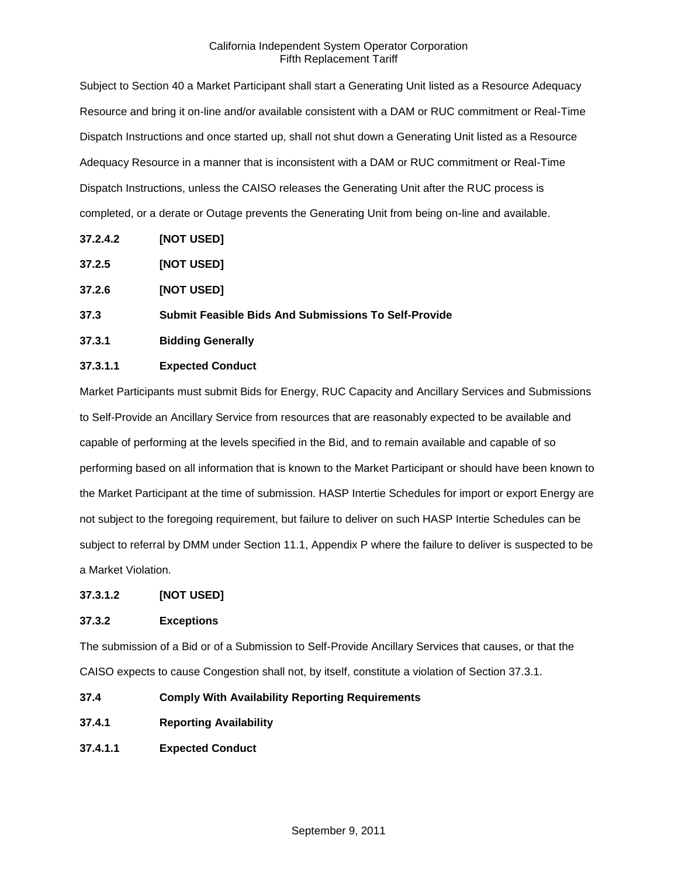Subject to Section 40 a Market Participant shall start a Generating Unit listed as a Resource Adequacy Resource and bring it on-line and/or available consistent with a DAM or RUC commitment or Real-Time Dispatch Instructions and once started up, shall not shut down a Generating Unit listed as a Resource Adequacy Resource in a manner that is inconsistent with a DAM or RUC commitment or Real-Time Dispatch Instructions, unless the CAISO releases the Generating Unit after the RUC process is completed, or a derate or Outage prevents the Generating Unit from being on-line and available.

- **37.2.4.2 [NOT USED]**
- **37.2.5 [NOT USED]**
- **37.2.6 [NOT USED]**

#### **37.3 Submit Feasible Bids And Submissions To Self-Provide**

**37.3.1 Bidding Generally**

### **37.3.1.1 Expected Conduct**

Market Participants must submit Bids for Energy, RUC Capacity and Ancillary Services and Submissions to Self-Provide an Ancillary Service from resources that are reasonably expected to be available and capable of performing at the levels specified in the Bid, and to remain available and capable of so performing based on all information that is known to the Market Participant or should have been known to the Market Participant at the time of submission. HASP Intertie Schedules for import or export Energy are not subject to the foregoing requirement, but failure to deliver on such HASP Intertie Schedules can be subject to referral by DMM under Section 11.1, Appendix P where the failure to deliver is suspected to be a Market Violation.

### **37.3.1.2 [NOT USED]**

### **37.3.2 Exceptions**

The submission of a Bid or of a Submission to Self-Provide Ancillary Services that causes, or that the CAISO expects to cause Congestion shall not, by itself, constitute a violation of Section 37.3.1.

- **37.4 Comply With Availability Reporting Requirements**
- **37.4.1 Reporting Availability**
- **37.4.1.1 Expected Conduct**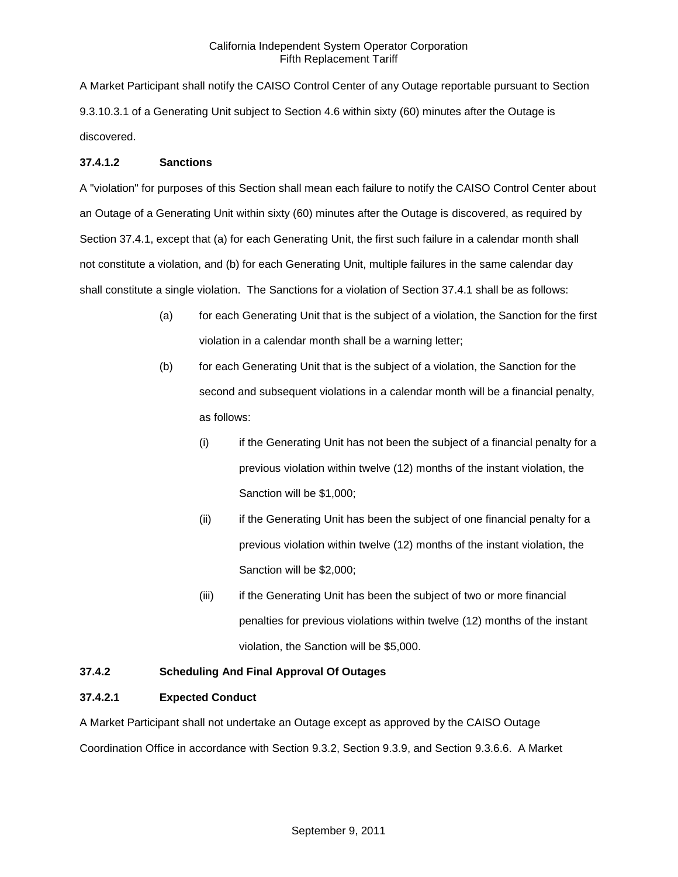A Market Participant shall notify the CAISO Control Center of any Outage reportable pursuant to Section 9.3.10.3.1 of a Generating Unit subject to Section 4.6 within sixty (60) minutes after the Outage is discovered.

### **37.4.1.2 Sanctions**

A "violation" for purposes of this Section shall mean each failure to notify the CAISO Control Center about an Outage of a Generating Unit within sixty (60) minutes after the Outage is discovered, as required by Section 37.4.1, except that (a) for each Generating Unit, the first such failure in a calendar month shall not constitute a violation, and (b) for each Generating Unit, multiple failures in the same calendar day shall constitute a single violation. The Sanctions for a violation of Section 37.4.1 shall be as follows:

- (a) for each Generating Unit that is the subject of a violation, the Sanction for the first violation in a calendar month shall be a warning letter;
- (b) for each Generating Unit that is the subject of a violation, the Sanction for the second and subsequent violations in a calendar month will be a financial penalty, as follows:
	- (i) if the Generating Unit has not been the subject of a financial penalty for a previous violation within twelve (12) months of the instant violation, the Sanction will be \$1,000;
	- (ii) if the Generating Unit has been the subject of one financial penalty for a previous violation within twelve (12) months of the instant violation, the Sanction will be \$2,000;
	- (iii) if the Generating Unit has been the subject of two or more financial penalties for previous violations within twelve (12) months of the instant violation, the Sanction will be \$5,000.

# **37.4.2 Scheduling And Final Approval Of Outages**

### **37.4.2.1 Expected Conduct**

A Market Participant shall not undertake an Outage except as approved by the CAISO Outage Coordination Office in accordance with Section 9.3.2, Section 9.3.9, and Section 9.3.6.6. A Market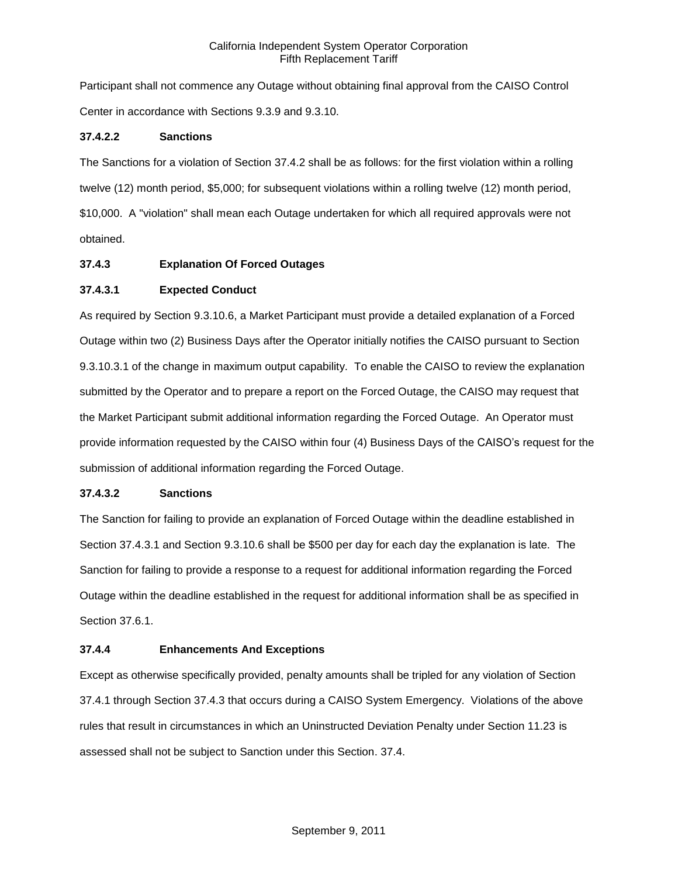Participant shall not commence any Outage without obtaining final approval from the CAISO Control Center in accordance with Sections 9.3.9 and 9.3.10.

## **37.4.2.2 Sanctions**

The Sanctions for a violation of Section 37.4.2 shall be as follows: for the first violation within a rolling twelve (12) month period, \$5,000; for subsequent violations within a rolling twelve (12) month period, \$10,000. A "violation" shall mean each Outage undertaken for which all required approvals were not obtained.

## **37.4.3 Explanation Of Forced Outages**

## **37.4.3.1 Expected Conduct**

As required by Section 9.3.10.6, a Market Participant must provide a detailed explanation of a Forced Outage within two (2) Business Days after the Operator initially notifies the CAISO pursuant to Section 9.3.10.3.1 of the change in maximum output capability. To enable the CAISO to review the explanation submitted by the Operator and to prepare a report on the Forced Outage, the CAISO may request that the Market Participant submit additional information regarding the Forced Outage. An Operator must provide information requested by the CAISO within four (4) Business Days of the CAISO's request for the submission of additional information regarding the Forced Outage.

### **37.4.3.2 Sanctions**

The Sanction for failing to provide an explanation of Forced Outage within the deadline established in Section 37.4.3.1 and Section 9.3.10.6 shall be \$500 per day for each day the explanation is late. The Sanction for failing to provide a response to a request for additional information regarding the Forced Outage within the deadline established in the request for additional information shall be as specified in Section 37.6.1.

### **37.4.4 Enhancements And Exceptions**

Except as otherwise specifically provided, penalty amounts shall be tripled for any violation of Section 37.4.1 through Section 37.4.3 that occurs during a CAISO System Emergency. Violations of the above rules that result in circumstances in which an Uninstructed Deviation Penalty under Section 11.23 is assessed shall not be subject to Sanction under this Section. 37.4.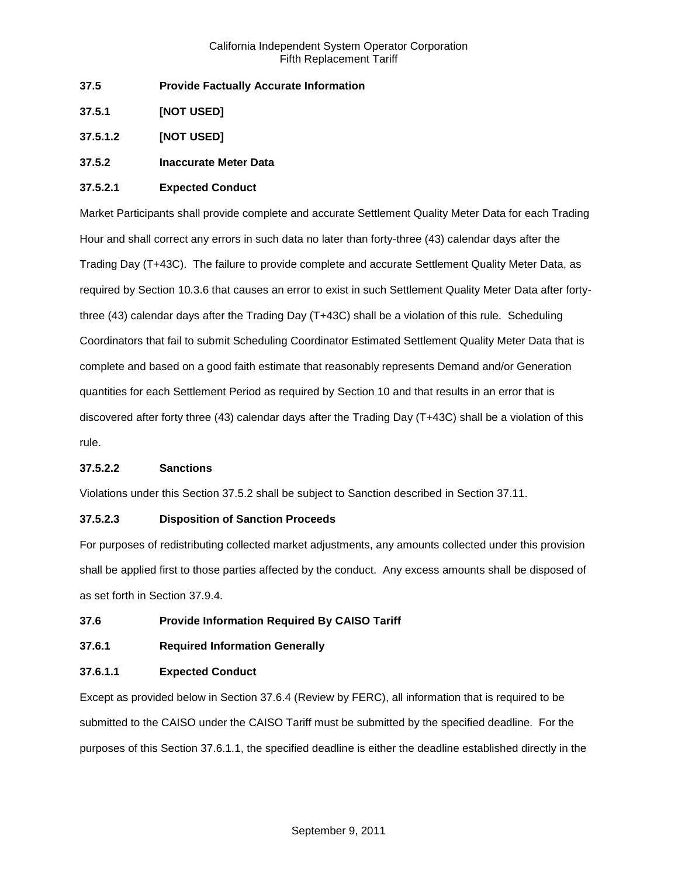- **37.5 Provide Factually Accurate Information**
- **37.5.1 [NOT USED]**

**37.5.1.2 [NOT USED]**

### **37.5.2 Inaccurate Meter Data**

### **37.5.2.1 Expected Conduct**

Market Participants shall provide complete and accurate Settlement Quality Meter Data for each Trading Hour and shall correct any errors in such data no later than forty-three (43) calendar days after the Trading Day (T+43C). The failure to provide complete and accurate Settlement Quality Meter Data, as required by Section 10.3.6 that causes an error to exist in such Settlement Quality Meter Data after fortythree (43) calendar days after the Trading Day (T+43C) shall be a violation of this rule. Scheduling Coordinators that fail to submit Scheduling Coordinator Estimated Settlement Quality Meter Data that is complete and based on a good faith estimate that reasonably represents Demand and/or Generation quantities for each Settlement Period as required by Section 10 and that results in an error that is discovered after forty three (43) calendar days after the Trading Day (T+43C) shall be a violation of this rule.

### **37.5.2.2 Sanctions**

Violations under this Section 37.5.2 shall be subject to Sanction described in Section 37.11.

### **37.5.2.3 Disposition of Sanction Proceeds**

For purposes of redistributing collected market adjustments, any amounts collected under this provision shall be applied first to those parties affected by the conduct. Any excess amounts shall be disposed of as set forth in Section 37.9.4.

### **37.6 Provide Information Required By CAISO Tariff**

# **37.6.1 Required Information Generally**

### **37.6.1.1 Expected Conduct**

Except as provided below in Section 37.6.4 (Review by FERC), all information that is required to be submitted to the CAISO under the CAISO Tariff must be submitted by the specified deadline. For the purposes of this Section 37.6.1.1, the specified deadline is either the deadline established directly in the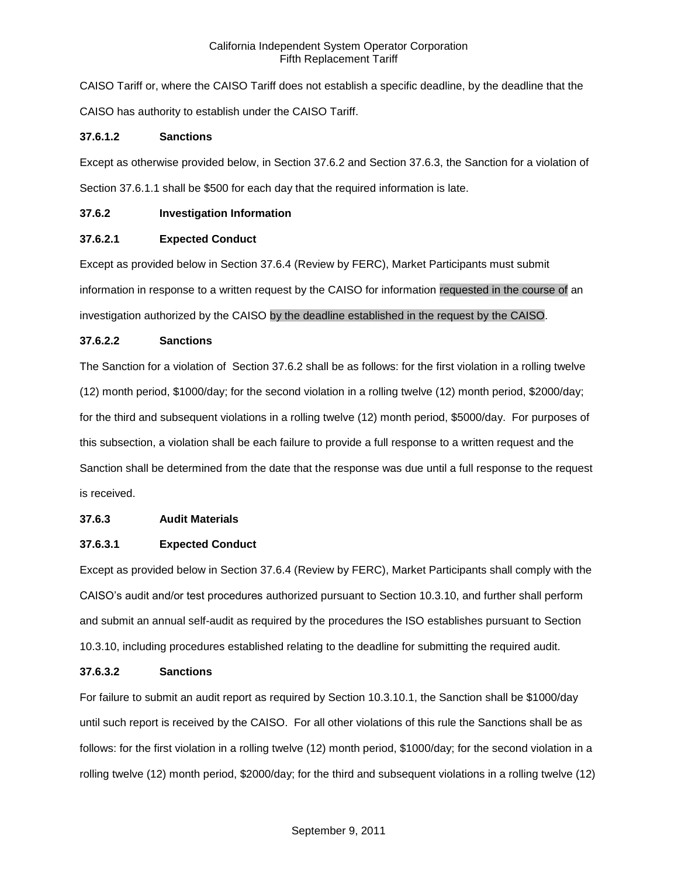CAISO Tariff or, where the CAISO Tariff does not establish a specific deadline, by the deadline that the CAISO has authority to establish under the CAISO Tariff.

## **37.6.1.2 Sanctions**

Except as otherwise provided below, in Section 37.6.2 and Section 37.6.3, the Sanction for a violation of Section 37.6.1.1 shall be \$500 for each day that the required information is late.

## **37.6.2 Investigation Information**

# **37.6.2.1 Expected Conduct**

Except as provided below in Section 37.6.4 (Review by FERC), Market Participants must submit information in response to a written request by the CAISO for information requested in the course of an investigation authorized by the CAISO by the deadline established in the request by the CAISO.

## **37.6.2.2 Sanctions**

The Sanction for a violation of Section 37.6.2 shall be as follows: for the first violation in a rolling twelve (12) month period, \$1000/day; for the second violation in a rolling twelve (12) month period, \$2000/day; for the third and subsequent violations in a rolling twelve (12) month period, \$5000/day. For purposes of this subsection, a violation shall be each failure to provide a full response to a written request and the Sanction shall be determined from the date that the response was due until a full response to the request is received.

# **37.6.3 Audit Materials**

# **37.6.3.1 Expected Conduct**

Except as provided below in Section 37.6.4 (Review by FERC), Market Participants shall comply with the CAISO's audit and/or test procedures authorized pursuant to Section 10.3.10, and further shall perform and submit an annual self-audit as required by the procedures the ISO establishes pursuant to Section 10.3.10, including procedures established relating to the deadline for submitting the required audit.

### **37.6.3.2 Sanctions**

For failure to submit an audit report as required by Section 10.3.10.1, the Sanction shall be \$1000/day until such report is received by the CAISO. For all other violations of this rule the Sanctions shall be as follows: for the first violation in a rolling twelve (12) month period, \$1000/day; for the second violation in a rolling twelve (12) month period, \$2000/day; for the third and subsequent violations in a rolling twelve (12)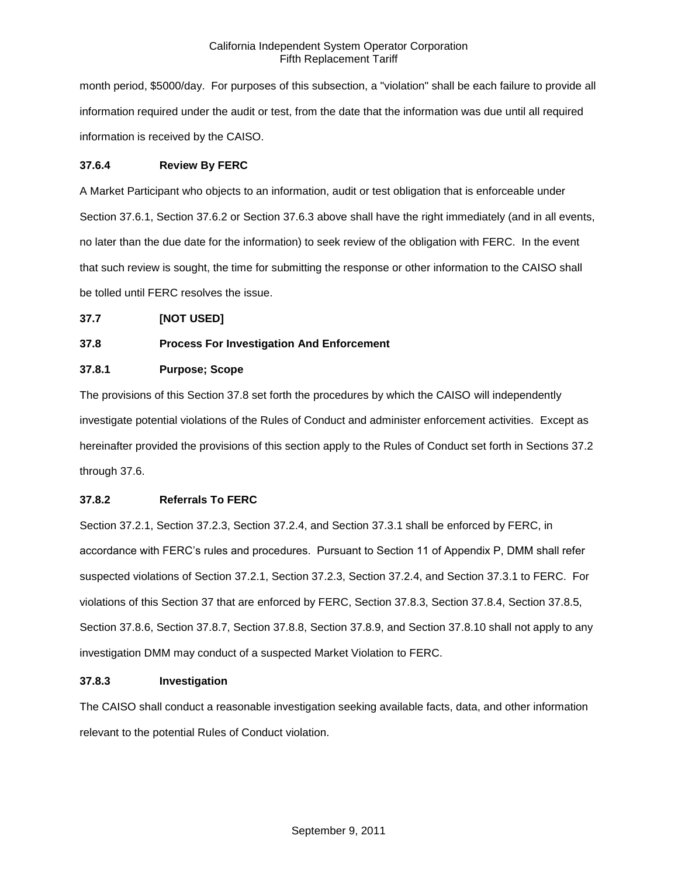month period, \$5000/day. For purposes of this subsection, a "violation" shall be each failure to provide all information required under the audit or test, from the date that the information was due until all required information is received by the CAISO.

## **37.6.4 Review By FERC**

A Market Participant who objects to an information, audit or test obligation that is enforceable under Section 37.6.1, Section 37.6.2 or Section 37.6.3 above shall have the right immediately (and in all events, no later than the due date for the information) to seek review of the obligation with FERC. In the event that such review is sought, the time for submitting the response or other information to the CAISO shall be tolled until FERC resolves the issue.

## **37.7 [NOT USED]**

# **37.8 Process For Investigation And Enforcement**

## **37.8.1 Purpose; Scope**

The provisions of this Section 37.8 set forth the procedures by which the CAISO will independently investigate potential violations of the Rules of Conduct and administer enforcement activities. Except as hereinafter provided the provisions of this section apply to the Rules of Conduct set forth in Sections 37.2 through 37.6.

# **37.8.2 Referrals To FERC**

Section 37.2.1, Section 37.2.3, Section 37.2.4, and Section 37.3.1 shall be enforced by FERC, in accordance with FERC's rules and procedures. Pursuant to Section 11 of Appendix P, DMM shall refer suspected violations of Section 37.2.1, Section 37.2.3, Section 37.2.4, and Section 37.3.1 to FERC. For violations of this Section 37 that are enforced by FERC, Section 37.8.3, Section 37.8.4, Section 37.8.5, Section 37.8.6, Section 37.8.7, Section 37.8.8, Section 37.8.9, and Section 37.8.10 shall not apply to any investigation DMM may conduct of a suspected Market Violation to FERC.

### **37.8.3 Investigation**

The CAISO shall conduct a reasonable investigation seeking available facts, data, and other information relevant to the potential Rules of Conduct violation.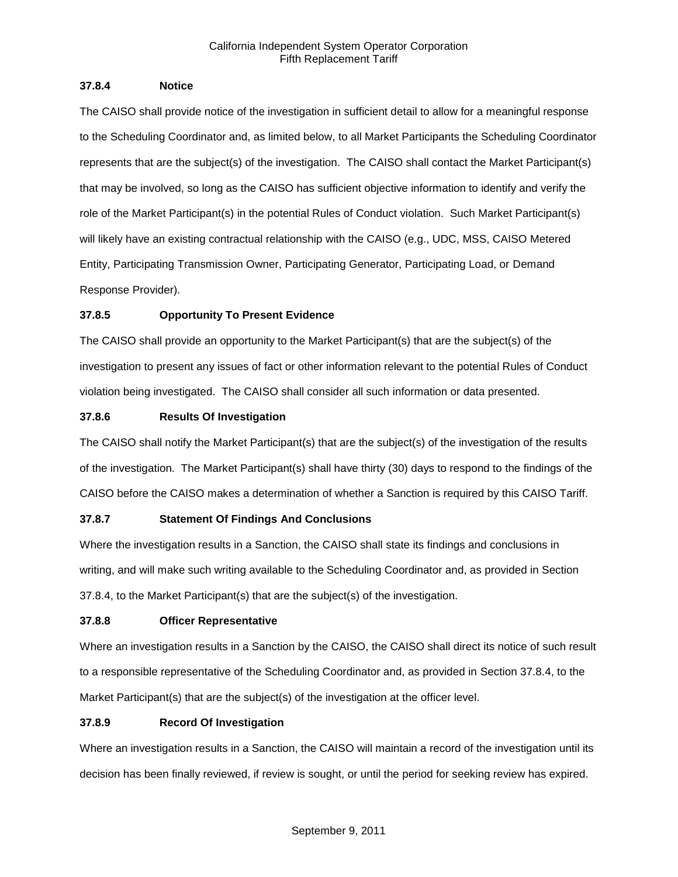## **37.8.4 Notice**

The CAISO shall provide notice of the investigation in sufficient detail to allow for a meaningful response to the Scheduling Coordinator and, as limited below, to all Market Participants the Scheduling Coordinator represents that are the subject(s) of the investigation. The CAISO shall contact the Market Participant(s) that may be involved, so long as the CAISO has sufficient objective information to identify and verify the role of the Market Participant(s) in the potential Rules of Conduct violation. Such Market Participant(s) will likely have an existing contractual relationship with the CAISO (e.g., UDC, MSS, CAISO Metered Entity, Participating Transmission Owner, Participating Generator, Participating Load, or Demand Response Provider).

# **37.8.5 Opportunity To Present Evidence**

The CAISO shall provide an opportunity to the Market Participant(s) that are the subject(s) of the investigation to present any issues of fact or other information relevant to the potential Rules of Conduct violation being investigated. The CAISO shall consider all such information or data presented.

# **37.8.6 Results Of Investigation**

The CAISO shall notify the Market Participant(s) that are the subject(s) of the investigation of the results of the investigation. The Market Participant(s) shall have thirty (30) days to respond to the findings of the CAISO before the CAISO makes a determination of whether a Sanction is required by this CAISO Tariff.

# **37.8.7 Statement Of Findings And Conclusions**

Where the investigation results in a Sanction, the CAISO shall state its findings and conclusions in writing, and will make such writing available to the Scheduling Coordinator and, as provided in Section 37.8.4, to the Market Participant(s) that are the subject(s) of the investigation.

# **37.8.8 Officer Representative**

Where an investigation results in a Sanction by the CAISO, the CAISO shall direct its notice of such result to a responsible representative of the Scheduling Coordinator and, as provided in Section 37.8.4, to the Market Participant(s) that are the subject(s) of the investigation at the officer level.

# **37.8.9 Record Of Investigation**

Where an investigation results in a Sanction, the CAISO will maintain a record of the investigation until its decision has been finally reviewed, if review is sought, or until the period for seeking review has expired.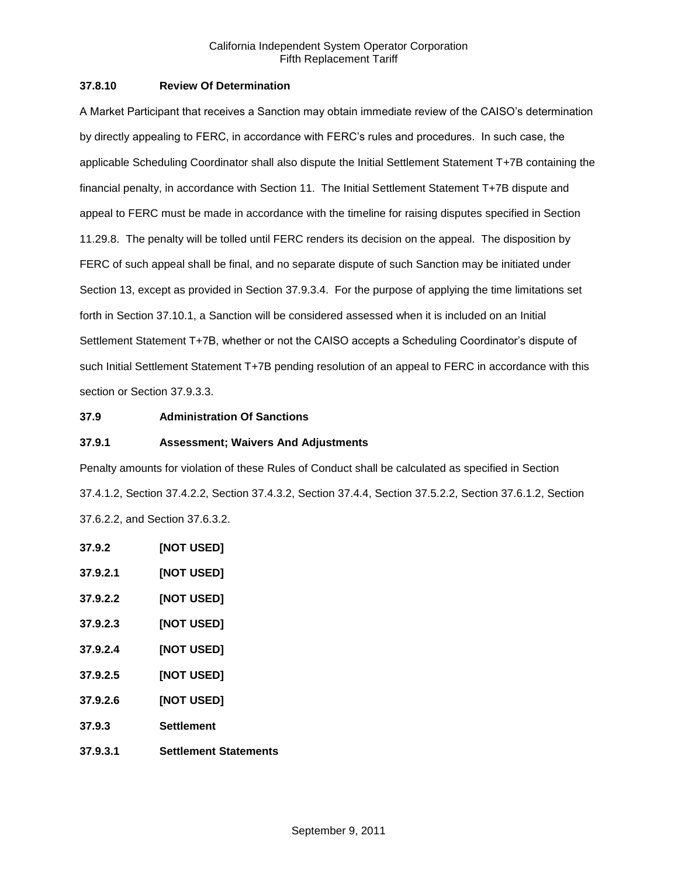## **37.8.10 Review Of Determination**

A Market Participant that receives a Sanction may obtain immediate review of the CAISO's determination by directly appealing to FERC, in accordance with FERC's rules and procedures. In such case, the applicable Scheduling Coordinator shall also dispute the Initial Settlement Statement T+7B containing the financial penalty, in accordance with Section 11. The Initial Settlement Statement T+7B dispute and appeal to FERC must be made in accordance with the timeline for raising disputes specified in Section 11.29.8. The penalty will be tolled until FERC renders its decision on the appeal. The disposition by FERC of such appeal shall be final, and no separate dispute of such Sanction may be initiated under Section 13, except as provided in Section 37.9.3.4. For the purpose of applying the time limitations set forth in Section 37.10.1, a Sanction will be considered assessed when it is included on an Initial Settlement Statement T+7B, whether or not the CAISO accepts a Scheduling Coordinator's dispute of such Initial Settlement Statement T+7B pending resolution of an appeal to FERC in accordance with this section or Section 37.9.3.3.

## **37.9 Administration Of Sanctions**

### **37.9.1 Assessment; Waivers And Adjustments**

Penalty amounts for violation of these Rules of Conduct shall be calculated as specified in Section 37.4.1.2, Section 37.4.2.2, Section 37.4.3.2, Section 37.4.4, Section 37.5.2.2, Section 37.6.1.2, Section 37.6.2.2, and Section 37.6.3.2.

- **37.9.2 [NOT USED] 37.9.2.1 [NOT USED] 37.9.2.2 [NOT USED] 37.9.2.3 [NOT USED]**
- **37.9.2.4 [NOT USED]**
- **37.9.2.5 [NOT USED]**
- **37.9.2.6 [NOT USED]**
- **37.9.3 Settlement**
- **37.9.3.1 Settlement Statements**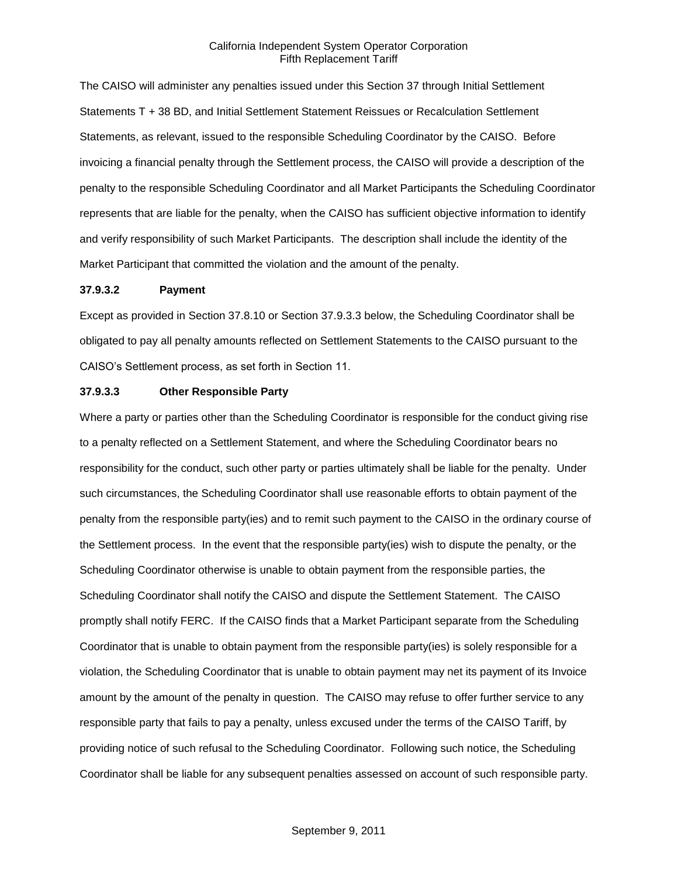The CAISO will administer any penalties issued under this Section 37 through Initial Settlement Statements T + 38 BD, and Initial Settlement Statement Reissues or Recalculation Settlement Statements, as relevant, issued to the responsible Scheduling Coordinator by the CAISO. Before invoicing a financial penalty through the Settlement process, the CAISO will provide a description of the penalty to the responsible Scheduling Coordinator and all Market Participants the Scheduling Coordinator represents that are liable for the penalty, when the CAISO has sufficient objective information to identify and verify responsibility of such Market Participants. The description shall include the identity of the Market Participant that committed the violation and the amount of the penalty.

#### **37.9.3.2 Payment**

Except as provided in Section 37.8.10 or Section 37.9.3.3 below, the Scheduling Coordinator shall be obligated to pay all penalty amounts reflected on Settlement Statements to the CAISO pursuant to the CAISO's Settlement process, as set forth in Section 11.

#### **37.9.3.3 Other Responsible Party**

Where a party or parties other than the Scheduling Coordinator is responsible for the conduct giving rise to a penalty reflected on a Settlement Statement, and where the Scheduling Coordinator bears no responsibility for the conduct, such other party or parties ultimately shall be liable for the penalty. Under such circumstances, the Scheduling Coordinator shall use reasonable efforts to obtain payment of the penalty from the responsible party(ies) and to remit such payment to the CAISO in the ordinary course of the Settlement process. In the event that the responsible party(ies) wish to dispute the penalty, or the Scheduling Coordinator otherwise is unable to obtain payment from the responsible parties, the Scheduling Coordinator shall notify the CAISO and dispute the Settlement Statement. The CAISO promptly shall notify FERC. If the CAISO finds that a Market Participant separate from the Scheduling Coordinator that is unable to obtain payment from the responsible party(ies) is solely responsible for a violation, the Scheduling Coordinator that is unable to obtain payment may net its payment of its Invoice amount by the amount of the penalty in question. The CAISO may refuse to offer further service to any responsible party that fails to pay a penalty, unless excused under the terms of the CAISO Tariff, by providing notice of such refusal to the Scheduling Coordinator. Following such notice, the Scheduling Coordinator shall be liable for any subsequent penalties assessed on account of such responsible party.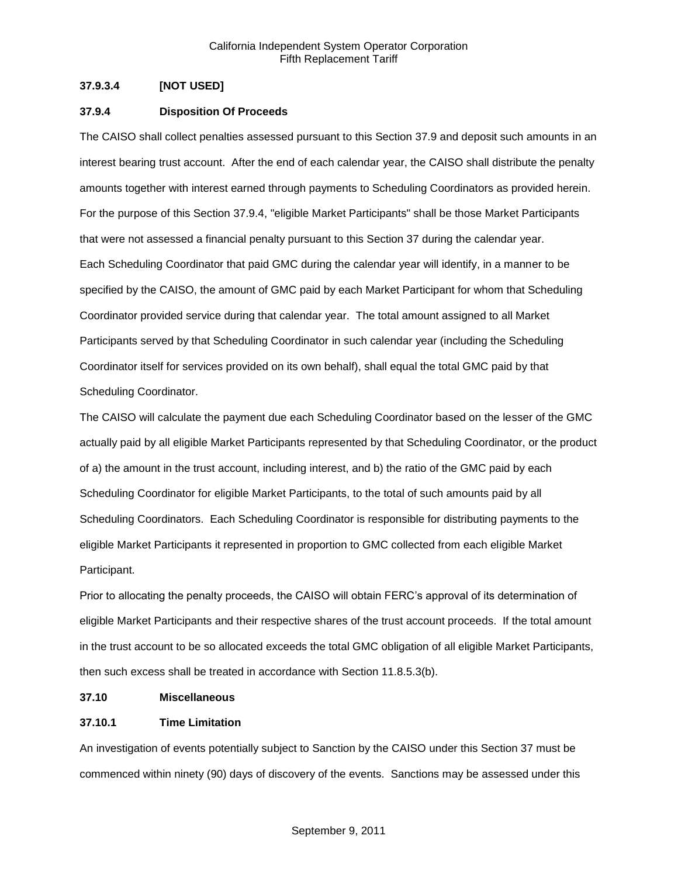# **37.9.3.4 [NOT USED]**

### **37.9.4 Disposition Of Proceeds**

The CAISO shall collect penalties assessed pursuant to this Section 37.9 and deposit such amounts in an interest bearing trust account. After the end of each calendar year, the CAISO shall distribute the penalty amounts together with interest earned through payments to Scheduling Coordinators as provided herein. For the purpose of this Section 37.9.4, "eligible Market Participants" shall be those Market Participants that were not assessed a financial penalty pursuant to this Section 37 during the calendar year. Each Scheduling Coordinator that paid GMC during the calendar year will identify, in a manner to be specified by the CAISO, the amount of GMC paid by each Market Participant for whom that Scheduling Coordinator provided service during that calendar year. The total amount assigned to all Market Participants served by that Scheduling Coordinator in such calendar year (including the Scheduling Coordinator itself for services provided on its own behalf), shall equal the total GMC paid by that Scheduling Coordinator.

The CAISO will calculate the payment due each Scheduling Coordinator based on the lesser of the GMC actually paid by all eligible Market Participants represented by that Scheduling Coordinator, or the product of a) the amount in the trust account, including interest, and b) the ratio of the GMC paid by each Scheduling Coordinator for eligible Market Participants, to the total of such amounts paid by all Scheduling Coordinators. Each Scheduling Coordinator is responsible for distributing payments to the eligible Market Participants it represented in proportion to GMC collected from each eligible Market Participant.

Prior to allocating the penalty proceeds, the CAISO will obtain FERC's approval of its determination of eligible Market Participants and their respective shares of the trust account proceeds. If the total amount in the trust account to be so allocated exceeds the total GMC obligation of all eligible Market Participants, then such excess shall be treated in accordance with Section 11.8.5.3(b).

### **37.10 Miscellaneous**

### **37.10.1 Time Limitation**

An investigation of events potentially subject to Sanction by the CAISO under this Section 37 must be commenced within ninety (90) days of discovery of the events. Sanctions may be assessed under this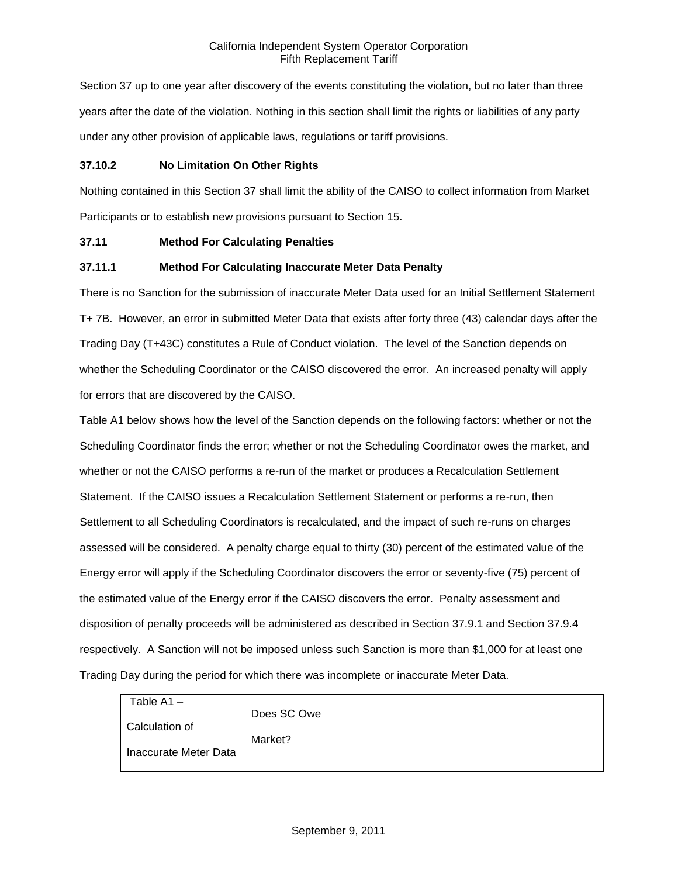Section 37 up to one year after discovery of the events constituting the violation, but no later than three years after the date of the violation. Nothing in this section shall limit the rights or liabilities of any party under any other provision of applicable laws, regulations or tariff provisions.

## **37.10.2 No Limitation On Other Rights**

Nothing contained in this Section 37 shall limit the ability of the CAISO to collect information from Market Participants or to establish new provisions pursuant to Section 15.

### **37.11 Method For Calculating Penalties**

## **37.11.1 Method For Calculating Inaccurate Meter Data Penalty**

There is no Sanction for the submission of inaccurate Meter Data used for an Initial Settlement Statement T+ 7B. However, an error in submitted Meter Data that exists after forty three (43) calendar days after the Trading Day (T+43C) constitutes a Rule of Conduct violation. The level of the Sanction depends on whether the Scheduling Coordinator or the CAISO discovered the error. An increased penalty will apply for errors that are discovered by the CAISO.

Table A1 below shows how the level of the Sanction depends on the following factors: whether or not the Scheduling Coordinator finds the error; whether or not the Scheduling Coordinator owes the market, and whether or not the CAISO performs a re-run of the market or produces a Recalculation Settlement Statement. If the CAISO issues a Recalculation Settlement Statement or performs a re-run, then Settlement to all Scheduling Coordinators is recalculated, and the impact of such re-runs on charges assessed will be considered. A penalty charge equal to thirty (30) percent of the estimated value of the Energy error will apply if the Scheduling Coordinator discovers the error or seventy-five (75) percent of the estimated value of the Energy error if the CAISO discovers the error. Penalty assessment and disposition of penalty proceeds will be administered as described in Section 37.9.1 and Section 37.9.4 respectively. A Sanction will not be imposed unless such Sanction is more than \$1,000 for at least one Trading Day during the period for which there was incomplete or inaccurate Meter Data.

| Table A1-             |             |
|-----------------------|-------------|
|                       | Does SC Owe |
| Calculation of        |             |
|                       | Market?     |
| Inaccurate Meter Data |             |
|                       |             |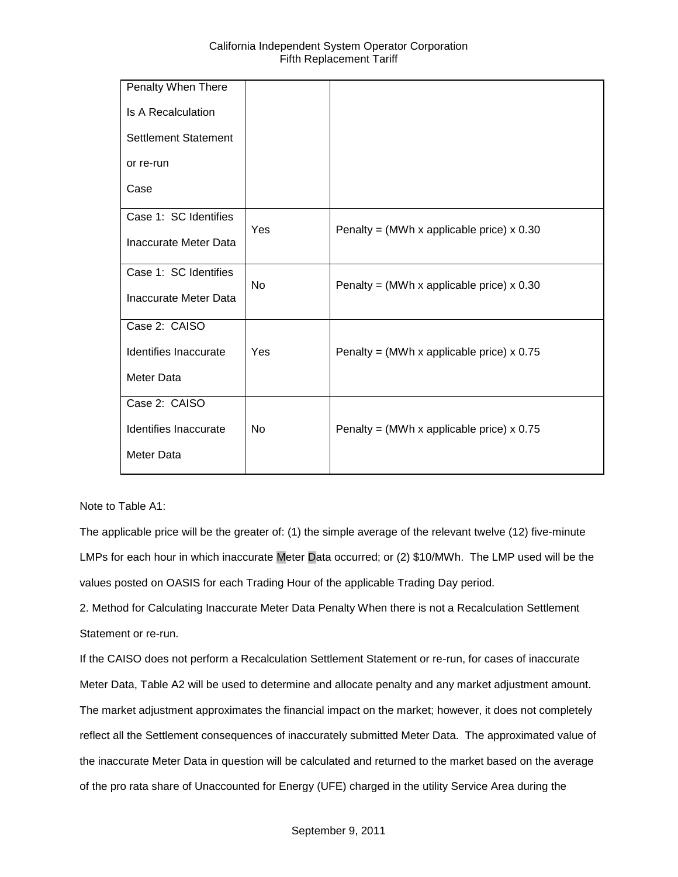| Penalty When There          |           |                                             |
|-----------------------------|-----------|---------------------------------------------|
| <b>Is A Recalculation</b>   |           |                                             |
| <b>Settlement Statement</b> |           |                                             |
| or re-run                   |           |                                             |
| Case                        |           |                                             |
| Case 1: SC Identifies       | Yes       | Penalty = (MWh x applicable price) $x$ 0.30 |
| Inaccurate Meter Data       |           |                                             |
| Case 1: SC Identifies       | <b>No</b> | Penalty = (MWh x applicable price) $x$ 0.30 |
| Inaccurate Meter Data       |           |                                             |
| Case 2: CAISO               |           |                                             |
| Identifies Inaccurate       | Yes       | Penalty = (MWh x applicable price) $x$ 0.75 |
| <b>Meter Data</b>           |           |                                             |
| Case 2: CAISO               |           |                                             |
| Identifies Inaccurate       | <b>No</b> | Penalty = (MWh x applicable price) $x$ 0.75 |
| Meter Data                  |           |                                             |

### Note to Table A1:

The applicable price will be the greater of: (1) the simple average of the relevant twelve (12) five-minute LMPs for each hour in which inaccurate Meter Data occurred; or (2) \$10/MWh. The LMP used will be the values posted on OASIS for each Trading Hour of the applicable Trading Day period.

2. Method for Calculating Inaccurate Meter Data Penalty When there is not a Recalculation Settlement Statement or re-run.

If the CAISO does not perform a Recalculation Settlement Statement or re-run, for cases of inaccurate Meter Data, Table A2 will be used to determine and allocate penalty and any market adjustment amount. The market adjustment approximates the financial impact on the market; however, it does not completely reflect all the Settlement consequences of inaccurately submitted Meter Data. The approximated value of the inaccurate Meter Data in question will be calculated and returned to the market based on the average of the pro rata share of Unaccounted for Energy (UFE) charged in the utility Service Area during the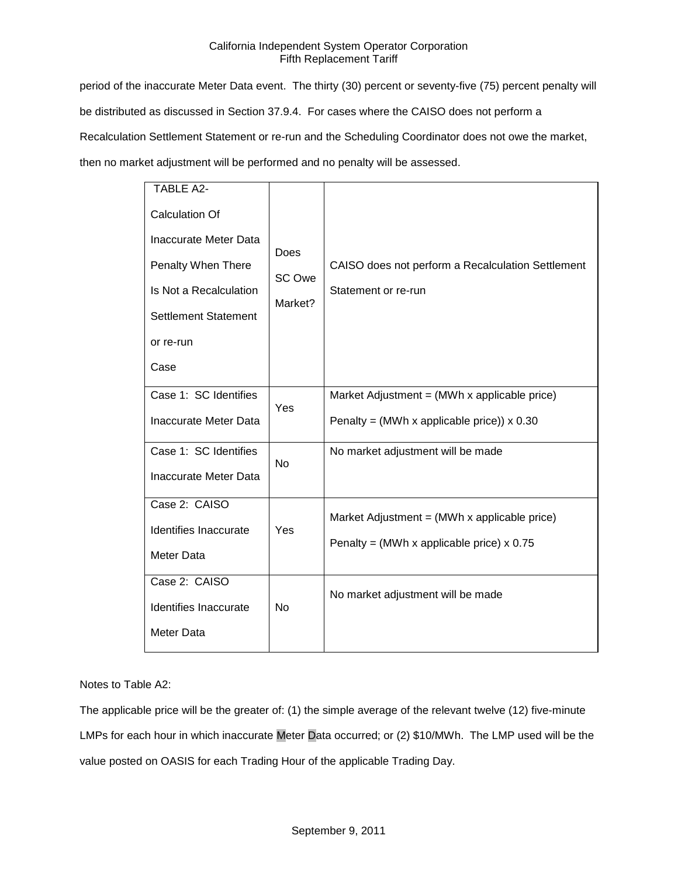period of the inaccurate Meter Data event. The thirty (30) percent or seventy-five (75) percent penalty will be distributed as discussed in Section 37.9.4. For cases where the CAISO does not perform a Recalculation Settlement Statement or re-run and the Scheduling Coordinator does not owe the market, then no market adjustment will be performed and no penalty will be assessed.

| <b>TABLE A2-</b>            |                           |                                                                          |
|-----------------------------|---------------------------|--------------------------------------------------------------------------|
| <b>Calculation Of</b>       |                           |                                                                          |
| Inaccurate Meter Data       | Does<br>SC Owe<br>Market? | CAISO does not perform a Recalculation Settlement<br>Statement or re-run |
| Penalty When There          |                           |                                                                          |
| Is Not a Recalculation      |                           |                                                                          |
| <b>Settlement Statement</b> |                           |                                                                          |
| or re-run                   |                           |                                                                          |
| Case                        |                           |                                                                          |
| Case 1: SC Identifies       | Yes                       | Market Adjustment = (MWh x applicable price)                             |
| Inaccurate Meter Data       |                           | Penalty = (MWh x applicable price)) $\times$ 0.30                        |
| Case 1: SC Identifies       | <b>No</b>                 | No market adjustment will be made                                        |
| Inaccurate Meter Data       |                           |                                                                          |
| Case 2: CAISO               |                           | Market Adjustment = $(MWh \times applicable\ price)$                     |
| Identifies Inaccurate       | Yes                       | Penalty = (MWh x applicable price) $x$ 0.75                              |
| Meter Data                  |                           |                                                                          |
| Case 2: CAISO               |                           |                                                                          |
| Identifies Inaccurate       | <b>No</b>                 | No market adjustment will be made                                        |
| Meter Data                  |                           |                                                                          |
|                             |                           |                                                                          |

# Notes to Table A2:

The applicable price will be the greater of: (1) the simple average of the relevant twelve (12) five-minute LMPs for each hour in which inaccurate Meter Data occurred; or (2) \$10/MWh. The LMP used will be the value posted on OASIS for each Trading Hour of the applicable Trading Day.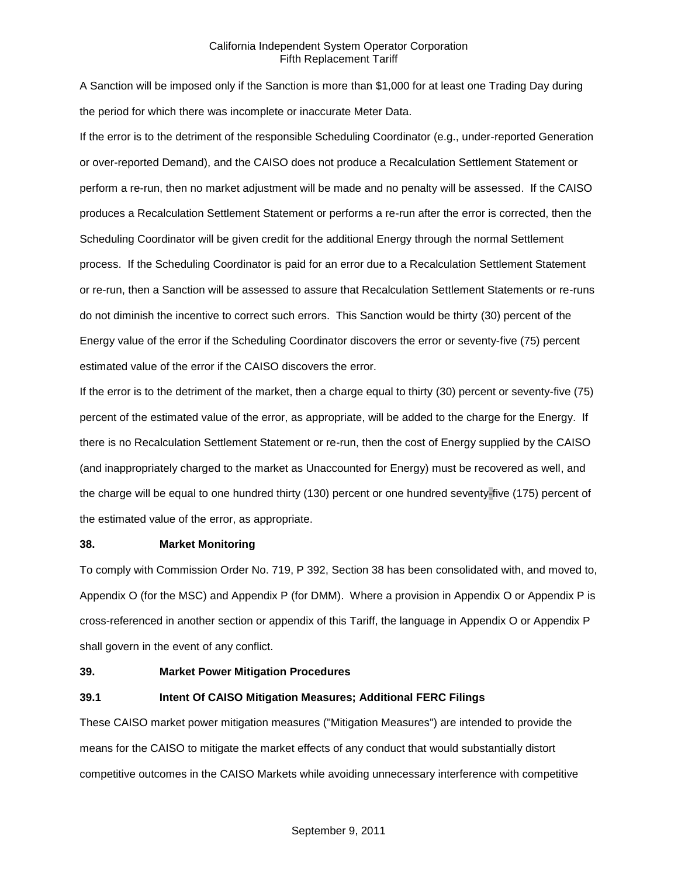A Sanction will be imposed only if the Sanction is more than \$1,000 for at least one Trading Day during the period for which there was incomplete or inaccurate Meter Data.

If the error is to the detriment of the responsible Scheduling Coordinator (e.g., under-reported Generation or over-reported Demand), and the CAISO does not produce a Recalculation Settlement Statement or perform a re-run, then no market adjustment will be made and no penalty will be assessed. If the CAISO produces a Recalculation Settlement Statement or performs a re-run after the error is corrected, then the Scheduling Coordinator will be given credit for the additional Energy through the normal Settlement process. If the Scheduling Coordinator is paid for an error due to a Recalculation Settlement Statement or re-run, then a Sanction will be assessed to assure that Recalculation Settlement Statements or re-runs do not diminish the incentive to correct such errors. This Sanction would be thirty (30) percent of the Energy value of the error if the Scheduling Coordinator discovers the error or seventy-five (75) percent estimated value of the error if the CAISO discovers the error.

If the error is to the detriment of the market, then a charge equal to thirty (30) percent or seventy-five (75) percent of the estimated value of the error, as appropriate, will be added to the charge for the Energy. If there is no Recalculation Settlement Statement or re-run, then the cost of Energy supplied by the CAISO (and inappropriately charged to the market as Unaccounted for Energy) must be recovered as well, and the charge will be equal to one hundred thirty (130) percent or one hundred seventy-five (175) percent of the estimated value of the error, as appropriate.

### **38. Market Monitoring**

To comply with Commission Order No. 719, P 392, Section 38 has been consolidated with, and moved to, Appendix O (for the MSC) and Appendix P (for DMM). Where a provision in Appendix O or Appendix P is cross-referenced in another section or appendix of this Tariff, the language in Appendix O or Appendix P shall govern in the event of any conflict.

### **39. Market Power Mitigation Procedures**

# **39.1 Intent Of CAISO Mitigation Measures; Additional FERC Filings**

These CAISO market power mitigation measures ("Mitigation Measures") are intended to provide the means for the CAISO to mitigate the market effects of any conduct that would substantially distort competitive outcomes in the CAISO Markets while avoiding unnecessary interference with competitive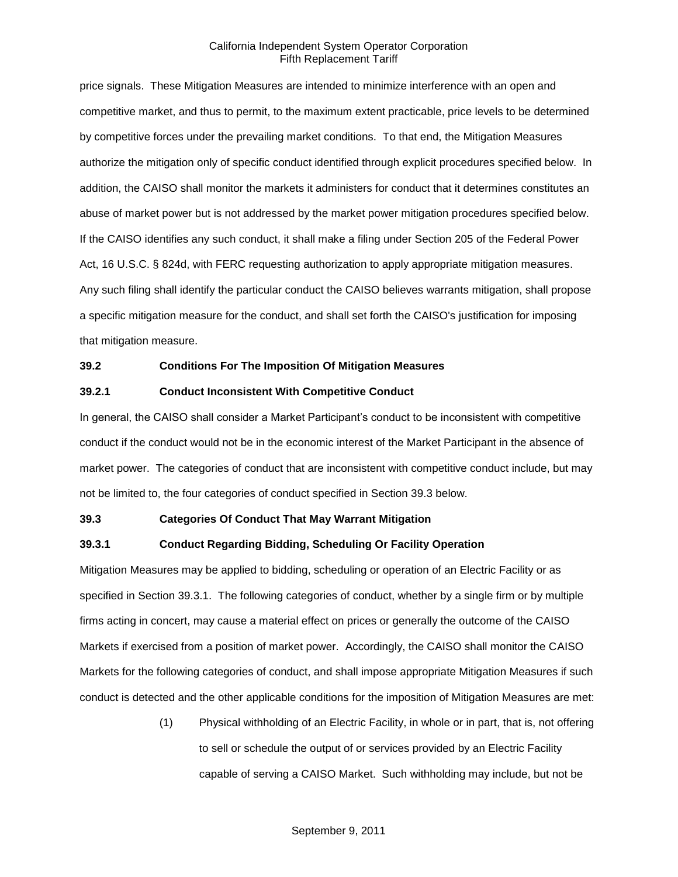price signals. These Mitigation Measures are intended to minimize interference with an open and competitive market, and thus to permit, to the maximum extent practicable, price levels to be determined by competitive forces under the prevailing market conditions. To that end, the Mitigation Measures authorize the mitigation only of specific conduct identified through explicit procedures specified below. In addition, the CAISO shall monitor the markets it administers for conduct that it determines constitutes an abuse of market power but is not addressed by the market power mitigation procedures specified below. If the CAISO identifies any such conduct, it shall make a filing under Section 205 of the Federal Power Act, 16 U.S.C. § 824d, with FERC requesting authorization to apply appropriate mitigation measures. Any such filing shall identify the particular conduct the CAISO believes warrants mitigation, shall propose a specific mitigation measure for the conduct, and shall set forth the CAISO's justification for imposing that mitigation measure.

#### **39.2 Conditions For The Imposition Of Mitigation Measures**

#### **39.2.1 Conduct Inconsistent With Competitive Conduct**

In general, the CAISO shall consider a Market Participant's conduct to be inconsistent with competitive conduct if the conduct would not be in the economic interest of the Market Participant in the absence of market power. The categories of conduct that are inconsistent with competitive conduct include, but may not be limited to, the four categories of conduct specified in Section 39.3 below.

#### **39.3 Categories Of Conduct That May Warrant Mitigation**

### **39.3.1 Conduct Regarding Bidding, Scheduling Or Facility Operation**

Mitigation Measures may be applied to bidding, scheduling or operation of an Electric Facility or as specified in Section 39.3.1. The following categories of conduct, whether by a single firm or by multiple firms acting in concert, may cause a material effect on prices or generally the outcome of the CAISO Markets if exercised from a position of market power. Accordingly, the CAISO shall monitor the CAISO Markets for the following categories of conduct, and shall impose appropriate Mitigation Measures if such conduct is detected and the other applicable conditions for the imposition of Mitigation Measures are met:

> (1) Physical withholding of an Electric Facility, in whole or in part, that is, not offering to sell or schedule the output of or services provided by an Electric Facility capable of serving a CAISO Market. Such withholding may include, but not be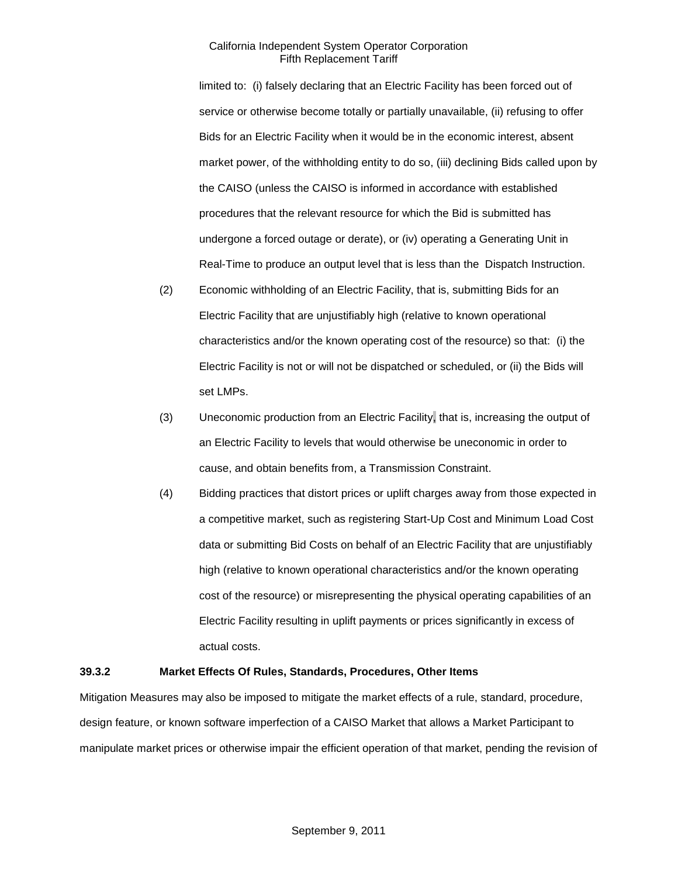limited to: (i) falsely declaring that an Electric Facility has been forced out of service or otherwise become totally or partially unavailable, (ii) refusing to offer Bids for an Electric Facility when it would be in the economic interest, absent market power, of the withholding entity to do so, (iii) declining Bids called upon by the CAISO (unless the CAISO is informed in accordance with established procedures that the relevant resource for which the Bid is submitted has undergone a forced outage or derate), or (iv) operating a Generating Unit in Real-Time to produce an output level that is less than the Dispatch Instruction.

- (2) Economic withholding of an Electric Facility, that is, submitting Bids for an Electric Facility that are unjustifiably high (relative to known operational characteristics and/or the known operating cost of the resource) so that: (i) the Electric Facility is not or will not be dispatched or scheduled, or (ii) the Bids will set LMPs.
- (3) Uneconomic production from an Electric Facility, that is, increasing the output of an Electric Facility to levels that would otherwise be uneconomic in order to cause, and obtain benefits from, a Transmission Constraint.
- (4) Bidding practices that distort prices or uplift charges away from those expected in a competitive market, such as registering Start-Up Cost and Minimum Load Cost data or submitting Bid Costs on behalf of an Electric Facility that are unjustifiably high (relative to known operational characteristics and/or the known operating cost of the resource) or misrepresenting the physical operating capabilities of an Electric Facility resulting in uplift payments or prices significantly in excess of actual costs.

### **39.3.2 Market Effects Of Rules, Standards, Procedures, Other Items**

Mitigation Measures may also be imposed to mitigate the market effects of a rule, standard, procedure, design feature, or known software imperfection of a CAISO Market that allows a Market Participant to manipulate market prices or otherwise impair the efficient operation of that market, pending the revision of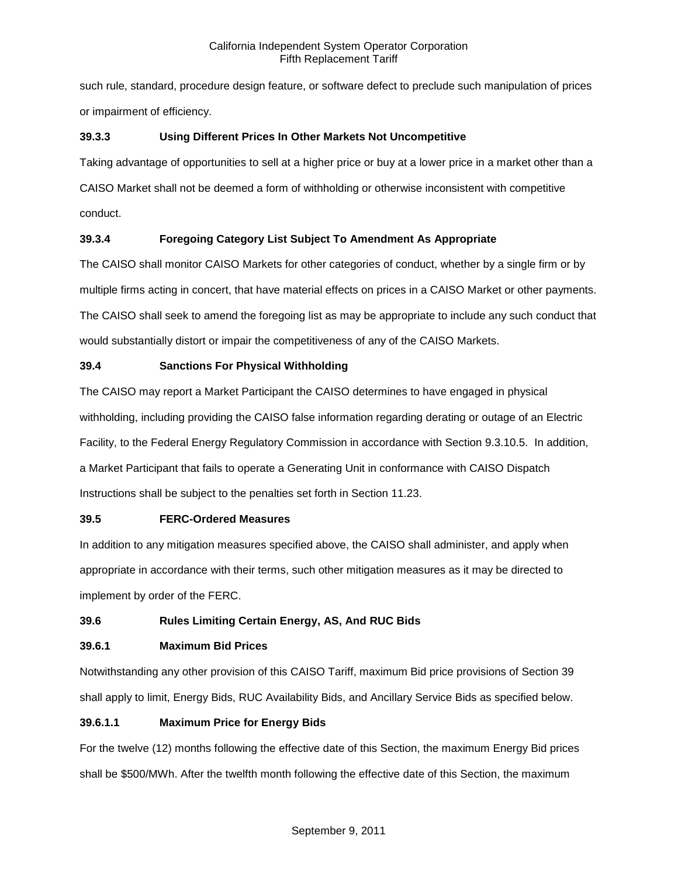such rule, standard, procedure design feature, or software defect to preclude such manipulation of prices or impairment of efficiency.

# **39.3.3 Using Different Prices In Other Markets Not Uncompetitive**

Taking advantage of opportunities to sell at a higher price or buy at a lower price in a market other than a CAISO Market shall not be deemed a form of withholding or otherwise inconsistent with competitive conduct.

# **39.3.4 Foregoing Category List Subject To Amendment As Appropriate**

The CAISO shall monitor CAISO Markets for other categories of conduct, whether by a single firm or by multiple firms acting in concert, that have material effects on prices in a CAISO Market or other payments. The CAISO shall seek to amend the foregoing list as may be appropriate to include any such conduct that would substantially distort or impair the competitiveness of any of the CAISO Markets.

# **39.4 Sanctions For Physical Withholding**

The CAISO may report a Market Participant the CAISO determines to have engaged in physical withholding, including providing the CAISO false information regarding derating or outage of an Electric Facility, to the Federal Energy Regulatory Commission in accordance with Section 9.3.10.5. In addition, a Market Participant that fails to operate a Generating Unit in conformance with CAISO Dispatch Instructions shall be subject to the penalties set forth in Section 11.23.

# **39.5 FERC-Ordered Measures**

In addition to any mitigation measures specified above, the CAISO shall administer, and apply when appropriate in accordance with their terms, such other mitigation measures as it may be directed to implement by order of the FERC.

# **39.6 Rules Limiting Certain Energy, AS, And RUC Bids**

# **39.6.1 Maximum Bid Prices**

Notwithstanding any other provision of this CAISO Tariff, maximum Bid price provisions of Section 39 shall apply to limit, Energy Bids, RUC Availability Bids, and Ancillary Service Bids as specified below.

# **39.6.1.1 Maximum Price for Energy Bids**

For the twelve (12) months following the effective date of this Section, the maximum Energy Bid prices shall be \$500/MWh. After the twelfth month following the effective date of this Section, the maximum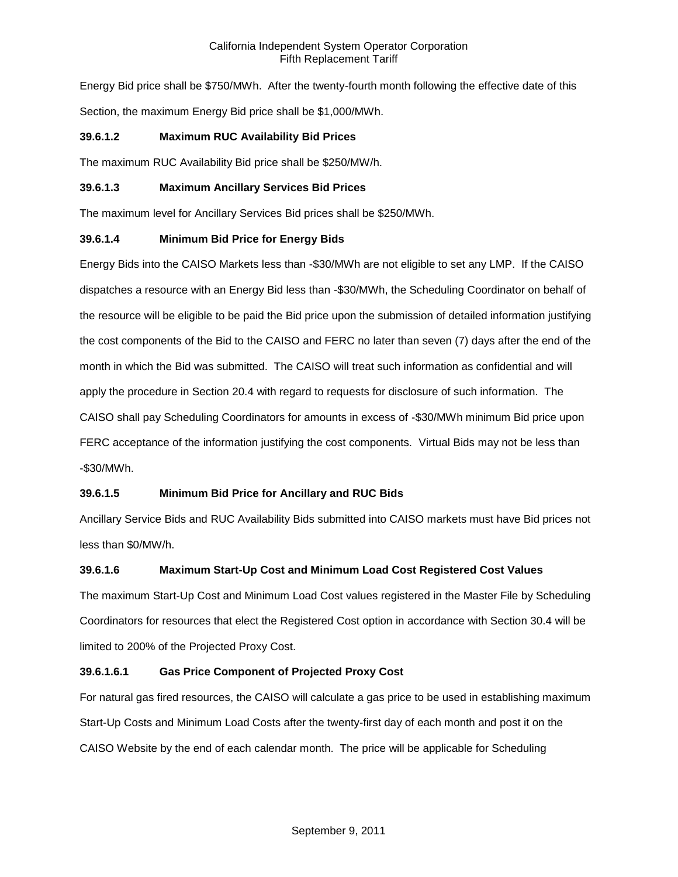Energy Bid price shall be \$750/MWh. After the twenty-fourth month following the effective date of this Section, the maximum Energy Bid price shall be \$1,000/MWh.

# **39.6.1.2 Maximum RUC Availability Bid Prices**

The maximum RUC Availability Bid price shall be \$250/MW/h.

## **39.6.1.3 Maximum Ancillary Services Bid Prices**

The maximum level for Ancillary Services Bid prices shall be \$250/MWh.

# **39.6.1.4 Minimum Bid Price for Energy Bids**

Energy Bids into the CAISO Markets less than -\$30/MWh are not eligible to set any LMP. If the CAISO dispatches a resource with an Energy Bid less than -\$30/MWh, the Scheduling Coordinator on behalf of the resource will be eligible to be paid the Bid price upon the submission of detailed information justifying the cost components of the Bid to the CAISO and FERC no later than seven (7) days after the end of the month in which the Bid was submitted. The CAISO will treat such information as confidential and will apply the procedure in Section 20.4 with regard to requests for disclosure of such information. The CAISO shall pay Scheduling Coordinators for amounts in excess of -\$30/MWh minimum Bid price upon FERC acceptance of the information justifying the cost components. Virtual Bids may not be less than -\$30/MWh.

# **39.6.1.5 Minimum Bid Price for Ancillary and RUC Bids**

Ancillary Service Bids and RUC Availability Bids submitted into CAISO markets must have Bid prices not less than \$0/MW/h.

# **39.6.1.6 Maximum Start-Up Cost and Minimum Load Cost Registered Cost Values**

The maximum Start-Up Cost and Minimum Load Cost values registered in the Master File by Scheduling Coordinators for resources that elect the Registered Cost option in accordance with Section 30.4 will be limited to 200% of the Projected Proxy Cost.

# **39.6.1.6.1 Gas Price Component of Projected Proxy Cost**

For natural gas fired resources, the CAISO will calculate a gas price to be used in establishing maximum Start-Up Costs and Minimum Load Costs after the twenty-first day of each month and post it on the CAISO Website by the end of each calendar month. The price will be applicable for Scheduling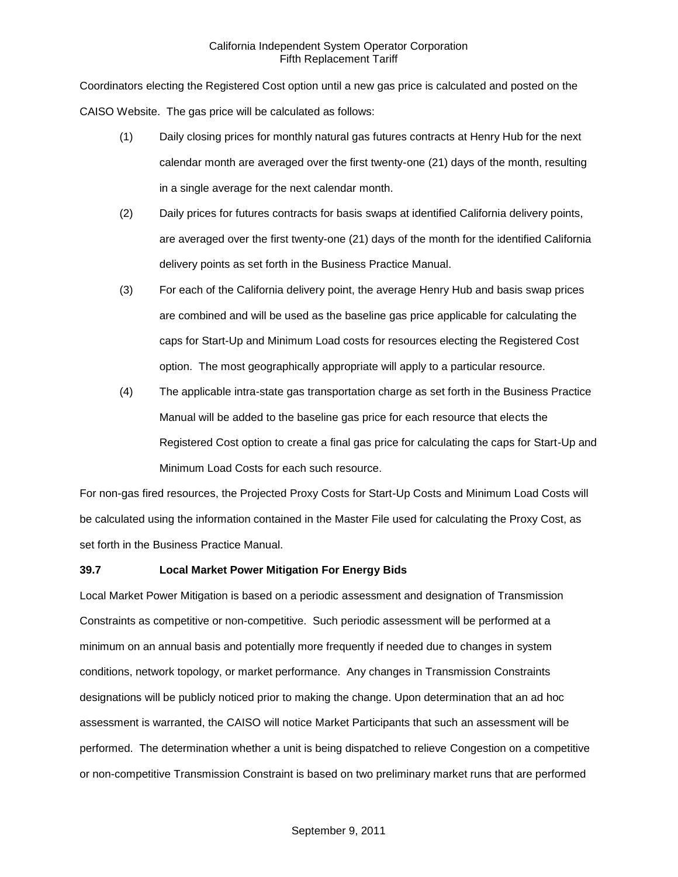Coordinators electing the Registered Cost option until a new gas price is calculated and posted on the CAISO Website. The gas price will be calculated as follows:

- (1) Daily closing prices for monthly natural gas futures contracts at Henry Hub for the next calendar month are averaged over the first twenty-one (21) days of the month, resulting in a single average for the next calendar month.
- (2) Daily prices for futures contracts for basis swaps at identified California delivery points, are averaged over the first twenty-one (21) days of the month for the identified California delivery points as set forth in the Business Practice Manual.
- (3) For each of the California delivery point, the average Henry Hub and basis swap prices are combined and will be used as the baseline gas price applicable for calculating the caps for Start-Up and Minimum Load costs for resources electing the Registered Cost option. The most geographically appropriate will apply to a particular resource.
- (4) The applicable intra-state gas transportation charge as set forth in the Business Practice Manual will be added to the baseline gas price for each resource that elects the Registered Cost option to create a final gas price for calculating the caps for Start-Up and Minimum Load Costs for each such resource.

For non-gas fired resources, the Projected Proxy Costs for Start-Up Costs and Minimum Load Costs will be calculated using the information contained in the Master File used for calculating the Proxy Cost, as set forth in the Business Practice Manual.

# **39.7 Local Market Power Mitigation For Energy Bids**

Local Market Power Mitigation is based on a periodic assessment and designation of Transmission Constraints as competitive or non-competitive. Such periodic assessment will be performed at a minimum on an annual basis and potentially more frequently if needed due to changes in system conditions, network topology, or market performance. Any changes in Transmission Constraints designations will be publicly noticed prior to making the change. Upon determination that an ad hoc assessment is warranted, the CAISO will notice Market Participants that such an assessment will be performed. The determination whether a unit is being dispatched to relieve Congestion on a competitive or non-competitive Transmission Constraint is based on two preliminary market runs that are performed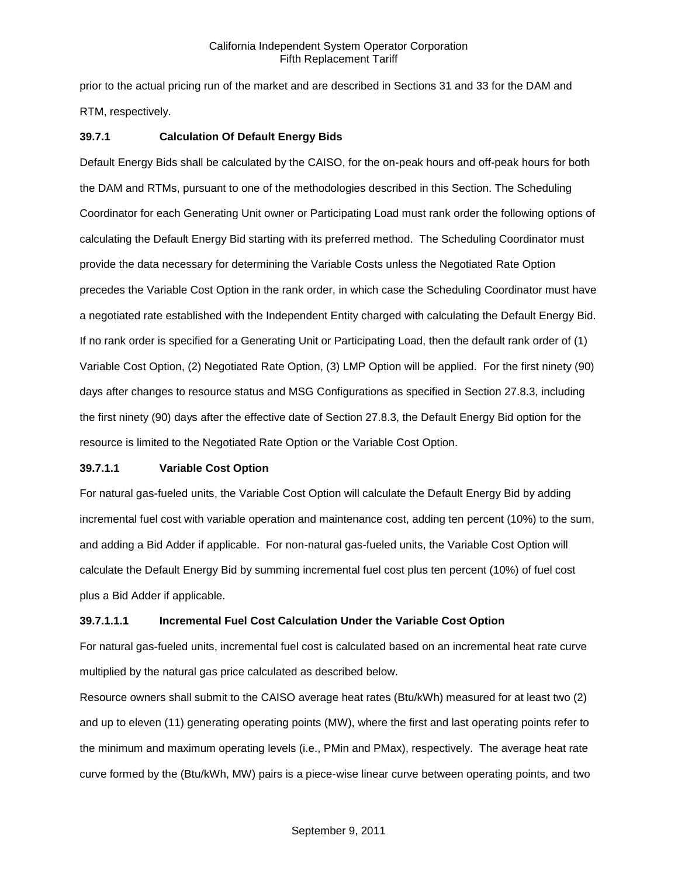prior to the actual pricing run of the market and are described in Sections 31 and 33 for the DAM and RTM, respectively.

## **39.7.1 Calculation Of Default Energy Bids**

Default Energy Bids shall be calculated by the CAISO, for the on-peak hours and off-peak hours for both the DAM and RTMs, pursuant to one of the methodologies described in this Section. The Scheduling Coordinator for each Generating Unit owner or Participating Load must rank order the following options of calculating the Default Energy Bid starting with its preferred method. The Scheduling Coordinator must provide the data necessary for determining the Variable Costs unless the Negotiated Rate Option precedes the Variable Cost Option in the rank order, in which case the Scheduling Coordinator must have a negotiated rate established with the Independent Entity charged with calculating the Default Energy Bid. If no rank order is specified for a Generating Unit or Participating Load, then the default rank order of (1) Variable Cost Option, (2) Negotiated Rate Option, (3) LMP Option will be applied. For the first ninety (90) days after changes to resource status and MSG Configurations as specified in Section 27.8.3, including the first ninety (90) days after the effective date of Section 27.8.3, the Default Energy Bid option for the resource is limited to the Negotiated Rate Option or the Variable Cost Option.

### **39.7.1.1 Variable Cost Option**

For natural gas-fueled units, the Variable Cost Option will calculate the Default Energy Bid by adding incremental fuel cost with variable operation and maintenance cost, adding ten percent (10%) to the sum, and adding a Bid Adder if applicable. For non-natural gas-fueled units, the Variable Cost Option will calculate the Default Energy Bid by summing incremental fuel cost plus ten percent (10%) of fuel cost plus a Bid Adder if applicable.

# **39.7.1.1.1 Incremental Fuel Cost Calculation Under the Variable Cost Option**

For natural gas-fueled units, incremental fuel cost is calculated based on an incremental heat rate curve multiplied by the natural gas price calculated as described below.

Resource owners shall submit to the CAISO average heat rates (Btu/kWh) measured for at least two (2) and up to eleven (11) generating operating points (MW), where the first and last operating points refer to the minimum and maximum operating levels (i.e., PMin and PMax), respectively. The average heat rate curve formed by the (Btu/kWh, MW) pairs is a piece-wise linear curve between operating points, and two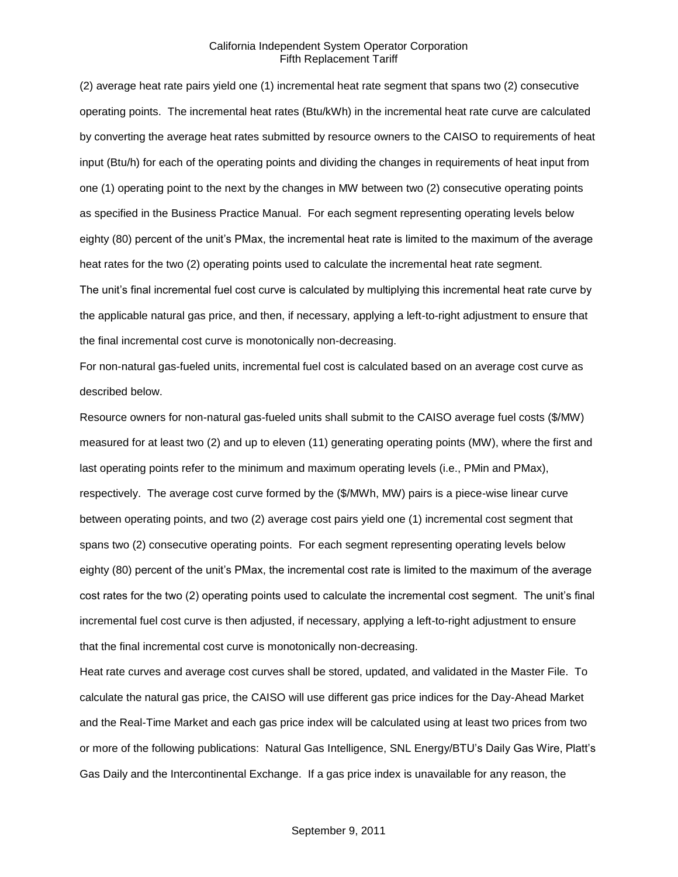(2) average heat rate pairs yield one (1) incremental heat rate segment that spans two (2) consecutive operating points. The incremental heat rates (Btu/kWh) in the incremental heat rate curve are calculated by converting the average heat rates submitted by resource owners to the CAISO to requirements of heat input (Btu/h) for each of the operating points and dividing the changes in requirements of heat input from one (1) operating point to the next by the changes in MW between two (2) consecutive operating points as specified in the Business Practice Manual. For each segment representing operating levels below eighty (80) percent of the unit's PMax, the incremental heat rate is limited to the maximum of the average heat rates for the two (2) operating points used to calculate the incremental heat rate segment. The unit's final incremental fuel cost curve is calculated by multiplying this incremental heat rate curve by the applicable natural gas price, and then, if necessary, applying a left-to-right adjustment to ensure that the final incremental cost curve is monotonically non-decreasing.

For non-natural gas-fueled units, incremental fuel cost is calculated based on an average cost curve as described below.

Resource owners for non-natural gas-fueled units shall submit to the CAISO average fuel costs (\$/MW) measured for at least two (2) and up to eleven (11) generating operating points (MW), where the first and last operating points refer to the minimum and maximum operating levels (i.e., PMin and PMax), respectively. The average cost curve formed by the (\$/MWh, MW) pairs is a piece-wise linear curve between operating points, and two (2) average cost pairs yield one (1) incremental cost segment that spans two (2) consecutive operating points. For each segment representing operating levels below eighty (80) percent of the unit's PMax, the incremental cost rate is limited to the maximum of the average cost rates for the two (2) operating points used to calculate the incremental cost segment. The unit's final incremental fuel cost curve is then adjusted, if necessary, applying a left-to-right adjustment to ensure that the final incremental cost curve is monotonically non-decreasing.

Heat rate curves and average cost curves shall be stored, updated, and validated in the Master File. To calculate the natural gas price, the CAISO will use different gas price indices for the Day-Ahead Market and the Real-Time Market and each gas price index will be calculated using at least two prices from two or more of the following publications: Natural Gas Intelligence, SNL Energy/BTU's Daily Gas Wire, Platt's Gas Daily and the Intercontinental Exchange. If a gas price index is unavailable for any reason, the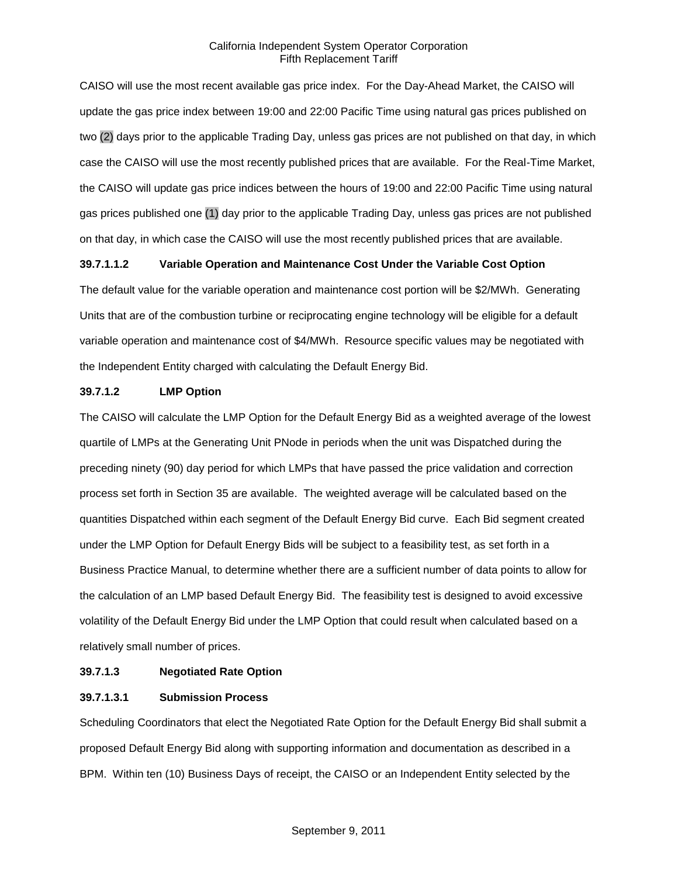CAISO will use the most recent available gas price index. For the Day-Ahead Market, the CAISO will update the gas price index between 19:00 and 22:00 Pacific Time using natural gas prices published on two (2) days prior to the applicable Trading Day, unless gas prices are not published on that day, in which case the CAISO will use the most recently published prices that are available. For the Real-Time Market, the CAISO will update gas price indices between the hours of 19:00 and 22:00 Pacific Time using natural gas prices published one (1) day prior to the applicable Trading Day, unless gas prices are not published on that day, in which case the CAISO will use the most recently published prices that are available.

### **39.7.1.1.2 Variable Operation and Maintenance Cost Under the Variable Cost Option**

The default value for the variable operation and maintenance cost portion will be \$2/MWh. Generating Units that are of the combustion turbine or reciprocating engine technology will be eligible for a default variable operation and maintenance cost of \$4/MWh. Resource specific values may be negotiated with the Independent Entity charged with calculating the Default Energy Bid.

#### **39.7.1.2 LMP Option**

The CAISO will calculate the LMP Option for the Default Energy Bid as a weighted average of the lowest quartile of LMPs at the Generating Unit PNode in periods when the unit was Dispatched during the preceding ninety (90) day period for which LMPs that have passed the price validation and correction process set forth in Section 35 are available. The weighted average will be calculated based on the quantities Dispatched within each segment of the Default Energy Bid curve. Each Bid segment created under the LMP Option for Default Energy Bids will be subject to a feasibility test, as set forth in a Business Practice Manual, to determine whether there are a sufficient number of data points to allow for the calculation of an LMP based Default Energy Bid. The feasibility test is designed to avoid excessive volatility of the Default Energy Bid under the LMP Option that could result when calculated based on a relatively small number of prices.

#### **39.7.1.3 Negotiated Rate Option**

#### **39.7.1.3.1 Submission Process**

Scheduling Coordinators that elect the Negotiated Rate Option for the Default Energy Bid shall submit a proposed Default Energy Bid along with supporting information and documentation as described in a BPM. Within ten (10) Business Days of receipt, the CAISO or an Independent Entity selected by the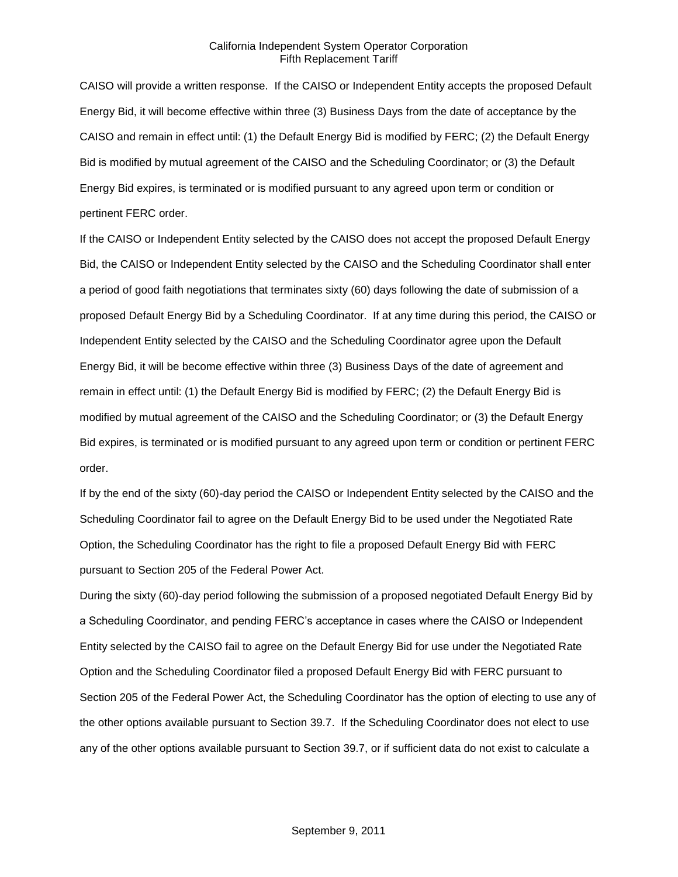CAISO will provide a written response. If the CAISO or Independent Entity accepts the proposed Default Energy Bid, it will become effective within three (3) Business Days from the date of acceptance by the CAISO and remain in effect until: (1) the Default Energy Bid is modified by FERC; (2) the Default Energy Bid is modified by mutual agreement of the CAISO and the Scheduling Coordinator; or (3) the Default Energy Bid expires, is terminated or is modified pursuant to any agreed upon term or condition or pertinent FERC order.

If the CAISO or Independent Entity selected by the CAISO does not accept the proposed Default Energy Bid, the CAISO or Independent Entity selected by the CAISO and the Scheduling Coordinator shall enter a period of good faith negotiations that terminates sixty (60) days following the date of submission of a proposed Default Energy Bid by a Scheduling Coordinator. If at any time during this period, the CAISO or Independent Entity selected by the CAISO and the Scheduling Coordinator agree upon the Default Energy Bid, it will be become effective within three (3) Business Days of the date of agreement and remain in effect until: (1) the Default Energy Bid is modified by FERC; (2) the Default Energy Bid is modified by mutual agreement of the CAISO and the Scheduling Coordinator; or (3) the Default Energy Bid expires, is terminated or is modified pursuant to any agreed upon term or condition or pertinent FERC order.

If by the end of the sixty (60)-day period the CAISO or Independent Entity selected by the CAISO and the Scheduling Coordinator fail to agree on the Default Energy Bid to be used under the Negotiated Rate Option, the Scheduling Coordinator has the right to file a proposed Default Energy Bid with FERC pursuant to Section 205 of the Federal Power Act.

During the sixty (60)-day period following the submission of a proposed negotiated Default Energy Bid by a Scheduling Coordinator, and pending FERC's acceptance in cases where the CAISO or Independent Entity selected by the CAISO fail to agree on the Default Energy Bid for use under the Negotiated Rate Option and the Scheduling Coordinator filed a proposed Default Energy Bid with FERC pursuant to Section 205 of the Federal Power Act, the Scheduling Coordinator has the option of electing to use any of the other options available pursuant to Section 39.7. If the Scheduling Coordinator does not elect to use any of the other options available pursuant to Section 39.7, or if sufficient data do not exist to calculate a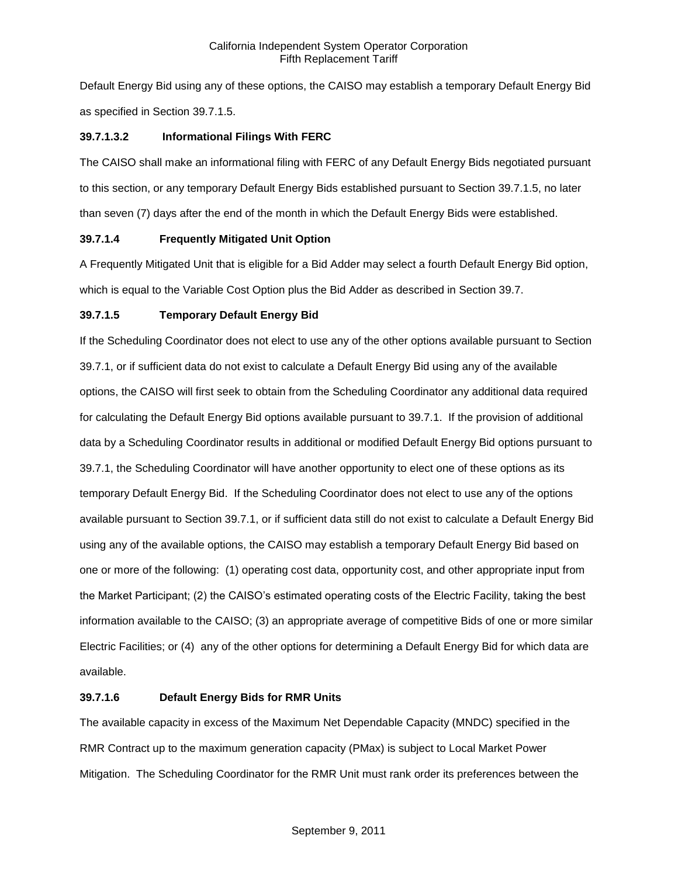Default Energy Bid using any of these options, the CAISO may establish a temporary Default Energy Bid as specified in Section 39.7.1.5.

# **39.7.1.3.2 Informational Filings With FERC**

The CAISO shall make an informational filing with FERC of any Default Energy Bids negotiated pursuant to this section, or any temporary Default Energy Bids established pursuant to Section 39.7.1.5, no later than seven (7) days after the end of the month in which the Default Energy Bids were established.

# **39.7.1.4 Frequently Mitigated Unit Option**

A Frequently Mitigated Unit that is eligible for a Bid Adder may select a fourth Default Energy Bid option, which is equal to the Variable Cost Option plus the Bid Adder as described in Section 39.7.

# **39.7.1.5 Temporary Default Energy Bid**

If the Scheduling Coordinator does not elect to use any of the other options available pursuant to Section 39.7.1, or if sufficient data do not exist to calculate a Default Energy Bid using any of the available options, the CAISO will first seek to obtain from the Scheduling Coordinator any additional data required for calculating the Default Energy Bid options available pursuant to 39.7.1. If the provision of additional data by a Scheduling Coordinator results in additional or modified Default Energy Bid options pursuant to 39.7.1, the Scheduling Coordinator will have another opportunity to elect one of these options as its temporary Default Energy Bid. If the Scheduling Coordinator does not elect to use any of the options available pursuant to Section 39.7.1, or if sufficient data still do not exist to calculate a Default Energy Bid using any of the available options, the CAISO may establish a temporary Default Energy Bid based on one or more of the following: (1) operating cost data, opportunity cost, and other appropriate input from the Market Participant; (2) the CAISO's estimated operating costs of the Electric Facility, taking the best information available to the CAISO; (3) an appropriate average of competitive Bids of one or more similar Electric Facilities; or (4) any of the other options for determining a Default Energy Bid for which data are available.

# **39.7.1.6 Default Energy Bids for RMR Units**

The available capacity in excess of the Maximum Net Dependable Capacity (MNDC) specified in the RMR Contract up to the maximum generation capacity (PMax) is subject to Local Market Power Mitigation. The Scheduling Coordinator for the RMR Unit must rank order its preferences between the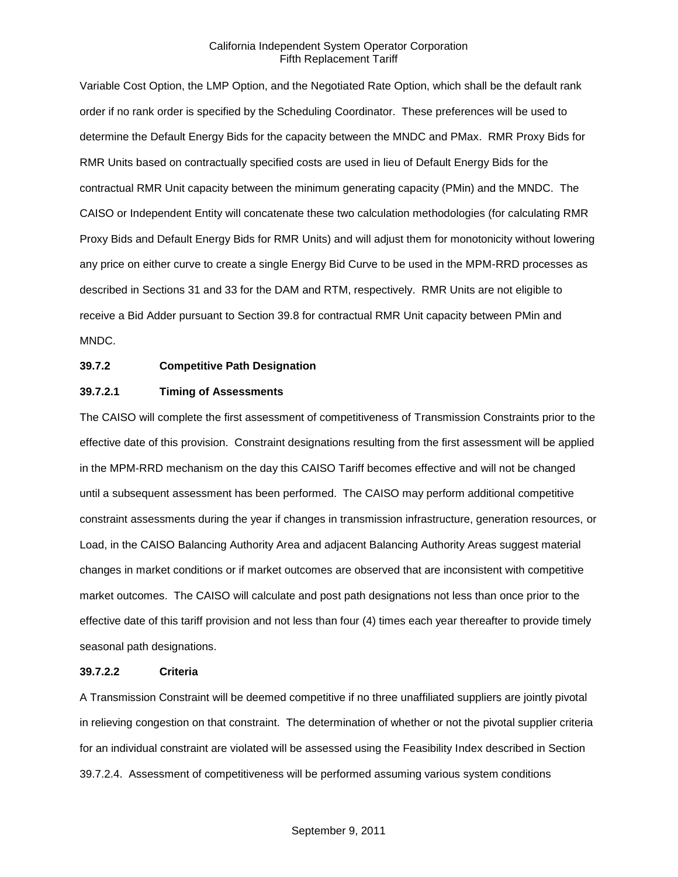Variable Cost Option, the LMP Option, and the Negotiated Rate Option, which shall be the default rank order if no rank order is specified by the Scheduling Coordinator. These preferences will be used to determine the Default Energy Bids for the capacity between the MNDC and PMax. RMR Proxy Bids for RMR Units based on contractually specified costs are used in lieu of Default Energy Bids for the contractual RMR Unit capacity between the minimum generating capacity (PMin) and the MNDC. The CAISO or Independent Entity will concatenate these two calculation methodologies (for calculating RMR Proxy Bids and Default Energy Bids for RMR Units) and will adjust them for monotonicity without lowering any price on either curve to create a single Energy Bid Curve to be used in the MPM-RRD processes as described in Sections 31 and 33 for the DAM and RTM, respectively. RMR Units are not eligible to receive a Bid Adder pursuant to Section 39.8 for contractual RMR Unit capacity between PMin and MNDC.

## **39.7.2 Competitive Path Designation**

### **39.7.2.1 Timing of Assessments**

The CAISO will complete the first assessment of competitiveness of Transmission Constraints prior to the effective date of this provision. Constraint designations resulting from the first assessment will be applied in the MPM-RRD mechanism on the day this CAISO Tariff becomes effective and will not be changed until a subsequent assessment has been performed. The CAISO may perform additional competitive constraint assessments during the year if changes in transmission infrastructure, generation resources, or Load, in the CAISO Balancing Authority Area and adjacent Balancing Authority Areas suggest material changes in market conditions or if market outcomes are observed that are inconsistent with competitive market outcomes. The CAISO will calculate and post path designations not less than once prior to the effective date of this tariff provision and not less than four (4) times each year thereafter to provide timely seasonal path designations.

#### **39.7.2.2 Criteria**

A Transmission Constraint will be deemed competitive if no three unaffiliated suppliers are jointly pivotal in relieving congestion on that constraint. The determination of whether or not the pivotal supplier criteria for an individual constraint are violated will be assessed using the Feasibility Index described in Section 39.7.2.4. Assessment of competitiveness will be performed assuming various system conditions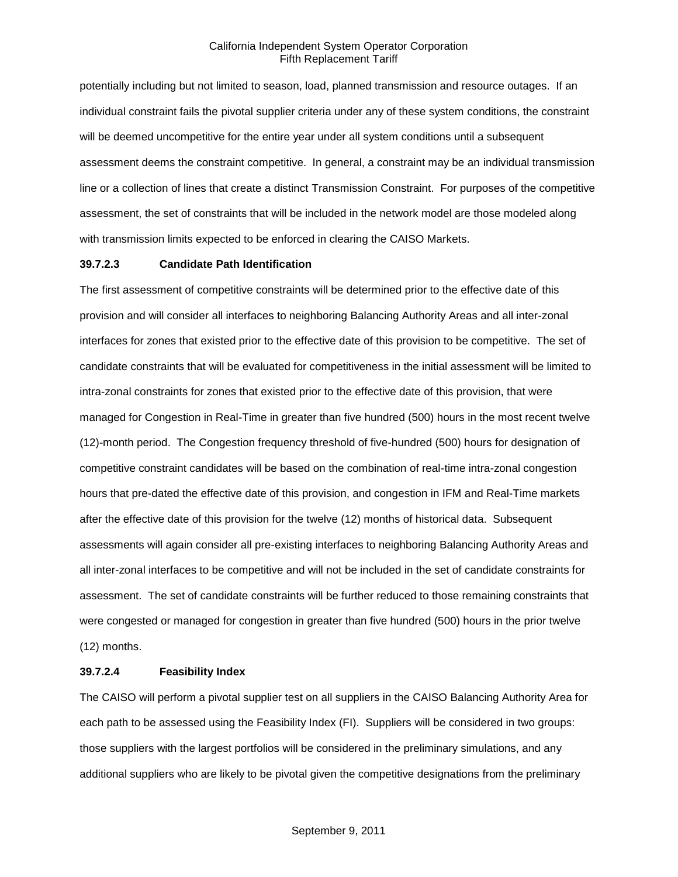potentially including but not limited to season, load, planned transmission and resource outages. If an individual constraint fails the pivotal supplier criteria under any of these system conditions, the constraint will be deemed uncompetitive for the entire year under all system conditions until a subsequent assessment deems the constraint competitive. In general, a constraint may be an individual transmission line or a collection of lines that create a distinct Transmission Constraint. For purposes of the competitive assessment, the set of constraints that will be included in the network model are those modeled along with transmission limits expected to be enforced in clearing the CAISO Markets.

#### **39.7.2.3 Candidate Path Identification**

The first assessment of competitive constraints will be determined prior to the effective date of this provision and will consider all interfaces to neighboring Balancing Authority Areas and all inter-zonal interfaces for zones that existed prior to the effective date of this provision to be competitive. The set of candidate constraints that will be evaluated for competitiveness in the initial assessment will be limited to intra-zonal constraints for zones that existed prior to the effective date of this provision, that were managed for Congestion in Real-Time in greater than five hundred (500) hours in the most recent twelve (12)-month period. The Congestion frequency threshold of five-hundred (500) hours for designation of competitive constraint candidates will be based on the combination of real-time intra-zonal congestion hours that pre-dated the effective date of this provision, and congestion in IFM and Real-Time markets after the effective date of this provision for the twelve (12) months of historical data. Subsequent assessments will again consider all pre-existing interfaces to neighboring Balancing Authority Areas and all inter-zonal interfaces to be competitive and will not be included in the set of candidate constraints for assessment. The set of candidate constraints will be further reduced to those remaining constraints that were congested or managed for congestion in greater than five hundred (500) hours in the prior twelve (12) months.

#### **39.7.2.4 Feasibility Index**

The CAISO will perform a pivotal supplier test on all suppliers in the CAISO Balancing Authority Area for each path to be assessed using the Feasibility Index (FI). Suppliers will be considered in two groups: those suppliers with the largest portfolios will be considered in the preliminary simulations, and any additional suppliers who are likely to be pivotal given the competitive designations from the preliminary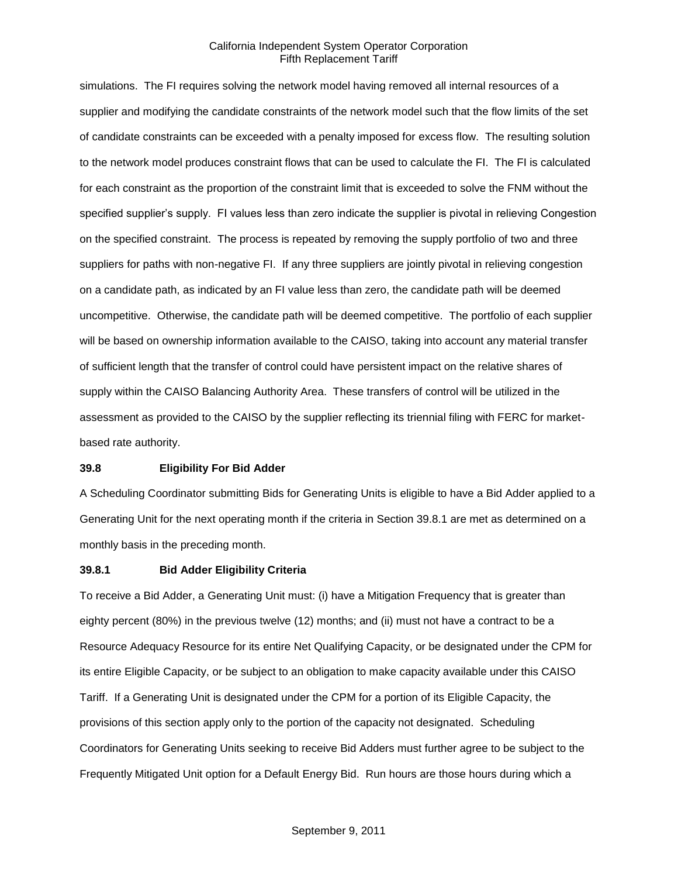simulations. The FI requires solving the network model having removed all internal resources of a supplier and modifying the candidate constraints of the network model such that the flow limits of the set of candidate constraints can be exceeded with a penalty imposed for excess flow. The resulting solution to the network model produces constraint flows that can be used to calculate the FI. The FI is calculated for each constraint as the proportion of the constraint limit that is exceeded to solve the FNM without the specified supplier's supply. FI values less than zero indicate the supplier is pivotal in relieving Congestion on the specified constraint. The process is repeated by removing the supply portfolio of two and three suppliers for paths with non-negative FI. If any three suppliers are jointly pivotal in relieving congestion on a candidate path, as indicated by an FI value less than zero, the candidate path will be deemed uncompetitive. Otherwise, the candidate path will be deemed competitive. The portfolio of each supplier will be based on ownership information available to the CAISO, taking into account any material transfer of sufficient length that the transfer of control could have persistent impact on the relative shares of supply within the CAISO Balancing Authority Area. These transfers of control will be utilized in the assessment as provided to the CAISO by the supplier reflecting its triennial filing with FERC for marketbased rate authority.

#### **39.8 Eligibility For Bid Adder**

A Scheduling Coordinator submitting Bids for Generating Units is eligible to have a Bid Adder applied to a Generating Unit for the next operating month if the criteria in Section 39.8.1 are met as determined on a monthly basis in the preceding month.

#### **39.8.1 Bid Adder Eligibility Criteria**

To receive a Bid Adder, a Generating Unit must: (i) have a Mitigation Frequency that is greater than eighty percent (80%) in the previous twelve (12) months; and (ii) must not have a contract to be a Resource Adequacy Resource for its entire Net Qualifying Capacity, or be designated under the CPM for its entire Eligible Capacity, or be subject to an obligation to make capacity available under this CAISO Tariff. If a Generating Unit is designated under the CPM for a portion of its Eligible Capacity, the provisions of this section apply only to the portion of the capacity not designated. Scheduling Coordinators for Generating Units seeking to receive Bid Adders must further agree to be subject to the Frequently Mitigated Unit option for a Default Energy Bid. Run hours are those hours during which a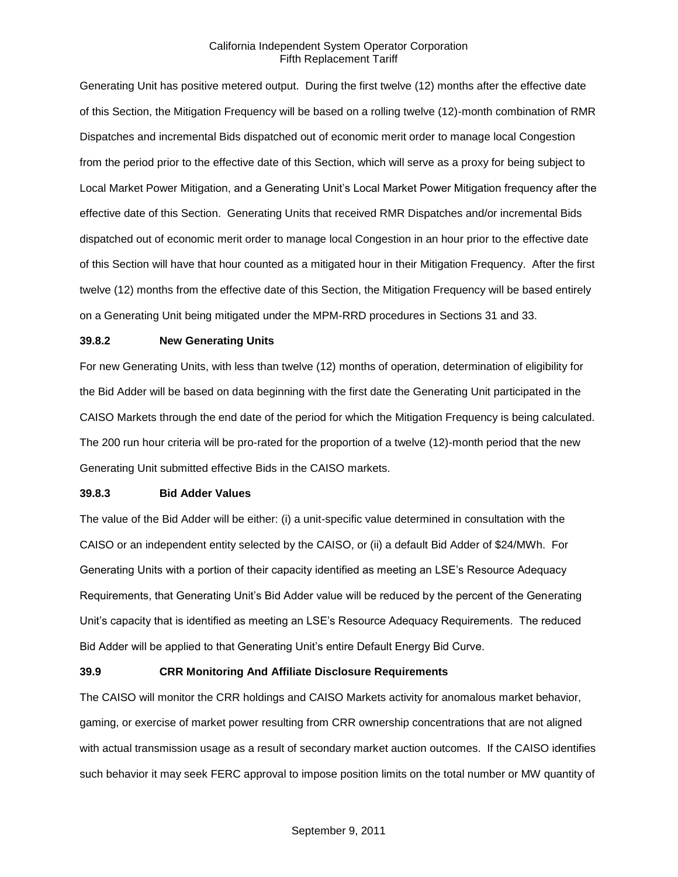Generating Unit has positive metered output. During the first twelve (12) months after the effective date of this Section, the Mitigation Frequency will be based on a rolling twelve (12)-month combination of RMR Dispatches and incremental Bids dispatched out of economic merit order to manage local Congestion from the period prior to the effective date of this Section, which will serve as a proxy for being subject to Local Market Power Mitigation, and a Generating Unit's Local Market Power Mitigation frequency after the effective date of this Section. Generating Units that received RMR Dispatches and/or incremental Bids dispatched out of economic merit order to manage local Congestion in an hour prior to the effective date of this Section will have that hour counted as a mitigated hour in their Mitigation Frequency. After the first twelve (12) months from the effective date of this Section, the Mitigation Frequency will be based entirely on a Generating Unit being mitigated under the MPM-RRD procedures in Sections 31 and 33.

#### **39.8.2 New Generating Units**

For new Generating Units, with less than twelve (12) months of operation, determination of eligibility for the Bid Adder will be based on data beginning with the first date the Generating Unit participated in the CAISO Markets through the end date of the period for which the Mitigation Frequency is being calculated. The 200 run hour criteria will be pro-rated for the proportion of a twelve (12)-month period that the new Generating Unit submitted effective Bids in the CAISO markets.

#### **39.8.3 Bid Adder Values**

The value of the Bid Adder will be either: (i) a unit-specific value determined in consultation with the CAISO or an independent entity selected by the CAISO, or (ii) a default Bid Adder of \$24/MWh. For Generating Units with a portion of their capacity identified as meeting an LSE's Resource Adequacy Requirements, that Generating Unit's Bid Adder value will be reduced by the percent of the Generating Unit's capacity that is identified as meeting an LSE's Resource Adequacy Requirements. The reduced Bid Adder will be applied to that Generating Unit's entire Default Energy Bid Curve.

#### **39.9 CRR Monitoring And Affiliate Disclosure Requirements**

The CAISO will monitor the CRR holdings and CAISO Markets activity for anomalous market behavior, gaming, or exercise of market power resulting from CRR ownership concentrations that are not aligned with actual transmission usage as a result of secondary market auction outcomes. If the CAISO identifies such behavior it may seek FERC approval to impose position limits on the total number or MW quantity of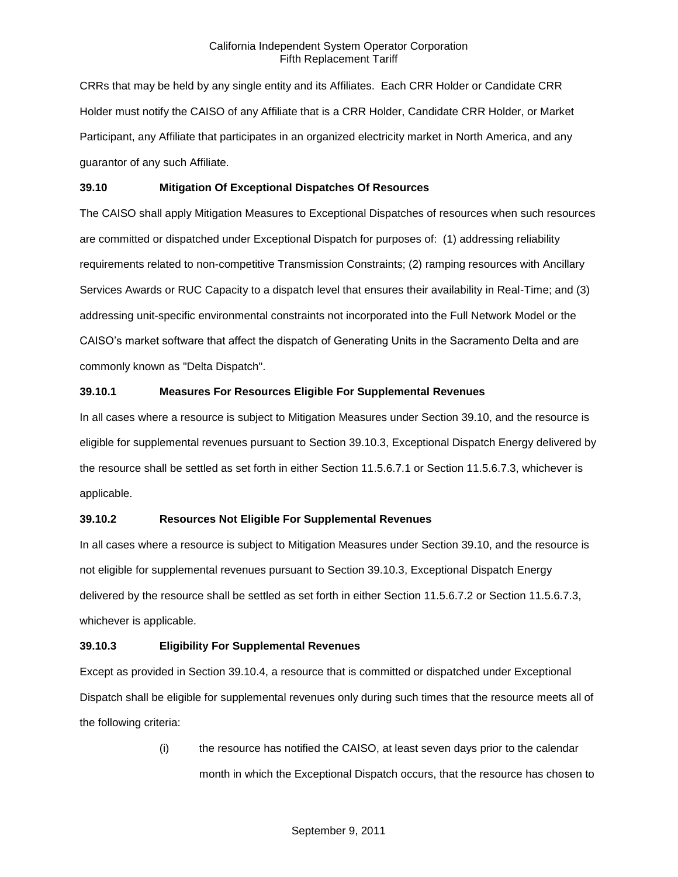CRRs that may be held by any single entity and its Affiliates. Each CRR Holder or Candidate CRR Holder must notify the CAISO of any Affiliate that is a CRR Holder, Candidate CRR Holder, or Market Participant, any Affiliate that participates in an organized electricity market in North America, and any guarantor of any such Affiliate.

### **39.10 Mitigation Of Exceptional Dispatches Of Resources**

The CAISO shall apply Mitigation Measures to Exceptional Dispatches of resources when such resources are committed or dispatched under Exceptional Dispatch for purposes of: (1) addressing reliability requirements related to non-competitive Transmission Constraints; (2) ramping resources with Ancillary Services Awards or RUC Capacity to a dispatch level that ensures their availability in Real-Time; and (3) addressing unit-specific environmental constraints not incorporated into the Full Network Model or the CAISO's market software that affect the dispatch of Generating Units in the Sacramento Delta and are commonly known as "Delta Dispatch".

## **39.10.1 Measures For Resources Eligible For Supplemental Revenues**

In all cases where a resource is subject to Mitigation Measures under Section 39.10, and the resource is eligible for supplemental revenues pursuant to Section 39.10.3, Exceptional Dispatch Energy delivered by the resource shall be settled as set forth in either Section 11.5.6.7.1 or Section 11.5.6.7.3, whichever is applicable.

#### **39.10.2 Resources Not Eligible For Supplemental Revenues**

In all cases where a resource is subject to Mitigation Measures under Section 39.10, and the resource is not eligible for supplemental revenues pursuant to Section 39.10.3, Exceptional Dispatch Energy delivered by the resource shall be settled as set forth in either Section 11.5.6.7.2 or Section 11.5.6.7.3, whichever is applicable.

#### **39.10.3 Eligibility For Supplemental Revenues**

Except as provided in Section 39.10.4, a resource that is committed or dispatched under Exceptional Dispatch shall be eligible for supplemental revenues only during such times that the resource meets all of the following criteria:

> (i) the resource has notified the CAISO, at least seven days prior to the calendar month in which the Exceptional Dispatch occurs, that the resource has chosen to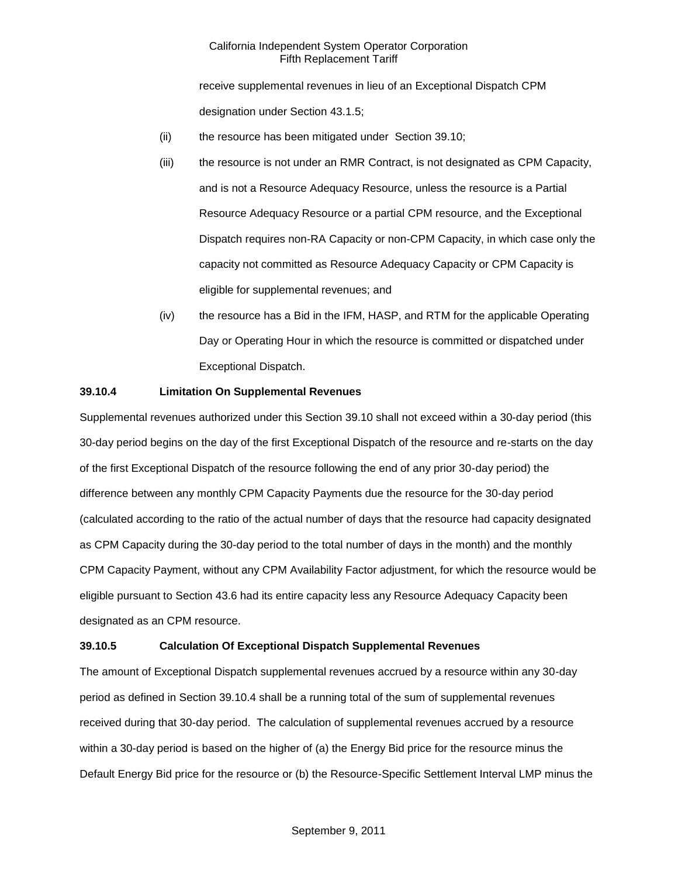receive supplemental revenues in lieu of an Exceptional Dispatch CPM designation under Section 43.1.5;

- (ii) the resource has been mitigated under Section 39.10;
- (iii) the resource is not under an RMR Contract, is not designated as CPM Capacity, and is not a Resource Adequacy Resource, unless the resource is a Partial Resource Adequacy Resource or a partial CPM resource, and the Exceptional Dispatch requires non-RA Capacity or non-CPM Capacity, in which case only the capacity not committed as Resource Adequacy Capacity or CPM Capacity is eligible for supplemental revenues; and
- (iv) the resource has a Bid in the IFM, HASP, and RTM for the applicable Operating Day or Operating Hour in which the resource is committed or dispatched under Exceptional Dispatch.

#### **39.10.4 Limitation On Supplemental Revenues**

Supplemental revenues authorized under this Section 39.10 shall not exceed within a 30-day period (this 30-day period begins on the day of the first Exceptional Dispatch of the resource and re-starts on the day of the first Exceptional Dispatch of the resource following the end of any prior 30-day period) the difference between any monthly CPM Capacity Payments due the resource for the 30-day period (calculated according to the ratio of the actual number of days that the resource had capacity designated as CPM Capacity during the 30-day period to the total number of days in the month) and the monthly CPM Capacity Payment, without any CPM Availability Factor adjustment, for which the resource would be eligible pursuant to Section 43.6 had its entire capacity less any Resource Adequacy Capacity been designated as an CPM resource.

#### **39.10.5 Calculation Of Exceptional Dispatch Supplemental Revenues**

The amount of Exceptional Dispatch supplemental revenues accrued by a resource within any 30-day period as defined in Section 39.10.4 shall be a running total of the sum of supplemental revenues received during that 30-day period. The calculation of supplemental revenues accrued by a resource within a 30-day period is based on the higher of (a) the Energy Bid price for the resource minus the Default Energy Bid price for the resource or (b) the Resource-Specific Settlement Interval LMP minus the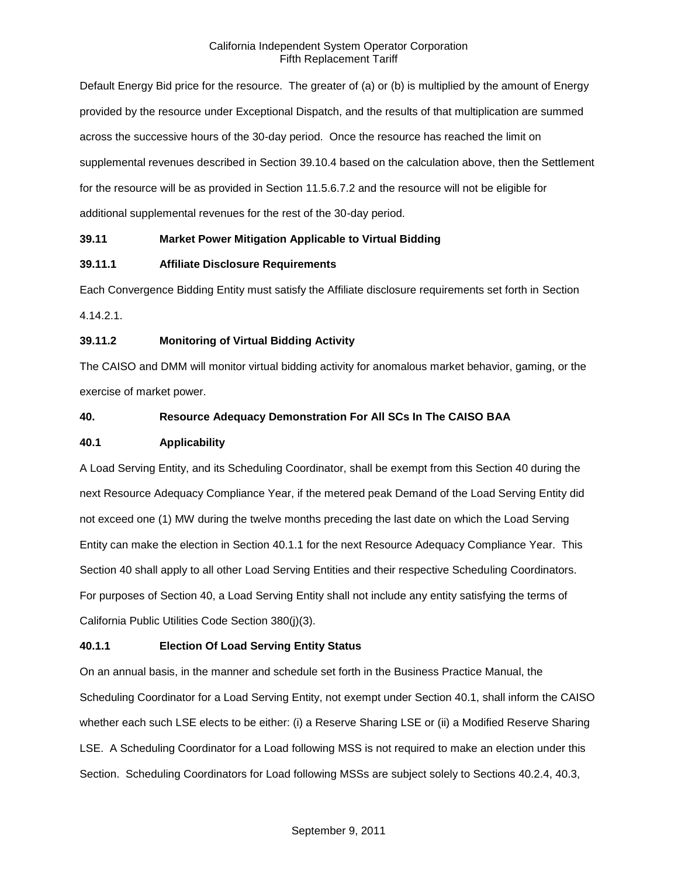Default Energy Bid price for the resource. The greater of (a) or (b) is multiplied by the amount of Energy provided by the resource under Exceptional Dispatch, and the results of that multiplication are summed across the successive hours of the 30-day period. Once the resource has reached the limit on supplemental revenues described in Section 39.10.4 based on the calculation above, then the Settlement for the resource will be as provided in Section 11.5.6.7.2 and the resource will not be eligible for additional supplemental revenues for the rest of the 30-day period.

## **39.11 Market Power Mitigation Applicable to Virtual Bidding**

## **39.11.1 Affiliate Disclosure Requirements**

Each Convergence Bidding Entity must satisfy the Affiliate disclosure requirements set forth in Section 4.14.2.1.

## **39.11.2 Monitoring of Virtual Bidding Activity**

The CAISO and DMM will monitor virtual bidding activity for anomalous market behavior, gaming, or the exercise of market power.

## **40. Resource Adequacy Demonstration For All SCs In The CAISO BAA**

#### **40.1 Applicability**

A Load Serving Entity, and its Scheduling Coordinator, shall be exempt from this Section 40 during the next Resource Adequacy Compliance Year, if the metered peak Demand of the Load Serving Entity did not exceed one (1) MW during the twelve months preceding the last date on which the Load Serving Entity can make the election in Section 40.1.1 for the next Resource Adequacy Compliance Year. This Section 40 shall apply to all other Load Serving Entities and their respective Scheduling Coordinators. For purposes of Section 40, a Load Serving Entity shall not include any entity satisfying the terms of California Public Utilities Code Section 380(j)(3).

## **40.1.1 Election Of Load Serving Entity Status**

On an annual basis, in the manner and schedule set forth in the Business Practice Manual, the Scheduling Coordinator for a Load Serving Entity, not exempt under Section 40.1, shall inform the CAISO whether each such LSE elects to be either: (i) a Reserve Sharing LSE or (ii) a Modified Reserve Sharing LSE. A Scheduling Coordinator for a Load following MSS is not required to make an election under this Section. Scheduling Coordinators for Load following MSSs are subject solely to Sections 40.2.4, 40.3,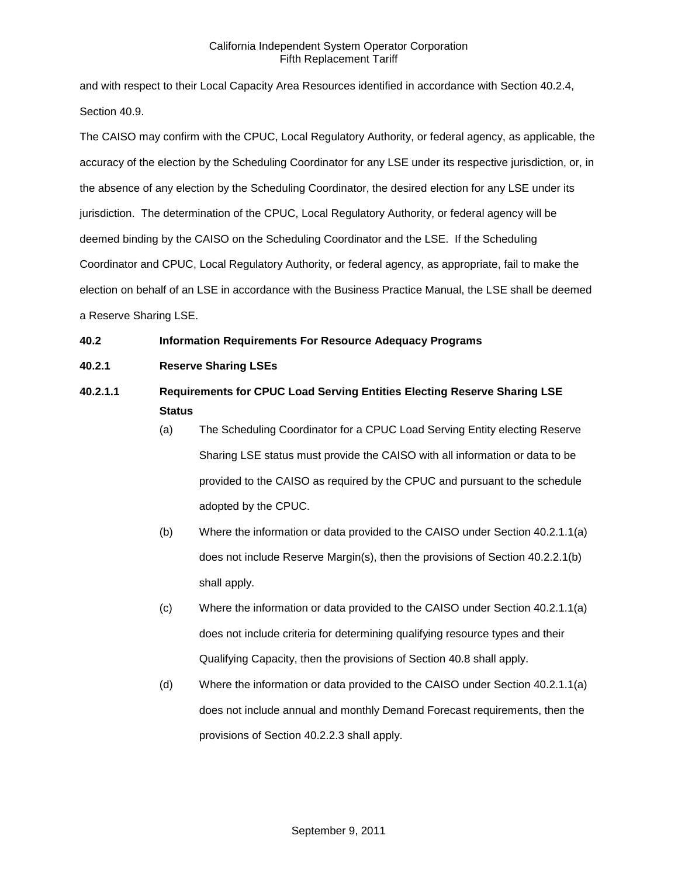and with respect to their Local Capacity Area Resources identified in accordance with Section 40.2.4, Section 40.9.

The CAISO may confirm with the CPUC, Local Regulatory Authority, or federal agency, as applicable, the accuracy of the election by the Scheduling Coordinator for any LSE under its respective jurisdiction, or, in the absence of any election by the Scheduling Coordinator, the desired election for any LSE under its jurisdiction. The determination of the CPUC, Local Regulatory Authority, or federal agency will be deemed binding by the CAISO on the Scheduling Coordinator and the LSE. If the Scheduling Coordinator and CPUC, Local Regulatory Authority, or federal agency, as appropriate, fail to make the election on behalf of an LSE in accordance with the Business Practice Manual, the LSE shall be deemed a Reserve Sharing LSE.

## **40.2 Information Requirements For Resource Adequacy Programs**

- **40.2.1 Reserve Sharing LSEs**
- **40.2.1.1 Requirements for CPUC Load Serving Entities Electing Reserve Sharing LSE Status**
	- (a) The Scheduling Coordinator for a CPUC Load Serving Entity electing Reserve Sharing LSE status must provide the CAISO with all information or data to be provided to the CAISO as required by the CPUC and pursuant to the schedule adopted by the CPUC.
	- (b) Where the information or data provided to the CAISO under Section 40.2.1.1(a) does not include Reserve Margin(s), then the provisions of Section 40.2.2.1(b) shall apply.
	- (c) Where the information or data provided to the CAISO under Section 40.2.1.1(a) does not include criteria for determining qualifying resource types and their Qualifying Capacity, then the provisions of Section 40.8 shall apply.
	- (d) Where the information or data provided to the CAISO under Section 40.2.1.1(a) does not include annual and monthly Demand Forecast requirements, then the provisions of Section 40.2.2.3 shall apply.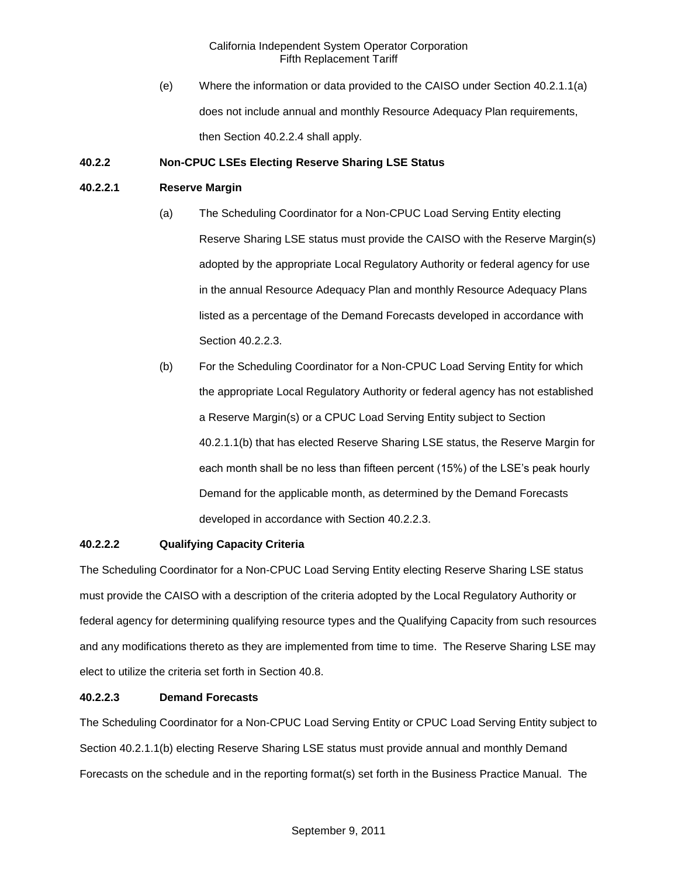(e) Where the information or data provided to the CAISO under Section 40.2.1.1(a) does not include annual and monthly Resource Adequacy Plan requirements, then Section 40.2.2.4 shall apply.

## **40.2.2 Non-CPUC LSEs Electing Reserve Sharing LSE Status**

### **40.2.2.1 Reserve Margin**

- (a) The Scheduling Coordinator for a Non-CPUC Load Serving Entity electing Reserve Sharing LSE status must provide the CAISO with the Reserve Margin(s) adopted by the appropriate Local Regulatory Authority or federal agency for use in the annual Resource Adequacy Plan and monthly Resource Adequacy Plans listed as a percentage of the Demand Forecasts developed in accordance with Section 40.2.2.3.
- (b) For the Scheduling Coordinator for a Non-CPUC Load Serving Entity for which the appropriate Local Regulatory Authority or federal agency has not established a Reserve Margin(s) or a CPUC Load Serving Entity subject to Section 40.2.1.1(b) that has elected Reserve Sharing LSE status, the Reserve Margin for each month shall be no less than fifteen percent (15%) of the LSE's peak hourly Demand for the applicable month, as determined by the Demand Forecasts developed in accordance with Section 40.2.2.3.

#### **40.2.2.2 Qualifying Capacity Criteria**

The Scheduling Coordinator for a Non-CPUC Load Serving Entity electing Reserve Sharing LSE status must provide the CAISO with a description of the criteria adopted by the Local Regulatory Authority or federal agency for determining qualifying resource types and the Qualifying Capacity from such resources and any modifications thereto as they are implemented from time to time. The Reserve Sharing LSE may elect to utilize the criteria set forth in Section 40.8.

#### **40.2.2.3 Demand Forecasts**

The Scheduling Coordinator for a Non-CPUC Load Serving Entity or CPUC Load Serving Entity subject to Section 40.2.1.1(b) electing Reserve Sharing LSE status must provide annual and monthly Demand Forecasts on the schedule and in the reporting format(s) set forth in the Business Practice Manual. The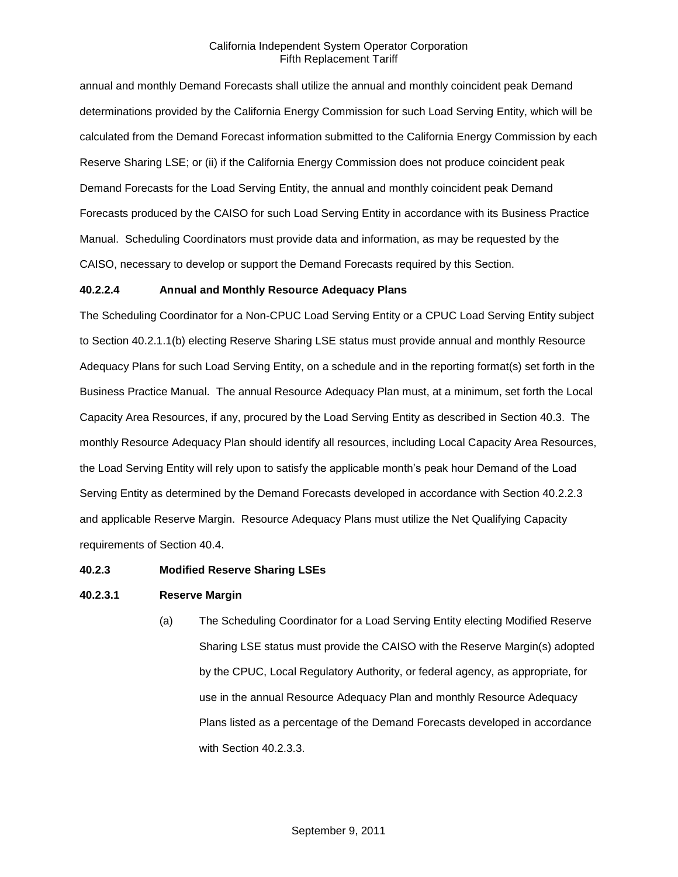annual and monthly Demand Forecasts shall utilize the annual and monthly coincident peak Demand determinations provided by the California Energy Commission for such Load Serving Entity, which will be calculated from the Demand Forecast information submitted to the California Energy Commission by each Reserve Sharing LSE; or (ii) if the California Energy Commission does not produce coincident peak Demand Forecasts for the Load Serving Entity, the annual and monthly coincident peak Demand Forecasts produced by the CAISO for such Load Serving Entity in accordance with its Business Practice Manual. Scheduling Coordinators must provide data and information, as may be requested by the CAISO, necessary to develop or support the Demand Forecasts required by this Section.

#### **40.2.2.4 Annual and Monthly Resource Adequacy Plans**

The Scheduling Coordinator for a Non-CPUC Load Serving Entity or a CPUC Load Serving Entity subject to Section 40.2.1.1(b) electing Reserve Sharing LSE status must provide annual and monthly Resource Adequacy Plans for such Load Serving Entity, on a schedule and in the reporting format(s) set forth in the Business Practice Manual. The annual Resource Adequacy Plan must, at a minimum, set forth the Local Capacity Area Resources, if any, procured by the Load Serving Entity as described in Section 40.3. The monthly Resource Adequacy Plan should identify all resources, including Local Capacity Area Resources, the Load Serving Entity will rely upon to satisfy the applicable month's peak hour Demand of the Load Serving Entity as determined by the Demand Forecasts developed in accordance with Section 40.2.2.3 and applicable Reserve Margin. Resource Adequacy Plans must utilize the Net Qualifying Capacity requirements of Section 40.4.

#### **40.2.3 Modified Reserve Sharing LSEs**

#### **40.2.3.1 Reserve Margin**

(a) The Scheduling Coordinator for a Load Serving Entity electing Modified Reserve Sharing LSE status must provide the CAISO with the Reserve Margin(s) adopted by the CPUC, Local Regulatory Authority, or federal agency, as appropriate, for use in the annual Resource Adequacy Plan and monthly Resource Adequacy Plans listed as a percentage of the Demand Forecasts developed in accordance with Section 40.2.3.3.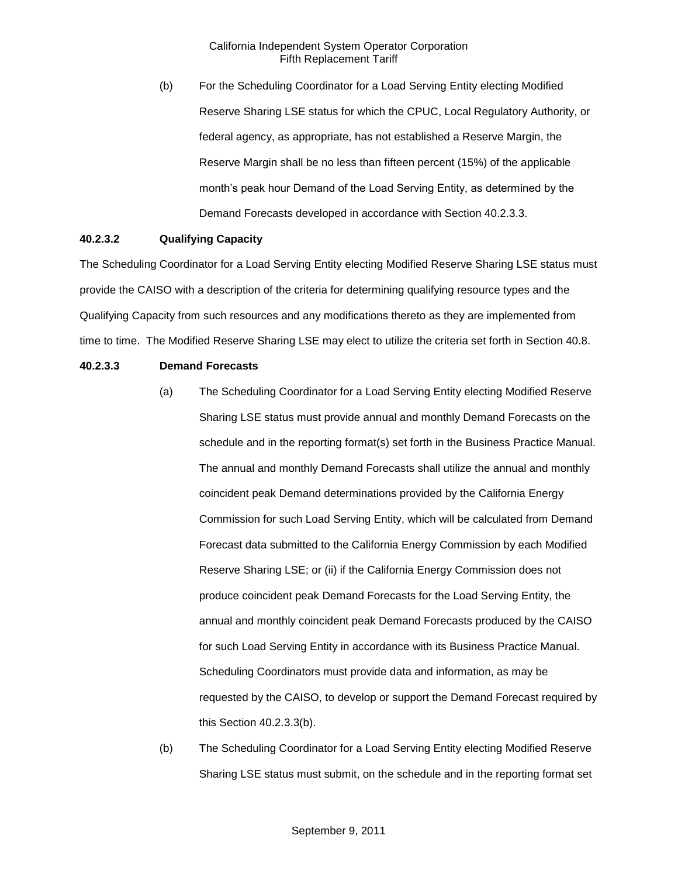(b) For the Scheduling Coordinator for a Load Serving Entity electing Modified Reserve Sharing LSE status for which the CPUC, Local Regulatory Authority, or federal agency, as appropriate, has not established a Reserve Margin, the Reserve Margin shall be no less than fifteen percent (15%) of the applicable month's peak hour Demand of the Load Serving Entity, as determined by the Demand Forecasts developed in accordance with Section 40.2.3.3.

## **40.2.3.2 Qualifying Capacity**

The Scheduling Coordinator for a Load Serving Entity electing Modified Reserve Sharing LSE status must provide the CAISO with a description of the criteria for determining qualifying resource types and the Qualifying Capacity from such resources and any modifications thereto as they are implemented from time to time. The Modified Reserve Sharing LSE may elect to utilize the criteria set forth in Section 40.8.

## **40.2.3.3 Demand Forecasts**

- (a) The Scheduling Coordinator for a Load Serving Entity electing Modified Reserve Sharing LSE status must provide annual and monthly Demand Forecasts on the schedule and in the reporting format(s) set forth in the Business Practice Manual. The annual and monthly Demand Forecasts shall utilize the annual and monthly coincident peak Demand determinations provided by the California Energy Commission for such Load Serving Entity, which will be calculated from Demand Forecast data submitted to the California Energy Commission by each Modified Reserve Sharing LSE; or (ii) if the California Energy Commission does not produce coincident peak Demand Forecasts for the Load Serving Entity, the annual and monthly coincident peak Demand Forecasts produced by the CAISO for such Load Serving Entity in accordance with its Business Practice Manual. Scheduling Coordinators must provide data and information, as may be requested by the CAISO, to develop or support the Demand Forecast required by this Section 40.2.3.3(b).
- (b) The Scheduling Coordinator for a Load Serving Entity electing Modified Reserve Sharing LSE status must submit, on the schedule and in the reporting format set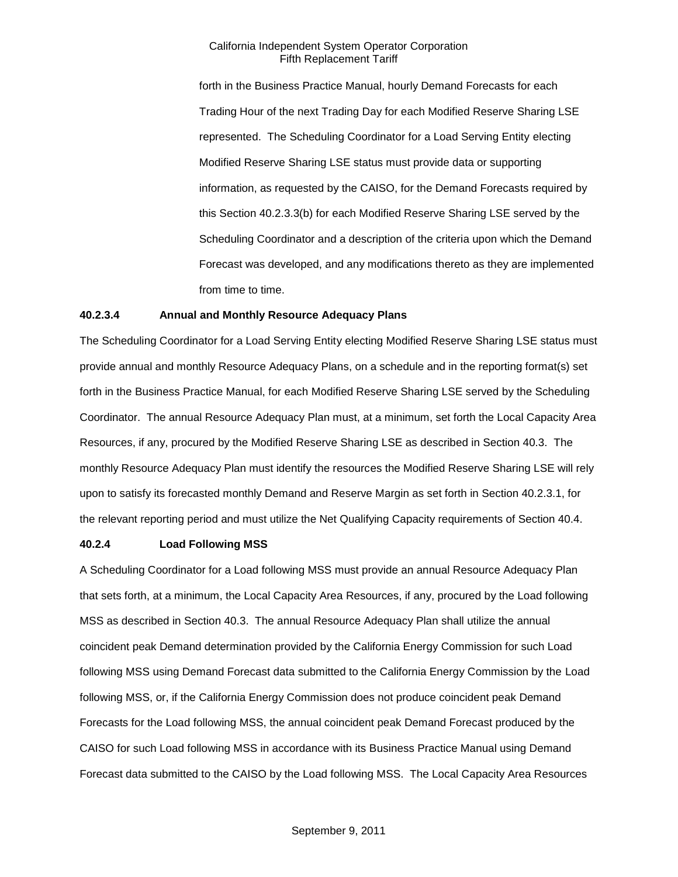forth in the Business Practice Manual, hourly Demand Forecasts for each Trading Hour of the next Trading Day for each Modified Reserve Sharing LSE represented. The Scheduling Coordinator for a Load Serving Entity electing Modified Reserve Sharing LSE status must provide data or supporting information, as requested by the CAISO, for the Demand Forecasts required by this Section 40.2.3.3(b) for each Modified Reserve Sharing LSE served by the Scheduling Coordinator and a description of the criteria upon which the Demand Forecast was developed, and any modifications thereto as they are implemented from time to time.

#### **40.2.3.4 Annual and Monthly Resource Adequacy Plans**

The Scheduling Coordinator for a Load Serving Entity electing Modified Reserve Sharing LSE status must provide annual and monthly Resource Adequacy Plans, on a schedule and in the reporting format(s) set forth in the Business Practice Manual, for each Modified Reserve Sharing LSE served by the Scheduling Coordinator. The annual Resource Adequacy Plan must, at a minimum, set forth the Local Capacity Area Resources, if any, procured by the Modified Reserve Sharing LSE as described in Section 40.3. The monthly Resource Adequacy Plan must identify the resources the Modified Reserve Sharing LSE will rely upon to satisfy its forecasted monthly Demand and Reserve Margin as set forth in Section 40.2.3.1, for the relevant reporting period and must utilize the Net Qualifying Capacity requirements of Section 40.4.

#### **40.2.4 Load Following MSS**

A Scheduling Coordinator for a Load following MSS must provide an annual Resource Adequacy Plan that sets forth, at a minimum, the Local Capacity Area Resources, if any, procured by the Load following MSS as described in Section 40.3. The annual Resource Adequacy Plan shall utilize the annual coincident peak Demand determination provided by the California Energy Commission for such Load following MSS using Demand Forecast data submitted to the California Energy Commission by the Load following MSS, or, if the California Energy Commission does not produce coincident peak Demand Forecasts for the Load following MSS, the annual coincident peak Demand Forecast produced by the CAISO for such Load following MSS in accordance with its Business Practice Manual using Demand Forecast data submitted to the CAISO by the Load following MSS. The Local Capacity Area Resources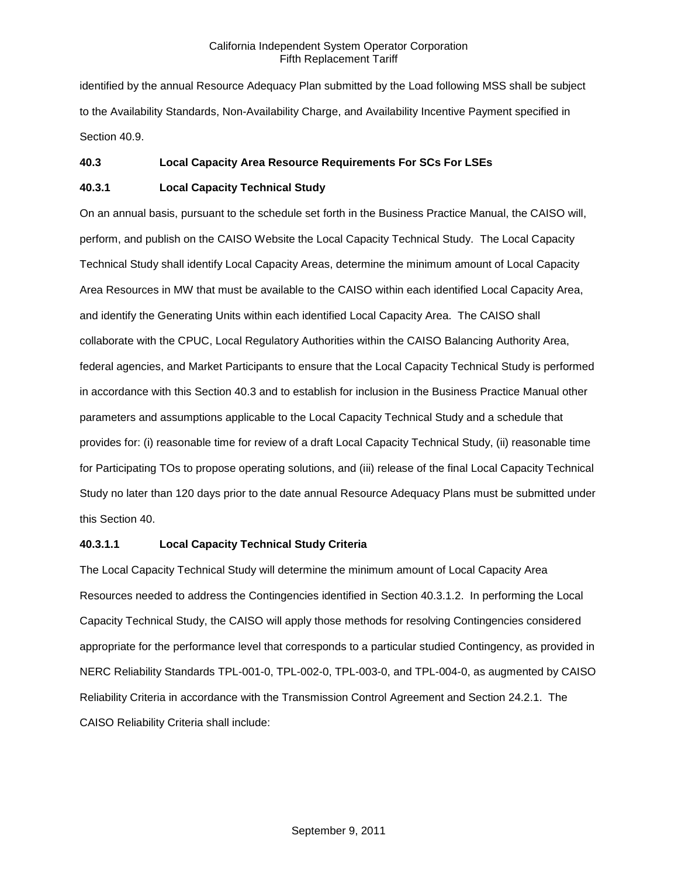identified by the annual Resource Adequacy Plan submitted by the Load following MSS shall be subject to the Availability Standards, Non-Availability Charge, and Availability Incentive Payment specified in Section 40.9.

### **40.3 Local Capacity Area Resource Requirements For SCs For LSEs**

### **40.3.1 Local Capacity Technical Study**

On an annual basis, pursuant to the schedule set forth in the Business Practice Manual, the CAISO will, perform, and publish on the CAISO Website the Local Capacity Technical Study. The Local Capacity Technical Study shall identify Local Capacity Areas, determine the minimum amount of Local Capacity Area Resources in MW that must be available to the CAISO within each identified Local Capacity Area, and identify the Generating Units within each identified Local Capacity Area. The CAISO shall collaborate with the CPUC, Local Regulatory Authorities within the CAISO Balancing Authority Area, federal agencies, and Market Participants to ensure that the Local Capacity Technical Study is performed in accordance with this Section 40.3 and to establish for inclusion in the Business Practice Manual other parameters and assumptions applicable to the Local Capacity Technical Study and a schedule that provides for: (i) reasonable time for review of a draft Local Capacity Technical Study, (ii) reasonable time for Participating TOs to propose operating solutions, and (iii) release of the final Local Capacity Technical Study no later than 120 days prior to the date annual Resource Adequacy Plans must be submitted under this Section 40.

#### **40.3.1.1 Local Capacity Technical Study Criteria**

The Local Capacity Technical Study will determine the minimum amount of Local Capacity Area Resources needed to address the Contingencies identified in Section 40.3.1.2. In performing the Local Capacity Technical Study, the CAISO will apply those methods for resolving Contingencies considered appropriate for the performance level that corresponds to a particular studied Contingency, as provided in NERC Reliability Standards TPL-001-0, TPL-002-0, TPL-003-0, and TPL-004-0, as augmented by CAISO Reliability Criteria in accordance with the Transmission Control Agreement and Section 24.2.1. The CAISO Reliability Criteria shall include: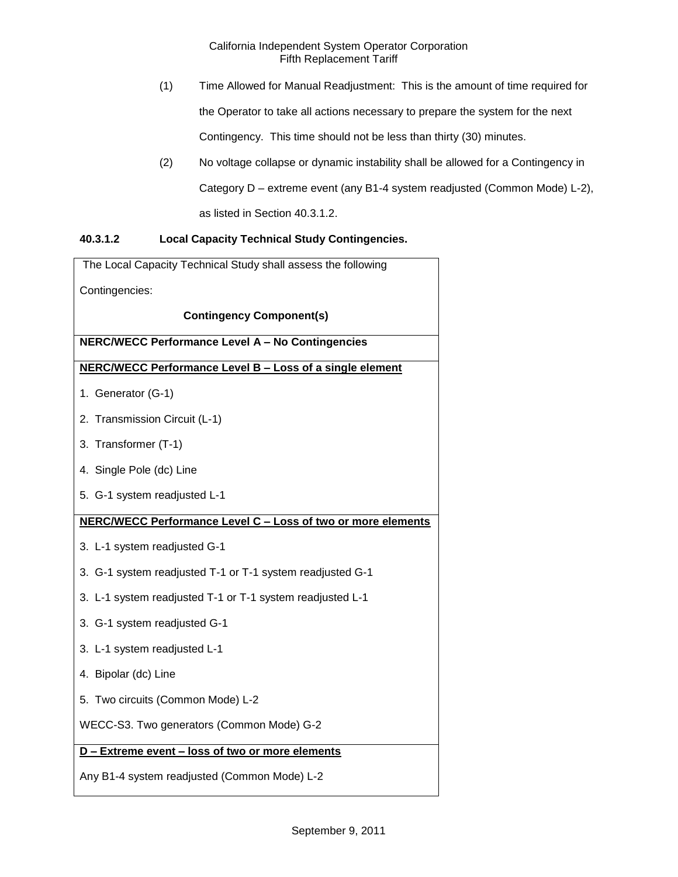- (1) Time Allowed for Manual Readjustment: This is the amount of time required for the Operator to take all actions necessary to prepare the system for the next Contingency. This time should not be less than thirty (30) minutes.
- (2) No voltage collapse or dynamic instability shall be allowed for a Contingency in Category D – extreme event (any B1-4 system readjusted (Common Mode) L-2), as listed in Section 40.3.1.2.

# **40.3.1.2 Local Capacity Technical Study Contingencies.**

| The Local Capacity Technical Study shall assess the following |
|---------------------------------------------------------------|
| Contingencies:                                                |
| <b>Contingency Component(s)</b>                               |
| <b>NERC/WECC Performance Level A - No Contingencies</b>       |
| NERC/WECC Performance Level B - Loss of a single element      |
| 1. Generator (G-1)                                            |
| 2. Transmission Circuit (L-1)                                 |
| 3. Transformer (T-1)                                          |
| 4. Single Pole (dc) Line                                      |
| 5. G-1 system readjusted L-1                                  |
| NERC/WECC Performance Level C - Loss of two or more elements  |
| 3. L-1 system readjusted G-1                                  |
| 3. G-1 system readjusted T-1 or T-1 system readjusted G-1     |
| 3. L-1 system readjusted T-1 or T-1 system readjusted L-1     |
| 3. G-1 system readjusted G-1                                  |
| 3. L-1 system readjusted L-1                                  |
| 4. Bipolar (dc) Line                                          |
| 5. Two circuits (Common Mode) L-2                             |
| WECC-S3. Two generators (Common Mode) G-2                     |
| D - Extreme event - loss of two or more elements              |
| Any B1-4 system readjusted (Common Mode) L-2                  |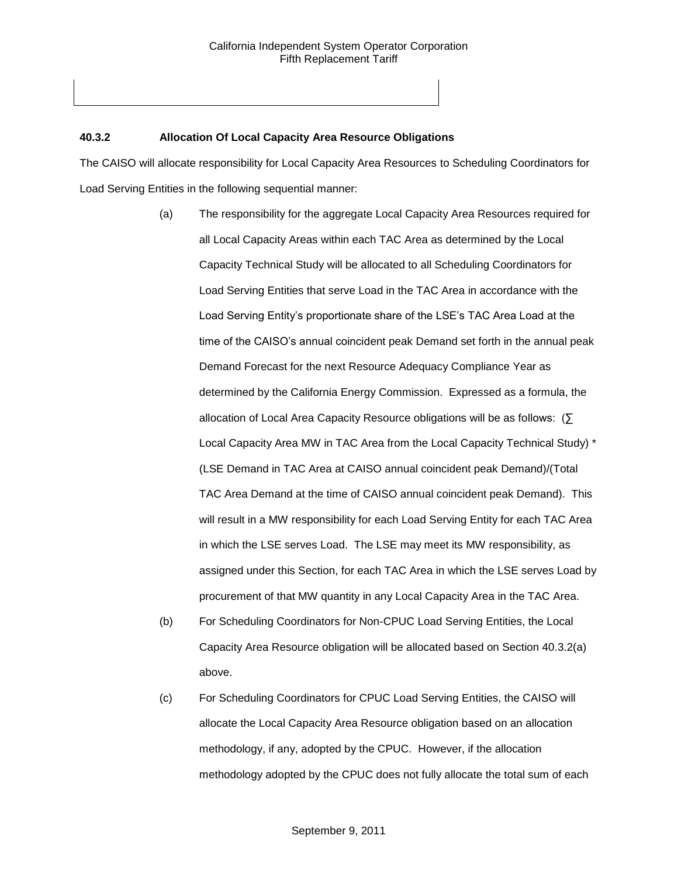## **40.3.2 Allocation Of Local Capacity Area Resource Obligations**

The CAISO will allocate responsibility for Local Capacity Area Resources to Scheduling Coordinators for Load Serving Entities in the following sequential manner:

- (a) The responsibility for the aggregate Local Capacity Area Resources required for all Local Capacity Areas within each TAC Area as determined by the Local Capacity Technical Study will be allocated to all Scheduling Coordinators for Load Serving Entities that serve Load in the TAC Area in accordance with the Load Serving Entity's proportionate share of the LSE's TAC Area Load at the time of the CAISO's annual coincident peak Demand set forth in the annual peak Demand Forecast for the next Resource Adequacy Compliance Year as determined by the California Energy Commission. Expressed as a formula, the allocation of Local Area Capacity Resource obligations will be as follows: (∑ Local Capacity Area MW in TAC Area from the Local Capacity Technical Study) \* (LSE Demand in TAC Area at CAISO annual coincident peak Demand)/(Total TAC Area Demand at the time of CAISO annual coincident peak Demand). This will result in a MW responsibility for each Load Serving Entity for each TAC Area in which the LSE serves Load. The LSE may meet its MW responsibility, as assigned under this Section, for each TAC Area in which the LSE serves Load by procurement of that MW quantity in any Local Capacity Area in the TAC Area.
- (b) For Scheduling Coordinators for Non-CPUC Load Serving Entities, the Local Capacity Area Resource obligation will be allocated based on Section 40.3.2(a) above.
- (c) For Scheduling Coordinators for CPUC Load Serving Entities, the CAISO will allocate the Local Capacity Area Resource obligation based on an allocation methodology, if any, adopted by the CPUC. However, if the allocation methodology adopted by the CPUC does not fully allocate the total sum of each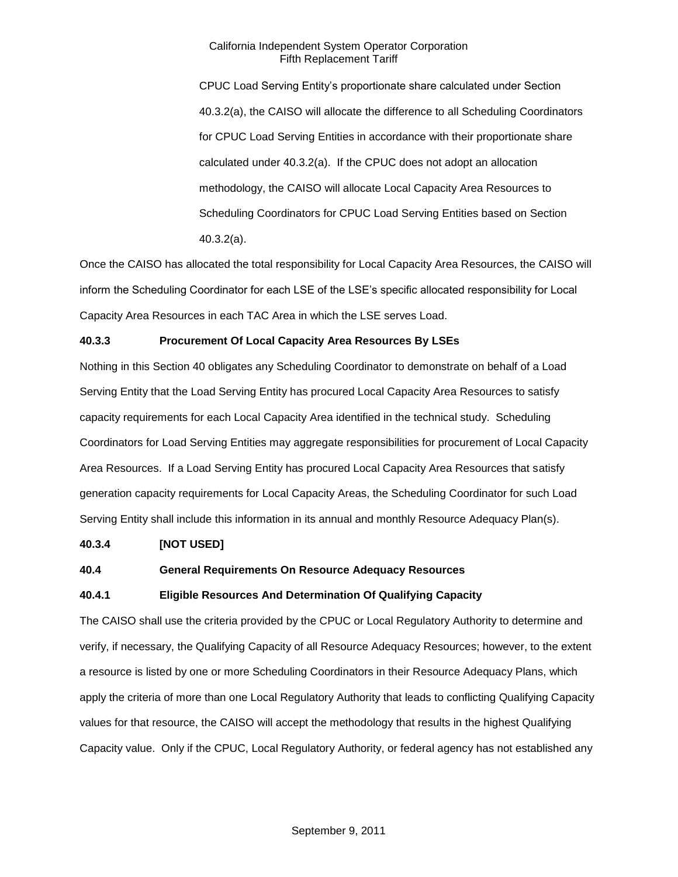CPUC Load Serving Entity's proportionate share calculated under Section 40.3.2(a), the CAISO will allocate the difference to all Scheduling Coordinators for CPUC Load Serving Entities in accordance with their proportionate share calculated under 40.3.2(a). If the CPUC does not adopt an allocation methodology, the CAISO will allocate Local Capacity Area Resources to Scheduling Coordinators for CPUC Load Serving Entities based on Section 40.3.2(a).

Once the CAISO has allocated the total responsibility for Local Capacity Area Resources, the CAISO will inform the Scheduling Coordinator for each LSE of the LSE's specific allocated responsibility for Local Capacity Area Resources in each TAC Area in which the LSE serves Load.

## **40.3.3 Procurement Of Local Capacity Area Resources By LSEs**

Nothing in this Section 40 obligates any Scheduling Coordinator to demonstrate on behalf of a Load Serving Entity that the Load Serving Entity has procured Local Capacity Area Resources to satisfy capacity requirements for each Local Capacity Area identified in the technical study. Scheduling Coordinators for Load Serving Entities may aggregate responsibilities for procurement of Local Capacity Area Resources. If a Load Serving Entity has procured Local Capacity Area Resources that satisfy generation capacity requirements for Local Capacity Areas, the Scheduling Coordinator for such Load Serving Entity shall include this information in its annual and monthly Resource Adequacy Plan(s).

#### **40.3.4 [NOT USED]**

#### **40.4 General Requirements On Resource Adequacy Resources**

#### **40.4.1 Eligible Resources And Determination Of Qualifying Capacity**

The CAISO shall use the criteria provided by the CPUC or Local Regulatory Authority to determine and verify, if necessary, the Qualifying Capacity of all Resource Adequacy Resources; however, to the extent a resource is listed by one or more Scheduling Coordinators in their Resource Adequacy Plans, which apply the criteria of more than one Local Regulatory Authority that leads to conflicting Qualifying Capacity values for that resource, the CAISO will accept the methodology that results in the highest Qualifying Capacity value. Only if the CPUC, Local Regulatory Authority, or federal agency has not established any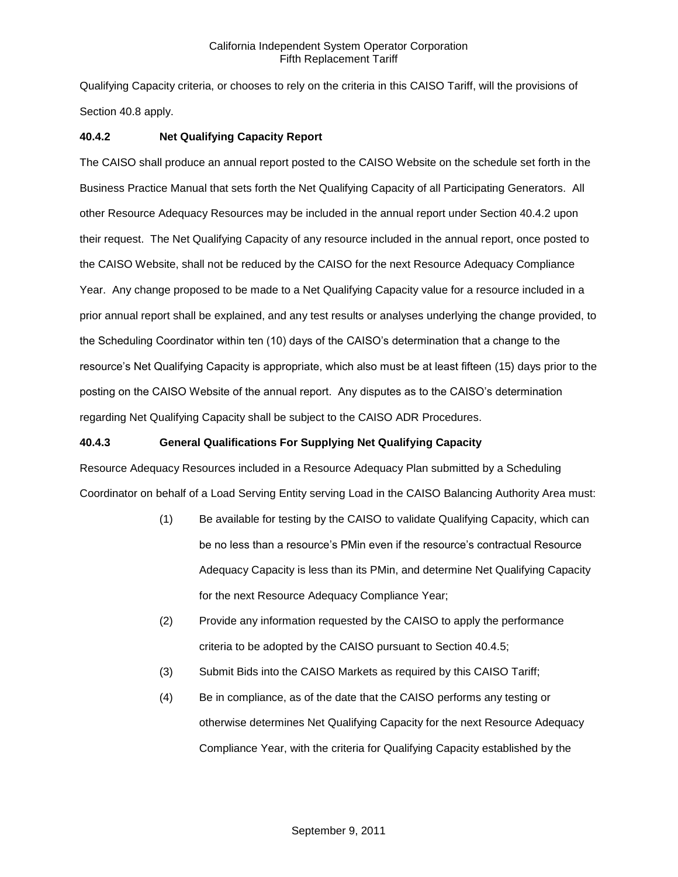Qualifying Capacity criteria, or chooses to rely on the criteria in this CAISO Tariff, will the provisions of Section 40.8 apply.

## **40.4.2 Net Qualifying Capacity Report**

The CAISO shall produce an annual report posted to the CAISO Website on the schedule set forth in the Business Practice Manual that sets forth the Net Qualifying Capacity of all Participating Generators. All other Resource Adequacy Resources may be included in the annual report under Section 40.4.2 upon their request. The Net Qualifying Capacity of any resource included in the annual report, once posted to the CAISO Website, shall not be reduced by the CAISO for the next Resource Adequacy Compliance Year. Any change proposed to be made to a Net Qualifying Capacity value for a resource included in a prior annual report shall be explained, and any test results or analyses underlying the change provided, to the Scheduling Coordinator within ten (10) days of the CAISO's determination that a change to the resource's Net Qualifying Capacity is appropriate, which also must be at least fifteen (15) days prior to the posting on the CAISO Website of the annual report. Any disputes as to the CAISO's determination regarding Net Qualifying Capacity shall be subject to the CAISO ADR Procedures.

### **40.4.3 General Qualifications For Supplying Net Qualifying Capacity**

Resource Adequacy Resources included in a Resource Adequacy Plan submitted by a Scheduling Coordinator on behalf of a Load Serving Entity serving Load in the CAISO Balancing Authority Area must:

- (1) Be available for testing by the CAISO to validate Qualifying Capacity, which can be no less than a resource's PMin even if the resource's contractual Resource Adequacy Capacity is less than its PMin, and determine Net Qualifying Capacity for the next Resource Adequacy Compliance Year;
- (2) Provide any information requested by the CAISO to apply the performance criteria to be adopted by the CAISO pursuant to Section 40.4.5;
- (3) Submit Bids into the CAISO Markets as required by this CAISO Tariff;
- (4) Be in compliance, as of the date that the CAISO performs any testing or otherwise determines Net Qualifying Capacity for the next Resource Adequacy Compliance Year, with the criteria for Qualifying Capacity established by the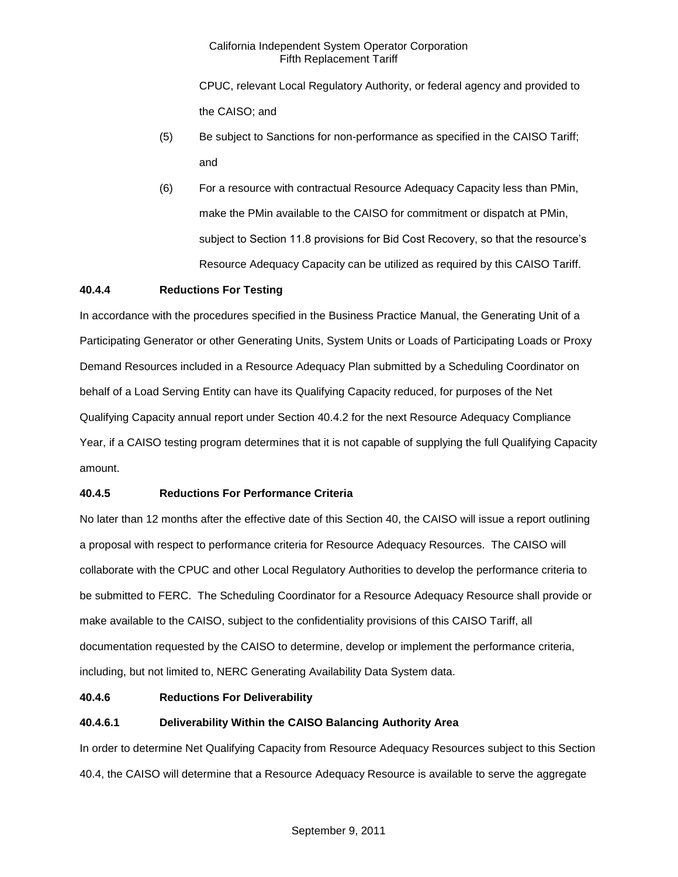CPUC, relevant Local Regulatory Authority, or federal agency and provided to the CAISO; and

- (5) Be subject to Sanctions for non-performance as specified in the CAISO Tariff; and
- (6) For a resource with contractual Resource Adequacy Capacity less than PMin, make the PMin available to the CAISO for commitment or dispatch at PMin, subject to Section 11.8 provisions for Bid Cost Recovery, so that the resource's Resource Adequacy Capacity can be utilized as required by this CAISO Tariff.

## **40.4.4 Reductions For Testing**

In accordance with the procedures specified in the Business Practice Manual, the Generating Unit of a Participating Generator or other Generating Units, System Units or Loads of Participating Loads or Proxy Demand Resources included in a Resource Adequacy Plan submitted by a Scheduling Coordinator on behalf of a Load Serving Entity can have its Qualifying Capacity reduced, for purposes of the Net Qualifying Capacity annual report under Section 40.4.2 for the next Resource Adequacy Compliance Year, if a CAISO testing program determines that it is not capable of supplying the full Qualifying Capacity amount.

## **40.4.5 Reductions For Performance Criteria**

No later than 12 months after the effective date of this Section 40, the CAISO will issue a report outlining a proposal with respect to performance criteria for Resource Adequacy Resources. The CAISO will collaborate with the CPUC and other Local Regulatory Authorities to develop the performance criteria to be submitted to FERC. The Scheduling Coordinator for a Resource Adequacy Resource shall provide or make available to the CAISO, subject to the confidentiality provisions of this CAISO Tariff, all documentation requested by the CAISO to determine, develop or implement the performance criteria, including, but not limited to, NERC Generating Availability Data System data.

#### **40.4.6 Reductions For Deliverability**

## **40.4.6.1 Deliverability Within the CAISO Balancing Authority Area**

In order to determine Net Qualifying Capacity from Resource Adequacy Resources subject to this Section 40.4, the CAISO will determine that a Resource Adequacy Resource is available to serve the aggregate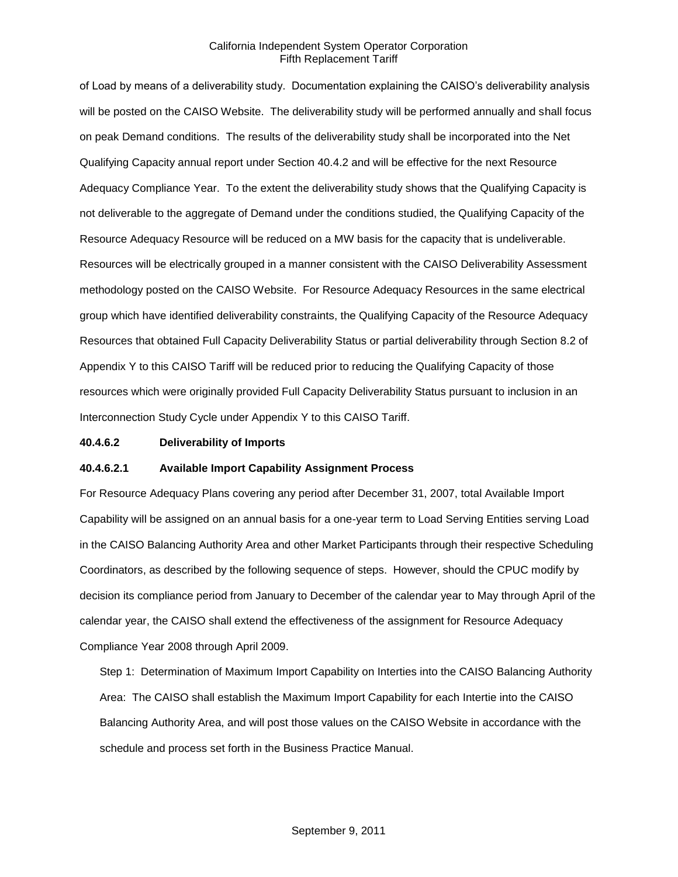of Load by means of a deliverability study. Documentation explaining the CAISO's deliverability analysis will be posted on the CAISO Website. The deliverability study will be performed annually and shall focus on peak Demand conditions. The results of the deliverability study shall be incorporated into the Net Qualifying Capacity annual report under Section 40.4.2 and will be effective for the next Resource Adequacy Compliance Year. To the extent the deliverability study shows that the Qualifying Capacity is not deliverable to the aggregate of Demand under the conditions studied, the Qualifying Capacity of the Resource Adequacy Resource will be reduced on a MW basis for the capacity that is undeliverable. Resources will be electrically grouped in a manner consistent with the CAISO Deliverability Assessment methodology posted on the CAISO Website. For Resource Adequacy Resources in the same electrical group which have identified deliverability constraints, the Qualifying Capacity of the Resource Adequacy Resources that obtained Full Capacity Deliverability Status or partial deliverability through Section 8.2 of Appendix Y to this CAISO Tariff will be reduced prior to reducing the Qualifying Capacity of those resources which were originally provided Full Capacity Deliverability Status pursuant to inclusion in an Interconnection Study Cycle under Appendix Y to this CAISO Tariff.

#### **40.4.6.2 Deliverability of Imports**

#### **40.4.6.2.1 Available Import Capability Assignment Process**

For Resource Adequacy Plans covering any period after December 31, 2007, total Available Import Capability will be assigned on an annual basis for a one-year term to Load Serving Entities serving Load in the CAISO Balancing Authority Area and other Market Participants through their respective Scheduling Coordinators, as described by the following sequence of steps. However, should the CPUC modify by decision its compliance period from January to December of the calendar year to May through April of the calendar year, the CAISO shall extend the effectiveness of the assignment for Resource Adequacy Compliance Year 2008 through April 2009.

Step 1: Determination of Maximum Import Capability on Interties into the CAISO Balancing Authority Area: The CAISO shall establish the Maximum Import Capability for each Intertie into the CAISO Balancing Authority Area, and will post those values on the CAISO Website in accordance with the schedule and process set forth in the Business Practice Manual.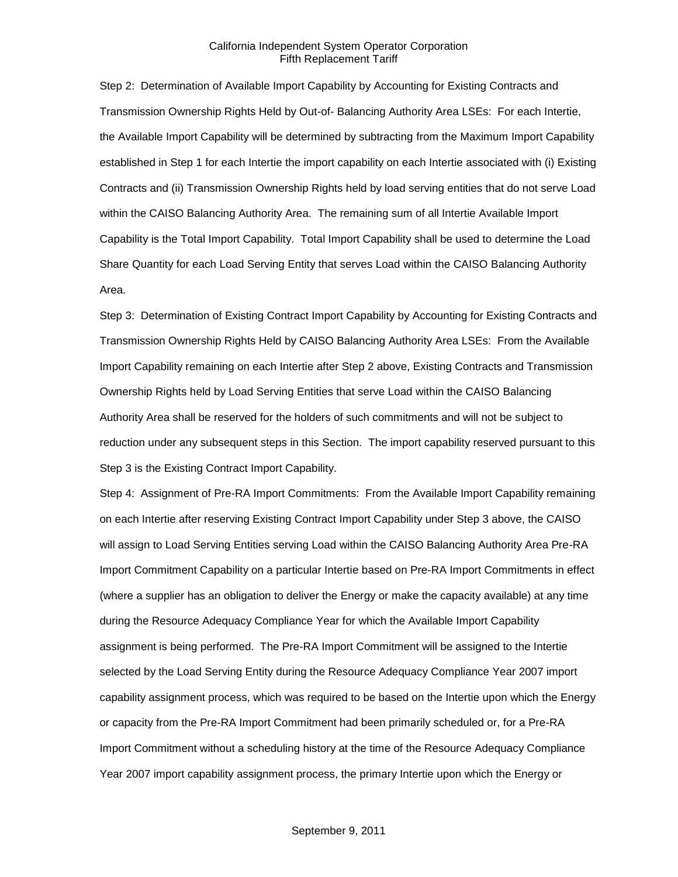Step 2: Determination of Available Import Capability by Accounting for Existing Contracts and Transmission Ownership Rights Held by Out-of- Balancing Authority Area LSEs: For each Intertie, the Available Import Capability will be determined by subtracting from the Maximum Import Capability established in Step 1 for each Intertie the import capability on each Intertie associated with (i) Existing Contracts and (ii) Transmission Ownership Rights held by load serving entities that do not serve Load within the CAISO Balancing Authority Area. The remaining sum of all Intertie Available Import Capability is the Total Import Capability. Total Import Capability shall be used to determine the Load Share Quantity for each Load Serving Entity that serves Load within the CAISO Balancing Authority Area.

Step 3: Determination of Existing Contract Import Capability by Accounting for Existing Contracts and Transmission Ownership Rights Held by CAISO Balancing Authority Area LSEs: From the Available Import Capability remaining on each Intertie after Step 2 above, Existing Contracts and Transmission Ownership Rights held by Load Serving Entities that serve Load within the CAISO Balancing Authority Area shall be reserved for the holders of such commitments and will not be subject to reduction under any subsequent steps in this Section. The import capability reserved pursuant to this Step 3 is the Existing Contract Import Capability.

Step 4: Assignment of Pre-RA Import Commitments: From the Available Import Capability remaining on each Intertie after reserving Existing Contract Import Capability under Step 3 above, the CAISO will assign to Load Serving Entities serving Load within the CAISO Balancing Authority Area Pre-RA Import Commitment Capability on a particular Intertie based on Pre-RA Import Commitments in effect (where a supplier has an obligation to deliver the Energy or make the capacity available) at any time during the Resource Adequacy Compliance Year for which the Available Import Capability assignment is being performed. The Pre-RA Import Commitment will be assigned to the Intertie selected by the Load Serving Entity during the Resource Adequacy Compliance Year 2007 import capability assignment process, which was required to be based on the Intertie upon which the Energy or capacity from the Pre-RA Import Commitment had been primarily scheduled or, for a Pre-RA Import Commitment without a scheduling history at the time of the Resource Adequacy Compliance Year 2007 import capability assignment process, the primary Intertie upon which the Energy or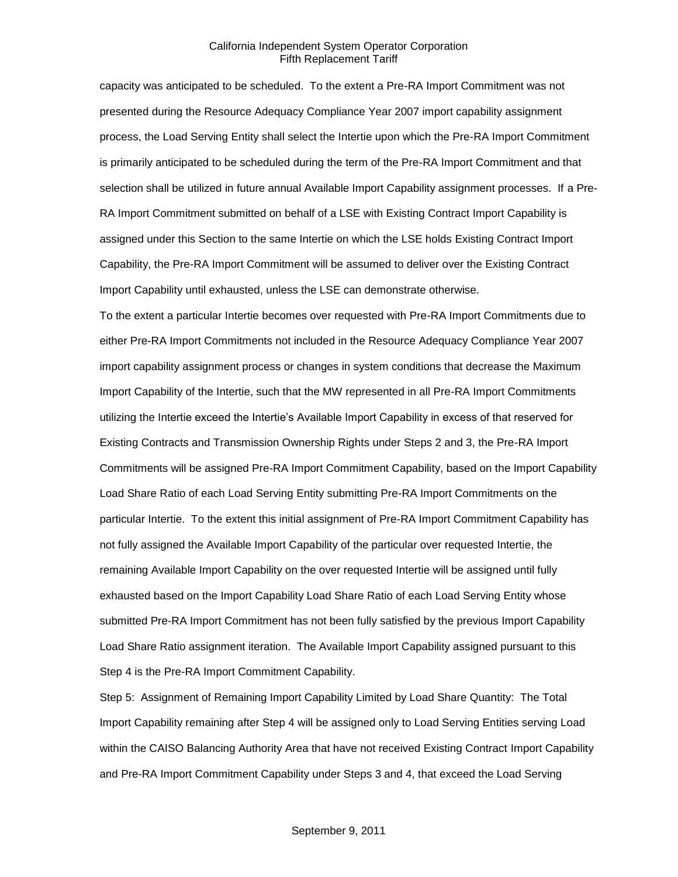capacity was anticipated to be scheduled. To the extent a Pre-RA Import Commitment was not presented during the Resource Adequacy Compliance Year 2007 import capability assignment process, the Load Serving Entity shall select the Intertie upon which the Pre-RA Import Commitment is primarily anticipated to be scheduled during the term of the Pre-RA Import Commitment and that selection shall be utilized in future annual Available Import Capability assignment processes. If a Pre-RA Import Commitment submitted on behalf of a LSE with Existing Contract Import Capability is assigned under this Section to the same Intertie on which the LSE holds Existing Contract Import Capability, the Pre-RA Import Commitment will be assumed to deliver over the Existing Contract Import Capability until exhausted, unless the LSE can demonstrate otherwise.

To the extent a particular Intertie becomes over requested with Pre-RA Import Commitments due to either Pre-RA Import Commitments not included in the Resource Adequacy Compliance Year 2007 import capability assignment process or changes in system conditions that decrease the Maximum Import Capability of the Intertie, such that the MW represented in all Pre-RA Import Commitments utilizing the Intertie exceed the Intertie's Available Import Capability in excess of that reserved for Existing Contracts and Transmission Ownership Rights under Steps 2 and 3, the Pre-RA Import Commitments will be assigned Pre-RA Import Commitment Capability, based on the Import Capability Load Share Ratio of each Load Serving Entity submitting Pre-RA Import Commitments on the particular Intertie. To the extent this initial assignment of Pre-RA Import Commitment Capability has not fully assigned the Available Import Capability of the particular over requested Intertie, the remaining Available Import Capability on the over requested Intertie will be assigned until fully exhausted based on the Import Capability Load Share Ratio of each Load Serving Entity whose submitted Pre-RA Import Commitment has not been fully satisfied by the previous Import Capability Load Share Ratio assignment iteration. The Available Import Capability assigned pursuant to this Step 4 is the Pre-RA Import Commitment Capability.

Step 5: Assignment of Remaining Import Capability Limited by Load Share Quantity: The Total Import Capability remaining after Step 4 will be assigned only to Load Serving Entities serving Load within the CAISO Balancing Authority Area that have not received Existing Contract Import Capability and Pre-RA Import Commitment Capability under Steps 3 and 4, that exceed the Load Serving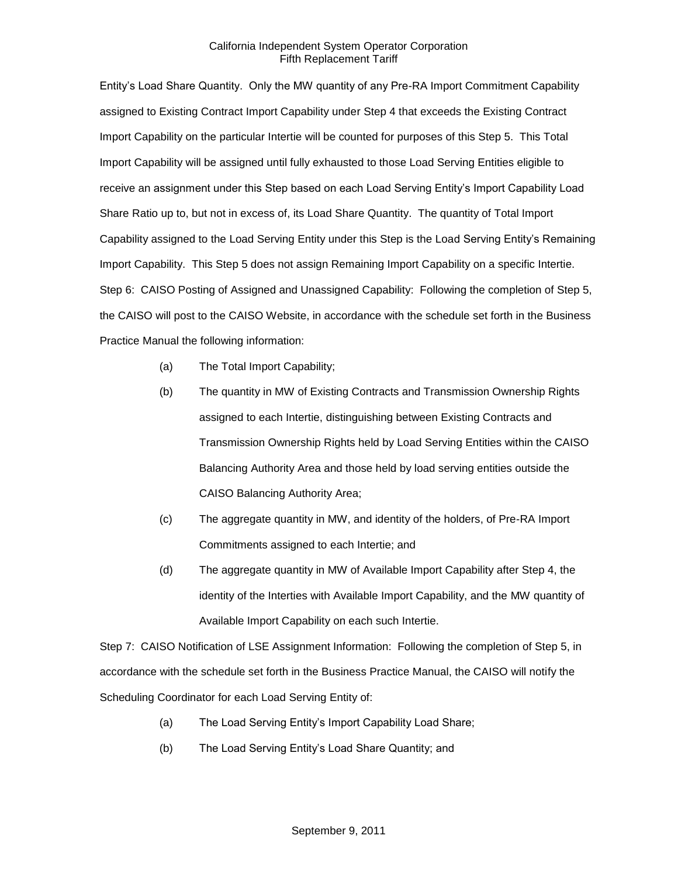Entity's Load Share Quantity. Only the MW quantity of any Pre-RA Import Commitment Capability assigned to Existing Contract Import Capability under Step 4 that exceeds the Existing Contract Import Capability on the particular Intertie will be counted for purposes of this Step 5. This Total Import Capability will be assigned until fully exhausted to those Load Serving Entities eligible to receive an assignment under this Step based on each Load Serving Entity's Import Capability Load Share Ratio up to, but not in excess of, its Load Share Quantity. The quantity of Total Import Capability assigned to the Load Serving Entity under this Step is the Load Serving Entity's Remaining Import Capability. This Step 5 does not assign Remaining Import Capability on a specific Intertie. Step 6: CAISO Posting of Assigned and Unassigned Capability: Following the completion of Step 5, the CAISO will post to the CAISO Website, in accordance with the schedule set forth in the Business Practice Manual the following information:

- (a) The Total Import Capability;
- (b) The quantity in MW of Existing Contracts and Transmission Ownership Rights assigned to each Intertie, distinguishing between Existing Contracts and Transmission Ownership Rights held by Load Serving Entities within the CAISO Balancing Authority Area and those held by load serving entities outside the CAISO Balancing Authority Area;
- (c) The aggregate quantity in MW, and identity of the holders, of Pre-RA Import Commitments assigned to each Intertie; and
- (d) The aggregate quantity in MW of Available Import Capability after Step 4, the identity of the Interties with Available Import Capability, and the MW quantity of Available Import Capability on each such Intertie.

Step 7: CAISO Notification of LSE Assignment Information: Following the completion of Step 5, in accordance with the schedule set forth in the Business Practice Manual, the CAISO will notify the Scheduling Coordinator for each Load Serving Entity of:

- (a) The Load Serving Entity's Import Capability Load Share;
- (b) The Load Serving Entity's Load Share Quantity; and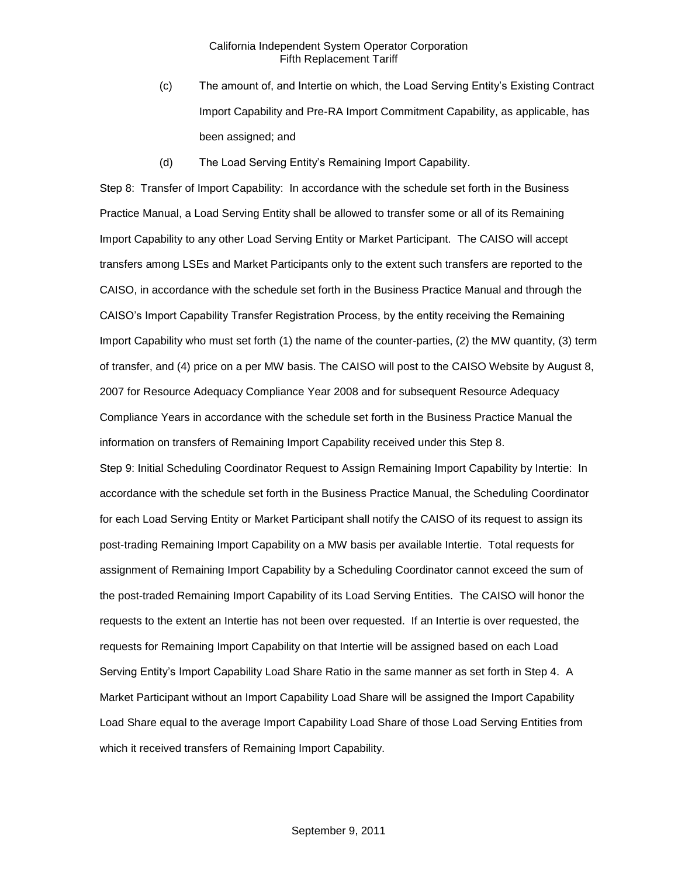- (c) The amount of, and Intertie on which, the Load Serving Entity's Existing Contract Import Capability and Pre-RA Import Commitment Capability, as applicable, has been assigned; and
- (d) The Load Serving Entity's Remaining Import Capability.

Step 8: Transfer of Import Capability: In accordance with the schedule set forth in the Business Practice Manual, a Load Serving Entity shall be allowed to transfer some or all of its Remaining Import Capability to any other Load Serving Entity or Market Participant. The CAISO will accept transfers among LSEs and Market Participants only to the extent such transfers are reported to the CAISO, in accordance with the schedule set forth in the Business Practice Manual and through the CAISO's Import Capability Transfer Registration Process, by the entity receiving the Remaining Import Capability who must set forth (1) the name of the counter-parties, (2) the MW quantity, (3) term of transfer, and (4) price on a per MW basis. The CAISO will post to the CAISO Website by August 8, 2007 for Resource Adequacy Compliance Year 2008 and for subsequent Resource Adequacy Compliance Years in accordance with the schedule set forth in the Business Practice Manual the information on transfers of Remaining Import Capability received under this Step 8. Step 9: Initial Scheduling Coordinator Request to Assign Remaining Import Capability by Intertie: In accordance with the schedule set forth in the Business Practice Manual, the Scheduling Coordinator

for each Load Serving Entity or Market Participant shall notify the CAISO of its request to assign its post-trading Remaining Import Capability on a MW basis per available Intertie. Total requests for assignment of Remaining Import Capability by a Scheduling Coordinator cannot exceed the sum of the post-traded Remaining Import Capability of its Load Serving Entities. The CAISO will honor the requests to the extent an Intertie has not been over requested. If an Intertie is over requested, the requests for Remaining Import Capability on that Intertie will be assigned based on each Load Serving Entity's Import Capability Load Share Ratio in the same manner as set forth in Step 4. A Market Participant without an Import Capability Load Share will be assigned the Import Capability Load Share equal to the average Import Capability Load Share of those Load Serving Entities from which it received transfers of Remaining Import Capability.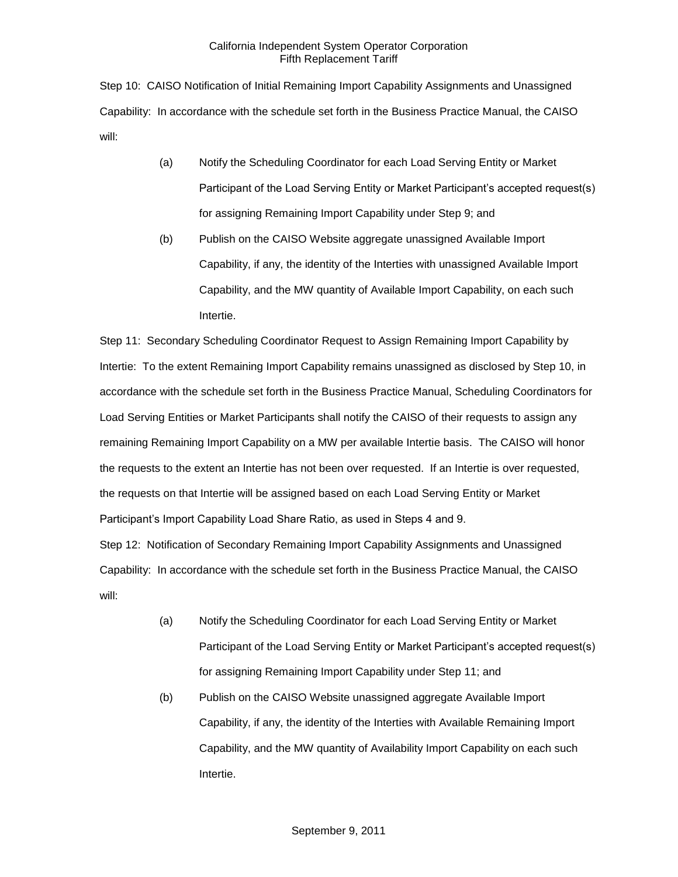Step 10: CAISO Notification of Initial Remaining Import Capability Assignments and Unassigned Capability: In accordance with the schedule set forth in the Business Practice Manual, the CAISO will:

- (a) Notify the Scheduling Coordinator for each Load Serving Entity or Market Participant of the Load Serving Entity or Market Participant's accepted request(s) for assigning Remaining Import Capability under Step 9; and
- (b) Publish on the CAISO Website aggregate unassigned Available Import Capability, if any, the identity of the Interties with unassigned Available Import Capability, and the MW quantity of Available Import Capability, on each such Intertie.

Step 11: Secondary Scheduling Coordinator Request to Assign Remaining Import Capability by Intertie: To the extent Remaining Import Capability remains unassigned as disclosed by Step 10, in accordance with the schedule set forth in the Business Practice Manual, Scheduling Coordinators for Load Serving Entities or Market Participants shall notify the CAISO of their requests to assign any remaining Remaining Import Capability on a MW per available Intertie basis. The CAISO will honor the requests to the extent an Intertie has not been over requested. If an Intertie is over requested, the requests on that Intertie will be assigned based on each Load Serving Entity or Market Participant's Import Capability Load Share Ratio, as used in Steps 4 and 9.

Step 12: Notification of Secondary Remaining Import Capability Assignments and Unassigned Capability: In accordance with the schedule set forth in the Business Practice Manual, the CAISO will:

- (a) Notify the Scheduling Coordinator for each Load Serving Entity or Market Participant of the Load Serving Entity or Market Participant's accepted request(s) for assigning Remaining Import Capability under Step 11; and
- (b) Publish on the CAISO Website unassigned aggregate Available Import Capability, if any, the identity of the Interties with Available Remaining Import Capability, and the MW quantity of Availability Import Capability on each such Intertie.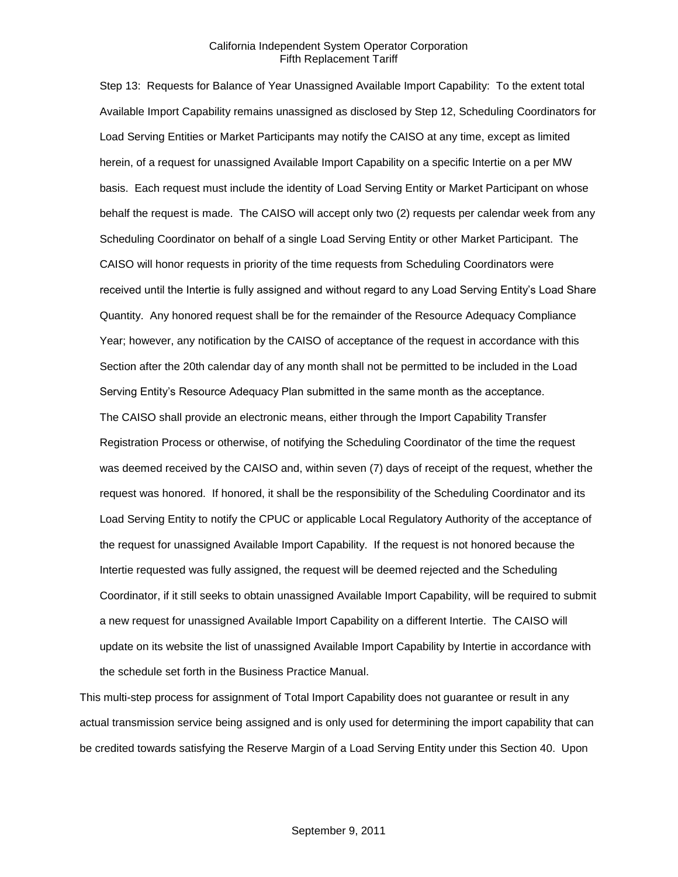Step 13: Requests for Balance of Year Unassigned Available Import Capability: To the extent total Available Import Capability remains unassigned as disclosed by Step 12, Scheduling Coordinators for Load Serving Entities or Market Participants may notify the CAISO at any time, except as limited herein, of a request for unassigned Available Import Capability on a specific Intertie on a per MW basis. Each request must include the identity of Load Serving Entity or Market Participant on whose behalf the request is made. The CAISO will accept only two (2) requests per calendar week from any Scheduling Coordinator on behalf of a single Load Serving Entity or other Market Participant. The CAISO will honor requests in priority of the time requests from Scheduling Coordinators were received until the Intertie is fully assigned and without regard to any Load Serving Entity's Load Share Quantity. Any honored request shall be for the remainder of the Resource Adequacy Compliance Year; however, any notification by the CAISO of acceptance of the request in accordance with this Section after the 20th calendar day of any month shall not be permitted to be included in the Load Serving Entity's Resource Adequacy Plan submitted in the same month as the acceptance. The CAISO shall provide an electronic means, either through the Import Capability Transfer Registration Process or otherwise, of notifying the Scheduling Coordinator of the time the request was deemed received by the CAISO and, within seven (7) days of receipt of the request, whether the request was honored. If honored, it shall be the responsibility of the Scheduling Coordinator and its Load Serving Entity to notify the CPUC or applicable Local Regulatory Authority of the acceptance of the request for unassigned Available Import Capability. If the request is not honored because the Intertie requested was fully assigned, the request will be deemed rejected and the Scheduling Coordinator, if it still seeks to obtain unassigned Available Import Capability, will be required to submit a new request for unassigned Available Import Capability on a different Intertie. The CAISO will update on its website the list of unassigned Available Import Capability by Intertie in accordance with the schedule set forth in the Business Practice Manual.

This multi-step process for assignment of Total Import Capability does not guarantee or result in any actual transmission service being assigned and is only used for determining the import capability that can be credited towards satisfying the Reserve Margin of a Load Serving Entity under this Section 40. Upon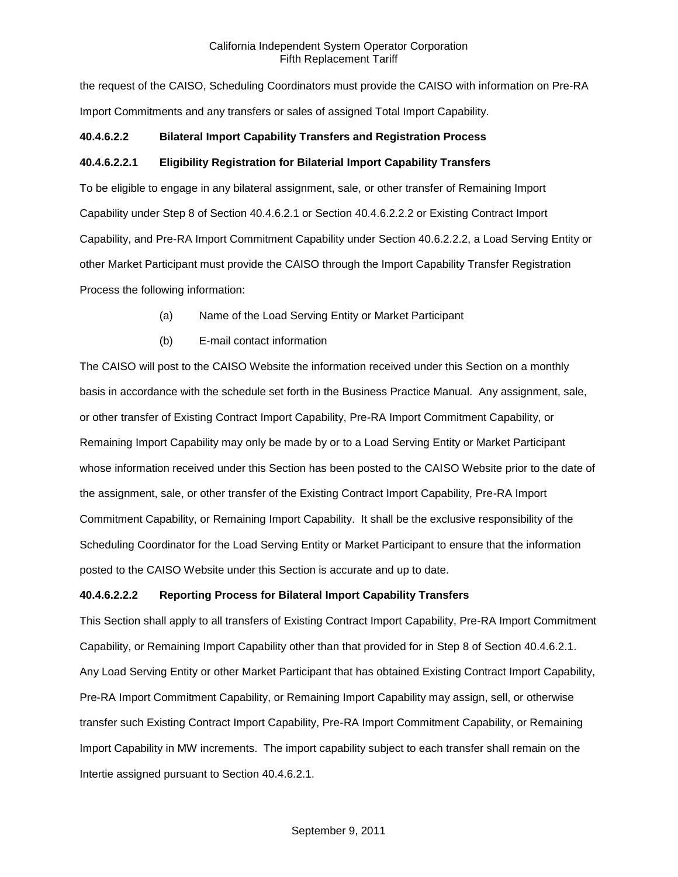the request of the CAISO, Scheduling Coordinators must provide the CAISO with information on Pre-RA Import Commitments and any transfers or sales of assigned Total Import Capability.

## **40.4.6.2.2 Bilateral Import Capability Transfers and Registration Process**

## **40.4.6.2.2.1 Eligibility Registration for Bilaterial Import Capability Transfers**

To be eligible to engage in any bilateral assignment, sale, or other transfer of Remaining Import Capability under Step 8 of Section 40.4.6.2.1 or Section 40.4.6.2.2.2 or Existing Contract Import Capability, and Pre-RA Import Commitment Capability under Section 40.6.2.2.2, a Load Serving Entity or other Market Participant must provide the CAISO through the Import Capability Transfer Registration Process the following information:

- (a) Name of the Load Serving Entity or Market Participant
- (b) E-mail contact information

The CAISO will post to the CAISO Website the information received under this Section on a monthly basis in accordance with the schedule set forth in the Business Practice Manual. Any assignment, sale, or other transfer of Existing Contract Import Capability, Pre-RA Import Commitment Capability, or Remaining Import Capability may only be made by or to a Load Serving Entity or Market Participant whose information received under this Section has been posted to the CAISO Website prior to the date of the assignment, sale, or other transfer of the Existing Contract Import Capability, Pre-RA Import Commitment Capability, or Remaining Import Capability. It shall be the exclusive responsibility of the Scheduling Coordinator for the Load Serving Entity or Market Participant to ensure that the information posted to the CAISO Website under this Section is accurate and up to date.

#### **40.4.6.2.2.2 Reporting Process for Bilateral Import Capability Transfers**

This Section shall apply to all transfers of Existing Contract Import Capability, Pre-RA Import Commitment Capability, or Remaining Import Capability other than that provided for in Step 8 of Section 40.4.6.2.1. Any Load Serving Entity or other Market Participant that has obtained Existing Contract Import Capability, Pre-RA Import Commitment Capability, or Remaining Import Capability may assign, sell, or otherwise transfer such Existing Contract Import Capability, Pre-RA Import Commitment Capability, or Remaining Import Capability in MW increments. The import capability subject to each transfer shall remain on the Intertie assigned pursuant to Section 40.4.6.2.1.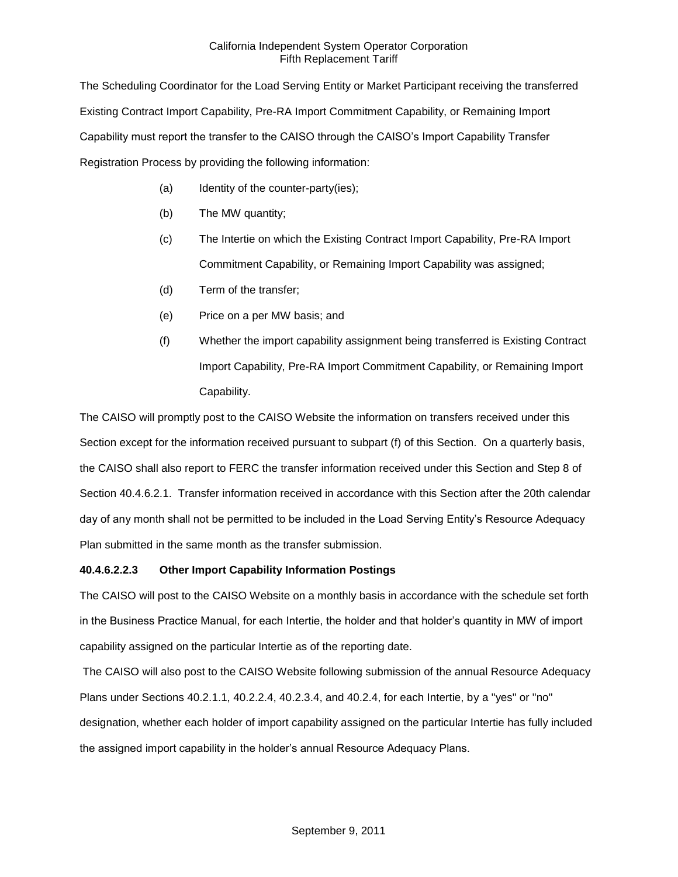The Scheduling Coordinator for the Load Serving Entity or Market Participant receiving the transferred Existing Contract Import Capability, Pre-RA Import Commitment Capability, or Remaining Import Capability must report the transfer to the CAISO through the CAISO's Import Capability Transfer Registration Process by providing the following information:

- (a) Identity of the counter-party(ies);
- (b) The MW quantity;
- (c) The Intertie on which the Existing Contract Import Capability, Pre-RA Import Commitment Capability, or Remaining Import Capability was assigned;
- (d) Term of the transfer;
- (e) Price on a per MW basis; and
- (f) Whether the import capability assignment being transferred is Existing Contract Import Capability, Pre-RA Import Commitment Capability, or Remaining Import Capability.

The CAISO will promptly post to the CAISO Website the information on transfers received under this Section except for the information received pursuant to subpart (f) of this Section. On a quarterly basis, the CAISO shall also report to FERC the transfer information received under this Section and Step 8 of Section 40.4.6.2.1. Transfer information received in accordance with this Section after the 20th calendar day of any month shall not be permitted to be included in the Load Serving Entity's Resource Adequacy Plan submitted in the same month as the transfer submission.

#### **40.4.6.2.2.3 Other Import Capability Information Postings**

The CAISO will post to the CAISO Website on a monthly basis in accordance with the schedule set forth in the Business Practice Manual, for each Intertie, the holder and that holder's quantity in MW of import capability assigned on the particular Intertie as of the reporting date.

The CAISO will also post to the CAISO Website following submission of the annual Resource Adequacy Plans under Sections 40.2.1.1, 40.2.2.4, 40.2.3.4, and 40.2.4, for each Intertie, by a "yes" or "no" designation, whether each holder of import capability assigned on the particular Intertie has fully included the assigned import capability in the holder's annual Resource Adequacy Plans.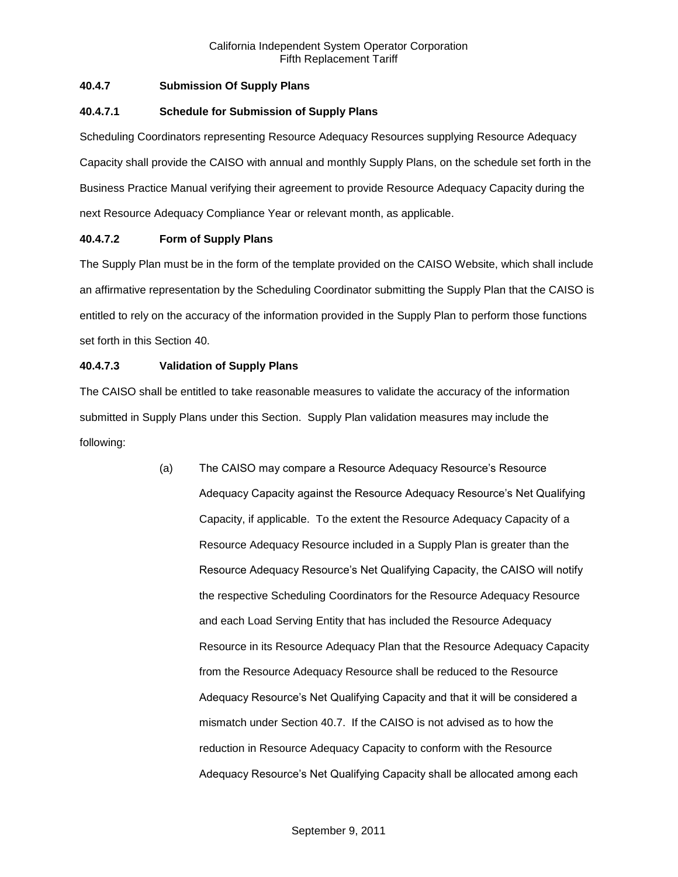## **40.4.7 Submission Of Supply Plans**

### **40.4.7.1 Schedule for Submission of Supply Plans**

Scheduling Coordinators representing Resource Adequacy Resources supplying Resource Adequacy Capacity shall provide the CAISO with annual and monthly Supply Plans, on the schedule set forth in the Business Practice Manual verifying their agreement to provide Resource Adequacy Capacity during the next Resource Adequacy Compliance Year or relevant month, as applicable.

## **40.4.7.2 Form of Supply Plans**

The Supply Plan must be in the form of the template provided on the CAISO Website, which shall include an affirmative representation by the Scheduling Coordinator submitting the Supply Plan that the CAISO is entitled to rely on the accuracy of the information provided in the Supply Plan to perform those functions set forth in this Section 40.

## **40.4.7.3 Validation of Supply Plans**

The CAISO shall be entitled to take reasonable measures to validate the accuracy of the information submitted in Supply Plans under this Section. Supply Plan validation measures may include the following:

> (a) The CAISO may compare a Resource Adequacy Resource's Resource Adequacy Capacity against the Resource Adequacy Resource's Net Qualifying Capacity, if applicable. To the extent the Resource Adequacy Capacity of a Resource Adequacy Resource included in a Supply Plan is greater than the Resource Adequacy Resource's Net Qualifying Capacity, the CAISO will notify the respective Scheduling Coordinators for the Resource Adequacy Resource and each Load Serving Entity that has included the Resource Adequacy Resource in its Resource Adequacy Plan that the Resource Adequacy Capacity from the Resource Adequacy Resource shall be reduced to the Resource Adequacy Resource's Net Qualifying Capacity and that it will be considered a mismatch under Section 40.7. If the CAISO is not advised as to how the reduction in Resource Adequacy Capacity to conform with the Resource Adequacy Resource's Net Qualifying Capacity shall be allocated among each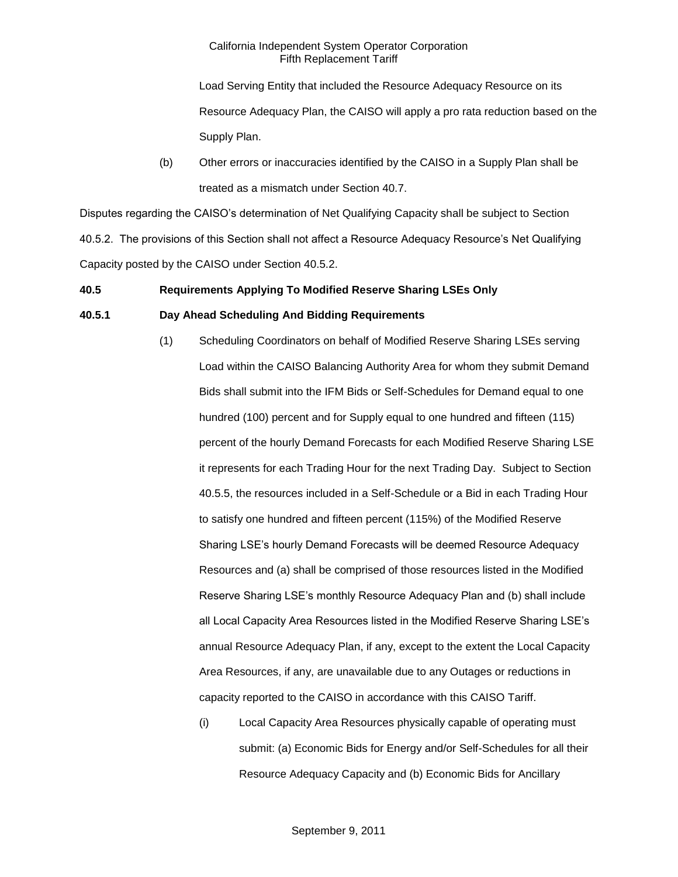Load Serving Entity that included the Resource Adequacy Resource on its Resource Adequacy Plan, the CAISO will apply a pro rata reduction based on the Supply Plan.

(b) Other errors or inaccuracies identified by the CAISO in a Supply Plan shall be treated as a mismatch under Section 40.7.

Disputes regarding the CAISO's determination of Net Qualifying Capacity shall be subject to Section 40.5.2. The provisions of this Section shall not affect a Resource Adequacy Resource's Net Qualifying Capacity posted by the CAISO under Section 40.5.2.

## **40.5 Requirements Applying To Modified Reserve Sharing LSEs Only**

## **40.5.1 Day Ahead Scheduling And Bidding Requirements**

- (1) Scheduling Coordinators on behalf of Modified Reserve Sharing LSEs serving Load within the CAISO Balancing Authority Area for whom they submit Demand Bids shall submit into the IFM Bids or Self-Schedules for Demand equal to one hundred (100) percent and for Supply equal to one hundred and fifteen (115) percent of the hourly Demand Forecasts for each Modified Reserve Sharing LSE it represents for each Trading Hour for the next Trading Day. Subject to Section 40.5.5, the resources included in a Self-Schedule or a Bid in each Trading Hour to satisfy one hundred and fifteen percent (115%) of the Modified Reserve Sharing LSE's hourly Demand Forecasts will be deemed Resource Adequacy Resources and (a) shall be comprised of those resources listed in the Modified Reserve Sharing LSE's monthly Resource Adequacy Plan and (b) shall include all Local Capacity Area Resources listed in the Modified Reserve Sharing LSE's annual Resource Adequacy Plan, if any, except to the extent the Local Capacity Area Resources, if any, are unavailable due to any Outages or reductions in capacity reported to the CAISO in accordance with this CAISO Tariff.
	- (i) Local Capacity Area Resources physically capable of operating must submit: (a) Economic Bids for Energy and/or Self-Schedules for all their Resource Adequacy Capacity and (b) Economic Bids for Ancillary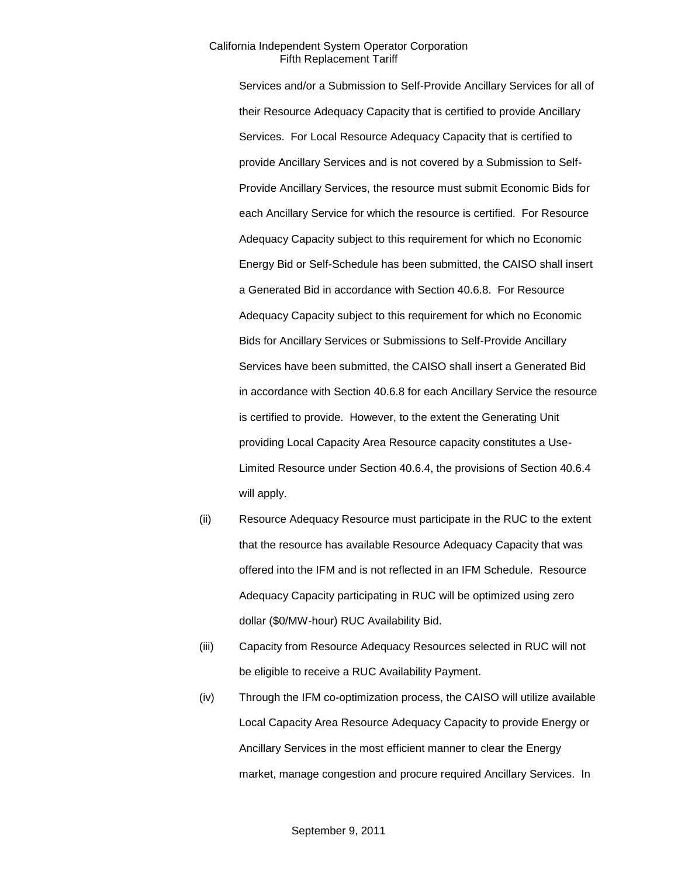Services and/or a Submission to Self-Provide Ancillary Services for all of their Resource Adequacy Capacity that is certified to provide Ancillary Services. For Local Resource Adequacy Capacity that is certified to provide Ancillary Services and is not covered by a Submission to Self-Provide Ancillary Services, the resource must submit Economic Bids for each Ancillary Service for which the resource is certified. For Resource Adequacy Capacity subject to this requirement for which no Economic Energy Bid or Self-Schedule has been submitted, the CAISO shall insert a Generated Bid in accordance with Section 40.6.8. For Resource Adequacy Capacity subject to this requirement for which no Economic Bids for Ancillary Services or Submissions to Self-Provide Ancillary Services have been submitted, the CAISO shall insert a Generated Bid in accordance with Section 40.6.8 for each Ancillary Service the resource is certified to provide. However, to the extent the Generating Unit providing Local Capacity Area Resource capacity constitutes a Use-Limited Resource under Section 40.6.4, the provisions of Section 40.6.4 will apply.

- (ii) Resource Adequacy Resource must participate in the RUC to the extent that the resource has available Resource Adequacy Capacity that was offered into the IFM and is not reflected in an IFM Schedule. Resource Adequacy Capacity participating in RUC will be optimized using zero dollar (\$0/MW-hour) RUC Availability Bid.
- (iii) Capacity from Resource Adequacy Resources selected in RUC will not be eligible to receive a RUC Availability Payment.
- (iv) Through the IFM co-optimization process, the CAISO will utilize available Local Capacity Area Resource Adequacy Capacity to provide Energy or Ancillary Services in the most efficient manner to clear the Energy market, manage congestion and procure required Ancillary Services. In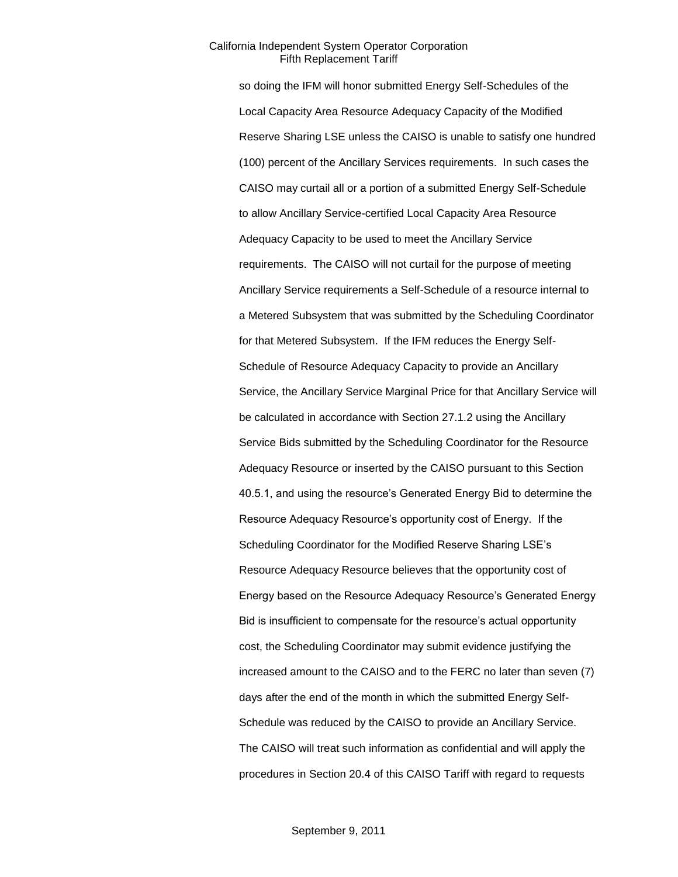so doing the IFM will honor submitted Energy Self-Schedules of the Local Capacity Area Resource Adequacy Capacity of the Modified Reserve Sharing LSE unless the CAISO is unable to satisfy one hundred (100) percent of the Ancillary Services requirements. In such cases the CAISO may curtail all or a portion of a submitted Energy Self-Schedule to allow Ancillary Service-certified Local Capacity Area Resource Adequacy Capacity to be used to meet the Ancillary Service requirements. The CAISO will not curtail for the purpose of meeting Ancillary Service requirements a Self-Schedule of a resource internal to a Metered Subsystem that was submitted by the Scheduling Coordinator for that Metered Subsystem. If the IFM reduces the Energy Self-Schedule of Resource Adequacy Capacity to provide an Ancillary Service, the Ancillary Service Marginal Price for that Ancillary Service will be calculated in accordance with Section 27.1.2 using the Ancillary Service Bids submitted by the Scheduling Coordinator for the Resource Adequacy Resource or inserted by the CAISO pursuant to this Section 40.5.1, and using the resource's Generated Energy Bid to determine the Resource Adequacy Resource's opportunity cost of Energy. If the Scheduling Coordinator for the Modified Reserve Sharing LSE's Resource Adequacy Resource believes that the opportunity cost of Energy based on the Resource Adequacy Resource's Generated Energy Bid is insufficient to compensate for the resource's actual opportunity cost, the Scheduling Coordinator may submit evidence justifying the increased amount to the CAISO and to the FERC no later than seven (7) days after the end of the month in which the submitted Energy Self-Schedule was reduced by the CAISO to provide an Ancillary Service. The CAISO will treat such information as confidential and will apply the procedures in Section 20.4 of this CAISO Tariff with regard to requests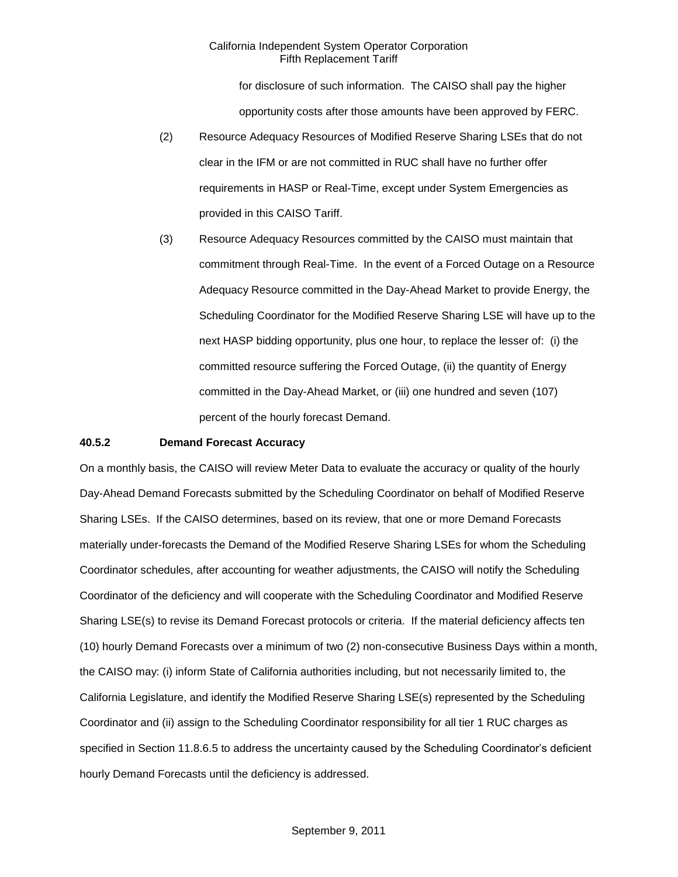for disclosure of such information. The CAISO shall pay the higher opportunity costs after those amounts have been approved by FERC.

- (2) Resource Adequacy Resources of Modified Reserve Sharing LSEs that do not clear in the IFM or are not committed in RUC shall have no further offer requirements in HASP or Real-Time, except under System Emergencies as provided in this CAISO Tariff.
- (3) Resource Adequacy Resources committed by the CAISO must maintain that commitment through Real-Time. In the event of a Forced Outage on a Resource Adequacy Resource committed in the Day-Ahead Market to provide Energy, the Scheduling Coordinator for the Modified Reserve Sharing LSE will have up to the next HASP bidding opportunity, plus one hour, to replace the lesser of: (i) the committed resource suffering the Forced Outage, (ii) the quantity of Energy committed in the Day-Ahead Market, or (iii) one hundred and seven (107) percent of the hourly forecast Demand.

#### **40.5.2 Demand Forecast Accuracy**

On a monthly basis, the CAISO will review Meter Data to evaluate the accuracy or quality of the hourly Day-Ahead Demand Forecasts submitted by the Scheduling Coordinator on behalf of Modified Reserve Sharing LSEs. If the CAISO determines, based on its review, that one or more Demand Forecasts materially under-forecasts the Demand of the Modified Reserve Sharing LSEs for whom the Scheduling Coordinator schedules, after accounting for weather adjustments, the CAISO will notify the Scheduling Coordinator of the deficiency and will cooperate with the Scheduling Coordinator and Modified Reserve Sharing LSE(s) to revise its Demand Forecast protocols or criteria. If the material deficiency affects ten (10) hourly Demand Forecasts over a minimum of two (2) non-consecutive Business Days within a month, the CAISO may: (i) inform State of California authorities including, but not necessarily limited to, the California Legislature, and identify the Modified Reserve Sharing LSE(s) represented by the Scheduling Coordinator and (ii) assign to the Scheduling Coordinator responsibility for all tier 1 RUC charges as specified in Section 11.8.6.5 to address the uncertainty caused by the Scheduling Coordinator's deficient hourly Demand Forecasts until the deficiency is addressed.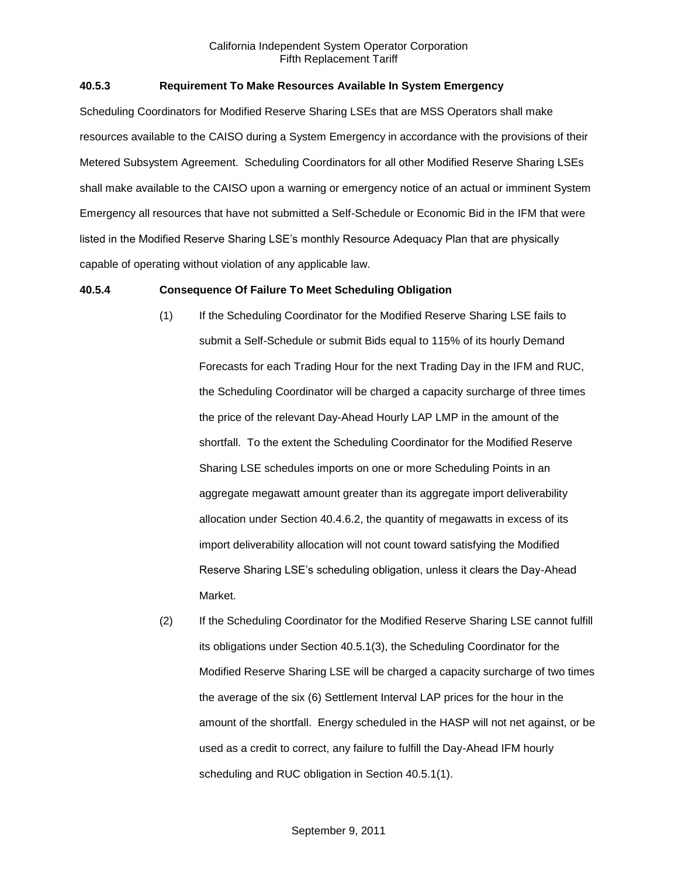## **40.5.3 Requirement To Make Resources Available In System Emergency**

Scheduling Coordinators for Modified Reserve Sharing LSEs that are MSS Operators shall make resources available to the CAISO during a System Emergency in accordance with the provisions of their Metered Subsystem Agreement. Scheduling Coordinators for all other Modified Reserve Sharing LSEs shall make available to the CAISO upon a warning or emergency notice of an actual or imminent System Emergency all resources that have not submitted a Self-Schedule or Economic Bid in the IFM that were listed in the Modified Reserve Sharing LSE's monthly Resource Adequacy Plan that are physically capable of operating without violation of any applicable law.

#### **40.5.4 Consequence Of Failure To Meet Scheduling Obligation**

- (1) If the Scheduling Coordinator for the Modified Reserve Sharing LSE fails to submit a Self-Schedule or submit Bids equal to 115% of its hourly Demand Forecasts for each Trading Hour for the next Trading Day in the IFM and RUC, the Scheduling Coordinator will be charged a capacity surcharge of three times the price of the relevant Day-Ahead Hourly LAP LMP in the amount of the shortfall. To the extent the Scheduling Coordinator for the Modified Reserve Sharing LSE schedules imports on one or more Scheduling Points in an aggregate megawatt amount greater than its aggregate import deliverability allocation under Section 40.4.6.2, the quantity of megawatts in excess of its import deliverability allocation will not count toward satisfying the Modified Reserve Sharing LSE's scheduling obligation, unless it clears the Day-Ahead Market.
- (2) If the Scheduling Coordinator for the Modified Reserve Sharing LSE cannot fulfill its obligations under Section 40.5.1(3), the Scheduling Coordinator for the Modified Reserve Sharing LSE will be charged a capacity surcharge of two times the average of the six (6) Settlement Interval LAP prices for the hour in the amount of the shortfall. Energy scheduled in the HASP will not net against, or be used as a credit to correct, any failure to fulfill the Day-Ahead IFM hourly scheduling and RUC obligation in Section 40.5.1(1).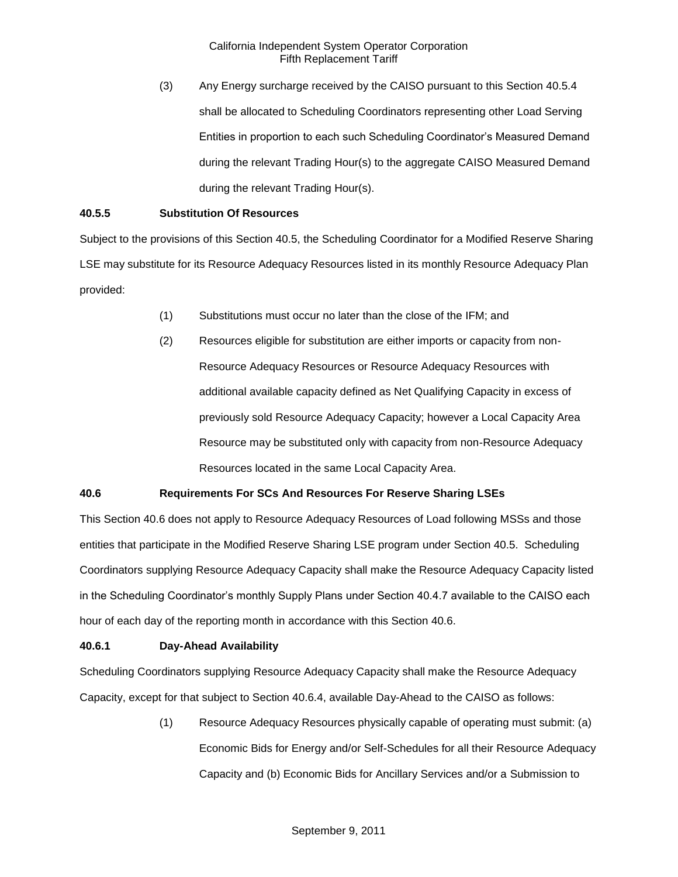(3) Any Energy surcharge received by the CAISO pursuant to this Section 40.5.4 shall be allocated to Scheduling Coordinators representing other Load Serving Entities in proportion to each such Scheduling Coordinator's Measured Demand during the relevant Trading Hour(s) to the aggregate CAISO Measured Demand during the relevant Trading Hour(s).

## **40.5.5 Substitution Of Resources**

Subject to the provisions of this Section 40.5, the Scheduling Coordinator for a Modified Reserve Sharing LSE may substitute for its Resource Adequacy Resources listed in its monthly Resource Adequacy Plan provided:

- (1) Substitutions must occur no later than the close of the IFM; and
- (2) Resources eligible for substitution are either imports or capacity from non-Resource Adequacy Resources or Resource Adequacy Resources with additional available capacity defined as Net Qualifying Capacity in excess of previously sold Resource Adequacy Capacity; however a Local Capacity Area Resource may be substituted only with capacity from non-Resource Adequacy Resources located in the same Local Capacity Area.

## **40.6 Requirements For SCs And Resources For Reserve Sharing LSEs**

This Section 40.6 does not apply to Resource Adequacy Resources of Load following MSSs and those entities that participate in the Modified Reserve Sharing LSE program under Section 40.5. Scheduling Coordinators supplying Resource Adequacy Capacity shall make the Resource Adequacy Capacity listed in the Scheduling Coordinator's monthly Supply Plans under Section 40.4.7 available to the CAISO each hour of each day of the reporting month in accordance with this Section 40.6.

#### **40.6.1 Day-Ahead Availability**

Scheduling Coordinators supplying Resource Adequacy Capacity shall make the Resource Adequacy Capacity, except for that subject to Section 40.6.4, available Day-Ahead to the CAISO as follows:

> (1) Resource Adequacy Resources physically capable of operating must submit: (a) Economic Bids for Energy and/or Self-Schedules for all their Resource Adequacy Capacity and (b) Economic Bids for Ancillary Services and/or a Submission to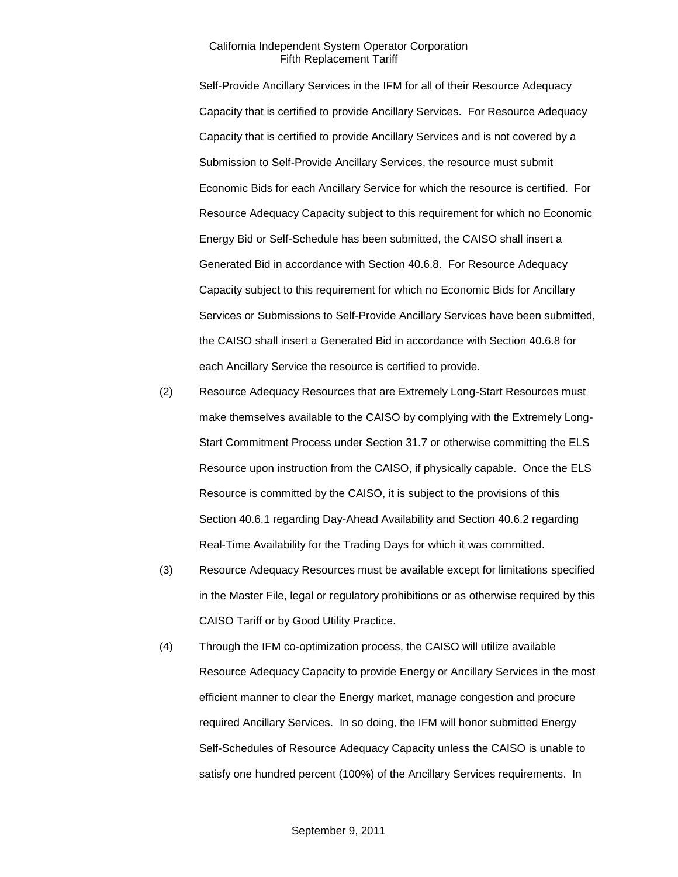Self-Provide Ancillary Services in the IFM for all of their Resource Adequacy Capacity that is certified to provide Ancillary Services. For Resource Adequacy Capacity that is certified to provide Ancillary Services and is not covered by a Submission to Self-Provide Ancillary Services, the resource must submit Economic Bids for each Ancillary Service for which the resource is certified. For Resource Adequacy Capacity subject to this requirement for which no Economic Energy Bid or Self-Schedule has been submitted, the CAISO shall insert a Generated Bid in accordance with Section 40.6.8. For Resource Adequacy Capacity subject to this requirement for which no Economic Bids for Ancillary Services or Submissions to Self-Provide Ancillary Services have been submitted, the CAISO shall insert a Generated Bid in accordance with Section 40.6.8 for each Ancillary Service the resource is certified to provide.

- (2) Resource Adequacy Resources that are Extremely Long-Start Resources must make themselves available to the CAISO by complying with the Extremely Long-Start Commitment Process under Section 31.7 or otherwise committing the ELS Resource upon instruction from the CAISO, if physically capable. Once the ELS Resource is committed by the CAISO, it is subject to the provisions of this Section 40.6.1 regarding Day-Ahead Availability and Section 40.6.2 regarding Real-Time Availability for the Trading Days for which it was committed.
- (3) Resource Adequacy Resources must be available except for limitations specified in the Master File, legal or regulatory prohibitions or as otherwise required by this CAISO Tariff or by Good Utility Practice.
- (4) Through the IFM co-optimization process, the CAISO will utilize available Resource Adequacy Capacity to provide Energy or Ancillary Services in the most efficient manner to clear the Energy market, manage congestion and procure required Ancillary Services. In so doing, the IFM will honor submitted Energy Self-Schedules of Resource Adequacy Capacity unless the CAISO is unable to satisfy one hundred percent (100%) of the Ancillary Services requirements. In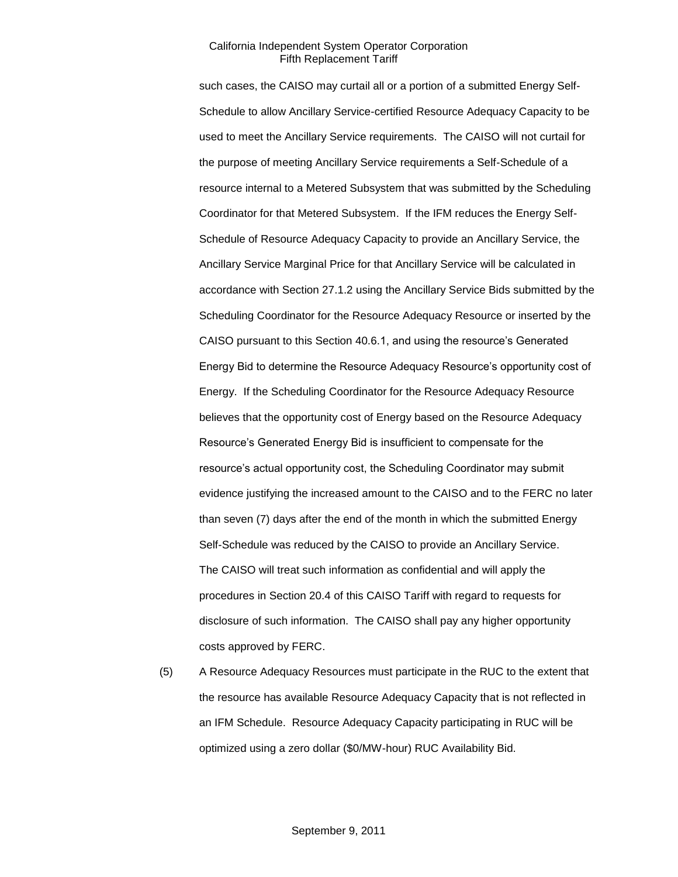such cases, the CAISO may curtail all or a portion of a submitted Energy Self-Schedule to allow Ancillary Service-certified Resource Adequacy Capacity to be used to meet the Ancillary Service requirements. The CAISO will not curtail for the purpose of meeting Ancillary Service requirements a Self-Schedule of a resource internal to a Metered Subsystem that was submitted by the Scheduling Coordinator for that Metered Subsystem. If the IFM reduces the Energy Self-Schedule of Resource Adequacy Capacity to provide an Ancillary Service, the Ancillary Service Marginal Price for that Ancillary Service will be calculated in accordance with Section 27.1.2 using the Ancillary Service Bids submitted by the Scheduling Coordinator for the Resource Adequacy Resource or inserted by the CAISO pursuant to this Section 40.6.1, and using the resource's Generated Energy Bid to determine the Resource Adequacy Resource's opportunity cost of Energy. If the Scheduling Coordinator for the Resource Adequacy Resource believes that the opportunity cost of Energy based on the Resource Adequacy Resource's Generated Energy Bid is insufficient to compensate for the resource's actual opportunity cost, the Scheduling Coordinator may submit evidence justifying the increased amount to the CAISO and to the FERC no later than seven (7) days after the end of the month in which the submitted Energy Self-Schedule was reduced by the CAISO to provide an Ancillary Service. The CAISO will treat such information as confidential and will apply the procedures in Section 20.4 of this CAISO Tariff with regard to requests for disclosure of such information. The CAISO shall pay any higher opportunity costs approved by FERC.

(5) A Resource Adequacy Resources must participate in the RUC to the extent that the resource has available Resource Adequacy Capacity that is not reflected in an IFM Schedule. Resource Adequacy Capacity participating in RUC will be optimized using a zero dollar (\$0/MW-hour) RUC Availability Bid.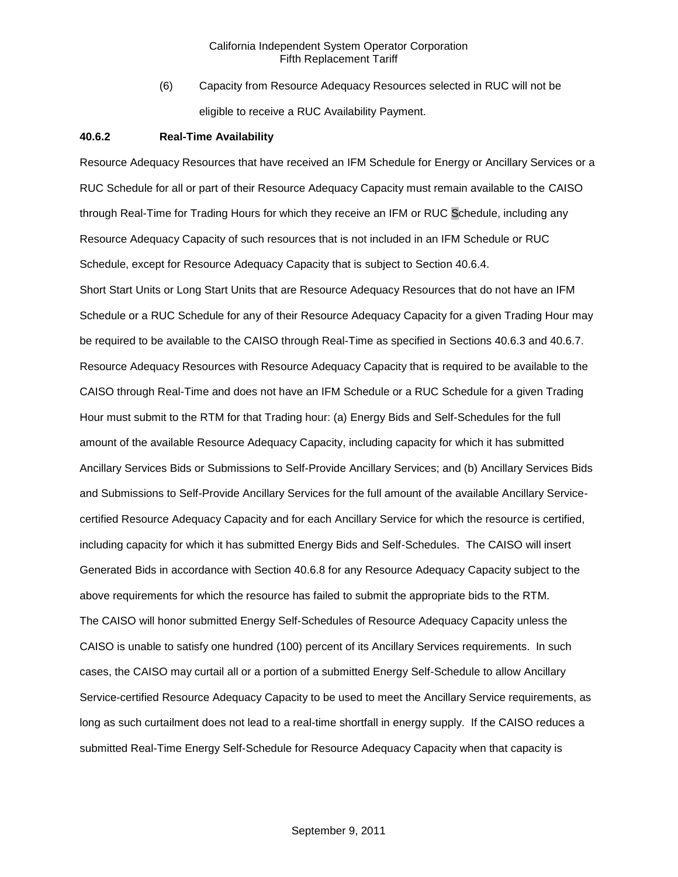(6) Capacity from Resource Adequacy Resources selected in RUC will not be eligible to receive a RUC Availability Payment.

#### **40.6.2 Real-Time Availability**

Resource Adequacy Resources that have received an IFM Schedule for Energy or Ancillary Services or a RUC Schedule for all or part of their Resource Adequacy Capacity must remain available to the CAISO through Real-Time for Trading Hours for which they receive an IFM or RUC Schedule, including any Resource Adequacy Capacity of such resources that is not included in an IFM Schedule or RUC Schedule, except for Resource Adequacy Capacity that is subject to Section 40.6.4.

Short Start Units or Long Start Units that are Resource Adequacy Resources that do not have an IFM Schedule or a RUC Schedule for any of their Resource Adequacy Capacity for a given Trading Hour may be required to be available to the CAISO through Real-Time as specified in Sections 40.6.3 and 40.6.7. Resource Adequacy Resources with Resource Adequacy Capacity that is required to be available to the CAISO through Real-Time and does not have an IFM Schedule or a RUC Schedule for a given Trading Hour must submit to the RTM for that Trading hour: (a) Energy Bids and Self-Schedules for the full amount of the available Resource Adequacy Capacity, including capacity for which it has submitted Ancillary Services Bids or Submissions to Self-Provide Ancillary Services; and (b) Ancillary Services Bids and Submissions to Self-Provide Ancillary Services for the full amount of the available Ancillary Servicecertified Resource Adequacy Capacity and for each Ancillary Service for which the resource is certified, including capacity for which it has submitted Energy Bids and Self-Schedules. The CAISO will insert Generated Bids in accordance with Section 40.6.8 for any Resource Adequacy Capacity subject to the above requirements for which the resource has failed to submit the appropriate bids to the RTM. The CAISO will honor submitted Energy Self-Schedules of Resource Adequacy Capacity unless the CAISO is unable to satisfy one hundred (100) percent of its Ancillary Services requirements. In such cases, the CAISO may curtail all or a portion of a submitted Energy Self-Schedule to allow Ancillary Service-certified Resource Adequacy Capacity to be used to meet the Ancillary Service requirements, as long as such curtailment does not lead to a real-time shortfall in energy supply. If the CAISO reduces a submitted Real-Time Energy Self-Schedule for Resource Adequacy Capacity when that capacity is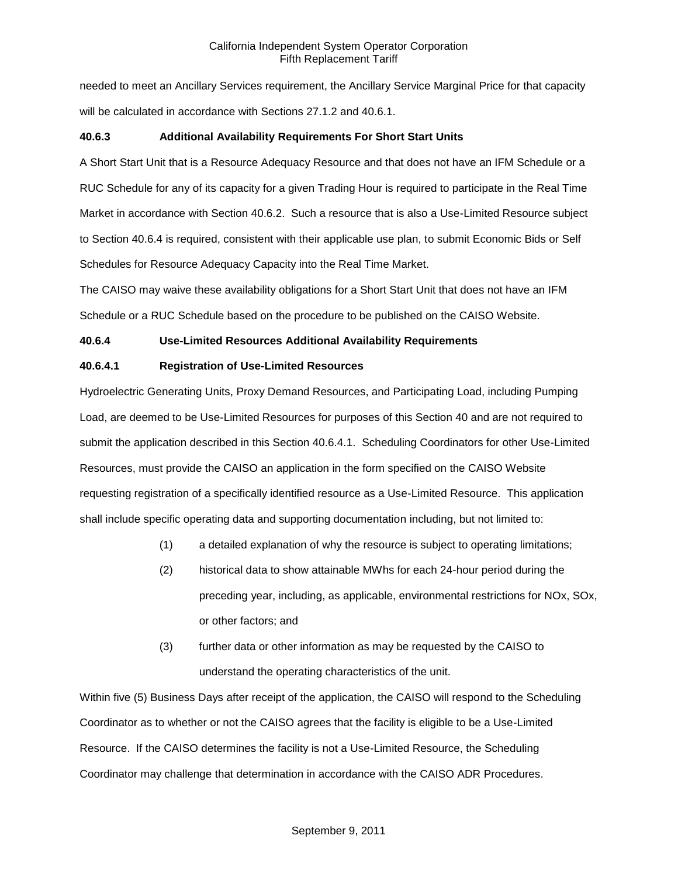needed to meet an Ancillary Services requirement, the Ancillary Service Marginal Price for that capacity will be calculated in accordance with Sections 27.1.2 and 40.6.1.

## **40.6.3 Additional Availability Requirements For Short Start Units**

A Short Start Unit that is a Resource Adequacy Resource and that does not have an IFM Schedule or a RUC Schedule for any of its capacity for a given Trading Hour is required to participate in the Real Time Market in accordance with Section 40.6.2. Such a resource that is also a Use-Limited Resource subject to Section 40.6.4 is required, consistent with their applicable use plan, to submit Economic Bids or Self Schedules for Resource Adequacy Capacity into the Real Time Market.

The CAISO may waive these availability obligations for a Short Start Unit that does not have an IFM Schedule or a RUC Schedule based on the procedure to be published on the CAISO Website.

## **40.6.4 Use-Limited Resources Additional Availability Requirements**

## **40.6.4.1 Registration of Use-Limited Resources**

Hydroelectric Generating Units, Proxy Demand Resources, and Participating Load, including Pumping Load, are deemed to be Use-Limited Resources for purposes of this Section 40 and are not required to submit the application described in this Section 40.6.4.1. Scheduling Coordinators for other Use-Limited Resources, must provide the CAISO an application in the form specified on the CAISO Website requesting registration of a specifically identified resource as a Use-Limited Resource. This application shall include specific operating data and supporting documentation including, but not limited to:

- (1) a detailed explanation of why the resource is subject to operating limitations;
- (2) historical data to show attainable MWhs for each 24-hour period during the preceding year, including, as applicable, environmental restrictions for NOx, SOx, or other factors; and
- (3) further data or other information as may be requested by the CAISO to understand the operating characteristics of the unit.

Within five (5) Business Days after receipt of the application, the CAISO will respond to the Scheduling Coordinator as to whether or not the CAISO agrees that the facility is eligible to be a Use-Limited Resource. If the CAISO determines the facility is not a Use-Limited Resource, the Scheduling Coordinator may challenge that determination in accordance with the CAISO ADR Procedures.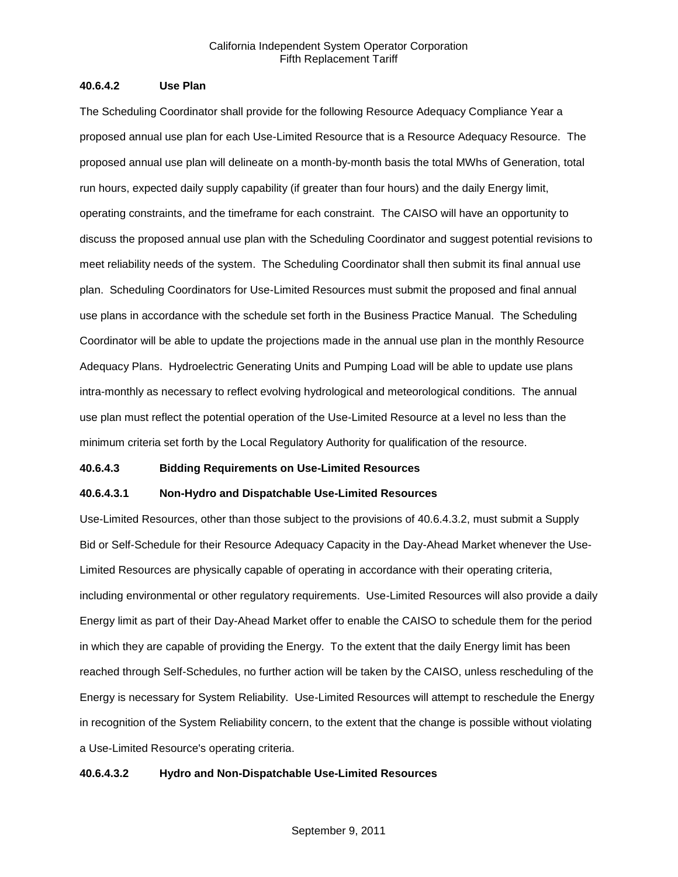# **40.6.4.2 Use Plan**

The Scheduling Coordinator shall provide for the following Resource Adequacy Compliance Year a proposed annual use plan for each Use-Limited Resource that is a Resource Adequacy Resource. The proposed annual use plan will delineate on a month-by-month basis the total MWhs of Generation, total run hours, expected daily supply capability (if greater than four hours) and the daily Energy limit, operating constraints, and the timeframe for each constraint. The CAISO will have an opportunity to discuss the proposed annual use plan with the Scheduling Coordinator and suggest potential revisions to meet reliability needs of the system. The Scheduling Coordinator shall then submit its final annual use plan. Scheduling Coordinators for Use-Limited Resources must submit the proposed and final annual use plans in accordance with the schedule set forth in the Business Practice Manual. The Scheduling Coordinator will be able to update the projections made in the annual use plan in the monthly Resource Adequacy Plans. Hydroelectric Generating Units and Pumping Load will be able to update use plans intra-monthly as necessary to reflect evolving hydrological and meteorological conditions. The annual use plan must reflect the potential operation of the Use-Limited Resource at a level no less than the minimum criteria set forth by the Local Regulatory Authority for qualification of the resource.

#### **40.6.4.3 Bidding Requirements on Use-Limited Resources**

# **40.6.4.3.1 Non-Hydro and Dispatchable Use-Limited Resources**

Use-Limited Resources, other than those subject to the provisions of 40.6.4.3.2, must submit a Supply Bid or Self-Schedule for their Resource Adequacy Capacity in the Day-Ahead Market whenever the Use-Limited Resources are physically capable of operating in accordance with their operating criteria, including environmental or other regulatory requirements. Use-Limited Resources will also provide a daily Energy limit as part of their Day-Ahead Market offer to enable the CAISO to schedule them for the period in which they are capable of providing the Energy. To the extent that the daily Energy limit has been reached through Self-Schedules, no further action will be taken by the CAISO, unless rescheduling of the Energy is necessary for System Reliability. Use-Limited Resources will attempt to reschedule the Energy in recognition of the System Reliability concern, to the extent that the change is possible without violating a Use-Limited Resource's operating criteria.

# **40.6.4.3.2 Hydro and Non-Dispatchable Use-Limited Resources**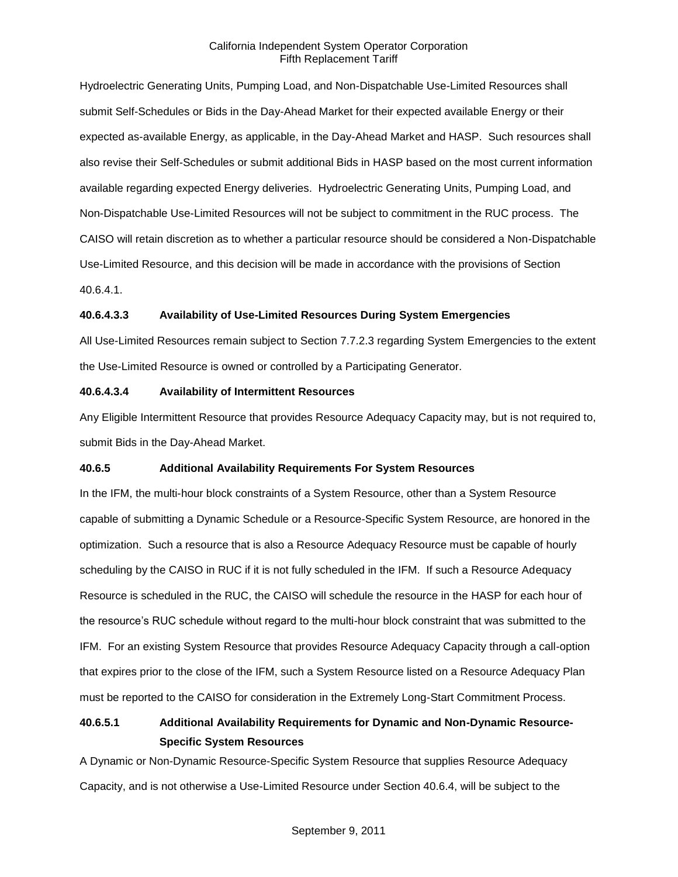Hydroelectric Generating Units, Pumping Load, and Non-Dispatchable Use-Limited Resources shall submit Self-Schedules or Bids in the Day-Ahead Market for their expected available Energy or their expected as-available Energy, as applicable, in the Day-Ahead Market and HASP. Such resources shall also revise their Self-Schedules or submit additional Bids in HASP based on the most current information available regarding expected Energy deliveries. Hydroelectric Generating Units, Pumping Load, and Non-Dispatchable Use-Limited Resources will not be subject to commitment in the RUC process. The CAISO will retain discretion as to whether a particular resource should be considered a Non-Dispatchable Use-Limited Resource, and this decision will be made in accordance with the provisions of Section 40.6.4.1.

# **40.6.4.3.3 Availability of Use-Limited Resources During System Emergencies**

All Use-Limited Resources remain subject to Section 7.7.2.3 regarding System Emergencies to the extent the Use-Limited Resource is owned or controlled by a Participating Generator.

# **40.6.4.3.4 Availability of Intermittent Resources**

Any Eligible Intermittent Resource that provides Resource Adequacy Capacity may, but is not required to, submit Bids in the Day-Ahead Market.

# **40.6.5 Additional Availability Requirements For System Resources**

In the IFM, the multi-hour block constraints of a System Resource, other than a System Resource capable of submitting a Dynamic Schedule or a Resource-Specific System Resource, are honored in the optimization. Such a resource that is also a Resource Adequacy Resource must be capable of hourly scheduling by the CAISO in RUC if it is not fully scheduled in the IFM. If such a Resource Adequacy Resource is scheduled in the RUC, the CAISO will schedule the resource in the HASP for each hour of the resource's RUC schedule without regard to the multi-hour block constraint that was submitted to the IFM. For an existing System Resource that provides Resource Adequacy Capacity through a call-option that expires prior to the close of the IFM, such a System Resource listed on a Resource Adequacy Plan must be reported to the CAISO for consideration in the Extremely Long-Start Commitment Process.

# **40.6.5.1 Additional Availability Requirements for Dynamic and Non-Dynamic Resource-Specific System Resources**

A Dynamic or Non-Dynamic Resource-Specific System Resource that supplies Resource Adequacy Capacity, and is not otherwise a Use-Limited Resource under Section 40.6.4, will be subject to the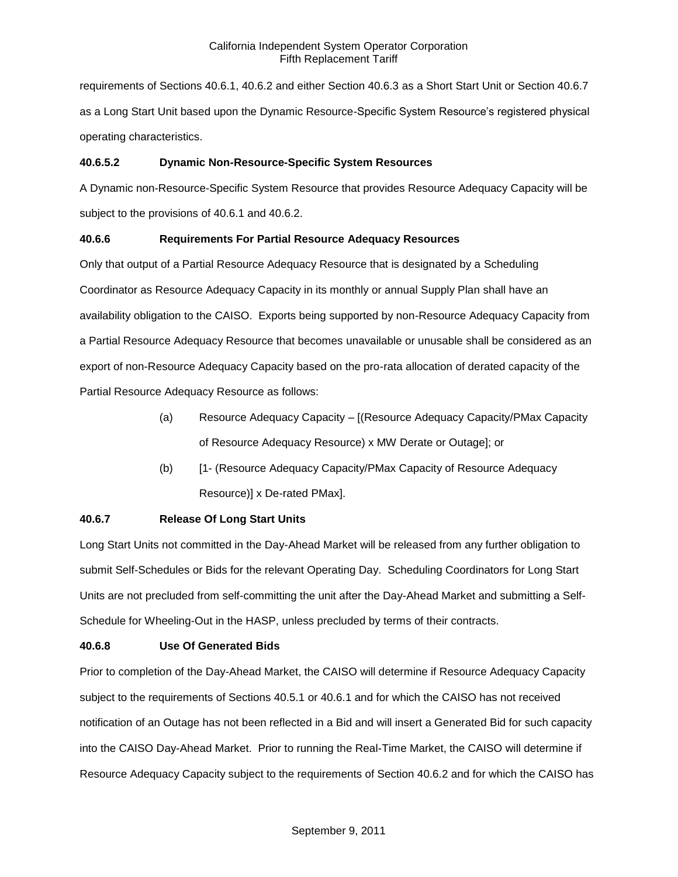requirements of Sections 40.6.1, 40.6.2 and either Section 40.6.3 as a Short Start Unit or Section 40.6.7 as a Long Start Unit based upon the Dynamic Resource-Specific System Resource's registered physical operating characteristics.

# **40.6.5.2 Dynamic Non-Resource-Specific System Resources**

A Dynamic non-Resource-Specific System Resource that provides Resource Adequacy Capacity will be subject to the provisions of 40.6.1 and 40.6.2.

# **40.6.6 Requirements For Partial Resource Adequacy Resources**

Only that output of a Partial Resource Adequacy Resource that is designated by a Scheduling Coordinator as Resource Adequacy Capacity in its monthly or annual Supply Plan shall have an availability obligation to the CAISO. Exports being supported by non-Resource Adequacy Capacity from a Partial Resource Adequacy Resource that becomes unavailable or unusable shall be considered as an export of non-Resource Adequacy Capacity based on the pro-rata allocation of derated capacity of the Partial Resource Adequacy Resource as follows:

- (a) Resource Adequacy Capacity [(Resource Adequacy Capacity/PMax Capacity of Resource Adequacy Resource) x MW Derate or Outage]; or
- (b) [1- (Resource Adequacy Capacity/PMax Capacity of Resource Adequacy Resource)] x De-rated PMax].

# **40.6.7 Release Of Long Start Units**

Long Start Units not committed in the Day-Ahead Market will be released from any further obligation to submit Self-Schedules or Bids for the relevant Operating Day. Scheduling Coordinators for Long Start Units are not precluded from self-committing the unit after the Day-Ahead Market and submitting a Self-Schedule for Wheeling-Out in the HASP, unless precluded by terms of their contracts.

# **40.6.8 Use Of Generated Bids**

Prior to completion of the Day-Ahead Market, the CAISO will determine if Resource Adequacy Capacity subject to the requirements of Sections 40.5.1 or 40.6.1 and for which the CAISO has not received notification of an Outage has not been reflected in a Bid and will insert a Generated Bid for such capacity into the CAISO Day-Ahead Market. Prior to running the Real-Time Market, the CAISO will determine if Resource Adequacy Capacity subject to the requirements of Section 40.6.2 and for which the CAISO has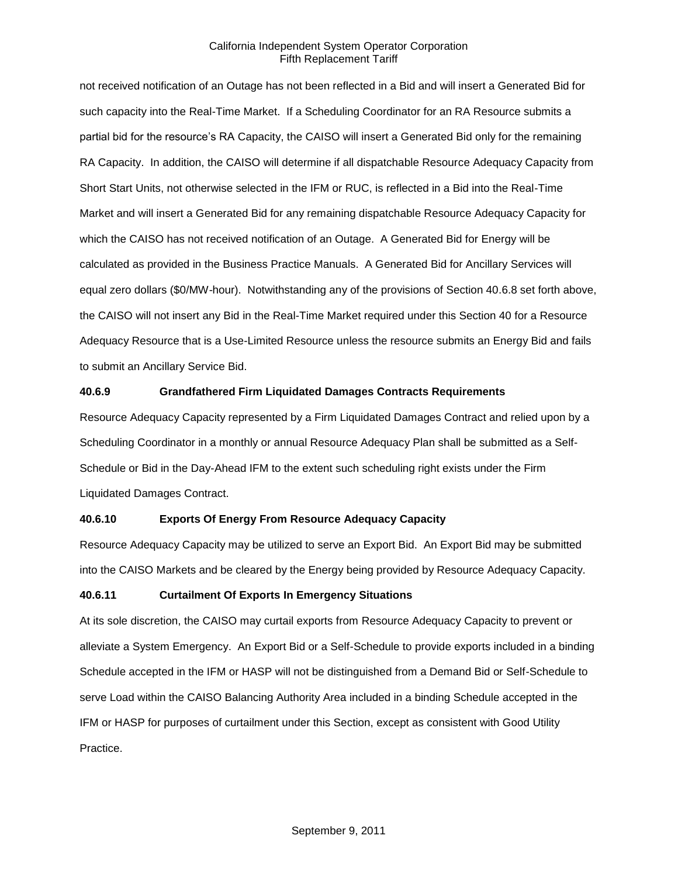not received notification of an Outage has not been reflected in a Bid and will insert a Generated Bid for such capacity into the Real-Time Market. If a Scheduling Coordinator for an RA Resource submits a partial bid for the resource's RA Capacity, the CAISO will insert a Generated Bid only for the remaining RA Capacity. In addition, the CAISO will determine if all dispatchable Resource Adequacy Capacity from Short Start Units, not otherwise selected in the IFM or RUC, is reflected in a Bid into the Real-Time Market and will insert a Generated Bid for any remaining dispatchable Resource Adequacy Capacity for which the CAISO has not received notification of an Outage. A Generated Bid for Energy will be calculated as provided in the Business Practice Manuals. A Generated Bid for Ancillary Services will equal zero dollars (\$0/MW-hour). Notwithstanding any of the provisions of Section 40.6.8 set forth above, the CAISO will not insert any Bid in the Real-Time Market required under this Section 40 for a Resource Adequacy Resource that is a Use-Limited Resource unless the resource submits an Energy Bid and fails to submit an Ancillary Service Bid.

# **40.6.9 Grandfathered Firm Liquidated Damages Contracts Requirements**

Resource Adequacy Capacity represented by a Firm Liquidated Damages Contract and relied upon by a Scheduling Coordinator in a monthly or annual Resource Adequacy Plan shall be submitted as a Self-Schedule or Bid in the Day-Ahead IFM to the extent such scheduling right exists under the Firm Liquidated Damages Contract.

#### **40.6.10 Exports Of Energy From Resource Adequacy Capacity**

Resource Adequacy Capacity may be utilized to serve an Export Bid. An Export Bid may be submitted into the CAISO Markets and be cleared by the Energy being provided by Resource Adequacy Capacity.

#### **40.6.11 Curtailment Of Exports In Emergency Situations**

At its sole discretion, the CAISO may curtail exports from Resource Adequacy Capacity to prevent or alleviate a System Emergency. An Export Bid or a Self-Schedule to provide exports included in a binding Schedule accepted in the IFM or HASP will not be distinguished from a Demand Bid or Self-Schedule to serve Load within the CAISO Balancing Authority Area included in a binding Schedule accepted in the IFM or HASP for purposes of curtailment under this Section, except as consistent with Good Utility Practice.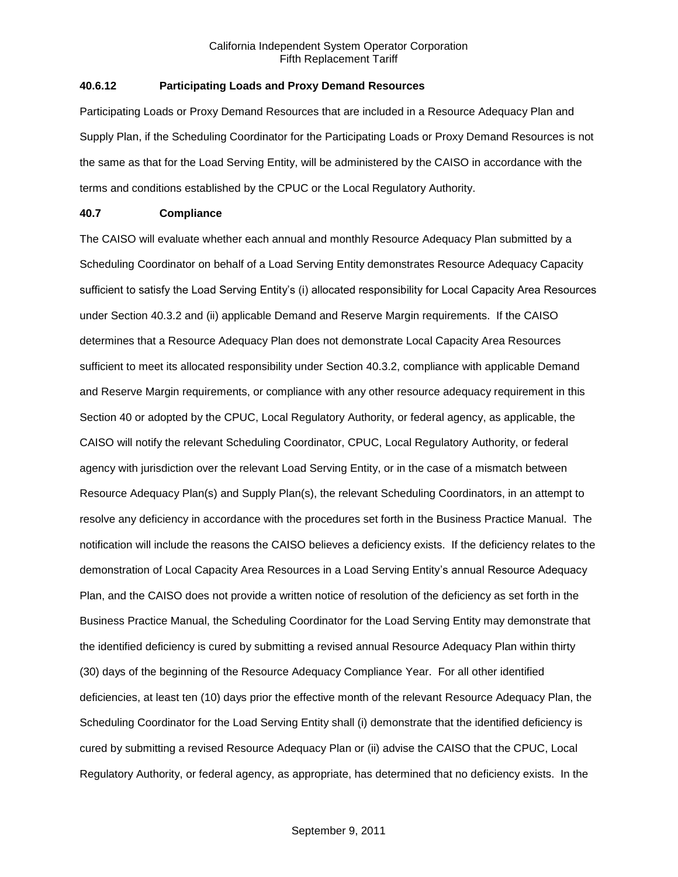# **40.6.12 Participating Loads and Proxy Demand Resources**

Participating Loads or Proxy Demand Resources that are included in a Resource Adequacy Plan and Supply Plan, if the Scheduling Coordinator for the Participating Loads or Proxy Demand Resources is not the same as that for the Load Serving Entity, will be administered by the CAISO in accordance with the terms and conditions established by the CPUC or the Local Regulatory Authority.

### **40.7 Compliance**

The CAISO will evaluate whether each annual and monthly Resource Adequacy Plan submitted by a Scheduling Coordinator on behalf of a Load Serving Entity demonstrates Resource Adequacy Capacity sufficient to satisfy the Load Serving Entity's (i) allocated responsibility for Local Capacity Area Resources under Section 40.3.2 and (ii) applicable Demand and Reserve Margin requirements. If the CAISO determines that a Resource Adequacy Plan does not demonstrate Local Capacity Area Resources sufficient to meet its allocated responsibility under Section 40.3.2, compliance with applicable Demand and Reserve Margin requirements, or compliance with any other resource adequacy requirement in this Section 40 or adopted by the CPUC, Local Regulatory Authority, or federal agency, as applicable, the CAISO will notify the relevant Scheduling Coordinator, CPUC, Local Regulatory Authority, or federal agency with jurisdiction over the relevant Load Serving Entity, or in the case of a mismatch between Resource Adequacy Plan(s) and Supply Plan(s), the relevant Scheduling Coordinators, in an attempt to resolve any deficiency in accordance with the procedures set forth in the Business Practice Manual. The notification will include the reasons the CAISO believes a deficiency exists. If the deficiency relates to the demonstration of Local Capacity Area Resources in a Load Serving Entity's annual Resource Adequacy Plan, and the CAISO does not provide a written notice of resolution of the deficiency as set forth in the Business Practice Manual, the Scheduling Coordinator for the Load Serving Entity may demonstrate that the identified deficiency is cured by submitting a revised annual Resource Adequacy Plan within thirty (30) days of the beginning of the Resource Adequacy Compliance Year. For all other identified deficiencies, at least ten (10) days prior the effective month of the relevant Resource Adequacy Plan, the Scheduling Coordinator for the Load Serving Entity shall (i) demonstrate that the identified deficiency is cured by submitting a revised Resource Adequacy Plan or (ii) advise the CAISO that the CPUC, Local Regulatory Authority, or federal agency, as appropriate, has determined that no deficiency exists. In the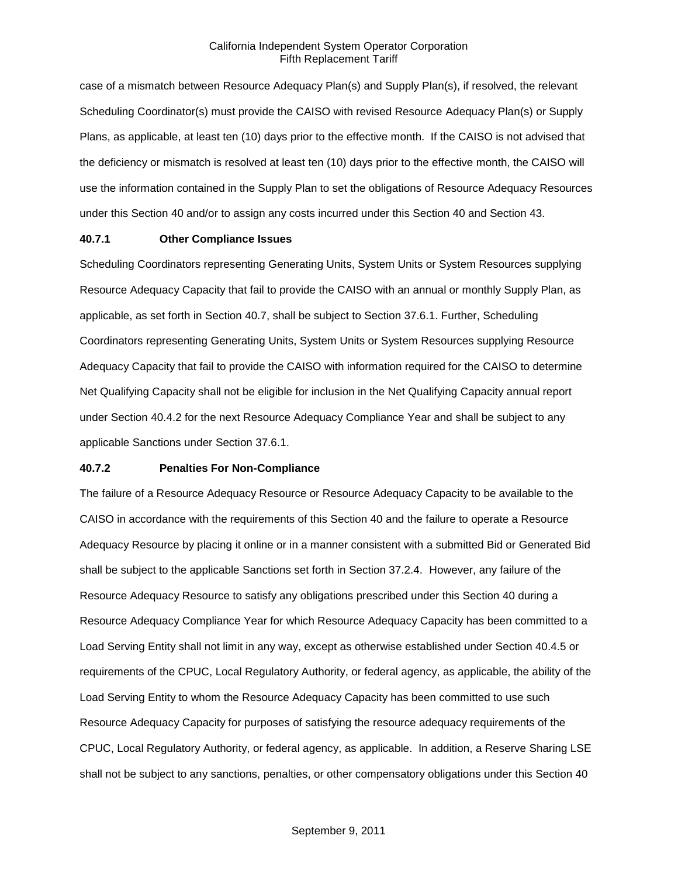case of a mismatch between Resource Adequacy Plan(s) and Supply Plan(s), if resolved, the relevant Scheduling Coordinator(s) must provide the CAISO with revised Resource Adequacy Plan(s) or Supply Plans, as applicable, at least ten (10) days prior to the effective month. If the CAISO is not advised that the deficiency or mismatch is resolved at least ten (10) days prior to the effective month, the CAISO will use the information contained in the Supply Plan to set the obligations of Resource Adequacy Resources under this Section 40 and/or to assign any costs incurred under this Section 40 and Section 43.

### **40.7.1 Other Compliance Issues**

Scheduling Coordinators representing Generating Units, System Units or System Resources supplying Resource Adequacy Capacity that fail to provide the CAISO with an annual or monthly Supply Plan, as applicable, as set forth in Section 40.7, shall be subject to Section 37.6.1. Further, Scheduling Coordinators representing Generating Units, System Units or System Resources supplying Resource Adequacy Capacity that fail to provide the CAISO with information required for the CAISO to determine Net Qualifying Capacity shall not be eligible for inclusion in the Net Qualifying Capacity annual report under Section 40.4.2 for the next Resource Adequacy Compliance Year and shall be subject to any applicable Sanctions under Section 37.6.1.

#### **40.7.2 Penalties For Non-Compliance**

The failure of a Resource Adequacy Resource or Resource Adequacy Capacity to be available to the CAISO in accordance with the requirements of this Section 40 and the failure to operate a Resource Adequacy Resource by placing it online or in a manner consistent with a submitted Bid or Generated Bid shall be subject to the applicable Sanctions set forth in Section 37.2.4. However, any failure of the Resource Adequacy Resource to satisfy any obligations prescribed under this Section 40 during a Resource Adequacy Compliance Year for which Resource Adequacy Capacity has been committed to a Load Serving Entity shall not limit in any way, except as otherwise established under Section 40.4.5 or requirements of the CPUC, Local Regulatory Authority, or federal agency, as applicable, the ability of the Load Serving Entity to whom the Resource Adequacy Capacity has been committed to use such Resource Adequacy Capacity for purposes of satisfying the resource adequacy requirements of the CPUC, Local Regulatory Authority, or federal agency, as applicable. In addition, a Reserve Sharing LSE shall not be subject to any sanctions, penalties, or other compensatory obligations under this Section 40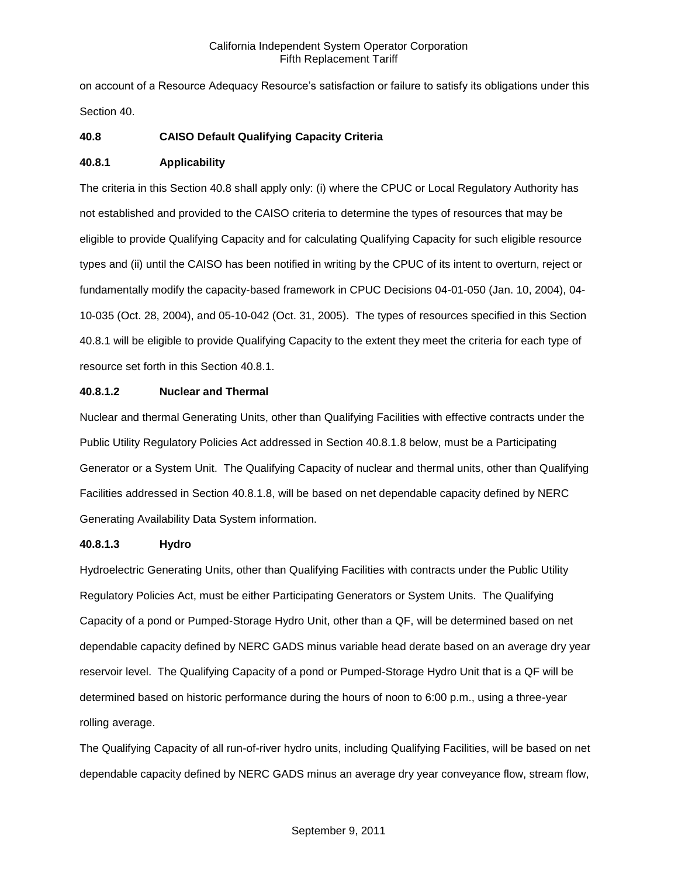on account of a Resource Adequacy Resource's satisfaction or failure to satisfy its obligations under this Section 40.

# **40.8 CAISO Default Qualifying Capacity Criteria**

# **40.8.1 Applicability**

The criteria in this Section 40.8 shall apply only: (i) where the CPUC or Local Regulatory Authority has not established and provided to the CAISO criteria to determine the types of resources that may be eligible to provide Qualifying Capacity and for calculating Qualifying Capacity for such eligible resource types and (ii) until the CAISO has been notified in writing by the CPUC of its intent to overturn, reject or fundamentally modify the capacity-based framework in CPUC Decisions 04-01-050 (Jan. 10, 2004), 04- 10-035 (Oct. 28, 2004), and 05-10-042 (Oct. 31, 2005). The types of resources specified in this Section 40.8.1 will be eligible to provide Qualifying Capacity to the extent they meet the criteria for each type of resource set forth in this Section 40.8.1.

# **40.8.1.2 Nuclear and Thermal**

Nuclear and thermal Generating Units, other than Qualifying Facilities with effective contracts under the Public Utility Regulatory Policies Act addressed in Section 40.8.1.8 below, must be a Participating Generator or a System Unit. The Qualifying Capacity of nuclear and thermal units, other than Qualifying Facilities addressed in Section 40.8.1.8, will be based on net dependable capacity defined by NERC Generating Availability Data System information.

# **40.8.1.3 Hydro**

Hydroelectric Generating Units, other than Qualifying Facilities with contracts under the Public Utility Regulatory Policies Act, must be either Participating Generators or System Units. The Qualifying Capacity of a pond or Pumped-Storage Hydro Unit, other than a QF, will be determined based on net dependable capacity defined by NERC GADS minus variable head derate based on an average dry year reservoir level. The Qualifying Capacity of a pond or Pumped-Storage Hydro Unit that is a QF will be determined based on historic performance during the hours of noon to 6:00 p.m., using a three-year rolling average.

The Qualifying Capacity of all run-of-river hydro units, including Qualifying Facilities, will be based on net dependable capacity defined by NERC GADS minus an average dry year conveyance flow, stream flow,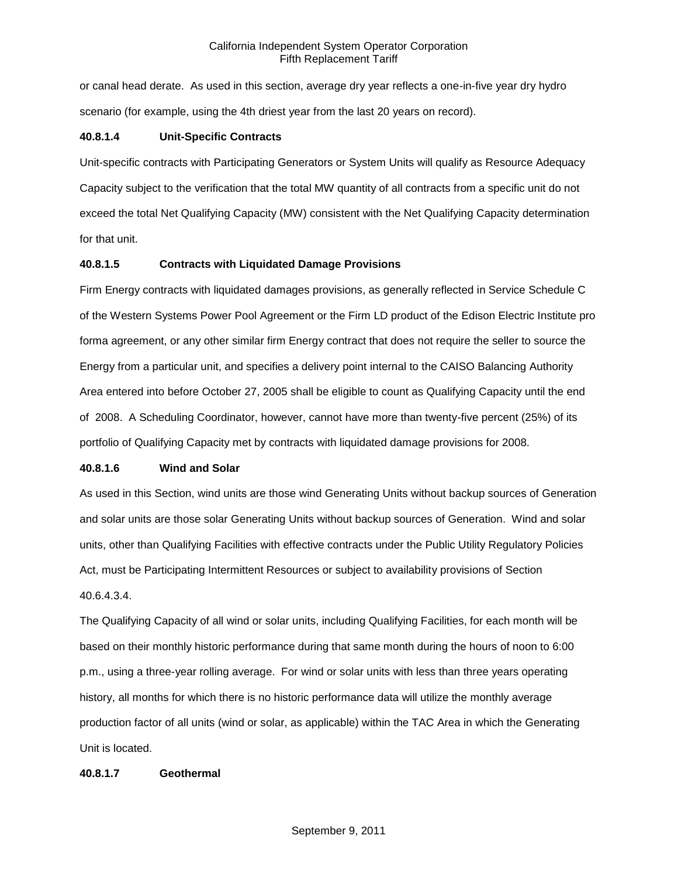or canal head derate. As used in this section, average dry year reflects a one-in-five year dry hydro scenario (for example, using the 4th driest year from the last 20 years on record).

# **40.8.1.4 Unit-Specific Contracts**

Unit-specific contracts with Participating Generators or System Units will qualify as Resource Adequacy Capacity subject to the verification that the total MW quantity of all contracts from a specific unit do not exceed the total Net Qualifying Capacity (MW) consistent with the Net Qualifying Capacity determination for that unit.

# **40.8.1.5 Contracts with Liquidated Damage Provisions**

Firm Energy contracts with liquidated damages provisions, as generally reflected in Service Schedule C of the Western Systems Power Pool Agreement or the Firm LD product of the Edison Electric Institute pro forma agreement, or any other similar firm Energy contract that does not require the seller to source the Energy from a particular unit, and specifies a delivery point internal to the CAISO Balancing Authority Area entered into before October 27, 2005 shall be eligible to count as Qualifying Capacity until the end of 2008. A Scheduling Coordinator, however, cannot have more than twenty-five percent (25%) of its portfolio of Qualifying Capacity met by contracts with liquidated damage provisions for 2008.

# **40.8.1.6 Wind and Solar**

As used in this Section, wind units are those wind Generating Units without backup sources of Generation and solar units are those solar Generating Units without backup sources of Generation. Wind and solar units, other than Qualifying Facilities with effective contracts under the Public Utility Regulatory Policies Act, must be Participating Intermittent Resources or subject to availability provisions of Section 40.6.4.3.4.

The Qualifying Capacity of all wind or solar units, including Qualifying Facilities, for each month will be based on their monthly historic performance during that same month during the hours of noon to 6:00 p.m., using a three-year rolling average. For wind or solar units with less than three years operating history, all months for which there is no historic performance data will utilize the monthly average production factor of all units (wind or solar, as applicable) within the TAC Area in which the Generating Unit is located.

# **40.8.1.7 Geothermal**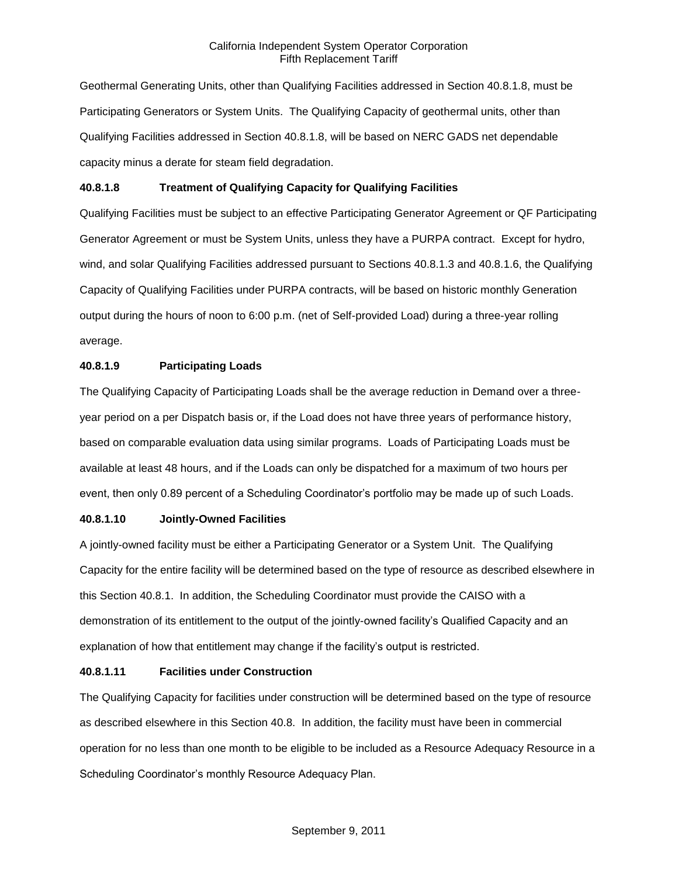Geothermal Generating Units, other than Qualifying Facilities addressed in Section 40.8.1.8, must be Participating Generators or System Units. The Qualifying Capacity of geothermal units, other than Qualifying Facilities addressed in Section 40.8.1.8, will be based on NERC GADS net dependable capacity minus a derate for steam field degradation.

# **40.8.1.8 Treatment of Qualifying Capacity for Qualifying Facilities**

Qualifying Facilities must be subject to an effective Participating Generator Agreement or QF Participating Generator Agreement or must be System Units, unless they have a PURPA contract. Except for hydro, wind, and solar Qualifying Facilities addressed pursuant to Sections 40.8.1.3 and 40.8.1.6, the Qualifying Capacity of Qualifying Facilities under PURPA contracts, will be based on historic monthly Generation output during the hours of noon to 6:00 p.m. (net of Self-provided Load) during a three-year rolling average.

# **40.8.1.9 Participating Loads**

The Qualifying Capacity of Participating Loads shall be the average reduction in Demand over a threeyear period on a per Dispatch basis or, if the Load does not have three years of performance history, based on comparable evaluation data using similar programs. Loads of Participating Loads must be available at least 48 hours, and if the Loads can only be dispatched for a maximum of two hours per event, then only 0.89 percent of a Scheduling Coordinator's portfolio may be made up of such Loads.

# **40.8.1.10 Jointly-Owned Facilities**

A jointly-owned facility must be either a Participating Generator or a System Unit. The Qualifying Capacity for the entire facility will be determined based on the type of resource as described elsewhere in this Section 40.8.1. In addition, the Scheduling Coordinator must provide the CAISO with a demonstration of its entitlement to the output of the jointly-owned facility's Qualified Capacity and an explanation of how that entitlement may change if the facility's output is restricted.

# **40.8.1.11 Facilities under Construction**

The Qualifying Capacity for facilities under construction will be determined based on the type of resource as described elsewhere in this Section 40.8. In addition, the facility must have been in commercial operation for no less than one month to be eligible to be included as a Resource Adequacy Resource in a Scheduling Coordinator's monthly Resource Adequacy Plan.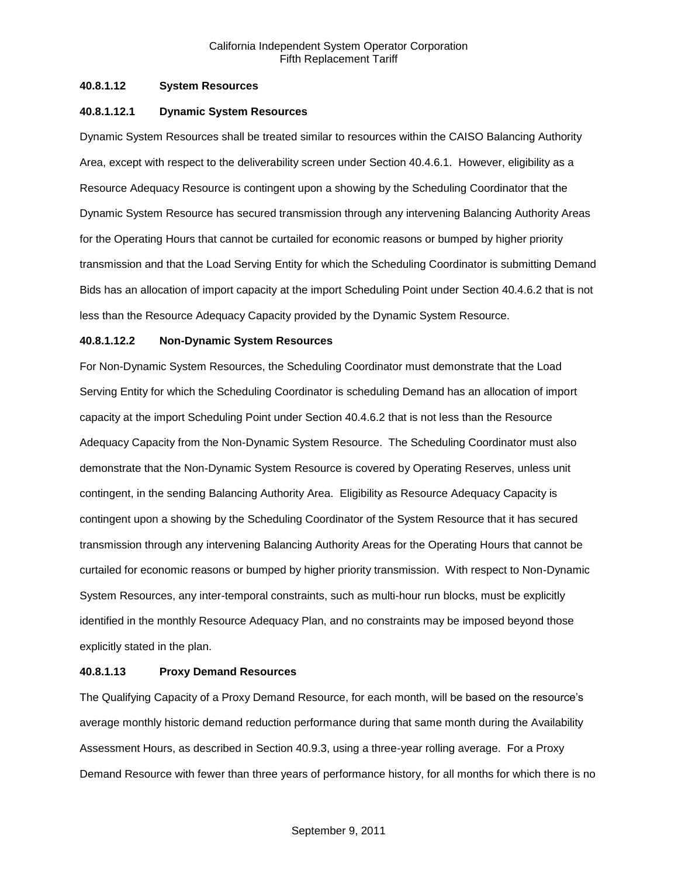# **40.8.1.12 System Resources**

# **40.8.1.12.1 Dynamic System Resources**

Dynamic System Resources shall be treated similar to resources within the CAISO Balancing Authority Area, except with respect to the deliverability screen under Section 40.4.6.1. However, eligibility as a Resource Adequacy Resource is contingent upon a showing by the Scheduling Coordinator that the Dynamic System Resource has secured transmission through any intervening Balancing Authority Areas for the Operating Hours that cannot be curtailed for economic reasons or bumped by higher priority transmission and that the Load Serving Entity for which the Scheduling Coordinator is submitting Demand Bids has an allocation of import capacity at the import Scheduling Point under Section 40.4.6.2 that is not less than the Resource Adequacy Capacity provided by the Dynamic System Resource.

# **40.8.1.12.2 Non-Dynamic System Resources**

For Non-Dynamic System Resources, the Scheduling Coordinator must demonstrate that the Load Serving Entity for which the Scheduling Coordinator is scheduling Demand has an allocation of import capacity at the import Scheduling Point under Section 40.4.6.2 that is not less than the Resource Adequacy Capacity from the Non-Dynamic System Resource. The Scheduling Coordinator must also demonstrate that the Non-Dynamic System Resource is covered by Operating Reserves, unless unit contingent, in the sending Balancing Authority Area. Eligibility as Resource Adequacy Capacity is contingent upon a showing by the Scheduling Coordinator of the System Resource that it has secured transmission through any intervening Balancing Authority Areas for the Operating Hours that cannot be curtailed for economic reasons or bumped by higher priority transmission. With respect to Non-Dynamic System Resources, any inter-temporal constraints, such as multi-hour run blocks, must be explicitly identified in the monthly Resource Adequacy Plan, and no constraints may be imposed beyond those explicitly stated in the plan.

# **40.8.1.13 Proxy Demand Resources**

The Qualifying Capacity of a Proxy Demand Resource, for each month, will be based on the resource's average monthly historic demand reduction performance during that same month during the Availability Assessment Hours, as described in Section 40.9.3, using a three-year rolling average. For a Proxy Demand Resource with fewer than three years of performance history, for all months for which there is no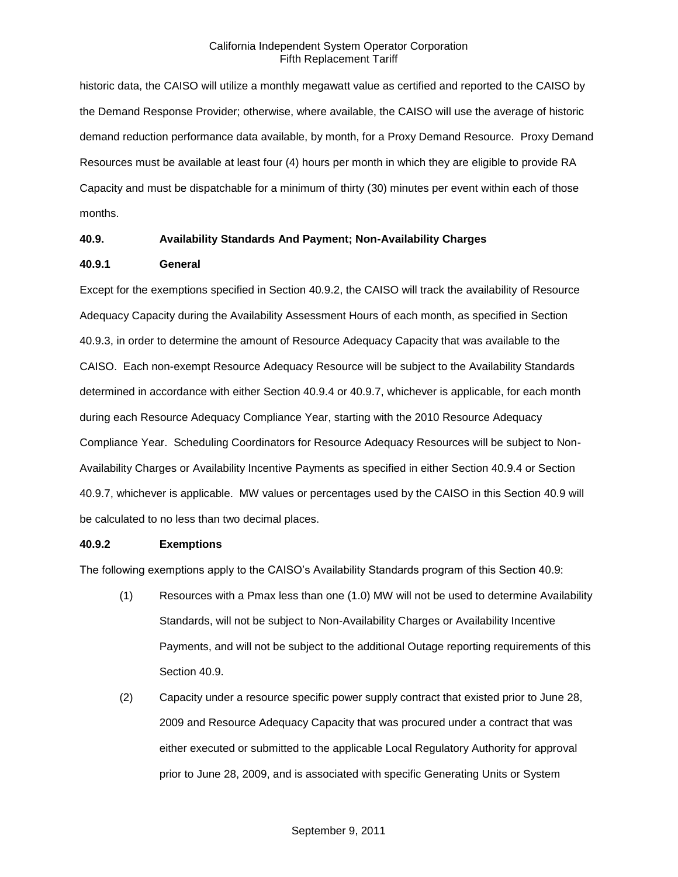historic data, the CAISO will utilize a monthly megawatt value as certified and reported to the CAISO by the Demand Response Provider; otherwise, where available, the CAISO will use the average of historic demand reduction performance data available, by month, for a Proxy Demand Resource. Proxy Demand Resources must be available at least four (4) hours per month in which they are eligible to provide RA Capacity and must be dispatchable for a minimum of thirty (30) minutes per event within each of those months.

# **40.9. Availability Standards And Payment; Non-Availability Charges**

# **40.9.1 General**

Except for the exemptions specified in Section 40.9.2, the CAISO will track the availability of Resource Adequacy Capacity during the Availability Assessment Hours of each month, as specified in Section 40.9.3, in order to determine the amount of Resource Adequacy Capacity that was available to the CAISO. Each non-exempt Resource Adequacy Resource will be subject to the Availability Standards determined in accordance with either Section 40.9.4 or 40.9.7, whichever is applicable, for each month during each Resource Adequacy Compliance Year, starting with the 2010 Resource Adequacy Compliance Year. Scheduling Coordinators for Resource Adequacy Resources will be subject to Non-Availability Charges or Availability Incentive Payments as specified in either Section 40.9.4 or Section 40.9.7, whichever is applicable. MW values or percentages used by the CAISO in this Section 40.9 will be calculated to no less than two decimal places.

# **40.9.2 Exemptions**

The following exemptions apply to the CAISO's Availability Standards program of this Section 40.9:

- (1) Resources with a Pmax less than one (1.0) MW will not be used to determine Availability Standards, will not be subject to Non-Availability Charges or Availability Incentive Payments, and will not be subject to the additional Outage reporting requirements of this Section 40.9.
- (2) Capacity under a resource specific power supply contract that existed prior to June 28, 2009 and Resource Adequacy Capacity that was procured under a contract that was either executed or submitted to the applicable Local Regulatory Authority for approval prior to June 28, 2009, and is associated with specific Generating Units or System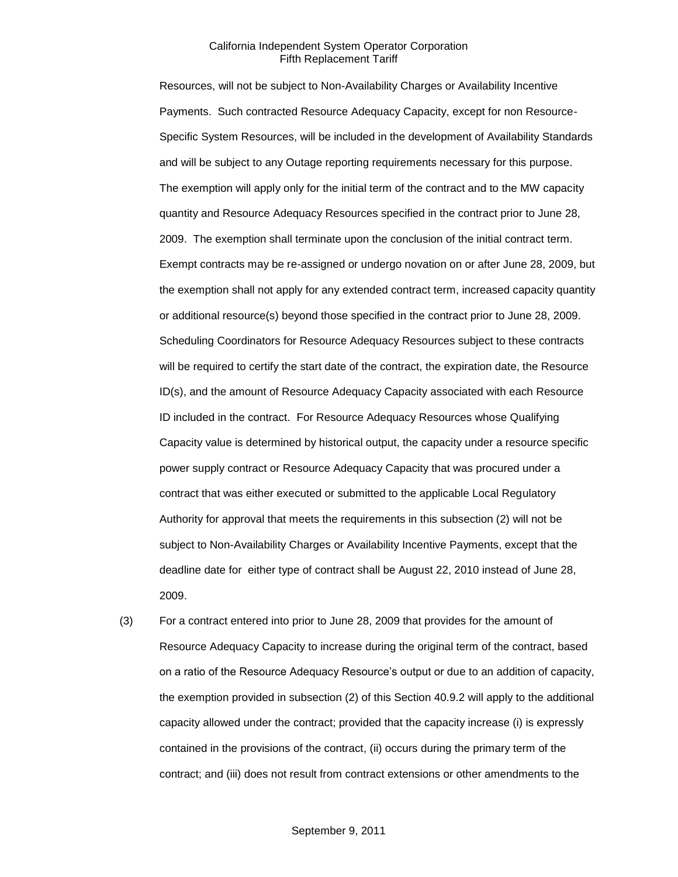Resources, will not be subject to Non-Availability Charges or Availability Incentive Payments. Such contracted Resource Adequacy Capacity, except for non Resource-Specific System Resources, will be included in the development of Availability Standards and will be subject to any Outage reporting requirements necessary for this purpose. The exemption will apply only for the initial term of the contract and to the MW capacity quantity and Resource Adequacy Resources specified in the contract prior to June 28, 2009. The exemption shall terminate upon the conclusion of the initial contract term. Exempt contracts may be re-assigned or undergo novation on or after June 28, 2009, but the exemption shall not apply for any extended contract term, increased capacity quantity or additional resource(s) beyond those specified in the contract prior to June 28, 2009. Scheduling Coordinators for Resource Adequacy Resources subject to these contracts will be required to certify the start date of the contract, the expiration date, the Resource ID(s), and the amount of Resource Adequacy Capacity associated with each Resource ID included in the contract. For Resource Adequacy Resources whose Qualifying Capacity value is determined by historical output, the capacity under a resource specific power supply contract or Resource Adequacy Capacity that was procured under a contract that was either executed or submitted to the applicable Local Regulatory Authority for approval that meets the requirements in this subsection (2) will not be subject to Non-Availability Charges or Availability Incentive Payments, except that the deadline date for either type of contract shall be August 22, 2010 instead of June 28, 2009.

(3) For a contract entered into prior to June 28, 2009 that provides for the amount of Resource Adequacy Capacity to increase during the original term of the contract, based on a ratio of the Resource Adequacy Resource's output or due to an addition of capacity, the exemption provided in subsection (2) of this Section 40.9.2 will apply to the additional capacity allowed under the contract; provided that the capacity increase (i) is expressly contained in the provisions of the contract, (ii) occurs during the primary term of the contract; and (iii) does not result from contract extensions or other amendments to the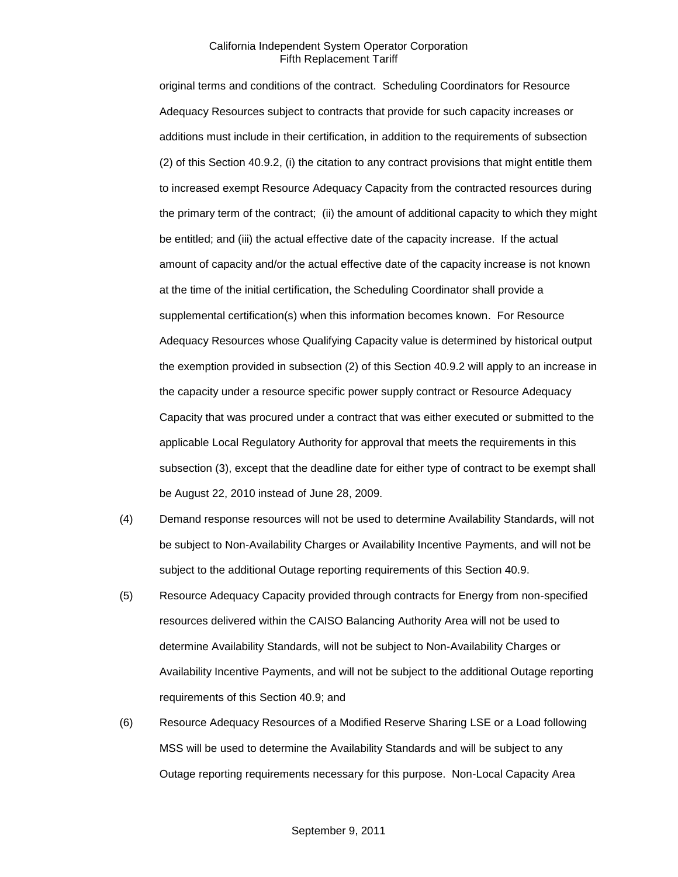original terms and conditions of the contract. Scheduling Coordinators for Resource Adequacy Resources subject to contracts that provide for such capacity increases or additions must include in their certification, in addition to the requirements of subsection (2) of this Section 40.9.2, (i) the citation to any contract provisions that might entitle them to increased exempt Resource Adequacy Capacity from the contracted resources during the primary term of the contract; (ii) the amount of additional capacity to which they might be entitled; and (iii) the actual effective date of the capacity increase. If the actual amount of capacity and/or the actual effective date of the capacity increase is not known at the time of the initial certification, the Scheduling Coordinator shall provide a supplemental certification(s) when this information becomes known. For Resource Adequacy Resources whose Qualifying Capacity value is determined by historical output the exemption provided in subsection (2) of this Section 40.9.2 will apply to an increase in the capacity under a resource specific power supply contract or Resource Adequacy Capacity that was procured under a contract that was either executed or submitted to the applicable Local Regulatory Authority for approval that meets the requirements in this subsection (3), except that the deadline date for either type of contract to be exempt shall be August 22, 2010 instead of June 28, 2009.

- (4) Demand response resources will not be used to determine Availability Standards, will not be subject to Non-Availability Charges or Availability Incentive Payments, and will not be subject to the additional Outage reporting requirements of this Section 40.9.
- (5) Resource Adequacy Capacity provided through contracts for Energy from non-specified resources delivered within the CAISO Balancing Authority Area will not be used to determine Availability Standards, will not be subject to Non-Availability Charges or Availability Incentive Payments, and will not be subject to the additional Outage reporting requirements of this Section 40.9; and
- (6) Resource Adequacy Resources of a Modified Reserve Sharing LSE or a Load following MSS will be used to determine the Availability Standards and will be subject to any Outage reporting requirements necessary for this purpose. Non-Local Capacity Area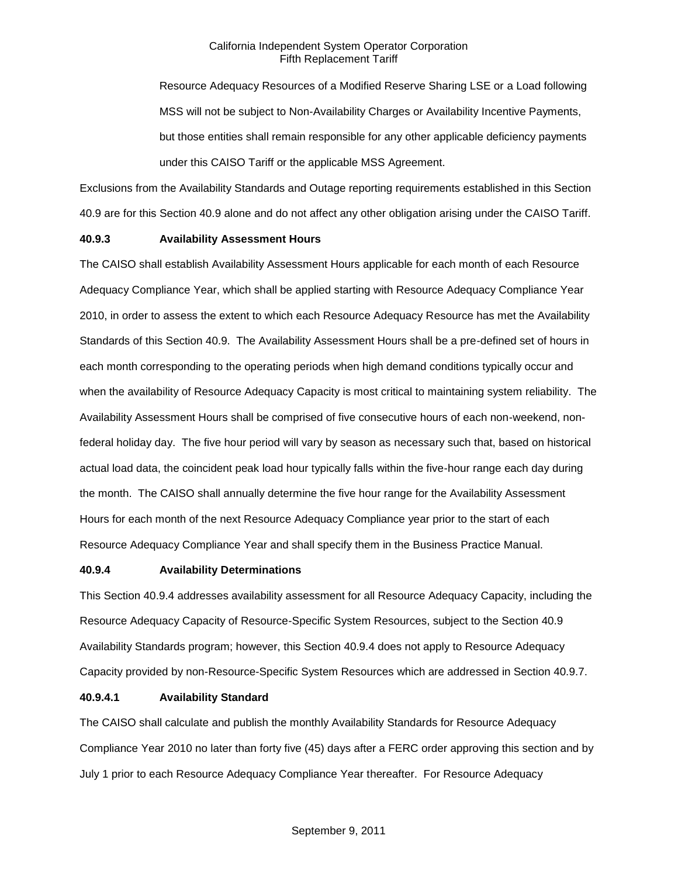Resource Adequacy Resources of a Modified Reserve Sharing LSE or a Load following MSS will not be subject to Non-Availability Charges or Availability Incentive Payments, but those entities shall remain responsible for any other applicable deficiency payments under this CAISO Tariff or the applicable MSS Agreement.

Exclusions from the Availability Standards and Outage reporting requirements established in this Section 40.9 are for this Section 40.9 alone and do not affect any other obligation arising under the CAISO Tariff.

# **40.9.3 Availability Assessment Hours**

The CAISO shall establish Availability Assessment Hours applicable for each month of each Resource Adequacy Compliance Year, which shall be applied starting with Resource Adequacy Compliance Year 2010, in order to assess the extent to which each Resource Adequacy Resource has met the Availability Standards of this Section 40.9. The Availability Assessment Hours shall be a pre-defined set of hours in each month corresponding to the operating periods when high demand conditions typically occur and when the availability of Resource Adequacy Capacity is most critical to maintaining system reliability. The Availability Assessment Hours shall be comprised of five consecutive hours of each non-weekend, nonfederal holiday day. The five hour period will vary by season as necessary such that, based on historical actual load data, the coincident peak load hour typically falls within the five-hour range each day during the month. The CAISO shall annually determine the five hour range for the Availability Assessment Hours for each month of the next Resource Adequacy Compliance year prior to the start of each Resource Adequacy Compliance Year and shall specify them in the Business Practice Manual.

#### **40.9.4 Availability Determinations**

This Section 40.9.4 addresses availability assessment for all Resource Adequacy Capacity, including the Resource Adequacy Capacity of Resource-Specific System Resources, subject to the Section 40.9 Availability Standards program; however, this Section 40.9.4 does not apply to Resource Adequacy Capacity provided by non-Resource-Specific System Resources which are addressed in Section 40.9.7.

### **40.9.4.1 Availability Standard**

The CAISO shall calculate and publish the monthly Availability Standards for Resource Adequacy Compliance Year 2010 no later than forty five (45) days after a FERC order approving this section and by July 1 prior to each Resource Adequacy Compliance Year thereafter. For Resource Adequacy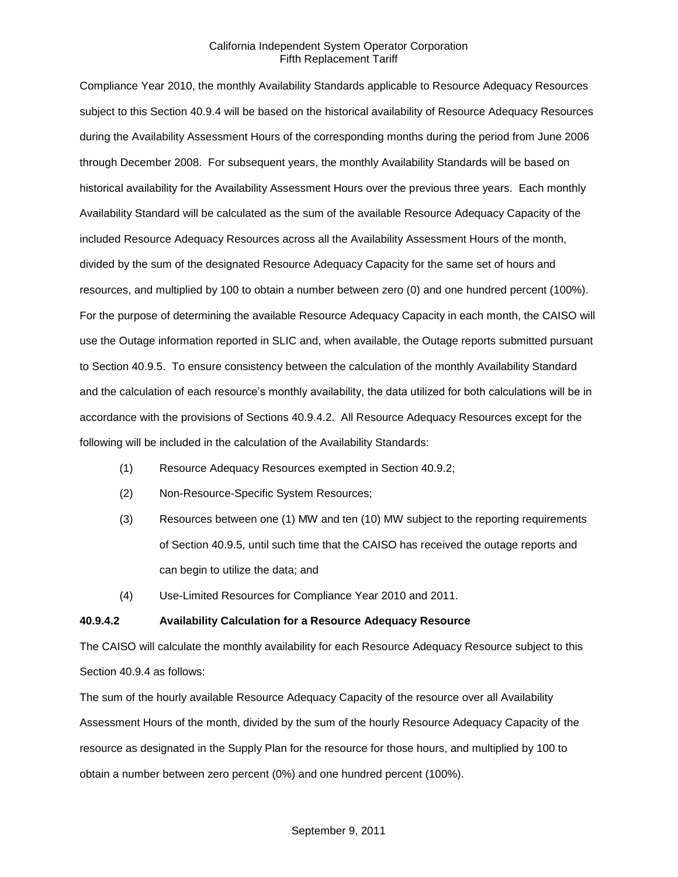Compliance Year 2010, the monthly Availability Standards applicable to Resource Adequacy Resources subject to this Section 40.9.4 will be based on the historical availability of Resource Adequacy Resources during the Availability Assessment Hours of the corresponding months during the period from June 2006 through December 2008. For subsequent years, the monthly Availability Standards will be based on historical availability for the Availability Assessment Hours over the previous three years. Each monthly Availability Standard will be calculated as the sum of the available Resource Adequacy Capacity of the included Resource Adequacy Resources across all the Availability Assessment Hours of the month, divided by the sum of the designated Resource Adequacy Capacity for the same set of hours and resources, and multiplied by 100 to obtain a number between zero (0) and one hundred percent (100%). For the purpose of determining the available Resource Adequacy Capacity in each month, the CAISO will use the Outage information reported in SLIC and, when available, the Outage reports submitted pursuant to Section 40.9.5. To ensure consistency between the calculation of the monthly Availability Standard and the calculation of each resource's monthly availability, the data utilized for both calculations will be in accordance with the provisions of Sections 40.9.4.2. All Resource Adequacy Resources except for the following will be included in the calculation of the Availability Standards:

- (1) Resource Adequacy Resources exempted in Section 40.9.2;
- (2) Non-Resource-Specific System Resources;
- (3) Resources between one (1) MW and ten (10) MW subject to the reporting requirements of Section 40.9.5, until such time that the CAISO has received the outage reports and can begin to utilize the data; and
- (4) Use-Limited Resources for Compliance Year 2010 and 2011.

#### **40.9.4.2 Availability Calculation for a Resource Adequacy Resource**

The CAISO will calculate the monthly availability for each Resource Adequacy Resource subject to this Section 40.9.4 as follows:

The sum of the hourly available Resource Adequacy Capacity of the resource over all Availability Assessment Hours of the month, divided by the sum of the hourly Resource Adequacy Capacity of the resource as designated in the Supply Plan for the resource for those hours, and multiplied by 100 to obtain a number between zero percent (0%) and one hundred percent (100%).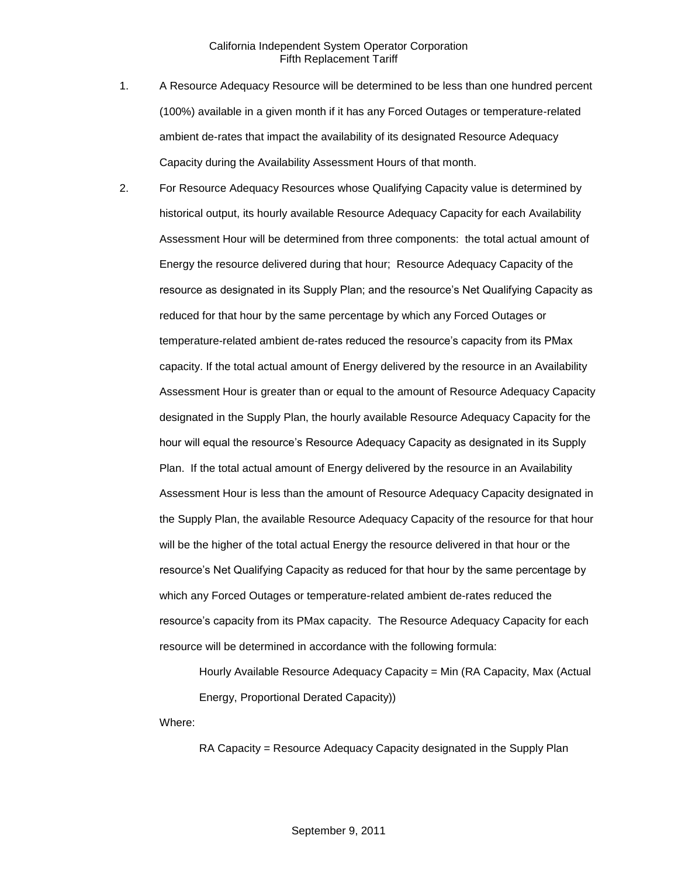- 1. A Resource Adequacy Resource will be determined to be less than one hundred percent (100%) available in a given month if it has any Forced Outages or temperature-related ambient de-rates that impact the availability of its designated Resource Adequacy Capacity during the Availability Assessment Hours of that month.
- 2. For Resource Adequacy Resources whose Qualifying Capacity value is determined by historical output, its hourly available Resource Adequacy Capacity for each Availability Assessment Hour will be determined from three components: the total actual amount of Energy the resource delivered during that hour; Resource Adequacy Capacity of the resource as designated in its Supply Plan; and the resource's Net Qualifying Capacity as reduced for that hour by the same percentage by which any Forced Outages or temperature-related ambient de-rates reduced the resource's capacity from its PMax capacity. If the total actual amount of Energy delivered by the resource in an Availability Assessment Hour is greater than or equal to the amount of Resource Adequacy Capacity designated in the Supply Plan, the hourly available Resource Adequacy Capacity for the hour will equal the resource's Resource Adequacy Capacity as designated in its Supply Plan. If the total actual amount of Energy delivered by the resource in an Availability Assessment Hour is less than the amount of Resource Adequacy Capacity designated in the Supply Plan, the available Resource Adequacy Capacity of the resource for that hour will be the higher of the total actual Energy the resource delivered in that hour or the resource's Net Qualifying Capacity as reduced for that hour by the same percentage by which any Forced Outages or temperature-related ambient de-rates reduced the resource's capacity from its PMax capacity. The Resource Adequacy Capacity for each resource will be determined in accordance with the following formula:

Hourly Available Resource Adequacy Capacity = Min (RA Capacity, Max (Actual Energy, Proportional Derated Capacity))

Where:

RA Capacity = Resource Adequacy Capacity designated in the Supply Plan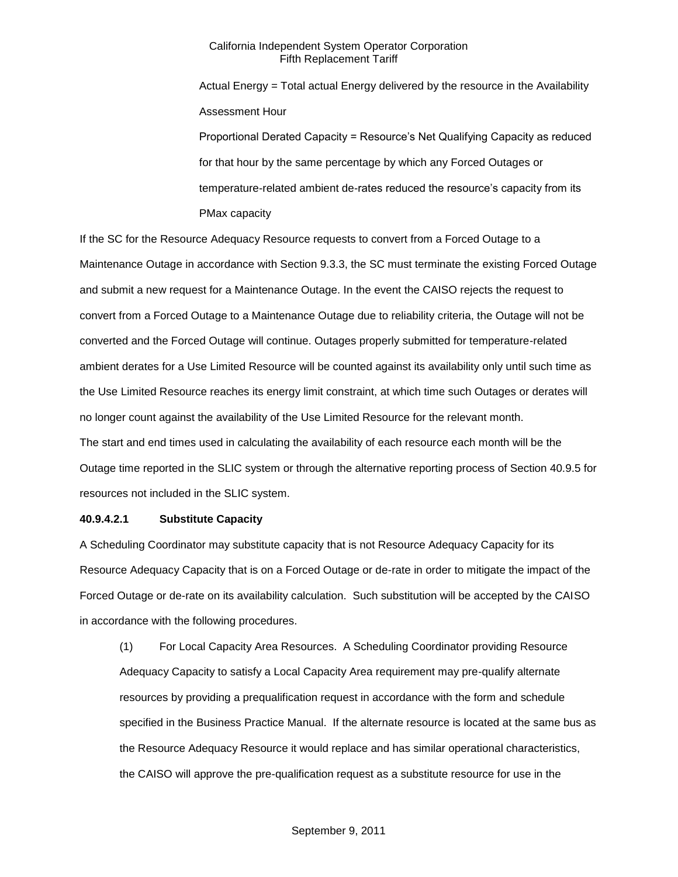Actual Energy = Total actual Energy delivered by the resource in the Availability Assessment Hour

Proportional Derated Capacity = Resource's Net Qualifying Capacity as reduced for that hour by the same percentage by which any Forced Outages or temperature-related ambient de-rates reduced the resource's capacity from its PMax capacity

If the SC for the Resource Adequacy Resource requests to convert from a Forced Outage to a Maintenance Outage in accordance with Section 9.3.3, the SC must terminate the existing Forced Outage and submit a new request for a Maintenance Outage. In the event the CAISO rejects the request to convert from a Forced Outage to a Maintenance Outage due to reliability criteria, the Outage will not be converted and the Forced Outage will continue. Outages properly submitted for temperature-related ambient derates for a Use Limited Resource will be counted against its availability only until such time as the Use Limited Resource reaches its energy limit constraint, at which time such Outages or derates will no longer count against the availability of the Use Limited Resource for the relevant month. The start and end times used in calculating the availability of each resource each month will be the Outage time reported in the SLIC system or through the alternative reporting process of Section 40.9.5 for resources not included in the SLIC system.

# **40.9.4.2.1 Substitute Capacity**

A Scheduling Coordinator may substitute capacity that is not Resource Adequacy Capacity for its Resource Adequacy Capacity that is on a Forced Outage or de-rate in order to mitigate the impact of the Forced Outage or de-rate on its availability calculation. Such substitution will be accepted by the CAISO in accordance with the following procedures.

(1) For Local Capacity Area Resources. A Scheduling Coordinator providing Resource Adequacy Capacity to satisfy a Local Capacity Area requirement may pre-qualify alternate resources by providing a prequalification request in accordance with the form and schedule specified in the Business Practice Manual. If the alternate resource is located at the same bus as the Resource Adequacy Resource it would replace and has similar operational characteristics, the CAISO will approve the pre-qualification request as a substitute resource for use in the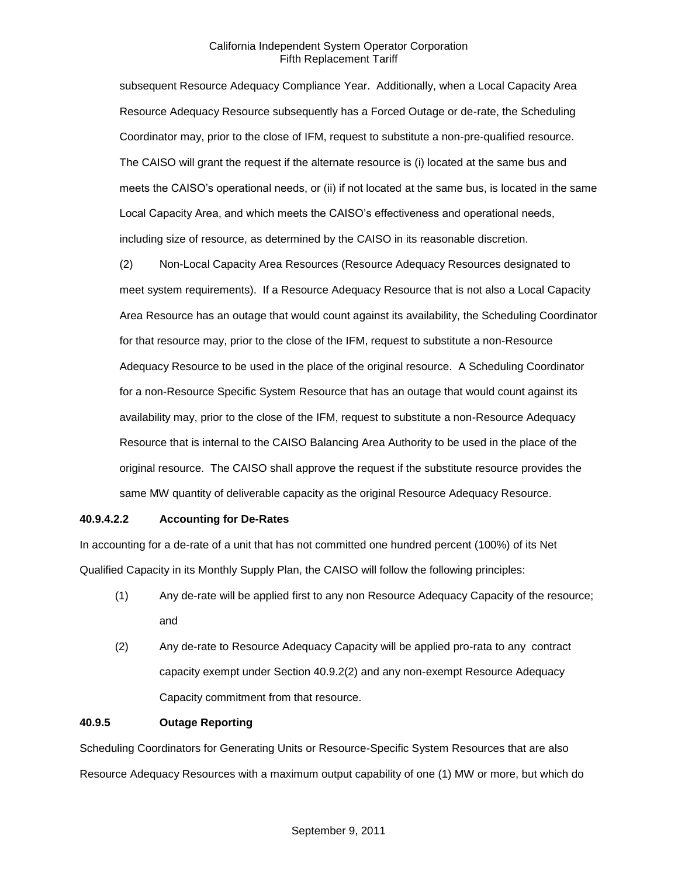subsequent Resource Adequacy Compliance Year. Additionally, when a Local Capacity Area Resource Adequacy Resource subsequently has a Forced Outage or de-rate, the Scheduling Coordinator may, prior to the close of IFM, request to substitute a non-pre-qualified resource. The CAISO will grant the request if the alternate resource is (i) located at the same bus and meets the CAISO's operational needs, or (ii) if not located at the same bus, is located in the same Local Capacity Area, and which meets the CAISO's effectiveness and operational needs, including size of resource, as determined by the CAISO in its reasonable discretion.

(2) Non-Local Capacity Area Resources (Resource Adequacy Resources designated to meet system requirements). If a Resource Adequacy Resource that is not also a Local Capacity Area Resource has an outage that would count against its availability, the Scheduling Coordinator for that resource may, prior to the close of the IFM, request to substitute a non-Resource Adequacy Resource to be used in the place of the original resource. A Scheduling Coordinator for a non-Resource Specific System Resource that has an outage that would count against its availability may, prior to the close of the IFM, request to substitute a non-Resource Adequacy Resource that is internal to the CAISO Balancing Area Authority to be used in the place of the original resource. The CAISO shall approve the request if the substitute resource provides the same MW quantity of deliverable capacity as the original Resource Adequacy Resource.

# **40.9.4.2.2 Accounting for De-Rates**

In accounting for a de-rate of a unit that has not committed one hundred percent (100%) of its Net Qualified Capacity in its Monthly Supply Plan, the CAISO will follow the following principles:

- (1) Any de-rate will be applied first to any non Resource Adequacy Capacity of the resource; and
- (2) Any de-rate to Resource Adequacy Capacity will be applied pro-rata to any contract capacity exempt under Section 40.9.2(2) and any non-exempt Resource Adequacy Capacity commitment from that resource.

# **40.9.5 Outage Reporting**

Scheduling Coordinators for Generating Units or Resource-Specific System Resources that are also Resource Adequacy Resources with a maximum output capability of one (1) MW or more, but which do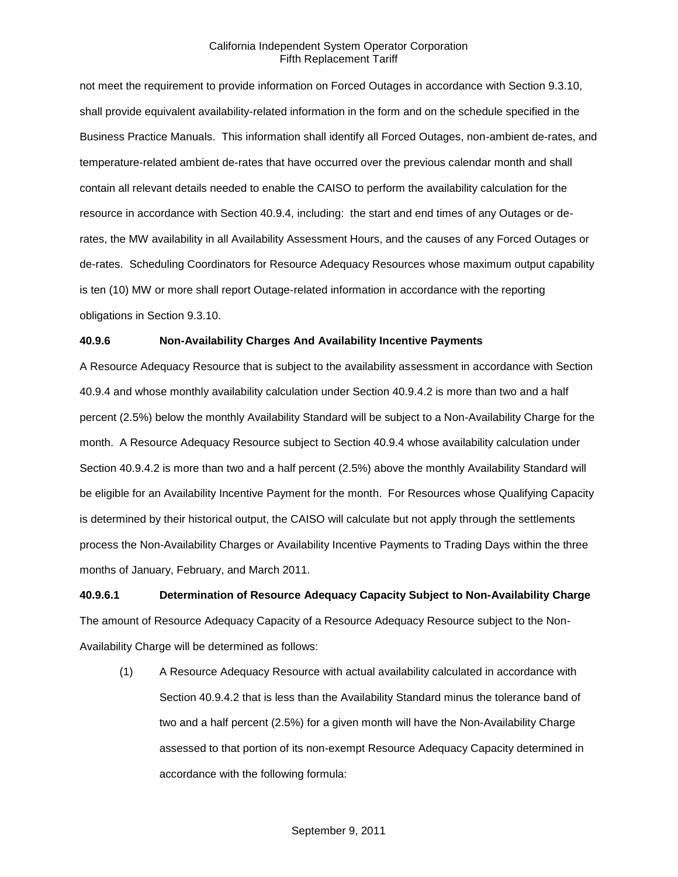not meet the requirement to provide information on Forced Outages in accordance with Section 9.3.10, shall provide equivalent availability-related information in the form and on the schedule specified in the Business Practice Manuals. This information shall identify all Forced Outages, non-ambient de-rates, and temperature-related ambient de-rates that have occurred over the previous calendar month and shall contain all relevant details needed to enable the CAISO to perform the availability calculation for the resource in accordance with Section 40.9.4, including: the start and end times of any Outages or derates, the MW availability in all Availability Assessment Hours, and the causes of any Forced Outages or de-rates. Scheduling Coordinators for Resource Adequacy Resources whose maximum output capability is ten (10) MW or more shall report Outage-related information in accordance with the reporting obligations in Section 9.3.10.

# **40.9.6 Non-Availability Charges And Availability Incentive Payments**

A Resource Adequacy Resource that is subject to the availability assessment in accordance with Section 40.9.4 and whose monthly availability calculation under Section 40.9.4.2 is more than two and a half percent (2.5%) below the monthly Availability Standard will be subject to a Non-Availability Charge for the month. A Resource Adequacy Resource subject to Section 40.9.4 whose availability calculation under Section 40.9.4.2 is more than two and a half percent (2.5%) above the monthly Availability Standard will be eligible for an Availability Incentive Payment for the month. For Resources whose Qualifying Capacity is determined by their historical output, the CAISO will calculate but not apply through the settlements process the Non-Availability Charges or Availability Incentive Payments to Trading Days within the three months of January, February, and March 2011.

**40.9.6.1 Determination of Resource Adequacy Capacity Subject to Non-Availability Charge** The amount of Resource Adequacy Capacity of a Resource Adequacy Resource subject to the Non-Availability Charge will be determined as follows:

(1) A Resource Adequacy Resource with actual availability calculated in accordance with Section 40.9.4.2 that is less than the Availability Standard minus the tolerance band of two and a half percent (2.5%) for a given month will have the Non-Availability Charge assessed to that portion of its non-exempt Resource Adequacy Capacity determined in accordance with the following formula: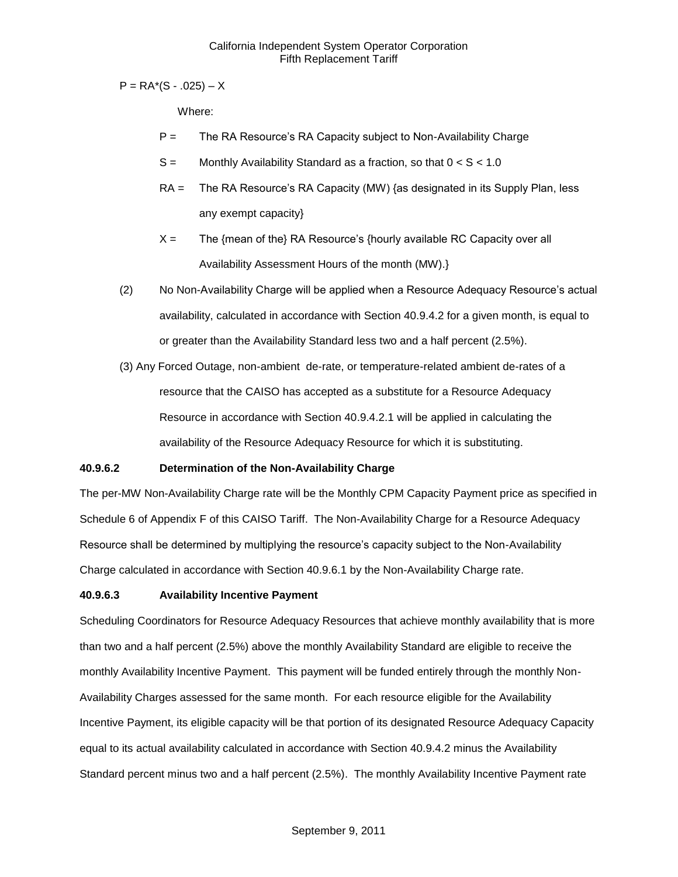$P = RA<sup>*</sup>(S - .025) - X$ 

Where:

- P = The RA Resource's RA Capacity subject to Non-Availability Charge
- $S =$  Monthly Availability Standard as a fraction, so that  $0 < S < 1.0$
- RA = The RA Resource's RA Capacity (MW) {as designated in its Supply Plan, less any exempt capacity}
- $X =$  The {mean of the} RA Resource's {hourly available RC Capacity over all Availability Assessment Hours of the month (MW).}
- (2) No Non-Availability Charge will be applied when a Resource Adequacy Resource's actual availability, calculated in accordance with Section 40.9.4.2 for a given month, is equal to or greater than the Availability Standard less two and a half percent (2.5%).
- (3) Any Forced Outage, non-ambient de-rate, or temperature-related ambient de-rates of a resource that the CAISO has accepted as a substitute for a Resource Adequacy Resource in accordance with Section 40.9.4.2.1 will be applied in calculating the availability of the Resource Adequacy Resource for which it is substituting.

# **40.9.6.2 Determination of the Non-Availability Charge**

The per-MW Non-Availability Charge rate will be the Monthly CPM Capacity Payment price as specified in Schedule 6 of Appendix F of this CAISO Tariff. The Non-Availability Charge for a Resource Adequacy Resource shall be determined by multiplying the resource's capacity subject to the Non-Availability Charge calculated in accordance with Section 40.9.6.1 by the Non-Availability Charge rate.

# **40.9.6.3 Availability Incentive Payment**

Scheduling Coordinators for Resource Adequacy Resources that achieve monthly availability that is more than two and a half percent (2.5%) above the monthly Availability Standard are eligible to receive the monthly Availability Incentive Payment. This payment will be funded entirely through the monthly Non-Availability Charges assessed for the same month. For each resource eligible for the Availability Incentive Payment, its eligible capacity will be that portion of its designated Resource Adequacy Capacity equal to its actual availability calculated in accordance with Section 40.9.4.2 minus the Availability Standard percent minus two and a half percent (2.5%). The monthly Availability Incentive Payment rate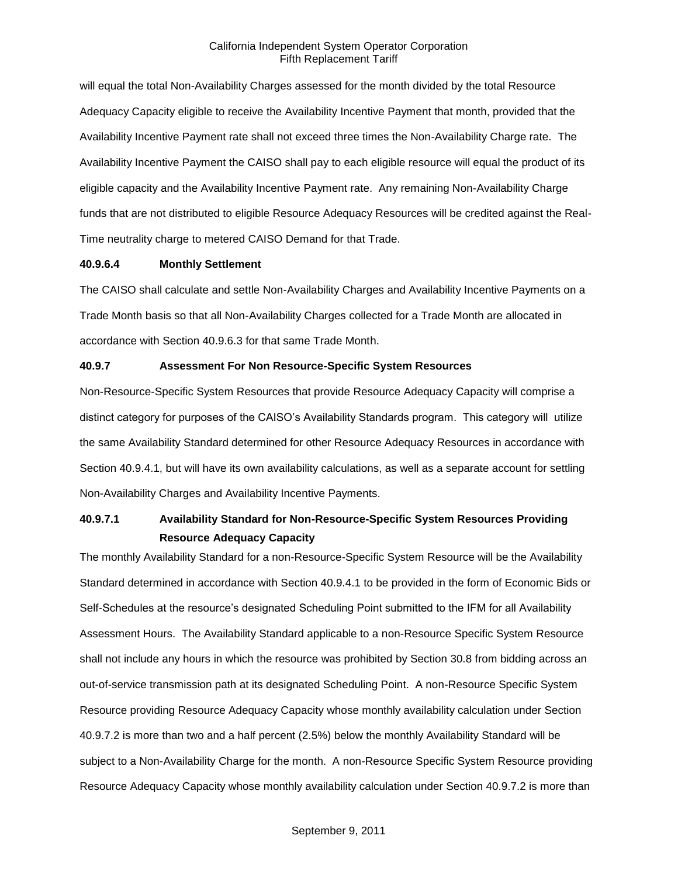will equal the total Non-Availability Charges assessed for the month divided by the total Resource Adequacy Capacity eligible to receive the Availability Incentive Payment that month, provided that the Availability Incentive Payment rate shall not exceed three times the Non-Availability Charge rate. The Availability Incentive Payment the CAISO shall pay to each eligible resource will equal the product of its eligible capacity and the Availability Incentive Payment rate. Any remaining Non-Availability Charge funds that are not distributed to eligible Resource Adequacy Resources will be credited against the Real-Time neutrality charge to metered CAISO Demand for that Trade.

#### **40.9.6.4 Monthly Settlement**

The CAISO shall calculate and settle Non-Availability Charges and Availability Incentive Payments on a Trade Month basis so that all Non-Availability Charges collected for a Trade Month are allocated in accordance with Section 40.9.6.3 for that same Trade Month.

### **40.9.7 Assessment For Non Resource-Specific System Resources**

Non-Resource-Specific System Resources that provide Resource Adequacy Capacity will comprise a distinct category for purposes of the CAISO's Availability Standards program. This category will utilize the same Availability Standard determined for other Resource Adequacy Resources in accordance with Section 40.9.4.1, but will have its own availability calculations, as well as a separate account for settling Non-Availability Charges and Availability Incentive Payments.

# **40.9.7.1 Availability Standard for Non-Resource-Specific System Resources Providing Resource Adequacy Capacity**

The monthly Availability Standard for a non-Resource-Specific System Resource will be the Availability Standard determined in accordance with Section 40.9.4.1 to be provided in the form of Economic Bids or Self-Schedules at the resource's designated Scheduling Point submitted to the IFM for all Availability Assessment Hours. The Availability Standard applicable to a non-Resource Specific System Resource shall not include any hours in which the resource was prohibited by Section 30.8 from bidding across an out-of-service transmission path at its designated Scheduling Point. A non-Resource Specific System Resource providing Resource Adequacy Capacity whose monthly availability calculation under Section 40.9.7.2 is more than two and a half percent (2.5%) below the monthly Availability Standard will be subject to a Non-Availability Charge for the month. A non-Resource Specific System Resource providing Resource Adequacy Capacity whose monthly availability calculation under Section 40.9.7.2 is more than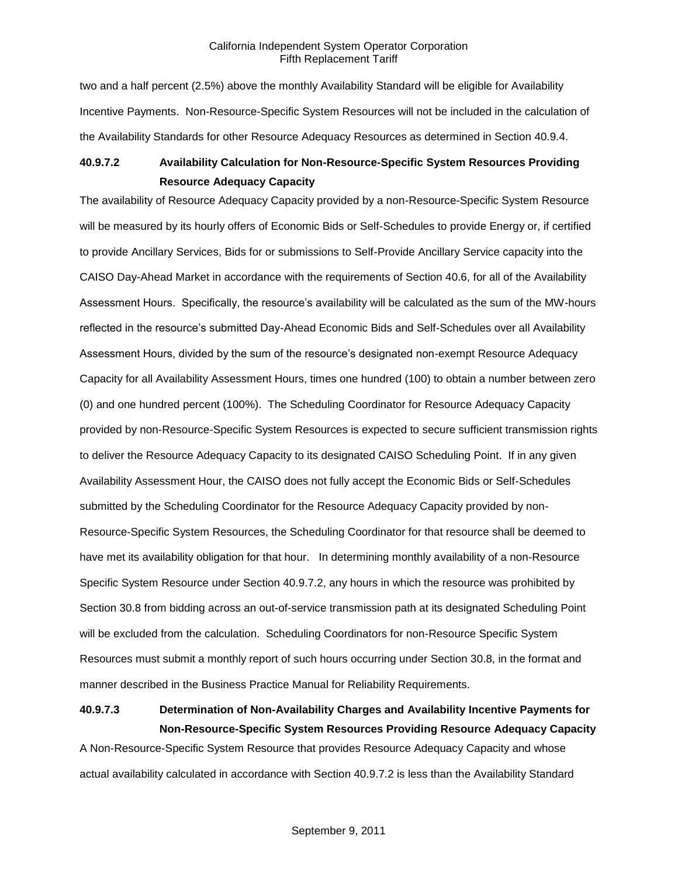two and a half percent (2.5%) above the monthly Availability Standard will be eligible for Availability Incentive Payments. Non-Resource-Specific System Resources will not be included in the calculation of the Availability Standards for other Resource Adequacy Resources as determined in Section 40.9.4.

# **40.9.7.2 Availability Calculation for Non-Resource-Specific System Resources Providing Resource Adequacy Capacity**

The availability of Resource Adequacy Capacity provided by a non-Resource-Specific System Resource will be measured by its hourly offers of Economic Bids or Self-Schedules to provide Energy or, if certified to provide Ancillary Services, Bids for or submissions to Self-Provide Ancillary Service capacity into the CAISO Day-Ahead Market in accordance with the requirements of Section 40.6, for all of the Availability Assessment Hours. Specifically, the resource's availability will be calculated as the sum of the MW-hours reflected in the resource's submitted Day-Ahead Economic Bids and Self-Schedules over all Availability Assessment Hours, divided by the sum of the resource's designated non-exempt Resource Adequacy Capacity for all Availability Assessment Hours, times one hundred (100) to obtain a number between zero (0) and one hundred percent (100%). The Scheduling Coordinator for Resource Adequacy Capacity provided by non-Resource-Specific System Resources is expected to secure sufficient transmission rights to deliver the Resource Adequacy Capacity to its designated CAISO Scheduling Point. If in any given Availability Assessment Hour, the CAISO does not fully accept the Economic Bids or Self-Schedules submitted by the Scheduling Coordinator for the Resource Adequacy Capacity provided by non-Resource-Specific System Resources, the Scheduling Coordinator for that resource shall be deemed to have met its availability obligation for that hour. In determining monthly availability of a non-Resource Specific System Resource under Section 40.9.7.2, any hours in which the resource was prohibited by Section 30.8 from bidding across an out-of-service transmission path at its designated Scheduling Point will be excluded from the calculation. Scheduling Coordinators for non-Resource Specific System Resources must submit a monthly report of such hours occurring under Section 30.8, in the format and manner described in the Business Practice Manual for Reliability Requirements.

# **40.9.7.3 Determination of Non-Availability Charges and Availability Incentive Payments for Non-Resource-Specific System Resources Providing Resource Adequacy Capacity**

A Non-Resource-Specific System Resource that provides Resource Adequacy Capacity and whose actual availability calculated in accordance with Section 40.9.7.2 is less than the Availability Standard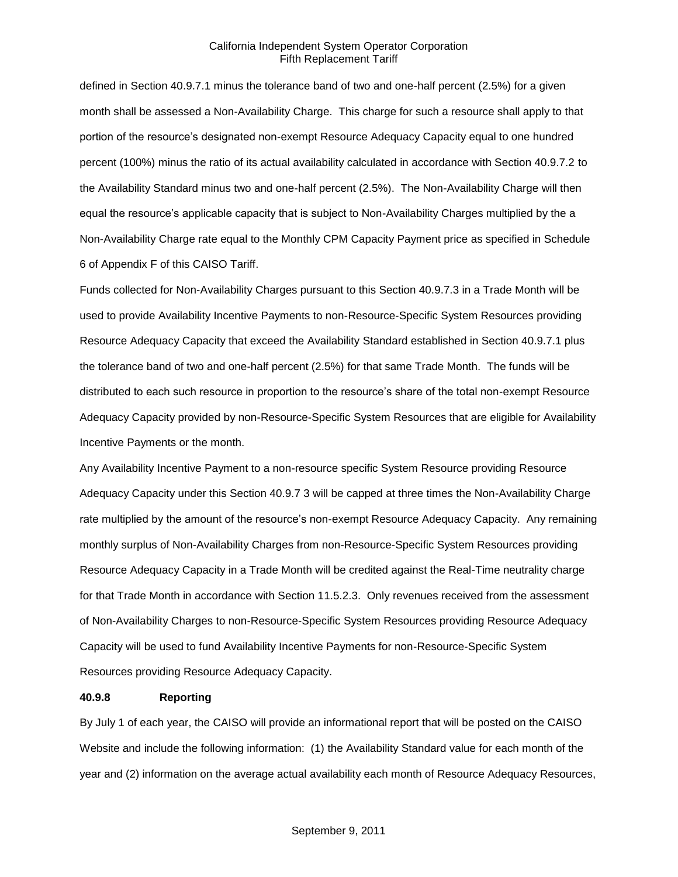defined in Section 40.9.7.1 minus the tolerance band of two and one-half percent (2.5%) for a given month shall be assessed a Non-Availability Charge. This charge for such a resource shall apply to that portion of the resource's designated non-exempt Resource Adequacy Capacity equal to one hundred percent (100%) minus the ratio of its actual availability calculated in accordance with Section 40.9.7.2 to the Availability Standard minus two and one-half percent (2.5%). The Non-Availability Charge will then equal the resource's applicable capacity that is subject to Non-Availability Charges multiplied by the a Non-Availability Charge rate equal to the Monthly CPM Capacity Payment price as specified in Schedule 6 of Appendix F of this CAISO Tariff.

Funds collected for Non-Availability Charges pursuant to this Section 40.9.7.3 in a Trade Month will be used to provide Availability Incentive Payments to non-Resource-Specific System Resources providing Resource Adequacy Capacity that exceed the Availability Standard established in Section 40.9.7.1 plus the tolerance band of two and one-half percent (2.5%) for that same Trade Month. The funds will be distributed to each such resource in proportion to the resource's share of the total non-exempt Resource Adequacy Capacity provided by non-Resource-Specific System Resources that are eligible for Availability Incentive Payments or the month.

Any Availability Incentive Payment to a non-resource specific System Resource providing Resource Adequacy Capacity under this Section 40.9.7 3 will be capped at three times the Non-Availability Charge rate multiplied by the amount of the resource's non-exempt Resource Adequacy Capacity. Any remaining monthly surplus of Non-Availability Charges from non-Resource-Specific System Resources providing Resource Adequacy Capacity in a Trade Month will be credited against the Real-Time neutrality charge for that Trade Month in accordance with Section 11.5.2.3. Only revenues received from the assessment of Non-Availability Charges to non-Resource-Specific System Resources providing Resource Adequacy Capacity will be used to fund Availability Incentive Payments for non-Resource-Specific System Resources providing Resource Adequacy Capacity.

#### **40.9.8 Reporting**

By July 1 of each year, the CAISO will provide an informational report that will be posted on the CAISO Website and include the following information: (1) the Availability Standard value for each month of the year and (2) information on the average actual availability each month of Resource Adequacy Resources,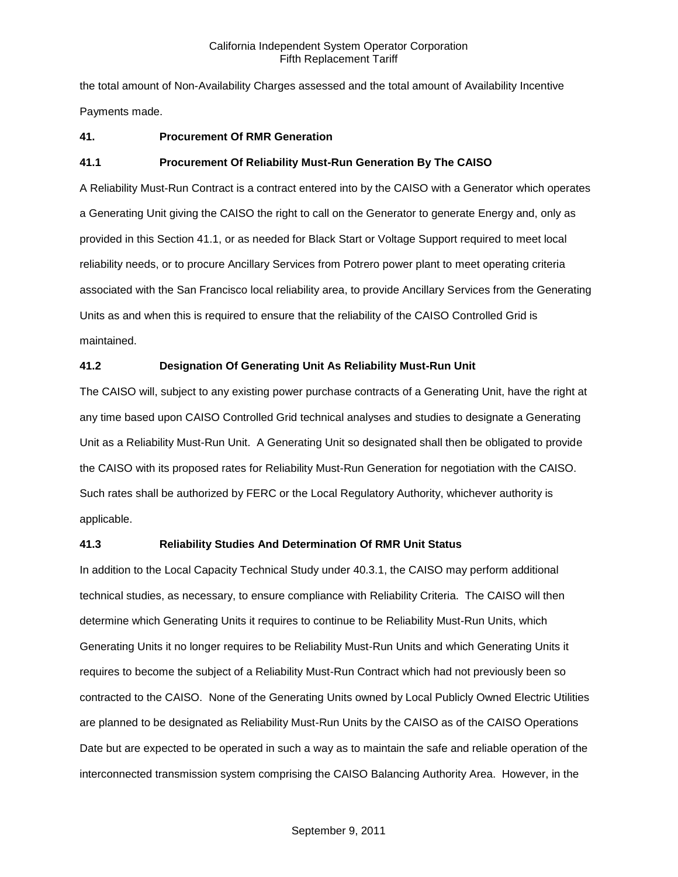the total amount of Non-Availability Charges assessed and the total amount of Availability Incentive Payments made.

# **41. Procurement Of RMR Generation**

# **41.1 Procurement Of Reliability Must-Run Generation By The CAISO**

A Reliability Must-Run Contract is a contract entered into by the CAISO with a Generator which operates a Generating Unit giving the CAISO the right to call on the Generator to generate Energy and, only as provided in this Section 41.1, or as needed for Black Start or Voltage Support required to meet local reliability needs, or to procure Ancillary Services from Potrero power plant to meet operating criteria associated with the San Francisco local reliability area, to provide Ancillary Services from the Generating Units as and when this is required to ensure that the reliability of the CAISO Controlled Grid is maintained.

# **41.2 Designation Of Generating Unit As Reliability Must-Run Unit**

The CAISO will, subject to any existing power purchase contracts of a Generating Unit, have the right at any time based upon CAISO Controlled Grid technical analyses and studies to designate a Generating Unit as a Reliability Must-Run Unit. A Generating Unit so designated shall then be obligated to provide the CAISO with its proposed rates for Reliability Must-Run Generation for negotiation with the CAISO. Such rates shall be authorized by FERC or the Local Regulatory Authority, whichever authority is applicable.

# **41.3 Reliability Studies And Determination Of RMR Unit Status**

In addition to the Local Capacity Technical Study under 40.3.1, the CAISO may perform additional technical studies, as necessary, to ensure compliance with Reliability Criteria. The CAISO will then determine which Generating Units it requires to continue to be Reliability Must-Run Units, which Generating Units it no longer requires to be Reliability Must-Run Units and which Generating Units it requires to become the subject of a Reliability Must-Run Contract which had not previously been so contracted to the CAISO. None of the Generating Units owned by Local Publicly Owned Electric Utilities are planned to be designated as Reliability Must-Run Units by the CAISO as of the CAISO Operations Date but are expected to be operated in such a way as to maintain the safe and reliable operation of the interconnected transmission system comprising the CAISO Balancing Authority Area. However, in the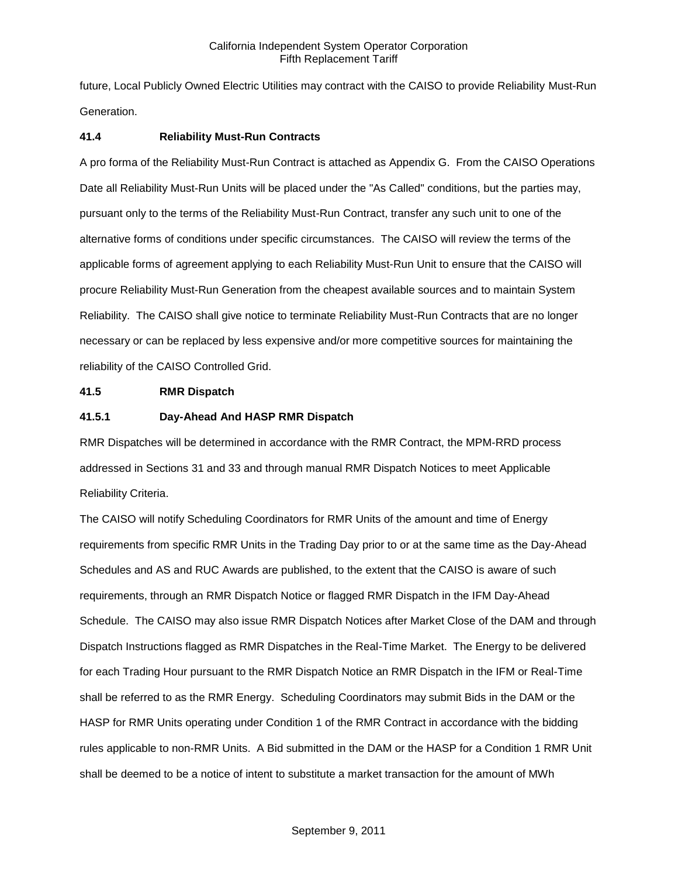future, Local Publicly Owned Electric Utilities may contract with the CAISO to provide Reliability Must-Run Generation.

### **41.4 Reliability Must-Run Contracts**

A pro forma of the Reliability Must-Run Contract is attached as Appendix G. From the CAISO Operations Date all Reliability Must-Run Units will be placed under the "As Called" conditions, but the parties may, pursuant only to the terms of the Reliability Must-Run Contract, transfer any such unit to one of the alternative forms of conditions under specific circumstances. The CAISO will review the terms of the applicable forms of agreement applying to each Reliability Must-Run Unit to ensure that the CAISO will procure Reliability Must-Run Generation from the cheapest available sources and to maintain System Reliability. The CAISO shall give notice to terminate Reliability Must-Run Contracts that are no longer necessary or can be replaced by less expensive and/or more competitive sources for maintaining the reliability of the CAISO Controlled Grid.

#### **41.5 RMR Dispatch**

#### **41.5.1 Day-Ahead And HASP RMR Dispatch**

RMR Dispatches will be determined in accordance with the RMR Contract, the MPM-RRD process addressed in Sections 31 and 33 and through manual RMR Dispatch Notices to meet Applicable Reliability Criteria.

The CAISO will notify Scheduling Coordinators for RMR Units of the amount and time of Energy requirements from specific RMR Units in the Trading Day prior to or at the same time as the Day-Ahead Schedules and AS and RUC Awards are published, to the extent that the CAISO is aware of such requirements, through an RMR Dispatch Notice or flagged RMR Dispatch in the IFM Day-Ahead Schedule. The CAISO may also issue RMR Dispatch Notices after Market Close of the DAM and through Dispatch Instructions flagged as RMR Dispatches in the Real-Time Market. The Energy to be delivered for each Trading Hour pursuant to the RMR Dispatch Notice an RMR Dispatch in the IFM or Real-Time shall be referred to as the RMR Energy. Scheduling Coordinators may submit Bids in the DAM or the HASP for RMR Units operating under Condition 1 of the RMR Contract in accordance with the bidding rules applicable to non-RMR Units. A Bid submitted in the DAM or the HASP for a Condition 1 RMR Unit shall be deemed to be a notice of intent to substitute a market transaction for the amount of MWh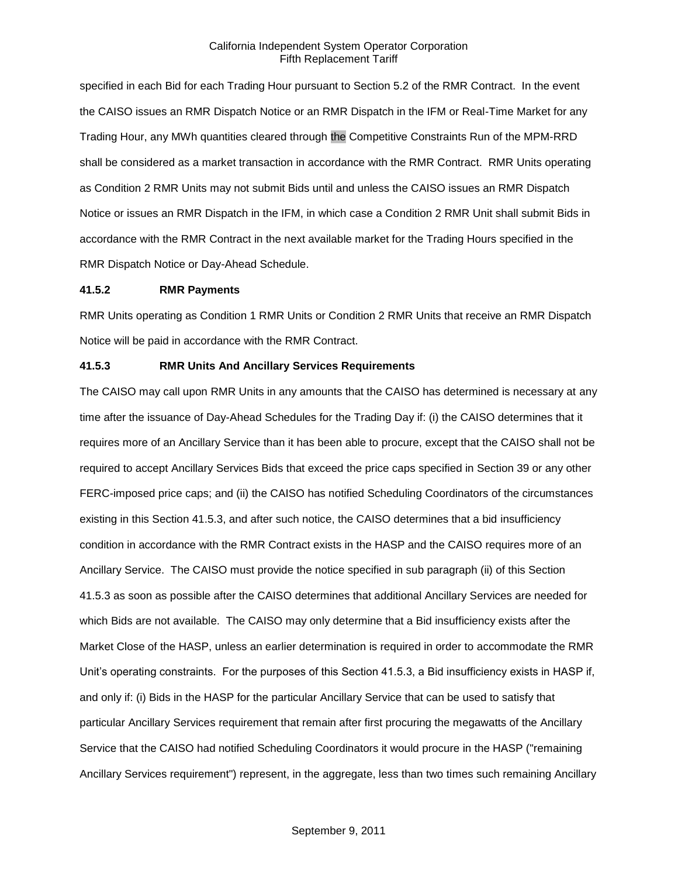specified in each Bid for each Trading Hour pursuant to Section 5.2 of the RMR Contract. In the event the CAISO issues an RMR Dispatch Notice or an RMR Dispatch in the IFM or Real-Time Market for any Trading Hour, any MWh quantities cleared through the Competitive Constraints Run of the MPM-RRD shall be considered as a market transaction in accordance with the RMR Contract. RMR Units operating as Condition 2 RMR Units may not submit Bids until and unless the CAISO issues an RMR Dispatch Notice or issues an RMR Dispatch in the IFM, in which case a Condition 2 RMR Unit shall submit Bids in accordance with the RMR Contract in the next available market for the Trading Hours specified in the RMR Dispatch Notice or Day-Ahead Schedule.

#### **41.5.2 RMR Payments**

RMR Units operating as Condition 1 RMR Units or Condition 2 RMR Units that receive an RMR Dispatch Notice will be paid in accordance with the RMR Contract.

### **41.5.3 RMR Units And Ancillary Services Requirements**

The CAISO may call upon RMR Units in any amounts that the CAISO has determined is necessary at any time after the issuance of Day-Ahead Schedules for the Trading Day if: (i) the CAISO determines that it requires more of an Ancillary Service than it has been able to procure, except that the CAISO shall not be required to accept Ancillary Services Bids that exceed the price caps specified in Section 39 or any other FERC-imposed price caps; and (ii) the CAISO has notified Scheduling Coordinators of the circumstances existing in this Section 41.5.3, and after such notice, the CAISO determines that a bid insufficiency condition in accordance with the RMR Contract exists in the HASP and the CAISO requires more of an Ancillary Service. The CAISO must provide the notice specified in sub paragraph (ii) of this Section 41.5.3 as soon as possible after the CAISO determines that additional Ancillary Services are needed for which Bids are not available. The CAISO may only determine that a Bid insufficiency exists after the Market Close of the HASP, unless an earlier determination is required in order to accommodate the RMR Unit's operating constraints. For the purposes of this Section 41.5.3, a Bid insufficiency exists in HASP if, and only if: (i) Bids in the HASP for the particular Ancillary Service that can be used to satisfy that particular Ancillary Services requirement that remain after first procuring the megawatts of the Ancillary Service that the CAISO had notified Scheduling Coordinators it would procure in the HASP ("remaining Ancillary Services requirement") represent, in the aggregate, less than two times such remaining Ancillary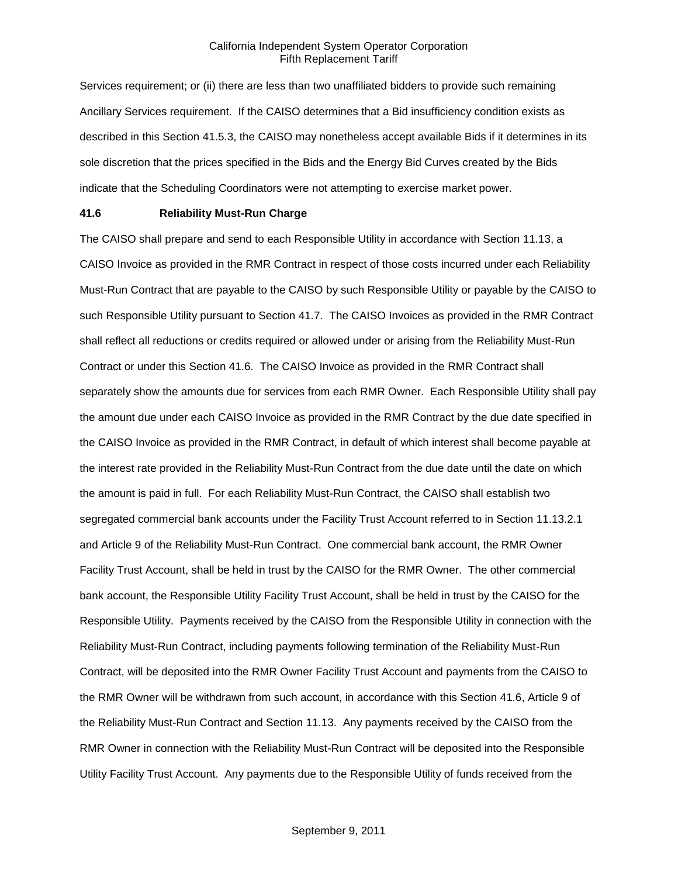Services requirement; or (ii) there are less than two unaffiliated bidders to provide such remaining Ancillary Services requirement. If the CAISO determines that a Bid insufficiency condition exists as described in this Section 41.5.3, the CAISO may nonetheless accept available Bids if it determines in its sole discretion that the prices specified in the Bids and the Energy Bid Curves created by the Bids indicate that the Scheduling Coordinators were not attempting to exercise market power.

# **41.6 Reliability Must-Run Charge**

The CAISO shall prepare and send to each Responsible Utility in accordance with Section 11.13, a CAISO Invoice as provided in the RMR Contract in respect of those costs incurred under each Reliability Must-Run Contract that are payable to the CAISO by such Responsible Utility or payable by the CAISO to such Responsible Utility pursuant to Section 41.7. The CAISO Invoices as provided in the RMR Contract shall reflect all reductions or credits required or allowed under or arising from the Reliability Must-Run Contract or under this Section 41.6. The CAISO Invoice as provided in the RMR Contract shall separately show the amounts due for services from each RMR Owner. Each Responsible Utility shall pay the amount due under each CAISO Invoice as provided in the RMR Contract by the due date specified in the CAISO Invoice as provided in the RMR Contract, in default of which interest shall become payable at the interest rate provided in the Reliability Must-Run Contract from the due date until the date on which the amount is paid in full. For each Reliability Must-Run Contract, the CAISO shall establish two segregated commercial bank accounts under the Facility Trust Account referred to in Section 11.13.2.1 and Article 9 of the Reliability Must-Run Contract. One commercial bank account, the RMR Owner Facility Trust Account, shall be held in trust by the CAISO for the RMR Owner. The other commercial bank account, the Responsible Utility Facility Trust Account, shall be held in trust by the CAISO for the Responsible Utility. Payments received by the CAISO from the Responsible Utility in connection with the Reliability Must-Run Contract, including payments following termination of the Reliability Must-Run Contract, will be deposited into the RMR Owner Facility Trust Account and payments from the CAISO to the RMR Owner will be withdrawn from such account, in accordance with this Section 41.6, Article 9 of the Reliability Must-Run Contract and Section 11.13. Any payments received by the CAISO from the RMR Owner in connection with the Reliability Must-Run Contract will be deposited into the Responsible Utility Facility Trust Account. Any payments due to the Responsible Utility of funds received from the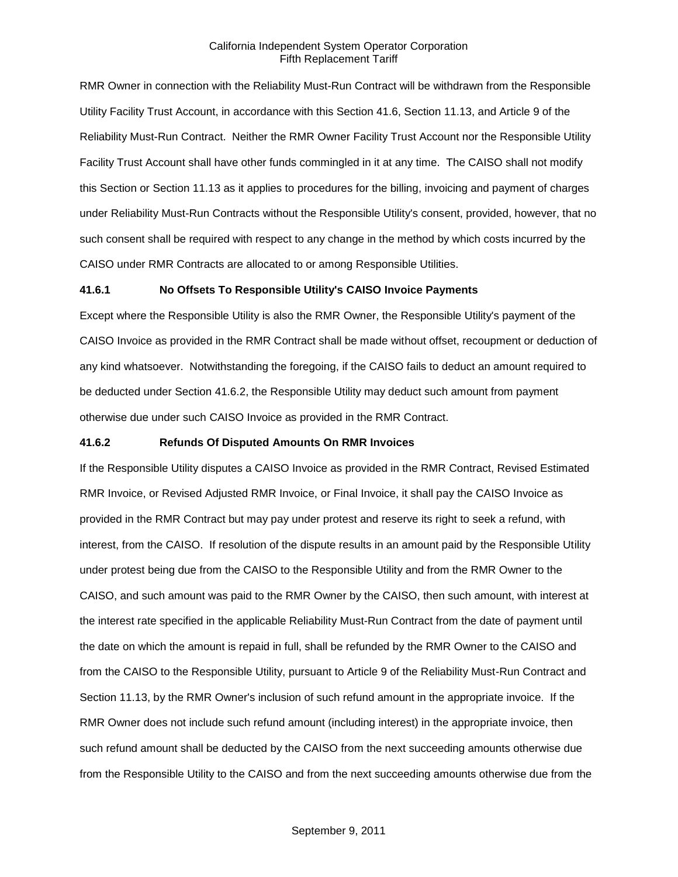RMR Owner in connection with the Reliability Must-Run Contract will be withdrawn from the Responsible Utility Facility Trust Account, in accordance with this Section 41.6, Section 11.13, and Article 9 of the Reliability Must-Run Contract. Neither the RMR Owner Facility Trust Account nor the Responsible Utility Facility Trust Account shall have other funds commingled in it at any time. The CAISO shall not modify this Section or Section 11.13 as it applies to procedures for the billing, invoicing and payment of charges under Reliability Must-Run Contracts without the Responsible Utility's consent, provided, however, that no such consent shall be required with respect to any change in the method by which costs incurred by the CAISO under RMR Contracts are allocated to or among Responsible Utilities.

### **41.6.1 No Offsets To Responsible Utility's CAISO Invoice Payments**

Except where the Responsible Utility is also the RMR Owner, the Responsible Utility's payment of the CAISO Invoice as provided in the RMR Contract shall be made without offset, recoupment or deduction of any kind whatsoever. Notwithstanding the foregoing, if the CAISO fails to deduct an amount required to be deducted under Section 41.6.2, the Responsible Utility may deduct such amount from payment otherwise due under such CAISO Invoice as provided in the RMR Contract.

#### **41.6.2 Refunds Of Disputed Amounts On RMR Invoices**

If the Responsible Utility disputes a CAISO Invoice as provided in the RMR Contract, Revised Estimated RMR Invoice, or Revised Adjusted RMR Invoice, or Final Invoice, it shall pay the CAISO Invoice as provided in the RMR Contract but may pay under protest and reserve its right to seek a refund, with interest, from the CAISO. If resolution of the dispute results in an amount paid by the Responsible Utility under protest being due from the CAISO to the Responsible Utility and from the RMR Owner to the CAISO, and such amount was paid to the RMR Owner by the CAISO, then such amount, with interest at the interest rate specified in the applicable Reliability Must-Run Contract from the date of payment until the date on which the amount is repaid in full, shall be refunded by the RMR Owner to the CAISO and from the CAISO to the Responsible Utility, pursuant to Article 9 of the Reliability Must-Run Contract and Section 11.13, by the RMR Owner's inclusion of such refund amount in the appropriate invoice. If the RMR Owner does not include such refund amount (including interest) in the appropriate invoice, then such refund amount shall be deducted by the CAISO from the next succeeding amounts otherwise due from the Responsible Utility to the CAISO and from the next succeeding amounts otherwise due from the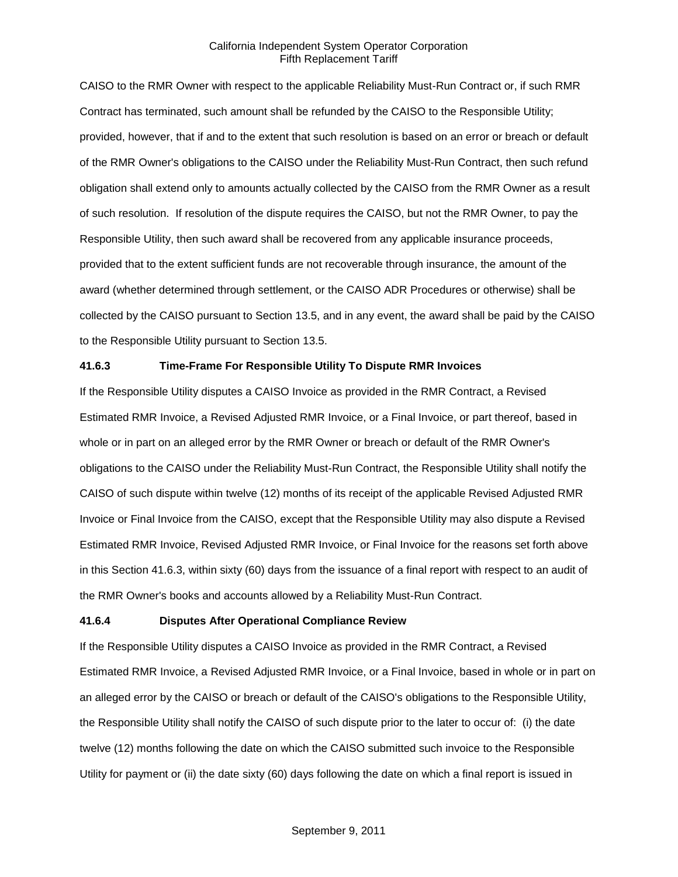CAISO to the RMR Owner with respect to the applicable Reliability Must-Run Contract or, if such RMR Contract has terminated, such amount shall be refunded by the CAISO to the Responsible Utility; provided, however, that if and to the extent that such resolution is based on an error or breach or default of the RMR Owner's obligations to the CAISO under the Reliability Must-Run Contract, then such refund obligation shall extend only to amounts actually collected by the CAISO from the RMR Owner as a result of such resolution. If resolution of the dispute requires the CAISO, but not the RMR Owner, to pay the Responsible Utility, then such award shall be recovered from any applicable insurance proceeds, provided that to the extent sufficient funds are not recoverable through insurance, the amount of the award (whether determined through settlement, or the CAISO ADR Procedures or otherwise) shall be collected by the CAISO pursuant to Section 13.5, and in any event, the award shall be paid by the CAISO to the Responsible Utility pursuant to Section 13.5.

# **41.6.3 Time-Frame For Responsible Utility To Dispute RMR Invoices**

If the Responsible Utility disputes a CAISO Invoice as provided in the RMR Contract, a Revised Estimated RMR Invoice, a Revised Adjusted RMR Invoice, or a Final Invoice, or part thereof, based in whole or in part on an alleged error by the RMR Owner or breach or default of the RMR Owner's obligations to the CAISO under the Reliability Must-Run Contract, the Responsible Utility shall notify the CAISO of such dispute within twelve (12) months of its receipt of the applicable Revised Adjusted RMR Invoice or Final Invoice from the CAISO, except that the Responsible Utility may also dispute a Revised Estimated RMR Invoice, Revised Adjusted RMR Invoice, or Final Invoice for the reasons set forth above in this Section 41.6.3, within sixty (60) days from the issuance of a final report with respect to an audit of the RMR Owner's books and accounts allowed by a Reliability Must-Run Contract.

# **41.6.4 Disputes After Operational Compliance Review**

If the Responsible Utility disputes a CAISO Invoice as provided in the RMR Contract, a Revised Estimated RMR Invoice, a Revised Adjusted RMR Invoice, or a Final Invoice, based in whole or in part on an alleged error by the CAISO or breach or default of the CAISO's obligations to the Responsible Utility, the Responsible Utility shall notify the CAISO of such dispute prior to the later to occur of: (i) the date twelve (12) months following the date on which the CAISO submitted such invoice to the Responsible Utility for payment or (ii) the date sixty (60) days following the date on which a final report is issued in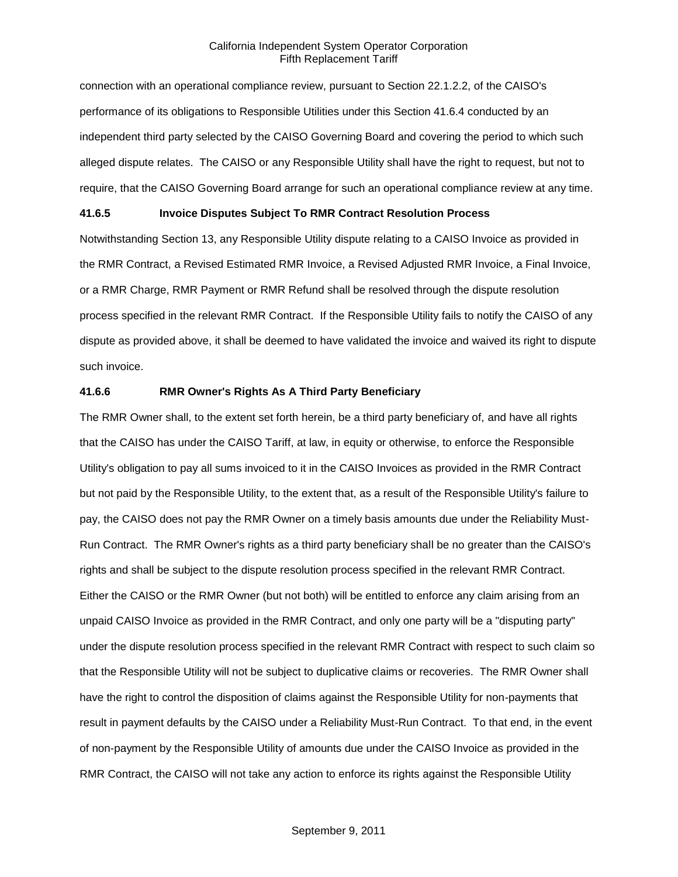connection with an operational compliance review, pursuant to Section 22.1.2.2, of the CAISO's performance of its obligations to Responsible Utilities under this Section 41.6.4 conducted by an independent third party selected by the CAISO Governing Board and covering the period to which such alleged dispute relates. The CAISO or any Responsible Utility shall have the right to request, but not to require, that the CAISO Governing Board arrange for such an operational compliance review at any time.

### **41.6.5 Invoice Disputes Subject To RMR Contract Resolution Process**

Notwithstanding Section 13, any Responsible Utility dispute relating to a CAISO Invoice as provided in the RMR Contract, a Revised Estimated RMR Invoice, a Revised Adjusted RMR Invoice, a Final Invoice, or a RMR Charge, RMR Payment or RMR Refund shall be resolved through the dispute resolution process specified in the relevant RMR Contract. If the Responsible Utility fails to notify the CAISO of any dispute as provided above, it shall be deemed to have validated the invoice and waived its right to dispute such invoice.

#### **41.6.6 RMR Owner's Rights As A Third Party Beneficiary**

The RMR Owner shall, to the extent set forth herein, be a third party beneficiary of, and have all rights that the CAISO has under the CAISO Tariff, at law, in equity or otherwise, to enforce the Responsible Utility's obligation to pay all sums invoiced to it in the CAISO Invoices as provided in the RMR Contract but not paid by the Responsible Utility, to the extent that, as a result of the Responsible Utility's failure to pay, the CAISO does not pay the RMR Owner on a timely basis amounts due under the Reliability Must-Run Contract. The RMR Owner's rights as a third party beneficiary shall be no greater than the CAISO's rights and shall be subject to the dispute resolution process specified in the relevant RMR Contract. Either the CAISO or the RMR Owner (but not both) will be entitled to enforce any claim arising from an unpaid CAISO Invoice as provided in the RMR Contract, and only one party will be a "disputing party" under the dispute resolution process specified in the relevant RMR Contract with respect to such claim so that the Responsible Utility will not be subject to duplicative claims or recoveries. The RMR Owner shall have the right to control the disposition of claims against the Responsible Utility for non-payments that result in payment defaults by the CAISO under a Reliability Must-Run Contract. To that end, in the event of non-payment by the Responsible Utility of amounts due under the CAISO Invoice as provided in the RMR Contract, the CAISO will not take any action to enforce its rights against the Responsible Utility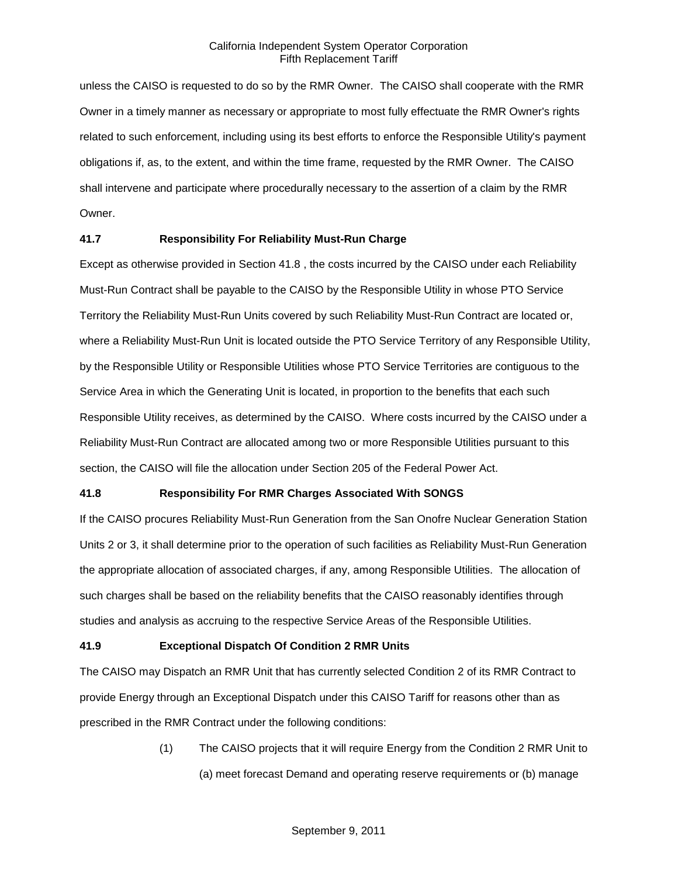unless the CAISO is requested to do so by the RMR Owner. The CAISO shall cooperate with the RMR Owner in a timely manner as necessary or appropriate to most fully effectuate the RMR Owner's rights related to such enforcement, including using its best efforts to enforce the Responsible Utility's payment obligations if, as, to the extent, and within the time frame, requested by the RMR Owner. The CAISO shall intervene and participate where procedurally necessary to the assertion of a claim by the RMR Owner.

# **41.7 Responsibility For Reliability Must-Run Charge**

Except as otherwise provided in Section 41.8 , the costs incurred by the CAISO under each Reliability Must-Run Contract shall be payable to the CAISO by the Responsible Utility in whose PTO Service Territory the Reliability Must-Run Units covered by such Reliability Must-Run Contract are located or, where a Reliability Must-Run Unit is located outside the PTO Service Territory of any Responsible Utility, by the Responsible Utility or Responsible Utilities whose PTO Service Territories are contiguous to the Service Area in which the Generating Unit is located, in proportion to the benefits that each such Responsible Utility receives, as determined by the CAISO. Where costs incurred by the CAISO under a Reliability Must-Run Contract are allocated among two or more Responsible Utilities pursuant to this section, the CAISO will file the allocation under Section 205 of the Federal Power Act.

# **41.8 Responsibility For RMR Charges Associated With SONGS**

If the CAISO procures Reliability Must-Run Generation from the San Onofre Nuclear Generation Station Units 2 or 3, it shall determine prior to the operation of such facilities as Reliability Must-Run Generation the appropriate allocation of associated charges, if any, among Responsible Utilities. The allocation of such charges shall be based on the reliability benefits that the CAISO reasonably identifies through studies and analysis as accruing to the respective Service Areas of the Responsible Utilities.

# **41.9 Exceptional Dispatch Of Condition 2 RMR Units**

The CAISO may Dispatch an RMR Unit that has currently selected Condition 2 of its RMR Contract to provide Energy through an Exceptional Dispatch under this CAISO Tariff for reasons other than as prescribed in the RMR Contract under the following conditions:

> (1) The CAISO projects that it will require Energy from the Condition 2 RMR Unit to (a) meet forecast Demand and operating reserve requirements or (b) manage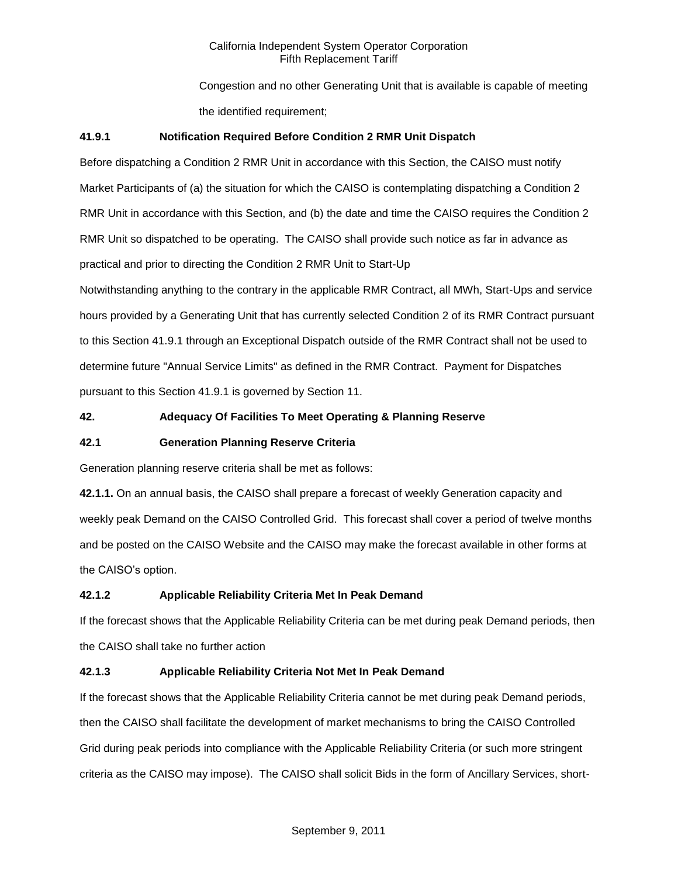Congestion and no other Generating Unit that is available is capable of meeting the identified requirement:

# **41.9.1 Notification Required Before Condition 2 RMR Unit Dispatch**

Before dispatching a Condition 2 RMR Unit in accordance with this Section, the CAISO must notify Market Participants of (a) the situation for which the CAISO is contemplating dispatching a Condition 2 RMR Unit in accordance with this Section, and (b) the date and time the CAISO requires the Condition 2 RMR Unit so dispatched to be operating. The CAISO shall provide such notice as far in advance as practical and prior to directing the Condition 2 RMR Unit to Start-Up

Notwithstanding anything to the contrary in the applicable RMR Contract, all MWh, Start-Ups and service hours provided by a Generating Unit that has currently selected Condition 2 of its RMR Contract pursuant to this Section 41.9.1 through an Exceptional Dispatch outside of the RMR Contract shall not be used to determine future "Annual Service Limits" as defined in the RMR Contract. Payment for Dispatches pursuant to this Section 41.9.1 is governed by Section 11.

# **42. Adequacy Of Facilities To Meet Operating & Planning Reserve**

# **42.1 Generation Planning Reserve Criteria**

Generation planning reserve criteria shall be met as follows:

**42.1.1.** On an annual basis, the CAISO shall prepare a forecast of weekly Generation capacity and weekly peak Demand on the CAISO Controlled Grid. This forecast shall cover a period of twelve months and be posted on the CAISO Website and the CAISO may make the forecast available in other forms at the CAISO's option.

# **42.1.2 Applicable Reliability Criteria Met In Peak Demand**

If the forecast shows that the Applicable Reliability Criteria can be met during peak Demand periods, then the CAISO shall take no further action

# **42.1.3 Applicable Reliability Criteria Not Met In Peak Demand**

If the forecast shows that the Applicable Reliability Criteria cannot be met during peak Demand periods, then the CAISO shall facilitate the development of market mechanisms to bring the CAISO Controlled Grid during peak periods into compliance with the Applicable Reliability Criteria (or such more stringent criteria as the CAISO may impose). The CAISO shall solicit Bids in the form of Ancillary Services, short-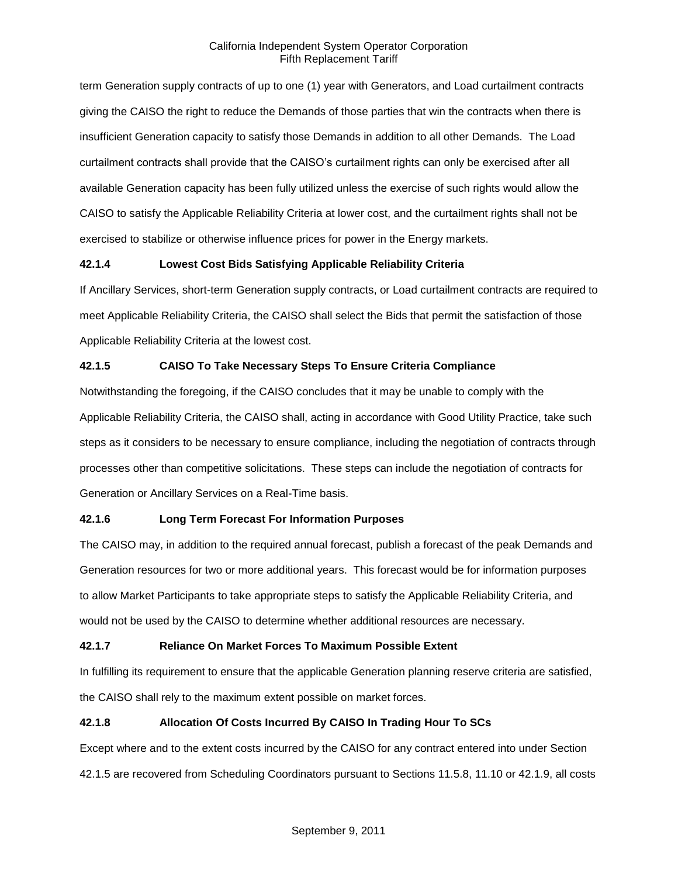term Generation supply contracts of up to one (1) year with Generators, and Load curtailment contracts giving the CAISO the right to reduce the Demands of those parties that win the contracts when there is insufficient Generation capacity to satisfy those Demands in addition to all other Demands. The Load curtailment contracts shall provide that the CAISO's curtailment rights can only be exercised after all available Generation capacity has been fully utilized unless the exercise of such rights would allow the CAISO to satisfy the Applicable Reliability Criteria at lower cost, and the curtailment rights shall not be exercised to stabilize or otherwise influence prices for power in the Energy markets.

# **42.1.4 Lowest Cost Bids Satisfying Applicable Reliability Criteria**

If Ancillary Services, short-term Generation supply contracts, or Load curtailment contracts are required to meet Applicable Reliability Criteria, the CAISO shall select the Bids that permit the satisfaction of those Applicable Reliability Criteria at the lowest cost.

# **42.1.5 CAISO To Take Necessary Steps To Ensure Criteria Compliance**

Notwithstanding the foregoing, if the CAISO concludes that it may be unable to comply with the Applicable Reliability Criteria, the CAISO shall, acting in accordance with Good Utility Practice, take such steps as it considers to be necessary to ensure compliance, including the negotiation of contracts through processes other than competitive solicitations. These steps can include the negotiation of contracts for Generation or Ancillary Services on a Real-Time basis.

# **42.1.6 Long Term Forecast For Information Purposes**

The CAISO may, in addition to the required annual forecast, publish a forecast of the peak Demands and Generation resources for two or more additional years. This forecast would be for information purposes to allow Market Participants to take appropriate steps to satisfy the Applicable Reliability Criteria, and would not be used by the CAISO to determine whether additional resources are necessary.

# **42.1.7 Reliance On Market Forces To Maximum Possible Extent**

In fulfilling its requirement to ensure that the applicable Generation planning reserve criteria are satisfied, the CAISO shall rely to the maximum extent possible on market forces.

# **42.1.8 Allocation Of Costs Incurred By CAISO In Trading Hour To SCs**

Except where and to the extent costs incurred by the CAISO for any contract entered into under Section 42.1.5 are recovered from Scheduling Coordinators pursuant to Sections 11.5.8, 11.10 or 42.1.9, all costs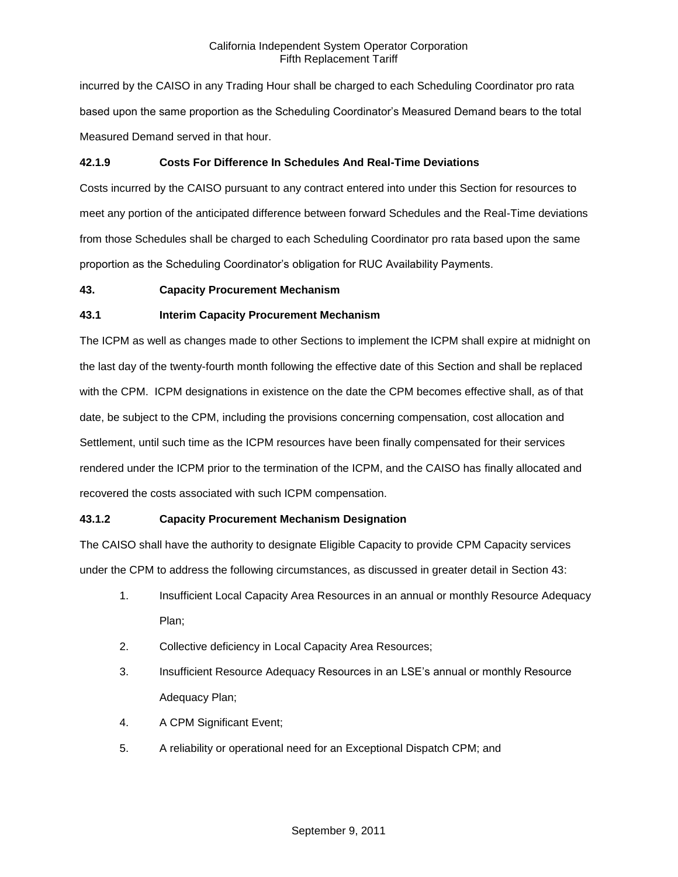incurred by the CAISO in any Trading Hour shall be charged to each Scheduling Coordinator pro rata based upon the same proportion as the Scheduling Coordinator's Measured Demand bears to the total Measured Demand served in that hour.

# **42.1.9 Costs For Difference In Schedules And Real-Time Deviations**

Costs incurred by the CAISO pursuant to any contract entered into under this Section for resources to meet any portion of the anticipated difference between forward Schedules and the Real-Time deviations from those Schedules shall be charged to each Scheduling Coordinator pro rata based upon the same proportion as the Scheduling Coordinator's obligation for RUC Availability Payments.

# **43. Capacity Procurement Mechanism**

# **43.1 Interim Capacity Procurement Mechanism**

The ICPM as well as changes made to other Sections to implement the ICPM shall expire at midnight on the last day of the twenty-fourth month following the effective date of this Section and shall be replaced with the CPM. ICPM designations in existence on the date the CPM becomes effective shall, as of that date, be subject to the CPM, including the provisions concerning compensation, cost allocation and Settlement, until such time as the ICPM resources have been finally compensated for their services rendered under the ICPM prior to the termination of the ICPM, and the CAISO has finally allocated and recovered the costs associated with such ICPM compensation.

# **43.1.2 Capacity Procurement Mechanism Designation**

The CAISO shall have the authority to designate Eligible Capacity to provide CPM Capacity services under the CPM to address the following circumstances, as discussed in greater detail in Section 43:

- 1. Insufficient Local Capacity Area Resources in an annual or monthly Resource Adequacy Plan;
- 2. Collective deficiency in Local Capacity Area Resources;
- 3. Insufficient Resource Adequacy Resources in an LSE's annual or monthly Resource Adequacy Plan;
- 4. A CPM Significant Event;
- 5. A reliability or operational need for an Exceptional Dispatch CPM; and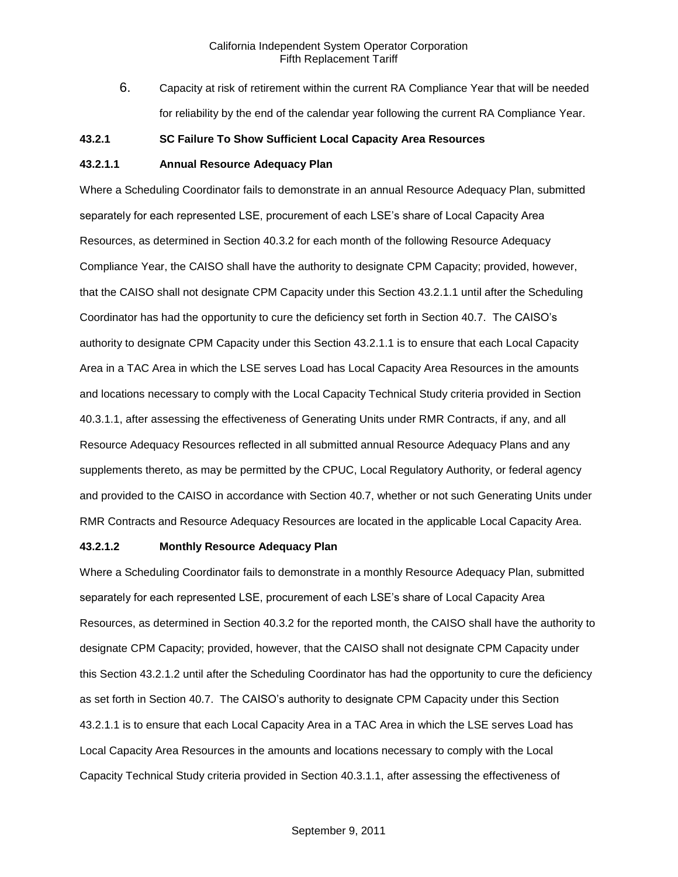6. Capacity at risk of retirement within the current RA Compliance Year that will be needed for reliability by the end of the calendar year following the current RA Compliance Year.

#### **43.2.1 SC Failure To Show Sufficient Local Capacity Area Resources**

# **43.2.1.1 Annual Resource Adequacy Plan**

Where a Scheduling Coordinator fails to demonstrate in an annual Resource Adequacy Plan, submitted separately for each represented LSE, procurement of each LSE's share of Local Capacity Area Resources, as determined in Section 40.3.2 for each month of the following Resource Adequacy Compliance Year, the CAISO shall have the authority to designate CPM Capacity; provided, however, that the CAISO shall not designate CPM Capacity under this Section 43.2.1.1 until after the Scheduling Coordinator has had the opportunity to cure the deficiency set forth in Section 40.7. The CAISO's authority to designate CPM Capacity under this Section 43.2.1.1 is to ensure that each Local Capacity Area in a TAC Area in which the LSE serves Load has Local Capacity Area Resources in the amounts and locations necessary to comply with the Local Capacity Technical Study criteria provided in Section 40.3.1.1, after assessing the effectiveness of Generating Units under RMR Contracts, if any, and all Resource Adequacy Resources reflected in all submitted annual Resource Adequacy Plans and any supplements thereto, as may be permitted by the CPUC, Local Regulatory Authority, or federal agency and provided to the CAISO in accordance with Section 40.7, whether or not such Generating Units under RMR Contracts and Resource Adequacy Resources are located in the applicable Local Capacity Area.

#### **43.2.1.2 Monthly Resource Adequacy Plan**

Where a Scheduling Coordinator fails to demonstrate in a monthly Resource Adequacy Plan, submitted separately for each represented LSE, procurement of each LSE's share of Local Capacity Area Resources, as determined in Section 40.3.2 for the reported month, the CAISO shall have the authority to designate CPM Capacity; provided, however, that the CAISO shall not designate CPM Capacity under this Section 43.2.1.2 until after the Scheduling Coordinator has had the opportunity to cure the deficiency as set forth in Section 40.7. The CAISO's authority to designate CPM Capacity under this Section 43.2.1.1 is to ensure that each Local Capacity Area in a TAC Area in which the LSE serves Load has Local Capacity Area Resources in the amounts and locations necessary to comply with the Local Capacity Technical Study criteria provided in Section 40.3.1.1, after assessing the effectiveness of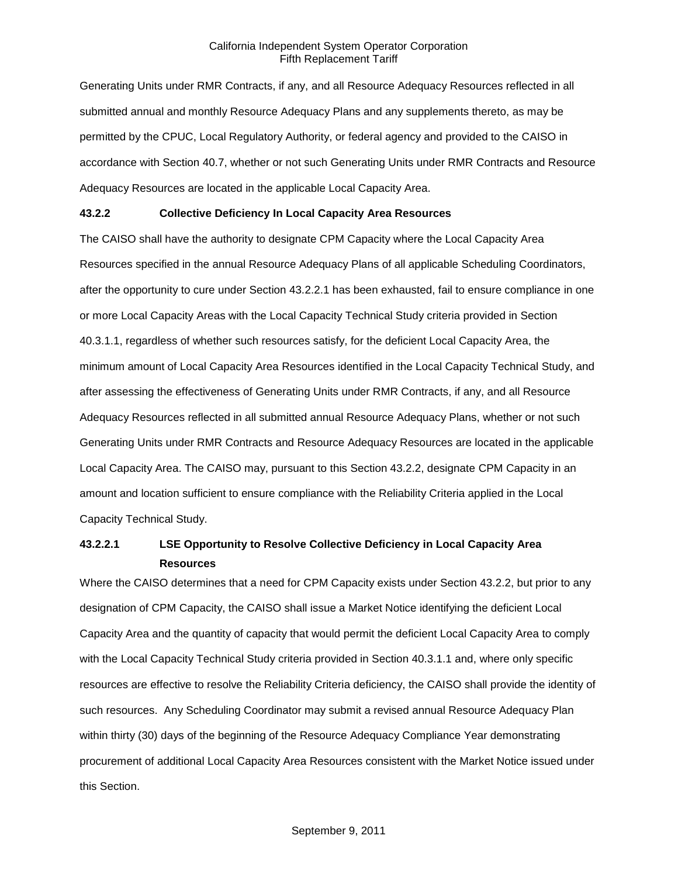Generating Units under RMR Contracts, if any, and all Resource Adequacy Resources reflected in all submitted annual and monthly Resource Adequacy Plans and any supplements thereto, as may be permitted by the CPUC, Local Regulatory Authority, or federal agency and provided to the CAISO in accordance with Section 40.7, whether or not such Generating Units under RMR Contracts and Resource Adequacy Resources are located in the applicable Local Capacity Area.

### **43.2.2 Collective Deficiency In Local Capacity Area Resources**

The CAISO shall have the authority to designate CPM Capacity where the Local Capacity Area Resources specified in the annual Resource Adequacy Plans of all applicable Scheduling Coordinators, after the opportunity to cure under Section 43.2.2.1 has been exhausted, fail to ensure compliance in one or more Local Capacity Areas with the Local Capacity Technical Study criteria provided in Section 40.3.1.1, regardless of whether such resources satisfy, for the deficient Local Capacity Area, the minimum amount of Local Capacity Area Resources identified in the Local Capacity Technical Study, and after assessing the effectiveness of Generating Units under RMR Contracts, if any, and all Resource Adequacy Resources reflected in all submitted annual Resource Adequacy Plans, whether or not such Generating Units under RMR Contracts and Resource Adequacy Resources are located in the applicable Local Capacity Area. The CAISO may, pursuant to this Section 43.2.2, designate CPM Capacity in an amount and location sufficient to ensure compliance with the Reliability Criteria applied in the Local Capacity Technical Study.

# **43.2.2.1 LSE Opportunity to Resolve Collective Deficiency in Local Capacity Area Resources**

Where the CAISO determines that a need for CPM Capacity exists under Section 43.2.2, but prior to any designation of CPM Capacity, the CAISO shall issue a Market Notice identifying the deficient Local Capacity Area and the quantity of capacity that would permit the deficient Local Capacity Area to comply with the Local Capacity Technical Study criteria provided in Section 40.3.1.1 and, where only specific resources are effective to resolve the Reliability Criteria deficiency, the CAISO shall provide the identity of such resources. Any Scheduling Coordinator may submit a revised annual Resource Adequacy Plan within thirty (30) days of the beginning of the Resource Adequacy Compliance Year demonstrating procurement of additional Local Capacity Area Resources consistent with the Market Notice issued under this Section.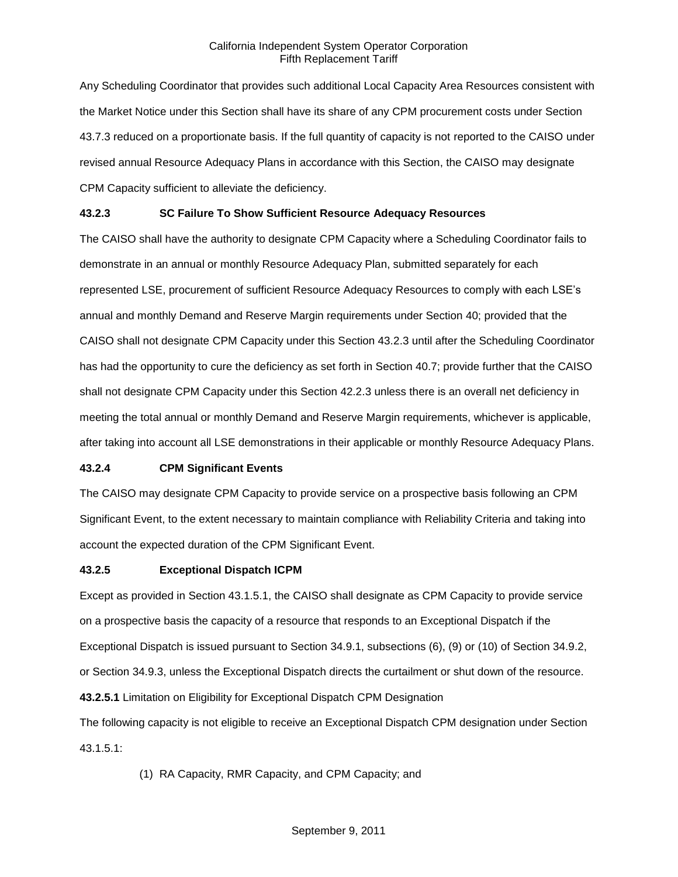Any Scheduling Coordinator that provides such additional Local Capacity Area Resources consistent with the Market Notice under this Section shall have its share of any CPM procurement costs under Section 43.7.3 reduced on a proportionate basis. If the full quantity of capacity is not reported to the CAISO under revised annual Resource Adequacy Plans in accordance with this Section, the CAISO may designate CPM Capacity sufficient to alleviate the deficiency.

## **43.2.3 SC Failure To Show Sufficient Resource Adequacy Resources**

The CAISO shall have the authority to designate CPM Capacity where a Scheduling Coordinator fails to demonstrate in an annual or monthly Resource Adequacy Plan, submitted separately for each represented LSE, procurement of sufficient Resource Adequacy Resources to comply with each LSE's annual and monthly Demand and Reserve Margin requirements under Section 40; provided that the CAISO shall not designate CPM Capacity under this Section 43.2.3 until after the Scheduling Coordinator has had the opportunity to cure the deficiency as set forth in Section 40.7; provide further that the CAISO shall not designate CPM Capacity under this Section 42.2.3 unless there is an overall net deficiency in meeting the total annual or monthly Demand and Reserve Margin requirements, whichever is applicable, after taking into account all LSE demonstrations in their applicable or monthly Resource Adequacy Plans.

### **43.2.4 CPM Significant Events**

The CAISO may designate CPM Capacity to provide service on a prospective basis following an CPM Significant Event, to the extent necessary to maintain compliance with Reliability Criteria and taking into account the expected duration of the CPM Significant Event.

#### **43.2.5 Exceptional Dispatch ICPM**

Except as provided in Section 43.1.5.1, the CAISO shall designate as CPM Capacity to provide service on a prospective basis the capacity of a resource that responds to an Exceptional Dispatch if the Exceptional Dispatch is issued pursuant to Section 34.9.1, subsections (6), (9) or (10) of Section 34.9.2, or Section 34.9.3, unless the Exceptional Dispatch directs the curtailment or shut down of the resource. **43.2.5.1** Limitation on Eligibility for Exceptional Dispatch CPM Designation

The following capacity is not eligible to receive an Exceptional Dispatch CPM designation under Section 43.1.5.1:

(1) RA Capacity, RMR Capacity, and CPM Capacity; and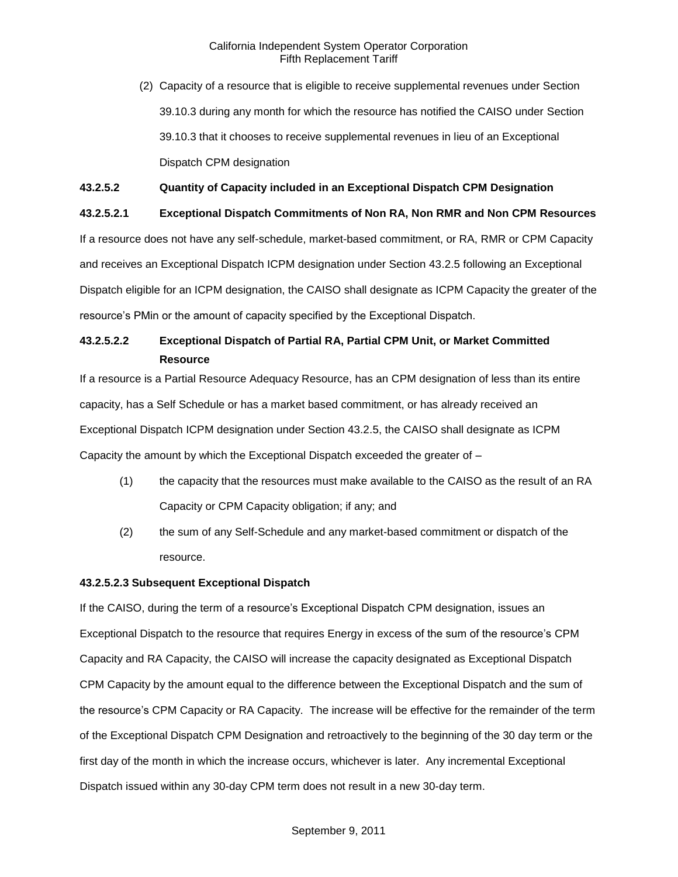(2) Capacity of a resource that is eligible to receive supplemental revenues under Section 39.10.3 during any month for which the resource has notified the CAISO under Section 39.10.3 that it chooses to receive supplemental revenues in lieu of an Exceptional Dispatch CPM designation

### **43.2.5.2 Quantity of Capacity included in an Exceptional Dispatch CPM Designation**

### **43.2.5.2.1 Exceptional Dispatch Commitments of Non RA, Non RMR and Non CPM Resources**

If a resource does not have any self-schedule, market-based commitment, or RA, RMR or CPM Capacity and receives an Exceptional Dispatch ICPM designation under Section 43.2.5 following an Exceptional Dispatch eligible for an ICPM designation, the CAISO shall designate as ICPM Capacity the greater of the resource's PMin or the amount of capacity specified by the Exceptional Dispatch.

# **43.2.5.2.2 Exceptional Dispatch of Partial RA, Partial CPM Unit, or Market Committed Resource**

If a resource is a Partial Resource Adequacy Resource, has an CPM designation of less than its entire capacity, has a Self Schedule or has a market based commitment, or has already received an Exceptional Dispatch ICPM designation under Section 43.2.5, the CAISO shall designate as ICPM Capacity the amount by which the Exceptional Dispatch exceeded the greater of –

- (1) the capacity that the resources must make available to the CAISO as the result of an RA Capacity or CPM Capacity obligation; if any; and
- (2) the sum of any Self-Schedule and any market-based commitment or dispatch of the resource.

### **43.2.5.2.3 Subsequent Exceptional Dispatch**

If the CAISO, during the term of a resource's Exceptional Dispatch CPM designation, issues an Exceptional Dispatch to the resource that requires Energy in excess of the sum of the resource's CPM Capacity and RA Capacity, the CAISO will increase the capacity designated as Exceptional Dispatch CPM Capacity by the amount equal to the difference between the Exceptional Dispatch and the sum of the resource's CPM Capacity or RA Capacity. The increase will be effective for the remainder of the term of the Exceptional Dispatch CPM Designation and retroactively to the beginning of the 30 day term or the first day of the month in which the increase occurs, whichever is later. Any incremental Exceptional Dispatch issued within any 30-day CPM term does not result in a new 30-day term.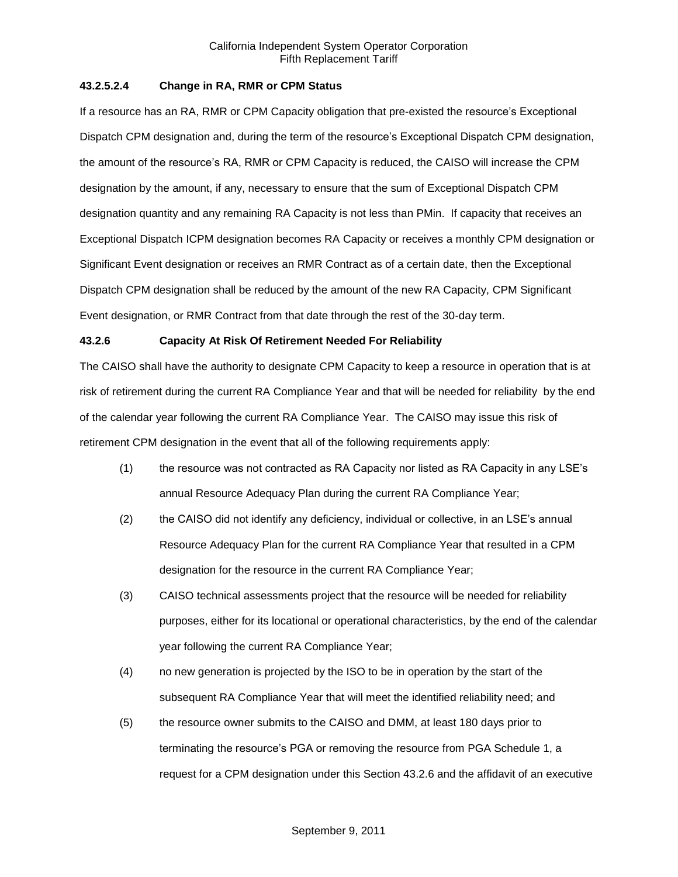### **43.2.5.2.4 Change in RA, RMR or CPM Status**

If a resource has an RA, RMR or CPM Capacity obligation that pre-existed the resource's Exceptional Dispatch CPM designation and, during the term of the resource's Exceptional Dispatch CPM designation, the amount of the resource's RA, RMR or CPM Capacity is reduced, the CAISO will increase the CPM designation by the amount, if any, necessary to ensure that the sum of Exceptional Dispatch CPM designation quantity and any remaining RA Capacity is not less than PMin. If capacity that receives an Exceptional Dispatch ICPM designation becomes RA Capacity or receives a monthly CPM designation or Significant Event designation or receives an RMR Contract as of a certain date, then the Exceptional Dispatch CPM designation shall be reduced by the amount of the new RA Capacity, CPM Significant Event designation, or RMR Contract from that date through the rest of the 30-day term.

### **43.2.6 Capacity At Risk Of Retirement Needed For Reliability**

The CAISO shall have the authority to designate CPM Capacity to keep a resource in operation that is at risk of retirement during the current RA Compliance Year and that will be needed for reliability by the end of the calendar year following the current RA Compliance Year. The CAISO may issue this risk of retirement CPM designation in the event that all of the following requirements apply:

- (1) the resource was not contracted as RA Capacity nor listed as RA Capacity in any LSE's annual Resource Adequacy Plan during the current RA Compliance Year;
- (2) the CAISO did not identify any deficiency, individual or collective, in an LSE's annual Resource Adequacy Plan for the current RA Compliance Year that resulted in a CPM designation for the resource in the current RA Compliance Year;
- (3) CAISO technical assessments project that the resource will be needed for reliability purposes, either for its locational or operational characteristics, by the end of the calendar year following the current RA Compliance Year;
- (4) no new generation is projected by the ISO to be in operation by the start of the subsequent RA Compliance Year that will meet the identified reliability need; and
- (5) the resource owner submits to the CAISO and DMM, at least 180 days prior to terminating the resource's PGA or removing the resource from PGA Schedule 1, a request for a CPM designation under this Section 43.2.6 and the affidavit of an executive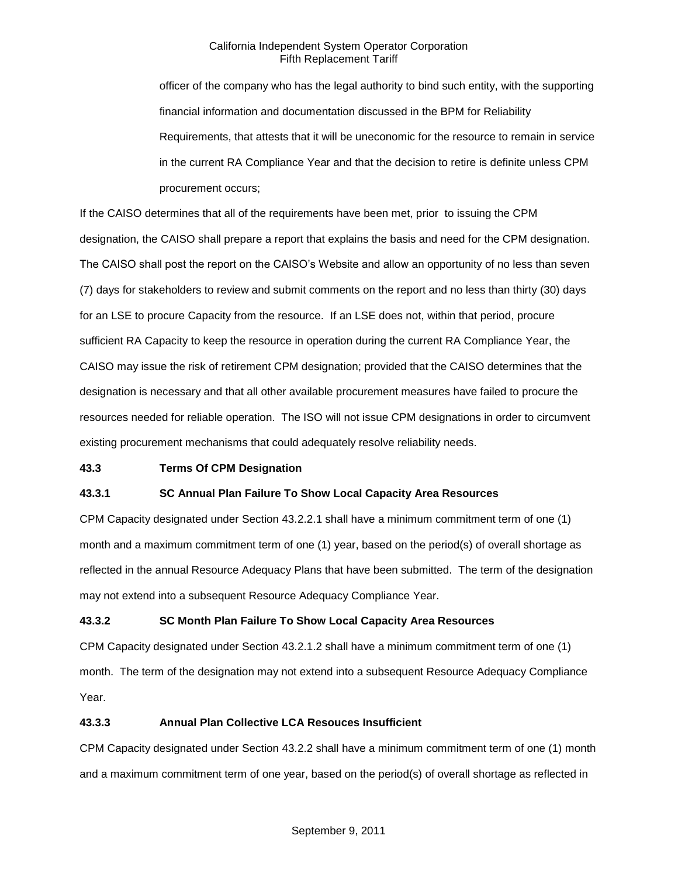officer of the company who has the legal authority to bind such entity, with the supporting financial information and documentation discussed in the BPM for Reliability Requirements, that attests that it will be uneconomic for the resource to remain in service in the current RA Compliance Year and that the decision to retire is definite unless CPM procurement occurs;

If the CAISO determines that all of the requirements have been met, prior to issuing the CPM designation, the CAISO shall prepare a report that explains the basis and need for the CPM designation. The CAISO shall post the report on the CAISO's Website and allow an opportunity of no less than seven (7) days for stakeholders to review and submit comments on the report and no less than thirty (30) days for an LSE to procure Capacity from the resource. If an LSE does not, within that period, procure sufficient RA Capacity to keep the resource in operation during the current RA Compliance Year, the CAISO may issue the risk of retirement CPM designation; provided that the CAISO determines that the designation is necessary and that all other available procurement measures have failed to procure the resources needed for reliable operation. The ISO will not issue CPM designations in order to circumvent existing procurement mechanisms that could adequately resolve reliability needs.

### **43.3 Terms Of CPM Designation**

### **43.3.1 SC Annual Plan Failure To Show Local Capacity Area Resources**

CPM Capacity designated under Section 43.2.2.1 shall have a minimum commitment term of one (1) month and a maximum commitment term of one (1) year, based on the period(s) of overall shortage as reflected in the annual Resource Adequacy Plans that have been submitted. The term of the designation may not extend into a subsequent Resource Adequacy Compliance Year.

### **43.3.2 SC Month Plan Failure To Show Local Capacity Area Resources**

CPM Capacity designated under Section 43.2.1.2 shall have a minimum commitment term of one (1) month. The term of the designation may not extend into a subsequent Resource Adequacy Compliance Year.

### **43.3.3 Annual Plan Collective LCA Resouces Insufficient**

CPM Capacity designated under Section 43.2.2 shall have a minimum commitment term of one (1) month and a maximum commitment term of one year, based on the period(s) of overall shortage as reflected in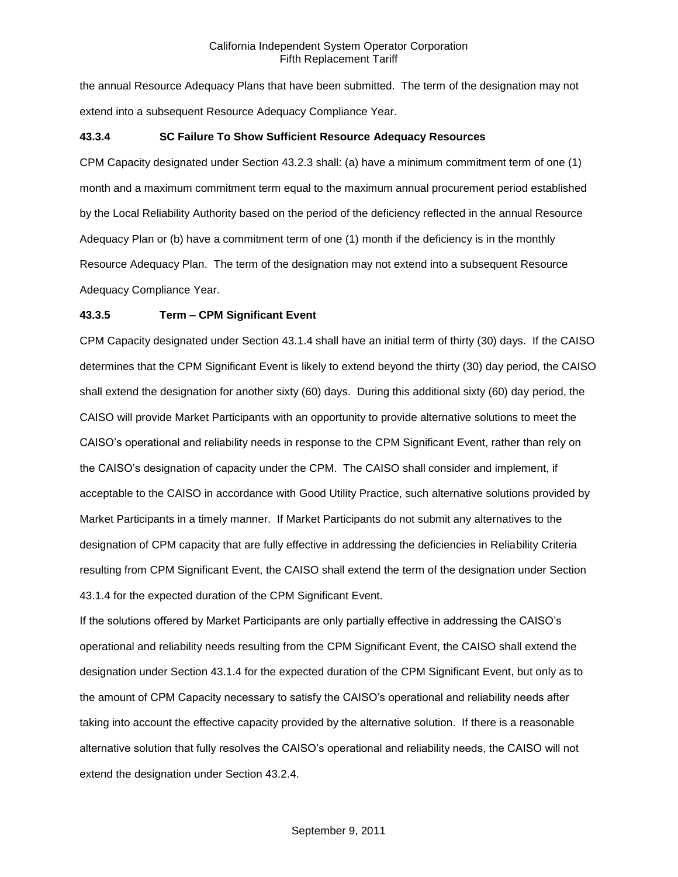the annual Resource Adequacy Plans that have been submitted. The term of the designation may not extend into a subsequent Resource Adequacy Compliance Year.

### **43.3.4 SC Failure To Show Sufficient Resource Adequacy Resources**

CPM Capacity designated under Section 43.2.3 shall: (a) have a minimum commitment term of one (1) month and a maximum commitment term equal to the maximum annual procurement period established by the Local Reliability Authority based on the period of the deficiency reflected in the annual Resource Adequacy Plan or (b) have a commitment term of one (1) month if the deficiency is in the monthly Resource Adequacy Plan. The term of the designation may not extend into a subsequent Resource Adequacy Compliance Year.

### **43.3.5 Term – CPM Significant Event**

CPM Capacity designated under Section 43.1.4 shall have an initial term of thirty (30) days. If the CAISO determines that the CPM Significant Event is likely to extend beyond the thirty (30) day period, the CAISO shall extend the designation for another sixty (60) days. During this additional sixty (60) day period, the CAISO will provide Market Participants with an opportunity to provide alternative solutions to meet the CAISO's operational and reliability needs in response to the CPM Significant Event, rather than rely on the CAISO's designation of capacity under the CPM. The CAISO shall consider and implement, if acceptable to the CAISO in accordance with Good Utility Practice, such alternative solutions provided by Market Participants in a timely manner. If Market Participants do not submit any alternatives to the designation of CPM capacity that are fully effective in addressing the deficiencies in Reliability Criteria resulting from CPM Significant Event, the CAISO shall extend the term of the designation under Section 43.1.4 for the expected duration of the CPM Significant Event.

If the solutions offered by Market Participants are only partially effective in addressing the CAISO's operational and reliability needs resulting from the CPM Significant Event, the CAISO shall extend the designation under Section 43.1.4 for the expected duration of the CPM Significant Event, but only as to the amount of CPM Capacity necessary to satisfy the CAISO's operational and reliability needs after taking into account the effective capacity provided by the alternative solution. If there is a reasonable alternative solution that fully resolves the CAISO's operational and reliability needs, the CAISO will not extend the designation under Section 43.2.4.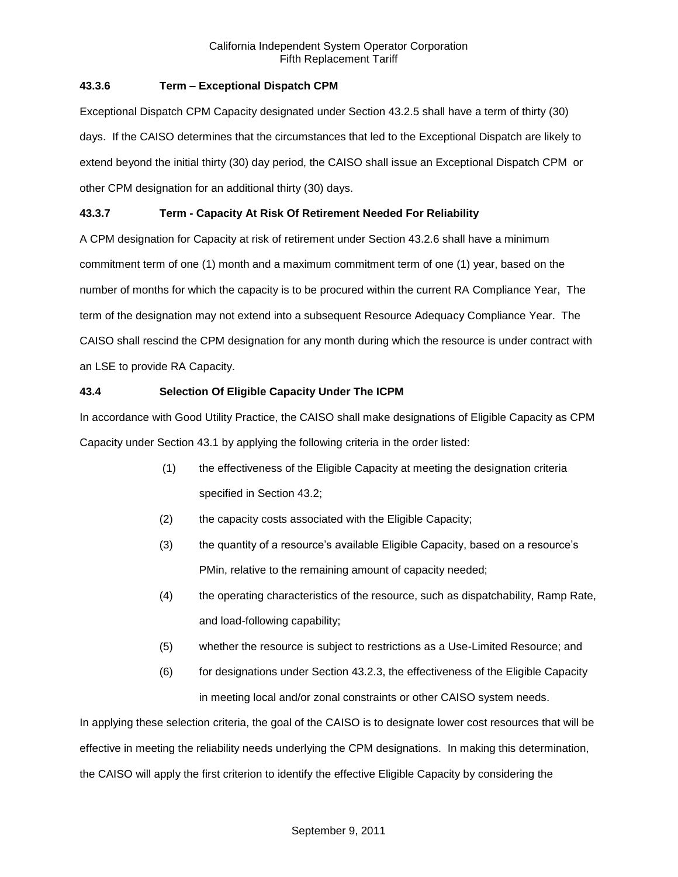## **43.3.6 Term – Exceptional Dispatch CPM**

Exceptional Dispatch CPM Capacity designated under Section 43.2.5 shall have a term of thirty (30) days. If the CAISO determines that the circumstances that led to the Exceptional Dispatch are likely to extend beyond the initial thirty (30) day period, the CAISO shall issue an Exceptional Dispatch CPM or other CPM designation for an additional thirty (30) days.

# **43.3.7 Term - Capacity At Risk Of Retirement Needed For Reliability**

A CPM designation for Capacity at risk of retirement under Section 43.2.6 shall have a minimum commitment term of one (1) month and a maximum commitment term of one (1) year, based on the number of months for which the capacity is to be procured within the current RA Compliance Year, The term of the designation may not extend into a subsequent Resource Adequacy Compliance Year. The CAISO shall rescind the CPM designation for any month during which the resource is under contract with an LSE to provide RA Capacity.

### **43.4 Selection Of Eligible Capacity Under The ICPM**

In accordance with Good Utility Practice, the CAISO shall make designations of Eligible Capacity as CPM Capacity under Section 43.1 by applying the following criteria in the order listed:

- (1) the effectiveness of the Eligible Capacity at meeting the designation criteria specified in Section 43.2;
- (2) the capacity costs associated with the Eligible Capacity;
- (3) the quantity of a resource's available Eligible Capacity, based on a resource's PMin, relative to the remaining amount of capacity needed;
- (4) the operating characteristics of the resource, such as dispatchability, Ramp Rate, and load-following capability;
- (5) whether the resource is subject to restrictions as a Use-Limited Resource; and
- (6) for designations under Section 43.2.3, the effectiveness of the Eligible Capacity in meeting local and/or zonal constraints or other CAISO system needs.

In applying these selection criteria, the goal of the CAISO is to designate lower cost resources that will be effective in meeting the reliability needs underlying the CPM designations. In making this determination, the CAISO will apply the first criterion to identify the effective Eligible Capacity by considering the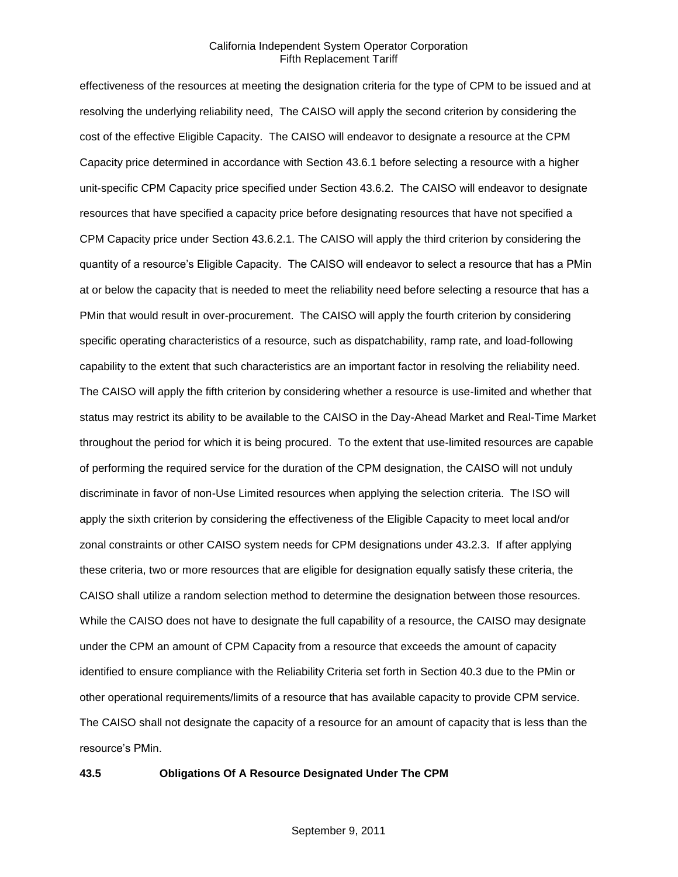effectiveness of the resources at meeting the designation criteria for the type of CPM to be issued and at resolving the underlying reliability need, The CAISO will apply the second criterion by considering the cost of the effective Eligible Capacity. The CAISO will endeavor to designate a resource at the CPM Capacity price determined in accordance with Section 43.6.1 before selecting a resource with a higher unit-specific CPM Capacity price specified under Section 43.6.2. The CAISO will endeavor to designate resources that have specified a capacity price before designating resources that have not specified a CPM Capacity price under Section 43.6.2.1. The CAISO will apply the third criterion by considering the quantity of a resource's Eligible Capacity. The CAISO will endeavor to select a resource that has a PMin at or below the capacity that is needed to meet the reliability need before selecting a resource that has a PMin that would result in over-procurement. The CAISO will apply the fourth criterion by considering specific operating characteristics of a resource, such as dispatchability, ramp rate, and load-following capability to the extent that such characteristics are an important factor in resolving the reliability need. The CAISO will apply the fifth criterion by considering whether a resource is use-limited and whether that status may restrict its ability to be available to the CAISO in the Day-Ahead Market and Real-Time Market throughout the period for which it is being procured. To the extent that use-limited resources are capable of performing the required service for the duration of the CPM designation, the CAISO will not unduly discriminate in favor of non-Use Limited resources when applying the selection criteria. The ISO will apply the sixth criterion by considering the effectiveness of the Eligible Capacity to meet local and/or zonal constraints or other CAISO system needs for CPM designations under 43.2.3. If after applying these criteria, two or more resources that are eligible for designation equally satisfy these criteria, the CAISO shall utilize a random selection method to determine the designation between those resources. While the CAISO does not have to designate the full capability of a resource, the CAISO may designate under the CPM an amount of CPM Capacity from a resource that exceeds the amount of capacity identified to ensure compliance with the Reliability Criteria set forth in Section 40.3 due to the PMin or other operational requirements/limits of a resource that has available capacity to provide CPM service. The CAISO shall not designate the capacity of a resource for an amount of capacity that is less than the resource's PMin.

#### **43.5 Obligations Of A Resource Designated Under The CPM**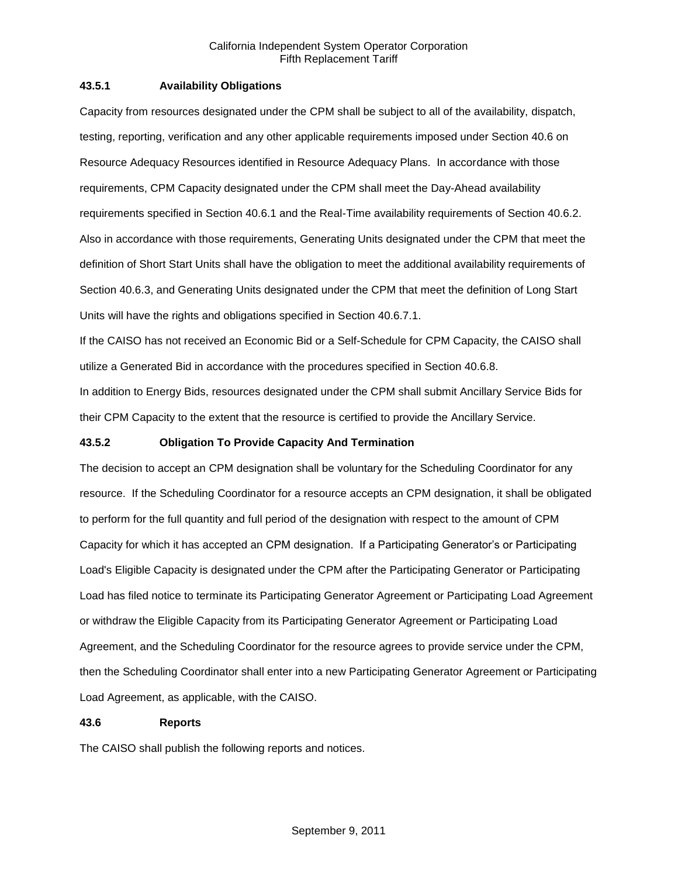### **43.5.1 Availability Obligations**

Capacity from resources designated under the CPM shall be subject to all of the availability, dispatch, testing, reporting, verification and any other applicable requirements imposed under Section 40.6 on Resource Adequacy Resources identified in Resource Adequacy Plans. In accordance with those requirements, CPM Capacity designated under the CPM shall meet the Day-Ahead availability requirements specified in Section 40.6.1 and the Real-Time availability requirements of Section 40.6.2. Also in accordance with those requirements, Generating Units designated under the CPM that meet the definition of Short Start Units shall have the obligation to meet the additional availability requirements of Section 40.6.3, and Generating Units designated under the CPM that meet the definition of Long Start Units will have the rights and obligations specified in Section 40.6.7.1.

If the CAISO has not received an Economic Bid or a Self-Schedule for CPM Capacity, the CAISO shall utilize a Generated Bid in accordance with the procedures specified in Section 40.6.8.

In addition to Energy Bids, resources designated under the CPM shall submit Ancillary Service Bids for their CPM Capacity to the extent that the resource is certified to provide the Ancillary Service.

### **43.5.2 Obligation To Provide Capacity And Termination**

The decision to accept an CPM designation shall be voluntary for the Scheduling Coordinator for any resource. If the Scheduling Coordinator for a resource accepts an CPM designation, it shall be obligated to perform for the full quantity and full period of the designation with respect to the amount of CPM Capacity for which it has accepted an CPM designation. If a Participating Generator's or Participating Load's Eligible Capacity is designated under the CPM after the Participating Generator or Participating Load has filed notice to terminate its Participating Generator Agreement or Participating Load Agreement or withdraw the Eligible Capacity from its Participating Generator Agreement or Participating Load Agreement, and the Scheduling Coordinator for the resource agrees to provide service under the CPM, then the Scheduling Coordinator shall enter into a new Participating Generator Agreement or Participating Load Agreement, as applicable, with the CAISO.

# **43.6 Reports**

The CAISO shall publish the following reports and notices.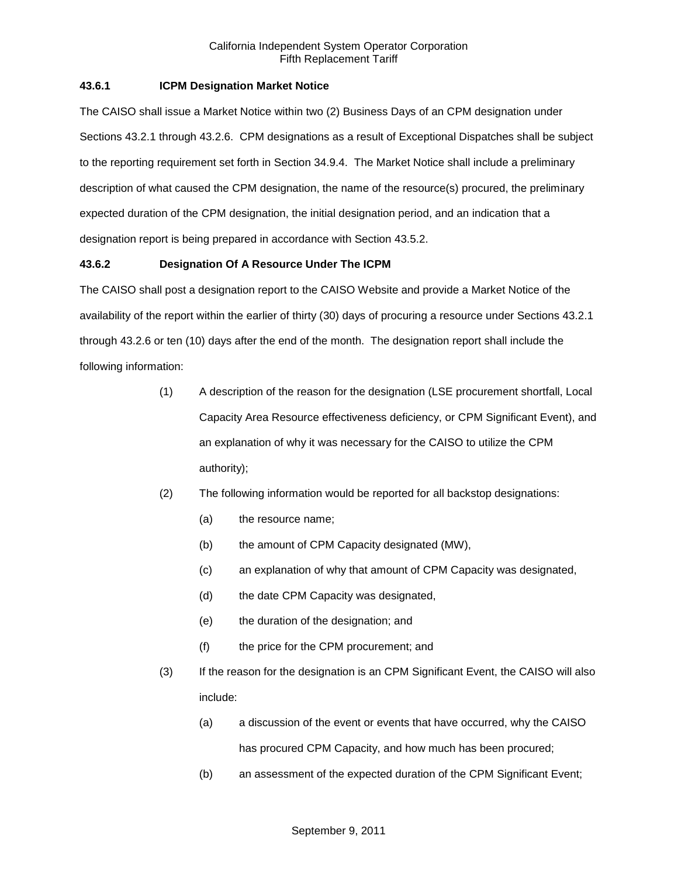### **43.6.1 ICPM Designation Market Notice**

The CAISO shall issue a Market Notice within two (2) Business Days of an CPM designation under Sections 43.2.1 through 43.2.6. CPM designations as a result of Exceptional Dispatches shall be subject to the reporting requirement set forth in Section 34.9.4. The Market Notice shall include a preliminary description of what caused the CPM designation, the name of the resource(s) procured, the preliminary expected duration of the CPM designation, the initial designation period, and an indication that a designation report is being prepared in accordance with Section 43.5.2.

### **43.6.2 Designation Of A Resource Under The ICPM**

The CAISO shall post a designation report to the CAISO Website and provide a Market Notice of the availability of the report within the earlier of thirty (30) days of procuring a resource under Sections 43.2.1 through 43.2.6 or ten (10) days after the end of the month. The designation report shall include the following information:

- (1) A description of the reason for the designation (LSE procurement shortfall, Local Capacity Area Resource effectiveness deficiency, or CPM Significant Event), and an explanation of why it was necessary for the CAISO to utilize the CPM authority);
- (2) The following information would be reported for all backstop designations:
	- (a) the resource name;
	- (b) the amount of CPM Capacity designated (MW),
	- (c) an explanation of why that amount of CPM Capacity was designated,
	- (d) the date CPM Capacity was designated,
	- (e) the duration of the designation; and
	- (f) the price for the CPM procurement; and
- (3) If the reason for the designation is an CPM Significant Event, the CAISO will also include:
	- (a) a discussion of the event or events that have occurred, why the CAISO has procured CPM Capacity, and how much has been procured;
	- (b) an assessment of the expected duration of the CPM Significant Event;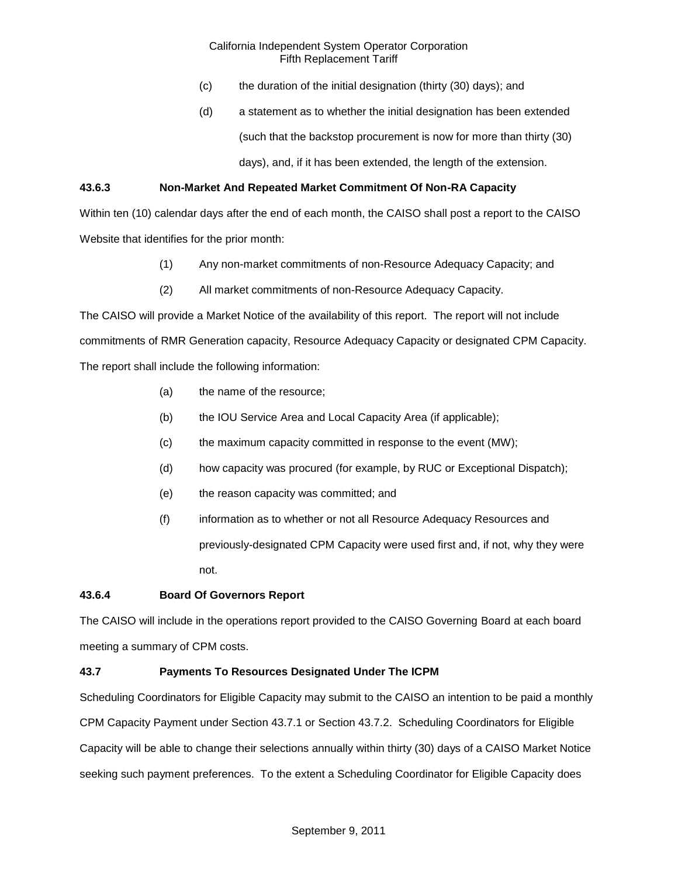- (c) the duration of the initial designation (thirty (30) days); and
- (d) a statement as to whether the initial designation has been extended (such that the backstop procurement is now for more than thirty (30) days), and, if it has been extended, the length of the extension.

## **43.6.3 Non-Market And Repeated Market Commitment Of Non-RA Capacity**

Within ten (10) calendar days after the end of each month, the CAISO shall post a report to the CAISO Website that identifies for the prior month:

- (1) Any non-market commitments of non-Resource Adequacy Capacity; and
- (2) All market commitments of non-Resource Adequacy Capacity.

The CAISO will provide a Market Notice of the availability of this report. The report will not include commitments of RMR Generation capacity, Resource Adequacy Capacity or designated CPM Capacity. The report shall include the following information:

- (a) the name of the resource;
- (b) the IOU Service Area and Local Capacity Area (if applicable);
- (c) the maximum capacity committed in response to the event (MW);
- (d) how capacity was procured (for example, by RUC or Exceptional Dispatch);
- (e) the reason capacity was committed; and
- (f) information as to whether or not all Resource Adequacy Resources and previously-designated CPM Capacity were used first and, if not, why they were not.

### **43.6.4 Board Of Governors Report**

The CAISO will include in the operations report provided to the CAISO Governing Board at each board meeting a summary of CPM costs.

### **43.7 Payments To Resources Designated Under The ICPM**

Scheduling Coordinators for Eligible Capacity may submit to the CAISO an intention to be paid a monthly CPM Capacity Payment under Section 43.7.1 or Section 43.7.2. Scheduling Coordinators for Eligible Capacity will be able to change their selections annually within thirty (30) days of a CAISO Market Notice seeking such payment preferences. To the extent a Scheduling Coordinator for Eligible Capacity does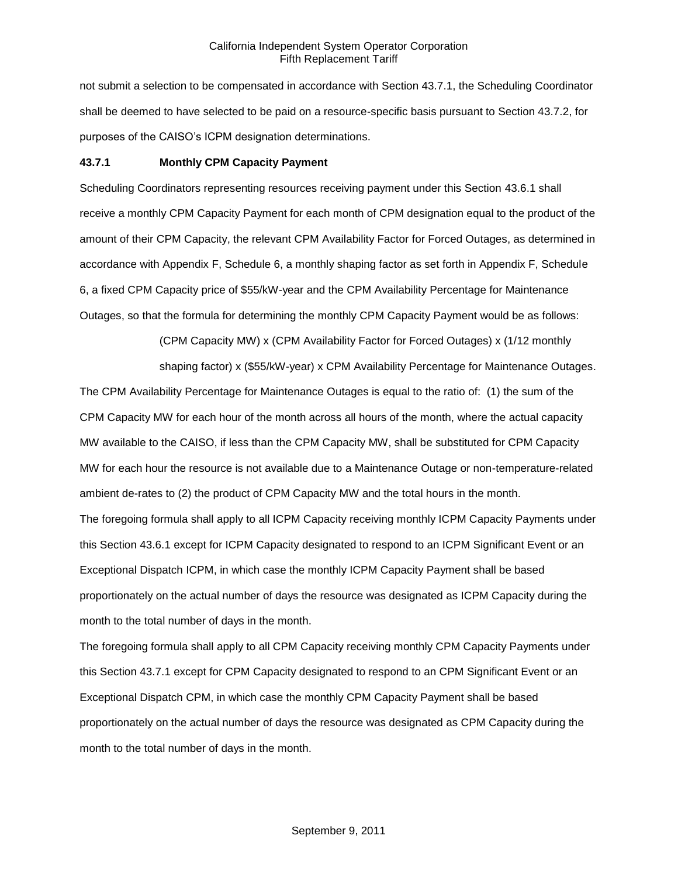not submit a selection to be compensated in accordance with Section 43.7.1, the Scheduling Coordinator shall be deemed to have selected to be paid on a resource-specific basis pursuant to Section 43.7.2, for purposes of the CAISO's ICPM designation determinations.

#### **43.7.1 Monthly CPM Capacity Payment**

Scheduling Coordinators representing resources receiving payment under this Section 43.6.1 shall receive a monthly CPM Capacity Payment for each month of CPM designation equal to the product of the amount of their CPM Capacity, the relevant CPM Availability Factor for Forced Outages, as determined in accordance with Appendix F, Schedule 6, a monthly shaping factor as set forth in Appendix F, Schedule 6, a fixed CPM Capacity price of \$55/kW-year and the CPM Availability Percentage for Maintenance Outages, so that the formula for determining the monthly CPM Capacity Payment would be as follows:

(CPM Capacity MW) x (CPM Availability Factor for Forced Outages) x (1/12 monthly

shaping factor) x (\$55/kW-year) x CPM Availability Percentage for Maintenance Outages. The CPM Availability Percentage for Maintenance Outages is equal to the ratio of: (1) the sum of the

CPM Capacity MW for each hour of the month across all hours of the month, where the actual capacity MW available to the CAISO, if less than the CPM Capacity MW, shall be substituted for CPM Capacity MW for each hour the resource is not available due to a Maintenance Outage or non-temperature-related ambient de-rates to (2) the product of CPM Capacity MW and the total hours in the month.

The foregoing formula shall apply to all ICPM Capacity receiving monthly ICPM Capacity Payments under this Section 43.6.1 except for ICPM Capacity designated to respond to an ICPM Significant Event or an Exceptional Dispatch ICPM, in which case the monthly ICPM Capacity Payment shall be based proportionately on the actual number of days the resource was designated as ICPM Capacity during the month to the total number of days in the month.

The foregoing formula shall apply to all CPM Capacity receiving monthly CPM Capacity Payments under this Section 43.7.1 except for CPM Capacity designated to respond to an CPM Significant Event or an Exceptional Dispatch CPM, in which case the monthly CPM Capacity Payment shall be based proportionately on the actual number of days the resource was designated as CPM Capacity during the month to the total number of days in the month.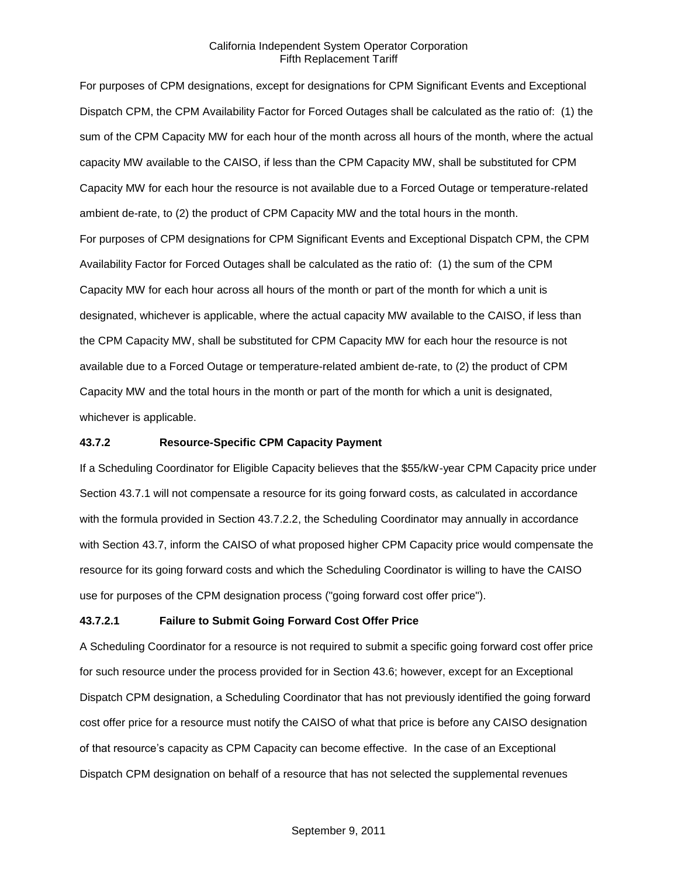For purposes of CPM designations, except for designations for CPM Significant Events and Exceptional Dispatch CPM, the CPM Availability Factor for Forced Outages shall be calculated as the ratio of: (1) the sum of the CPM Capacity MW for each hour of the month across all hours of the month, where the actual capacity MW available to the CAISO, if less than the CPM Capacity MW, shall be substituted for CPM Capacity MW for each hour the resource is not available due to a Forced Outage or temperature-related ambient de-rate, to (2) the product of CPM Capacity MW and the total hours in the month. For purposes of CPM designations for CPM Significant Events and Exceptional Dispatch CPM, the CPM Availability Factor for Forced Outages shall be calculated as the ratio of: (1) the sum of the CPM Capacity MW for each hour across all hours of the month or part of the month for which a unit is designated, whichever is applicable, where the actual capacity MW available to the CAISO, if less than the CPM Capacity MW, shall be substituted for CPM Capacity MW for each hour the resource is not available due to a Forced Outage or temperature-related ambient de-rate, to (2) the product of CPM Capacity MW and the total hours in the month or part of the month for which a unit is designated, whichever is applicable.

### **43.7.2 Resource-Specific CPM Capacity Payment**

If a Scheduling Coordinator for Eligible Capacity believes that the \$55/kW-year CPM Capacity price under Section 43.7.1 will not compensate a resource for its going forward costs, as calculated in accordance with the formula provided in Section 43.7.2.2, the Scheduling Coordinator may annually in accordance with Section 43.7, inform the CAISO of what proposed higher CPM Capacity price would compensate the resource for its going forward costs and which the Scheduling Coordinator is willing to have the CAISO use for purposes of the CPM designation process ("going forward cost offer price").

### **43.7.2.1 Failure to Submit Going Forward Cost Offer Price**

A Scheduling Coordinator for a resource is not required to submit a specific going forward cost offer price for such resource under the process provided for in Section 43.6; however, except for an Exceptional Dispatch CPM designation, a Scheduling Coordinator that has not previously identified the going forward cost offer price for a resource must notify the CAISO of what that price is before any CAISO designation of that resource's capacity as CPM Capacity can become effective. In the case of an Exceptional Dispatch CPM designation on behalf of a resource that has not selected the supplemental revenues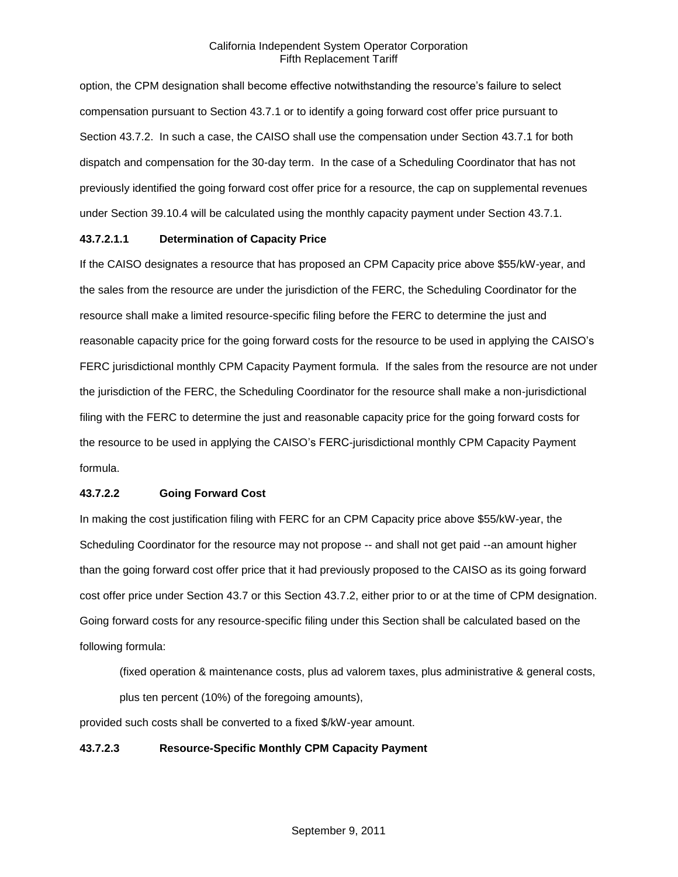option, the CPM designation shall become effective notwithstanding the resource's failure to select compensation pursuant to Section 43.7.1 or to identify a going forward cost offer price pursuant to Section 43.7.2. In such a case, the CAISO shall use the compensation under Section 43.7.1 for both dispatch and compensation for the 30-day term. In the case of a Scheduling Coordinator that has not previously identified the going forward cost offer price for a resource, the cap on supplemental revenues under Section 39.10.4 will be calculated using the monthly capacity payment under Section 43.7.1.

### **43.7.2.1.1 Determination of Capacity Price**

If the CAISO designates a resource that has proposed an CPM Capacity price above \$55/kW-year, and the sales from the resource are under the jurisdiction of the FERC, the Scheduling Coordinator for the resource shall make a limited resource-specific filing before the FERC to determine the just and reasonable capacity price for the going forward costs for the resource to be used in applying the CAISO's FERC jurisdictional monthly CPM Capacity Payment formula. If the sales from the resource are not under the jurisdiction of the FERC, the Scheduling Coordinator for the resource shall make a non-jurisdictional filing with the FERC to determine the just and reasonable capacity price for the going forward costs for the resource to be used in applying the CAISO's FERC-jurisdictional monthly CPM Capacity Payment formula.

# **43.7.2.2 Going Forward Cost**

In making the cost justification filing with FERC for an CPM Capacity price above \$55/kW-year, the Scheduling Coordinator for the resource may not propose -- and shall not get paid --an amount higher than the going forward cost offer price that it had previously proposed to the CAISO as its going forward cost offer price under Section 43.7 or this Section 43.7.2, either prior to or at the time of CPM designation. Going forward costs for any resource-specific filing under this Section shall be calculated based on the following formula:

(fixed operation & maintenance costs, plus ad valorem taxes, plus administrative & general costs, plus ten percent (10%) of the foregoing amounts),

provided such costs shall be converted to a fixed \$/kW-year amount.

### **43.7.2.3 Resource-Specific Monthly CPM Capacity Payment**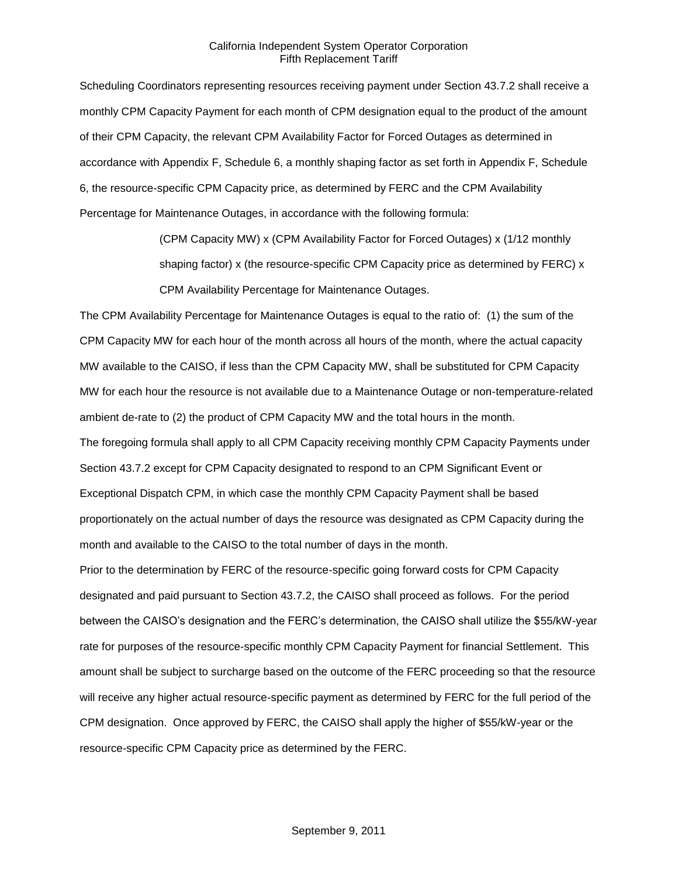Scheduling Coordinators representing resources receiving payment under Section 43.7.2 shall receive a monthly CPM Capacity Payment for each month of CPM designation equal to the product of the amount of their CPM Capacity, the relevant CPM Availability Factor for Forced Outages as determined in accordance with Appendix F, Schedule 6, a monthly shaping factor as set forth in Appendix F, Schedule 6, the resource-specific CPM Capacity price, as determined by FERC and the CPM Availability Percentage for Maintenance Outages, in accordance with the following formula:

> (CPM Capacity MW) x (CPM Availability Factor for Forced Outages) x (1/12 monthly shaping factor) x (the resource-specific CPM Capacity price as determined by FERC) x CPM Availability Percentage for Maintenance Outages.

The CPM Availability Percentage for Maintenance Outages is equal to the ratio of: (1) the sum of the CPM Capacity MW for each hour of the month across all hours of the month, where the actual capacity MW available to the CAISO, if less than the CPM Capacity MW, shall be substituted for CPM Capacity MW for each hour the resource is not available due to a Maintenance Outage or non-temperature-related ambient de-rate to (2) the product of CPM Capacity MW and the total hours in the month.

The foregoing formula shall apply to all CPM Capacity receiving monthly CPM Capacity Payments under Section 43.7.2 except for CPM Capacity designated to respond to an CPM Significant Event or Exceptional Dispatch CPM, in which case the monthly CPM Capacity Payment shall be based proportionately on the actual number of days the resource was designated as CPM Capacity during the month and available to the CAISO to the total number of days in the month.

Prior to the determination by FERC of the resource-specific going forward costs for CPM Capacity designated and paid pursuant to Section 43.7.2, the CAISO shall proceed as follows. For the period between the CAISO's designation and the FERC's determination, the CAISO shall utilize the \$55/kW-year rate for purposes of the resource-specific monthly CPM Capacity Payment for financial Settlement. This amount shall be subject to surcharge based on the outcome of the FERC proceeding so that the resource will receive any higher actual resource-specific payment as determined by FERC for the full period of the CPM designation. Once approved by FERC, the CAISO shall apply the higher of \$55/kW-year or the resource-specific CPM Capacity price as determined by the FERC.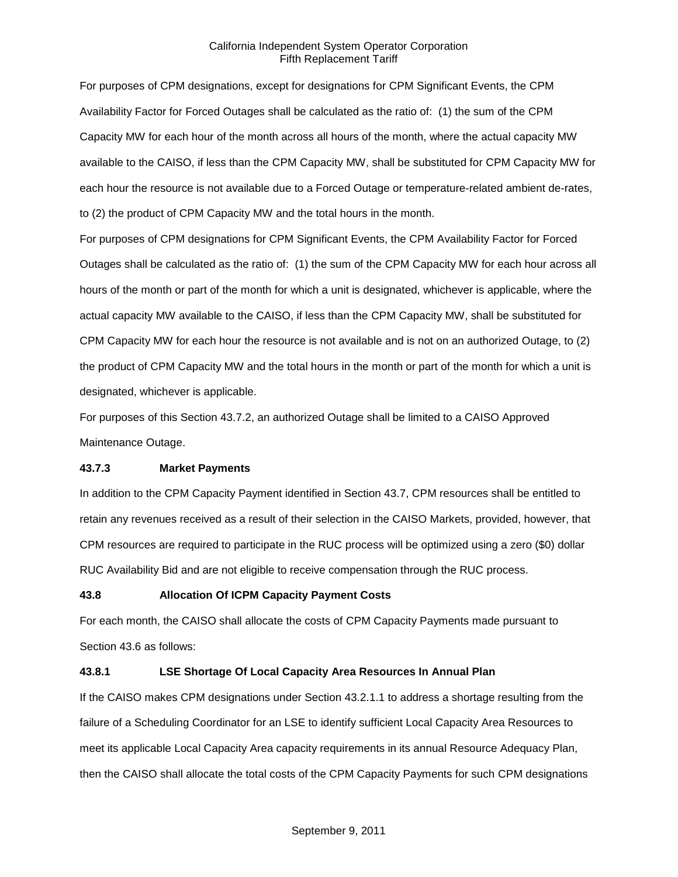For purposes of CPM designations, except for designations for CPM Significant Events, the CPM Availability Factor for Forced Outages shall be calculated as the ratio of: (1) the sum of the CPM Capacity MW for each hour of the month across all hours of the month, where the actual capacity MW available to the CAISO, if less than the CPM Capacity MW, shall be substituted for CPM Capacity MW for each hour the resource is not available due to a Forced Outage or temperature-related ambient de-rates, to (2) the product of CPM Capacity MW and the total hours in the month.

For purposes of CPM designations for CPM Significant Events, the CPM Availability Factor for Forced Outages shall be calculated as the ratio of: (1) the sum of the CPM Capacity MW for each hour across all hours of the month or part of the month for which a unit is designated, whichever is applicable, where the actual capacity MW available to the CAISO, if less than the CPM Capacity MW, shall be substituted for CPM Capacity MW for each hour the resource is not available and is not on an authorized Outage, to (2) the product of CPM Capacity MW and the total hours in the month or part of the month for which a unit is designated, whichever is applicable.

For purposes of this Section 43.7.2, an authorized Outage shall be limited to a CAISO Approved Maintenance Outage.

### **43.7.3 Market Payments**

In addition to the CPM Capacity Payment identified in Section 43.7, CPM resources shall be entitled to retain any revenues received as a result of their selection in the CAISO Markets, provided, however, that CPM resources are required to participate in the RUC process will be optimized using a zero (\$0) dollar RUC Availability Bid and are not eligible to receive compensation through the RUC process.

### **43.8 Allocation Of ICPM Capacity Payment Costs**

For each month, the CAISO shall allocate the costs of CPM Capacity Payments made pursuant to Section 43.6 as follows:

### **43.8.1 LSE Shortage Of Local Capacity Area Resources In Annual Plan**

If the CAISO makes CPM designations under Section 43.2.1.1 to address a shortage resulting from the failure of a Scheduling Coordinator for an LSE to identify sufficient Local Capacity Area Resources to meet its applicable Local Capacity Area capacity requirements in its annual Resource Adequacy Plan, then the CAISO shall allocate the total costs of the CPM Capacity Payments for such CPM designations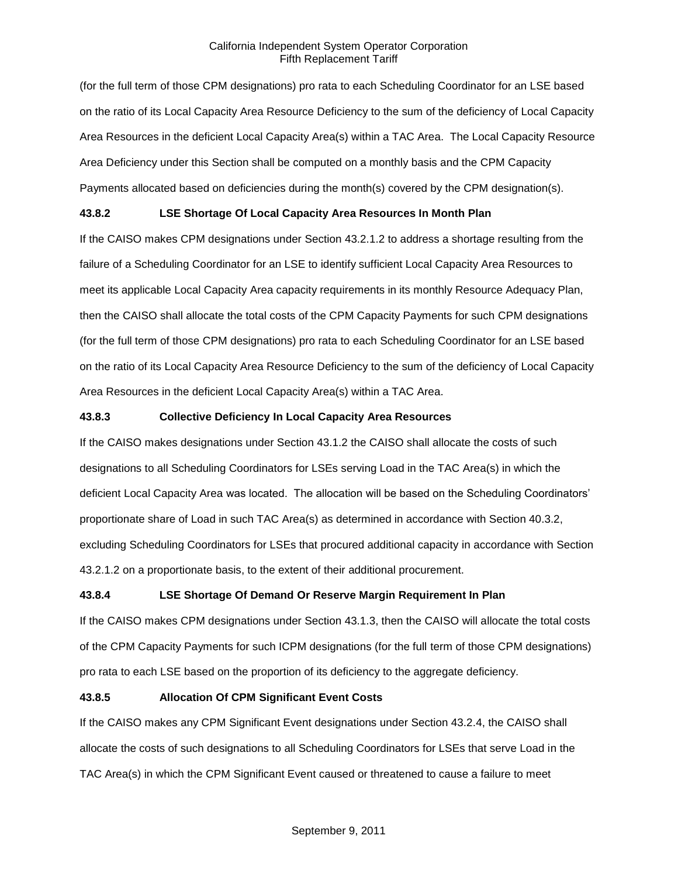(for the full term of those CPM designations) pro rata to each Scheduling Coordinator for an LSE based on the ratio of its Local Capacity Area Resource Deficiency to the sum of the deficiency of Local Capacity Area Resources in the deficient Local Capacity Area(s) within a TAC Area. The Local Capacity Resource Area Deficiency under this Section shall be computed on a monthly basis and the CPM Capacity Payments allocated based on deficiencies during the month(s) covered by the CPM designation(s).

# **43.8.2 LSE Shortage Of Local Capacity Area Resources In Month Plan**

If the CAISO makes CPM designations under Section 43.2.1.2 to address a shortage resulting from the failure of a Scheduling Coordinator for an LSE to identify sufficient Local Capacity Area Resources to meet its applicable Local Capacity Area capacity requirements in its monthly Resource Adequacy Plan, then the CAISO shall allocate the total costs of the CPM Capacity Payments for such CPM designations (for the full term of those CPM designations) pro rata to each Scheduling Coordinator for an LSE based on the ratio of its Local Capacity Area Resource Deficiency to the sum of the deficiency of Local Capacity Area Resources in the deficient Local Capacity Area(s) within a TAC Area.

### **43.8.3 Collective Deficiency In Local Capacity Area Resources**

If the CAISO makes designations under Section 43.1.2 the CAISO shall allocate the costs of such designations to all Scheduling Coordinators for LSEs serving Load in the TAC Area(s) in which the deficient Local Capacity Area was located. The allocation will be based on the Scheduling Coordinators' proportionate share of Load in such TAC Area(s) as determined in accordance with Section 40.3.2, excluding Scheduling Coordinators for LSEs that procured additional capacity in accordance with Section 43.2.1.2 on a proportionate basis, to the extent of their additional procurement.

# **43.8.4 LSE Shortage Of Demand Or Reserve Margin Requirement In Plan**

If the CAISO makes CPM designations under Section 43.1.3, then the CAISO will allocate the total costs of the CPM Capacity Payments for such ICPM designations (for the full term of those CPM designations) pro rata to each LSE based on the proportion of its deficiency to the aggregate deficiency.

# **43.8.5 Allocation Of CPM Significant Event Costs**

If the CAISO makes any CPM Significant Event designations under Section 43.2.4, the CAISO shall allocate the costs of such designations to all Scheduling Coordinators for LSEs that serve Load in the TAC Area(s) in which the CPM Significant Event caused or threatened to cause a failure to meet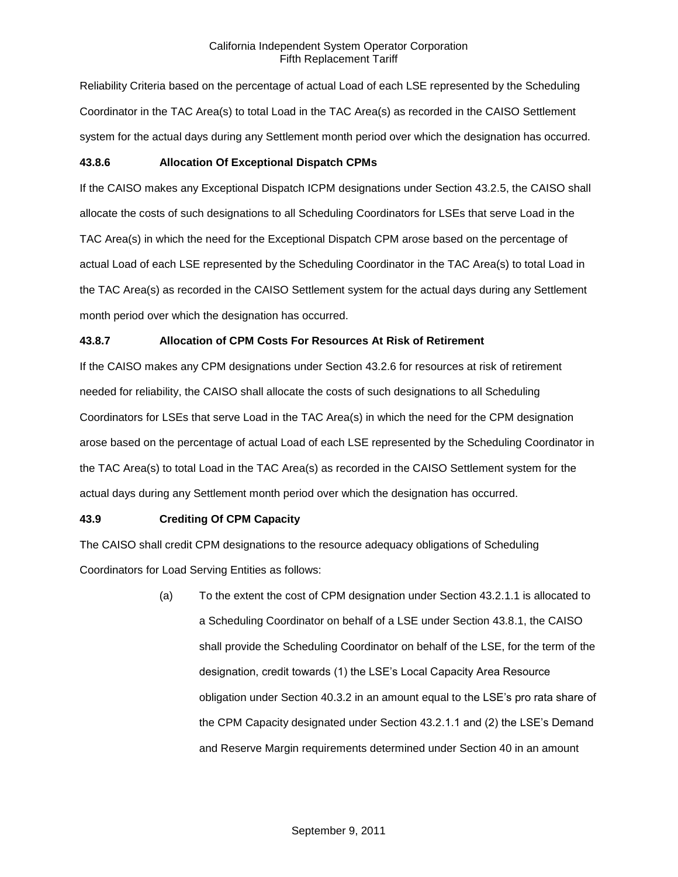Reliability Criteria based on the percentage of actual Load of each LSE represented by the Scheduling Coordinator in the TAC Area(s) to total Load in the TAC Area(s) as recorded in the CAISO Settlement system for the actual days during any Settlement month period over which the designation has occurred.

### **43.8.6 Allocation Of Exceptional Dispatch CPMs**

If the CAISO makes any Exceptional Dispatch ICPM designations under Section 43.2.5, the CAISO shall allocate the costs of such designations to all Scheduling Coordinators for LSEs that serve Load in the TAC Area(s) in which the need for the Exceptional Dispatch CPM arose based on the percentage of actual Load of each LSE represented by the Scheduling Coordinator in the TAC Area(s) to total Load in the TAC Area(s) as recorded in the CAISO Settlement system for the actual days during any Settlement month period over which the designation has occurred.

### **43.8.7 Allocation of CPM Costs For Resources At Risk of Retirement**

If the CAISO makes any CPM designations under Section 43.2.6 for resources at risk of retirement needed for reliability, the CAISO shall allocate the costs of such designations to all Scheduling Coordinators for LSEs that serve Load in the TAC Area(s) in which the need for the CPM designation arose based on the percentage of actual Load of each LSE represented by the Scheduling Coordinator in the TAC Area(s) to total Load in the TAC Area(s) as recorded in the CAISO Settlement system for the actual days during any Settlement month period over which the designation has occurred.

### **43.9 Crediting Of CPM Capacity**

The CAISO shall credit CPM designations to the resource adequacy obligations of Scheduling Coordinators for Load Serving Entities as follows:

> (a) To the extent the cost of CPM designation under Section 43.2.1.1 is allocated to a Scheduling Coordinator on behalf of a LSE under Section 43.8.1, the CAISO shall provide the Scheduling Coordinator on behalf of the LSE, for the term of the designation, credit towards (1) the LSE's Local Capacity Area Resource obligation under Section 40.3.2 in an amount equal to the LSE's pro rata share of the CPM Capacity designated under Section 43.2.1.1 and (2) the LSE's Demand and Reserve Margin requirements determined under Section 40 in an amount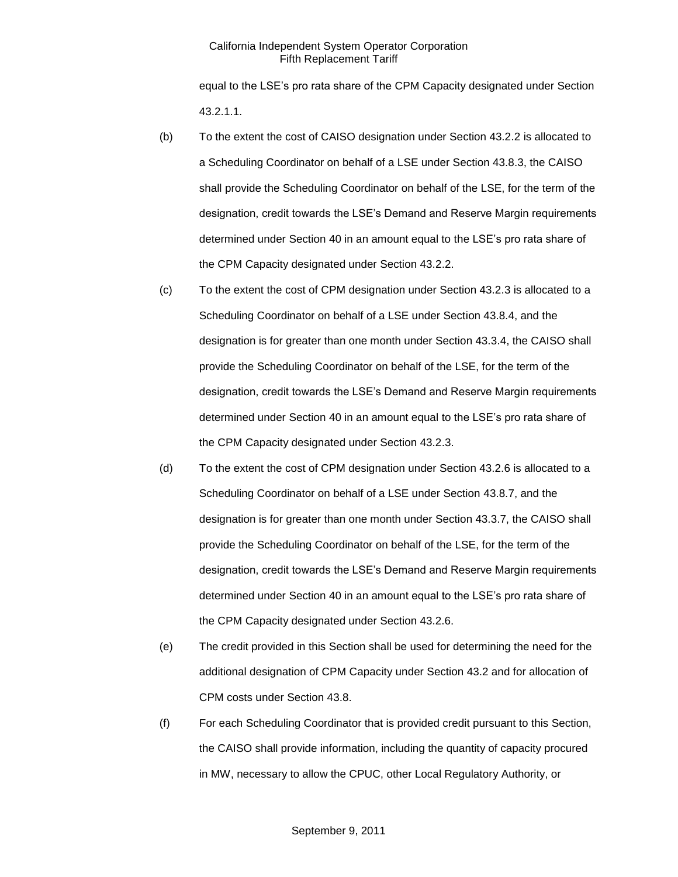equal to the LSE's pro rata share of the CPM Capacity designated under Section 43.2.1.1.

- (b) To the extent the cost of CAISO designation under Section 43.2.2 is allocated to a Scheduling Coordinator on behalf of a LSE under Section 43.8.3, the CAISO shall provide the Scheduling Coordinator on behalf of the LSE, for the term of the designation, credit towards the LSE's Demand and Reserve Margin requirements determined under Section 40 in an amount equal to the LSE's pro rata share of the CPM Capacity designated under Section 43.2.2.
- (c) To the extent the cost of CPM designation under Section 43.2.3 is allocated to a Scheduling Coordinator on behalf of a LSE under Section 43.8.4, and the designation is for greater than one month under Section 43.3.4, the CAISO shall provide the Scheduling Coordinator on behalf of the LSE, for the term of the designation, credit towards the LSE's Demand and Reserve Margin requirements determined under Section 40 in an amount equal to the LSE's pro rata share of the CPM Capacity designated under Section 43.2.3.
- (d) To the extent the cost of CPM designation under Section 43.2.6 is allocated to a Scheduling Coordinator on behalf of a LSE under Section 43.8.7, and the designation is for greater than one month under Section 43.3.7, the CAISO shall provide the Scheduling Coordinator on behalf of the LSE, for the term of the designation, credit towards the LSE's Demand and Reserve Margin requirements determined under Section 40 in an amount equal to the LSE's pro rata share of the CPM Capacity designated under Section 43.2.6.
- (e) The credit provided in this Section shall be used for determining the need for the additional designation of CPM Capacity under Section 43.2 and for allocation of CPM costs under Section 43.8.
- (f) For each Scheduling Coordinator that is provided credit pursuant to this Section, the CAISO shall provide information, including the quantity of capacity procured in MW, necessary to allow the CPUC, other Local Regulatory Authority, or